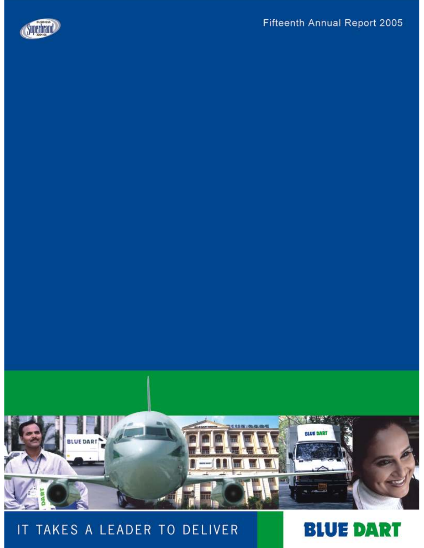



# IT TAKES A LEADER TO DELIVER

# **BLUE DART**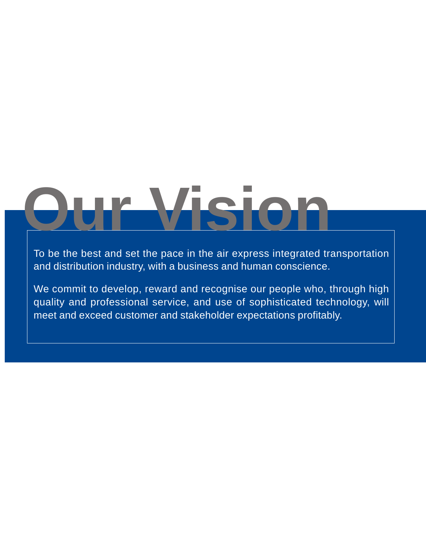# **Our Vision**

To be the best and set the pace in the air express integrated transportation and distribution industry, with a business and human conscience.

We commit to develop, reward and recognise our people who, through high quality and professional service, and use of sophisticated technology, will meet and exceed customer and stakeholder expectations profitably.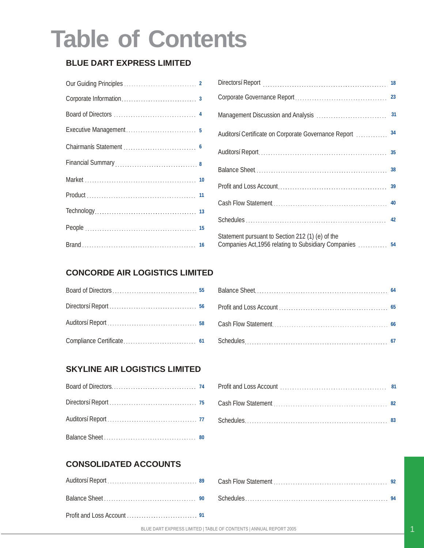# **Table of Contents**

### **BLUE DART EXPRESS LIMITED**

| Financial Summary<br>1990 - Campon Barbara, 1990 - Camponian Barbara, 1990 - Camponian Barbara, 1990 - Camponian Barbara, 1990 - Camponian Barbara, 1990 - Camponian Barbara, 1990 - Camponian Barbara, 1990 - Camponian Barbara |  |
|----------------------------------------------------------------------------------------------------------------------------------------------------------------------------------------------------------------------------------|--|
|                                                                                                                                                                                                                                  |  |
|                                                                                                                                                                                                                                  |  |
|                                                                                                                                                                                                                                  |  |
|                                                                                                                                                                                                                                  |  |
|                                                                                                                                                                                                                                  |  |

|                                                                                                          | 23 |
|----------------------------------------------------------------------------------------------------------|----|
|                                                                                                          | 31 |
| Auditorsí Certificate on Corporate Governance Report                                                     | 34 |
|                                                                                                          |    |
|                                                                                                          |    |
|                                                                                                          |    |
|                                                                                                          |    |
|                                                                                                          |    |
| Statement pursuant to Section 212 (1) (e) of the<br>Companies Act, 1956 relating to Subsidiary Companies | 54 |

### **CONCORDE AIR LOGISTICS LIMITED**

### **SKYLINE AIR LOGISTICS LIMITED**

### **CONSOLIDATED ACCOUNTS**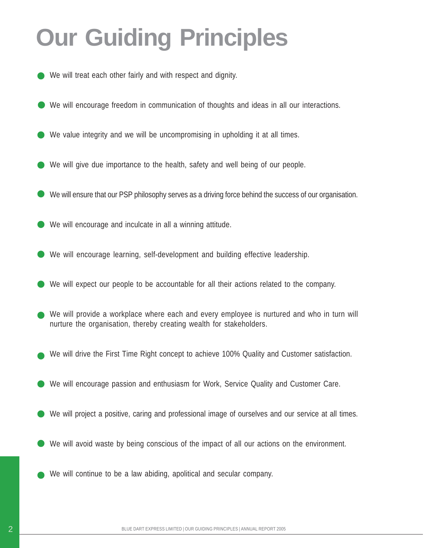# **Our Guiding Principles**

- We will treat each other fairly and with respect and dignity.
- We will encourage freedom in communication of thoughts and ideas in all our interactions.
- We value integrity and we will be uncompromising in upholding it at all times.
- We will give due importance to the health, safety and well being of our people.
- We will ensure that our PSP philosophy serves as a driving force behind the success of our organisation.
- We will encourage and inculcate in all a winning attitude.
- We will encourage learning, self-development and building effective leadership.
- We will expect our people to be accountable for all their actions related to the company.
- We will provide a workplace where each and every employee is nurtured and who in turn will nurture the organisation, thereby creating wealth for stakeholders.
- We will drive the First Time Right concept to achieve 100% Quality and Customer satisfaction.
- We will encourage passion and enthusiasm for Work, Service Quality and Customer Care.
- We will project a positive, caring and professional image of ourselves and our service at all times.
- We will avoid waste by being conscious of the impact of all our actions on the environment.
- We will continue to be a law abiding, apolitical and secular company.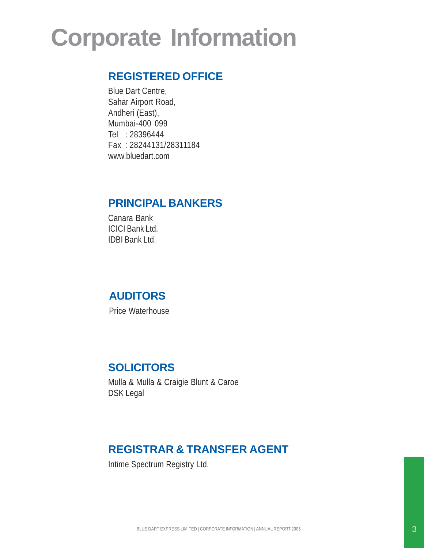# **Corporate Information**

## **REGISTERED OFFICE**

Blue Dart Centre, Sahar Airport Road, Andheri (East), Mumbai-400 099 Tel : 28396444 Fax : 28244131/28311184 www.bluedart.com

### **PRINCIPAL BANKERS**

Canara Bank ICICI Bank Ltd. IDBI Bank Ltd.

### **AUDITORS**

Price Waterhouse

### **SOLICITORS**

Mulla & Mulla & Craigie Blunt & Caroe DSK Legal

# **REGISTRAR & TRANSFER AGENT**

Intime Spectrum Registry Ltd.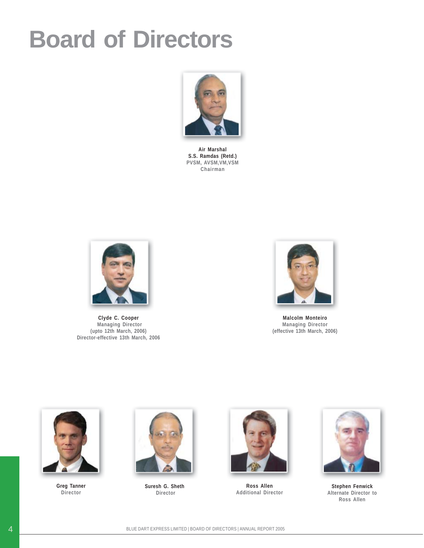# **Board of Directors**



**Air Marshal S.S. Ramdas (Retd.) PVSM, AVSM,VM,VSM Chairman**



**Clyde C. Cooper Managing Director (upto 12th March, 2006) Director-effective 13th March, 2006**



**Malcolm Monteiro Managing Director (effective 13th March, 2006)**



**Greg Tanner Director**



**Suresh G. Sheth Director**



**Ross Allen Additional Director**



**Stephen Fenwick Alternate Director to Ross Allen**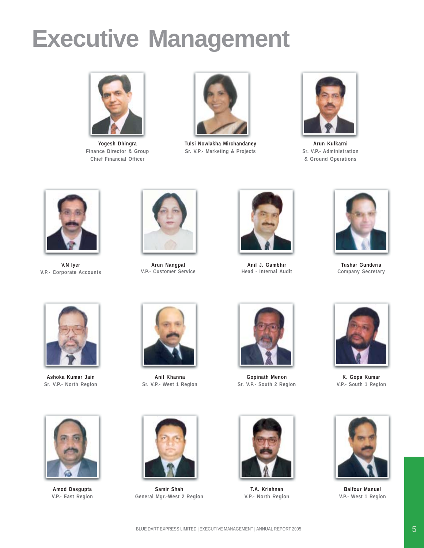# **Executive Management**



**Yogesh Dhingra Finance Director & Group Chief Financial Officer**



**Tulsi Nowlakha Mirchandaney Sr. V.P.- Marketing & Projects**



**Arun Kulkarni Sr. V.P.- Administration & Ground Operations**



**V.N Iyer V.P.- Corporate Accounts**



**Arun Nangpal V.P.- Customer Service**



**Anil J. Gambhir Head - Internal Audit**



**Tushar Gunderia Company Secretary**



**Ashoka Kumar Jain Sr. V.P.- North Region**



**Anil Khanna Sr. V.P.- West 1 Region**



**Gopinath Menon Sr. V.P.- South 2 Region**



**K. Gopa Kumar V.P.- South 1 Region**



**Balfour Manuel V.P.- West 1 Region**



**Amod Dasgupta V.P.- East Region**



**Samir Shah General Mgr.-West 2 Region**



**T.A. Krishnan V.P.- North Region**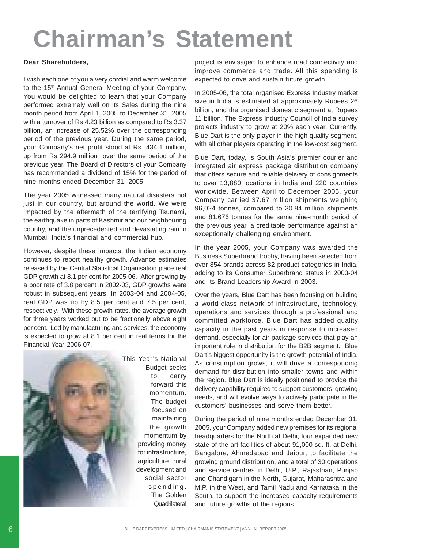# **Chairman's Statement**

#### **Dear Shareholders,**

I wish each one of you a very cordial and warm welcome to the 15<sup>th</sup> Annual General Meeting of your Company. You would be delighted to learn that your Company performed extremely well on its Sales during the nine month period from April 1, 2005 to December 31, 2005 with a turnover of Rs 4.23 billion as compared to Rs 3.37 billion, an increase of 25.52% over the corresponding period of the previous year. During the same period, your Company's net profit stood at Rs. 434.1 million, up from Rs 294.9 million over the same period of the previous year. The Board of Directors of your Company has recommended a dividend of 15% for the period of nine months ended December 31, 2005.

The year 2005 witnessed many natural disasters not just in our country, but around the world. We were impacted by the aftermath of the terrifying Tsunami, the earthquake in parts of Kashmir and our neighbouring country, and the unprecedented and devastating rain in Mumbai, India's financial and commercial hub.

However, despite these impacts, the Indian economy continues to report healthy growth. Advance estimates released by the Central Statistical Organisation place real GDP growth at 8.1 per cent for 2005-06. After growing by a poor rate of 3.8 percent in 2002-03, GDP growths were robust in subsequent years. In 2003-04 and 2004-05, real GDP was up by 8.5 per cent and 7.5 per cent, respectively. With these growth rates, the average growth for three years worked out to be fractionally above eight per cent. Led by manufacturing and services, the economy is expected to grow at 8.1 per cent in real terms for the Financial Year 2006-07.



This Year's National Budget seeks to carry forward this momentum. The budget focused on maintaining the growth momentum by providing money for infrastructure, agriculture, rural development and social sector spending. The Golden

project is envisaged to enhance road connectivity and improve commerce and trade. All this spending is expected to drive and sustain future growth.

In 2005-06, the total organised Express Industry market size in India is estimated at approximately Rupees 26 billion, and the organised domestic segment at Rupees 11 billion. The Express Industry Council of India survey projects industry to grow at 20% each year. Currently, Blue Dart is the only player in the high quality segment, with all other players operating in the low-cost segment.

Blue Dart, today, is South Asia's premier courier and integrated air express package distribution company that offers secure and reliable delivery of consignments to over 13,880 locations in India and 220 countries worldwide. Between April to December 2005, your Company carried 37.67 million shipments weighing 96,024 tonnes, compared to 30.84 million shipments and 81,676 tonnes for the same nine-month period of the previous year, a creditable performance against an exceptionally challenging environment.

In the year 2005, your Company was awarded the Business Superbrand trophy, having been selected from over 854 brands across 82 product categories in India, adding to its Consumer Superbrand status in 2003-04 and its Brand Leadership Award in 2003.

Over the years, Blue Dart has been focusing on building a world-class network of infrastructure, technology, operations and services through a professional and committed workforce. Blue Dart has added quality capacity in the past years in response to increased demand, especially for air package services that play an important role in distribution for the B2B segment. Blue Dart's biggest opportunity is the growth potential of India. As consumption grows, it will drive a corresponding demand for distribution into smaller towns and within the region. Blue Dart is ideally positioned to provide the delivery capability required to support customers' growing needs, and will evolve ways to actively participate in the customers' businesses and serve them better.

During the period of nine months ended December 31, 2005, your Company added new premises for its regional headquarters for the North at Delhi, four expanded new state-of-the-art facilities of about 91,000 sq. ft. at Delhi, Bangalore, Ahmedabad and Jaipur, to facilitate the growing ground distribution, and a total of 30 operations and service centres in Delhi, U.P., Rajasthan, Punjab and Chandigarh in the North, Gujarat, Maharashtra and M.P. in the West, and Tamil Nadu and Karnataka in the South, to support the increased capacity requirements and future growths of the regions.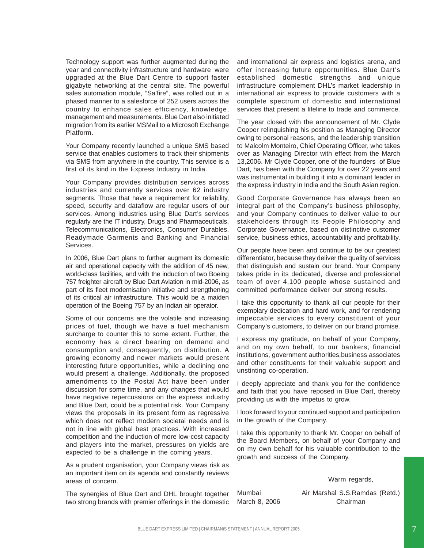Technology support was further augmented during the year and connectivity infrastructure and hardware were upgraded at the Blue Dart Centre to support faster gigabyte networking at the central site. The powerful sales automation module, "Sa'fire", was rolled out in a phased manner to a salesforce of 252 users across the country to enhance sales efficiency, knowledge, management and measurements. Blue Dart also initiated migration from its earlier MSMail to a Microsoft Exchange Platform.

Your Company recently launched a unique SMS based service that enables customers to track their shipments via SMS from anywhere in the country. This service is a first of its kind in the Express Industry in India.

Your Company provides distribution services across industries and currently services over 62 industry segments. Those that have a requirement for reliability, speed, security and dataflow are regular users of our services. Among industries using Blue Dart's services regularly are the IT industry, Drugs and Pharmaceuticals, Telecommunications, Electronics, Consumer Durables, Readymade Garments and Banking and Financial Services.

In 2006, Blue Dart plans to further augment its domestic air and operational capacity with the addition of 45 new, world-class facilities, and with the induction of two Boeing 757 freighter aircraft by Blue Dart Aviation in mid-2006, as part of its fleet modernisation initiative and strengthening of its critical air infrastructure. This would be a maiden operation of the Boeing 757 by an Indian air operator.

Some of our concerns are the volatile and increasing prices of fuel, though we have a fuel mechanism surcharge to counter this to some extent. Further, the economy has a direct bearing on demand and consumption and, consequently, on distribution. A growing economy and newer markets would present interesting future opportunities, while a declining one would present a challenge. Additionally, the proposed amendments to the Postal Act have been under discussion for some time, and any changes that would have negative repercussions on the express industry and Blue Dart, could be a potential risk. Your Company views the proposals in its present form as regressive which does not reflect modern societal needs and is not in line with global best practices. With increased competition and the induction of more low-cost capacity and players into the market, pressures on yields are expected to be a challenge in the coming years.

As a prudent organisation, your Company views risk as an important item on its agenda and constantly reviews areas of concern.

The synergies of Blue Dart and DHL brought together two strong brands with premier offerings in the domestic

and international air express and logistics arena, and offer increasing future opportunities. Blue Dart's established domestic strengths and unique infrastructure complement DHL's market leadership in international air express to provide customers with a complete spectrum of domestic and international services that present a lifeline to trade and commerce.

The year closed with the announcement of Mr. Clyde Cooper relinquishing his position as Managing Director owing to personal reasons, and the leadership transition to Malcolm Monteiro, Chief Operating Officer, who takes over as Managing Director with effect from the March 13,2006. Mr Clyde Cooper, one of the founders of Blue Dart, has been with the Company for over 22 years and was instrumental in building it into a dominant leader in the express industry in India and the South Asian region.

Good Corporate Governance has always been an integral part of the Company's business philosophy, and your Company continues to deliver value to our stakeholders through its People Philosophy and Corporate Governance, based on distinctive customer service, business ethics, accountability and profitability.

Our people have been and continue to be our greatest differentiator, because they deliver the quality of services that distinguish and sustain our brand. Your Company takes pride in its dedicated, diverse and professional team of over 4,100 people whose sustained and committed performance deliver our strong results.

I take this opportunity to thank all our people for their exemplary dedication and hard work, and for rendering impeccable services to every constituent of your Company's customers, to deliver on our brand promise.

I express my gratitude, on behalf of your Company, and on my own behalf, to our bankers, financial institutions, government authorities,business associates and other constituents for their valuable support and unstinting co-operation.

I deeply appreciate and thank you for the confidence and faith that you have reposed in Blue Dart, thereby providing us with the impetus to grow.

I look forward to your continued support and participation in the growth of the Company.

I take this opportunity to thank Mr. Cooper on behalf of the Board Members, on behalf of your Company and on my own behalf for his valuable contribution to the growth and success of the Company.

Warm regards,

Mumbai Air Marshal S.S.Ramdas (Retd.) March 8, 2006 Chairman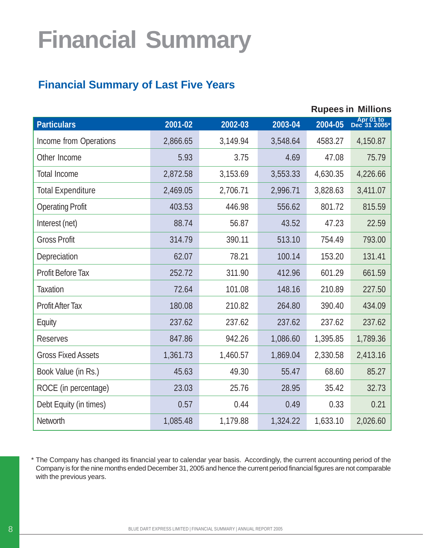# **Financial Summary**

# **Financial Summary of Last Five Years**

|                           |          |          |          |          | <b>Rupees in Millions</b> |
|---------------------------|----------|----------|----------|----------|---------------------------|
| <b>Particulars</b>        | 2001-02  | 2002-03  | 2003-04  | 2004-05  | Apr 01 to<br>Dec 31 2005* |
| Income from Operations    | 2,866.65 | 3,149.94 | 3,548.64 | 4583.27  | 4,150.87                  |
| Other Income              | 5.93     | 3.75     | 4.69     | 47.08    | 75.79                     |
| <b>Total Income</b>       | 2,872.58 | 3,153.69 | 3,553.33 | 4,630.35 | 4,226.66                  |
| <b>Total Expenditure</b>  | 2,469.05 | 2,706.71 | 2,996.71 | 3,828.63 | 3,411.07                  |
| <b>Operating Profit</b>   | 403.53   | 446.98   | 556.62   | 801.72   | 815.59                    |
| Interest (net)            | 88.74    | 56.87    | 43.52    | 47.23    | 22.59                     |
| <b>Gross Profit</b>       | 314.79   | 390.11   | 513.10   | 754.49   | 793.00                    |
| Depreciation              | 62.07    | 78.21    | 100.14   | 153.20   | 131.41                    |
| <b>Profit Before Tax</b>  | 252.72   | 311.90   | 412.96   | 601.29   | 661.59                    |
| <b>Taxation</b>           | 72.64    | 101.08   | 148.16   | 210.89   | 227.50                    |
| <b>Profit After Tax</b>   | 180.08   | 210.82   | 264.80   | 390.40   | 434.09                    |
| Equity                    | 237.62   | 237.62   | 237.62   | 237.62   | 237.62                    |
| <b>Reserves</b>           | 847.86   | 942.26   | 1,086.60 | 1,395.85 | 1,789.36                  |
| <b>Gross Fixed Assets</b> | 1,361.73 | 1,460.57 | 1,869.04 | 2,330.58 | 2,413.16                  |
| Book Value (in Rs.)       | 45.63    | 49.30    | 55.47    | 68.60    | 85.27                     |
| ROCE (in percentage)      | 23.03    | 25.76    | 28.95    | 35.42    | 32.73                     |
| Debt Equity (in times)    | 0.57     | 0.44     | 0.49     | 0.33     | 0.21                      |
| <b>Networth</b>           | 1,085.48 | 1,179.88 | 1,324.22 | 1,633.10 | 2,026.60                  |

\* The Company has changed its financial year to calendar year basis. Accordingly, the current accounting period of the Company is for the nine months ended December 31, 2005 and hence the current period financial figures are not comparable with the previous years.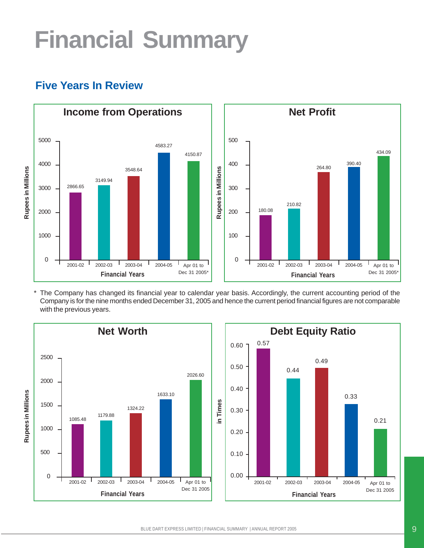# **Financial Summary**



# **Five Years In Review**

\* The Company has changed its financial year to calendar year basis. Accordingly, the current accounting period of the Company is for the nine months ended December 31, 2005 and hence the current period financial figures are not comparable with the previous years.



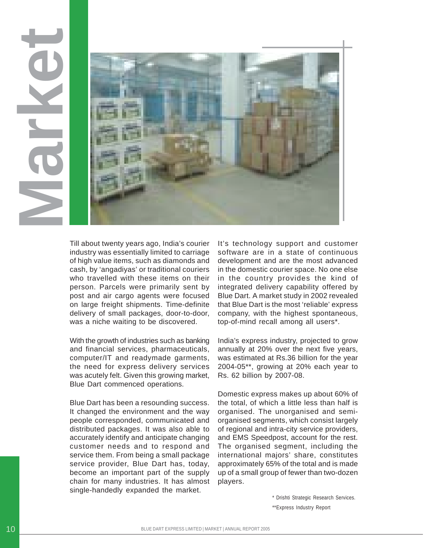

Till about twenty years ago, India's courier industry was essentially limited to carriage of high value items, such as diamonds and cash, by 'angadiyas' or traditional couriers who travelled with these items on their person. Parcels were primarily sent by post and air cargo agents were focused on large freight shipments. Time-definite delivery of small packages, door-to-door, was a niche waiting to be discovered.

With the growth of industries such as banking and financial services, pharmaceuticals, computer/IT and readymade garments, the need for express delivery services was acutely felt. Given this growing market, Blue Dart commenced operations.

Blue Dart has been a resounding success. It changed the environment and the way people corresponded, communicated and distributed packages. It was also able to accurately identify and anticipate changing customer needs and to respond and service them. From being a small package service provider, Blue Dart has, today, become an important part of the supply chain for many industries. It has almost single-handedly expanded the market.

It's technology support and customer software are in a state of continuous development and are the most advanced in the domestic courier space. No one else in the country provides the kind of integrated delivery capability offered by Blue Dart. A market study in 2002 revealed that Blue Dart is the most 'reliable' express company, with the highest spontaneous, top-of-mind recall among all users\*.

India's express industry, projected to grow annually at 20% over the next five years, was estimated at Rs.36 billion for the year 2004-05\*\*, growing at 20% each year to Rs. 62 billion by 2007-08.

Domestic express makes up about 60% of the total, of which a little less than half is organised. The unorganised and semiorganised segments, which consist largely of regional and intra-city service providers, and EMS Speedpost, account for the rest. The organised segment, including the international majors' share, constitutes approximately 65% of the total and is made up of a small group of fewer than two-dozen players.

\* Drishti Strategic Research Services.

\*\*Express Industry Report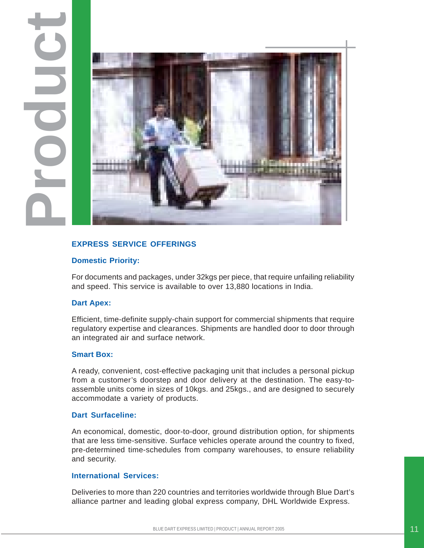

#### **EXPRESS SERVICE OFFERINGS**

#### **Domestic Priority:**

For documents and packages, under 32kgs per piece, that require unfailing reliability and speed. This service is available to over 13,880 locations in India.

#### **Dart Apex:**

Efficient, time-definite supply-chain support for commercial shipments that require regulatory expertise and clearances. Shipments are handled door to door through an integrated air and surface network.

#### **Smart Box:**

A ready, convenient, cost-effective packaging unit that includes a personal pickup from a customer's doorstep and door delivery at the destination. The easy-toassemble units come in sizes of 10kgs. and 25kgs., and are designed to securely accommodate a variety of products.

#### **Dart Surfaceline:**

An economical, domestic, door-to-door, ground distribution option, for shipments that are less time-sensitive. Surface vehicles operate around the country to fixed, pre-determined time-schedules from company warehouses, to ensure reliability and security.

#### **International Services:**

Deliveries to more than 220 countries and territories worldwide through Blue Dart's alliance partner and leading global express company, DHL Worldwide Express.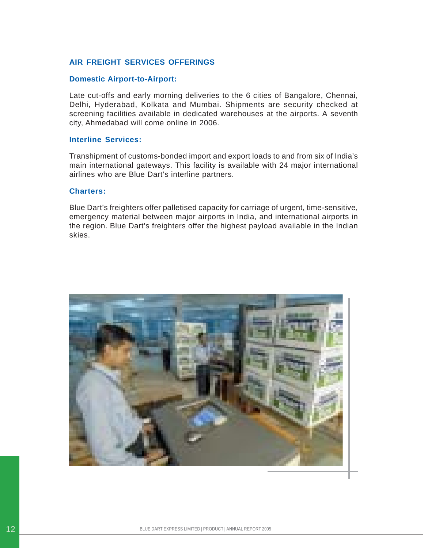#### **AIR FREIGHT SERVICES OFFERINGS**

#### **Domestic Airport-to-Airport:**

Late cut-offs and early morning deliveries to the 6 cities of Bangalore, Chennai, Delhi, Hyderabad, Kolkata and Mumbai. Shipments are security checked at screening facilities available in dedicated warehouses at the airports. A seventh city, Ahmedabad will come online in 2006.

#### **Interline Services:**

Transhipment of customs-bonded import and export loads to and from six of India's main international gateways. This facility is available with 24 major international airlines who are Blue Dart's interline partners.

#### **Charters:**

Blue Dart's freighters offer palletised capacity for carriage of urgent, time-sensitive, emergency material between major airports in India, and international airports in the region. Blue Dart's freighters offer the highest payload available in the Indian skies.

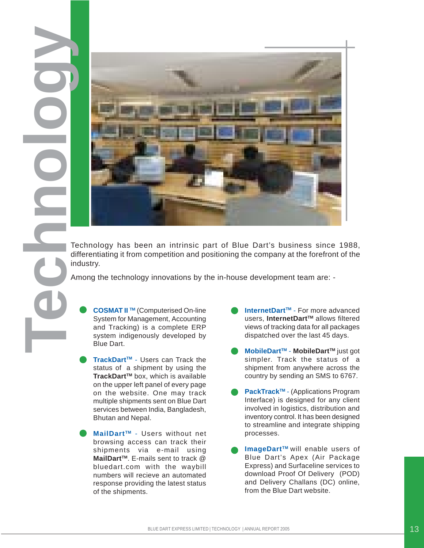

differentiating it from competition and positioning the company at the forefront of the industry.

Among the technology innovations by the in-house development team are: -

**COSMAT II TM** (Computerised On-line System for Management, Accounting and Tracking) is a complete ERP system indigenously developed by Blue Dart.

- TrackDart<sup>™</sup> Users can Track the status of a shipment by using the **TrackDart™** box, which is available on the upper left panel of every page on the website. One may track multiple shipments sent on Blue Dart services between India, Bangladesh, Bhutan and Nepal.
- **MailDartTM** Users without net browsing access can track their shipments via e-mail using **MailDart™.** E-mails sent to track @ bluedart.com with the waybill numbers will recieve an automated response providing the latest status of the shipments.
- **InternetDart™** For more advanced users, InternetDart<sup>™</sup> allows filtered views of tracking data for all packages dispatched over the last 45 days.
- **MobileDartTM MobileDartTM** just got simpler. Track the status of a shipment from anywhere across the country by sending an SMS to 6767.
- **PackTrack™** (Applications Program Interface) is designed for any client involved in logistics, distribution and inventory control. It has been designed to streamline and integrate shipping processes.
- **ImageDartTM** will enable users of Blue Dart's Apex (Air Package Express) and Surfaceline services to download Proof Of Delivery (POD) and Delivery Challans (DC) online, from the Blue Dart website.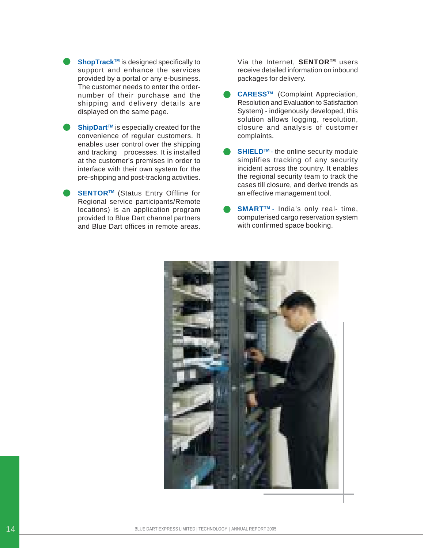- **ShopTrack™** is designed specifically to support and enhance the services provided by a portal or any e-business. The customer needs to enter the ordernumber of their purchase and the shipping and delivery details are displayed on the same page.
- **ShipDart™** is especially created for the convenience of regular customers. It enables user control over the shipping and tracking processes. It is installed at the customer's premises in order to interface with their own system for the pre-shipping and post-tracking activities.
- **SENTOR™** (Status Entry Offline for Regional service participants/Remote locations) is an application program provided to Blue Dart channel partners and Blue Dart offices in remote areas.

Via the Internet. **SENTOR™** users receive detailed information on inbound packages for delivery.

- **CARESSTM** (Complaint Appreciation, Resolution and Evaluation to Satisfaction System) - indigenously developed, this solution allows logging, resolution, closure and analysis of customer complaints.
- **SHIELD<sup>™</sup>** the online security module simplifies tracking of any security incident across the country. It enables the regional security team to track the cases till closure, and derive trends as an effective management tool.
- **SMART™** India's only real- time, computerised cargo reservation system with confirmed space booking.

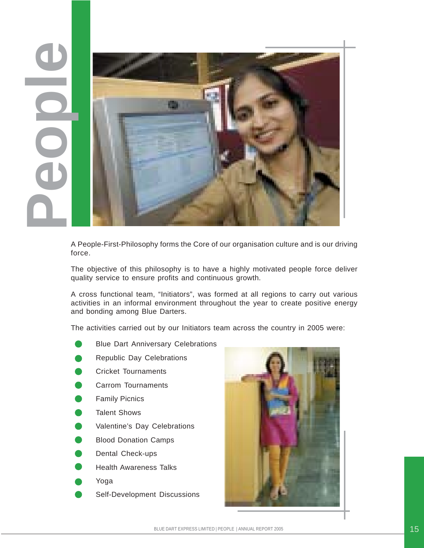

A People-First-Philosophy forms the Core of our organisation culture and is our driving force.

The objective of this philosophy is to have a highly motivated people force deliver quality service to ensure profits and continuous growth.

A cross functional team, "Initiators", was formed at all regions to carry out various activities in an informal environment throughout the year to create positive energy and bonding among Blue Darters.

The activities carried out by our Initiators team across the country in 2005 were:

- Blue Dart Anniversary Celebrations
- Republic Day Celebrations
- Cricket Tournaments
- Carrom Tournaments
- Family Picnics
- Talent Shows
- Valentine's Day Celebrations
- Blood Donation Camps
- Dental Check-ups
- Health Awareness Talks
- Yoga
- Self-Development Discussions

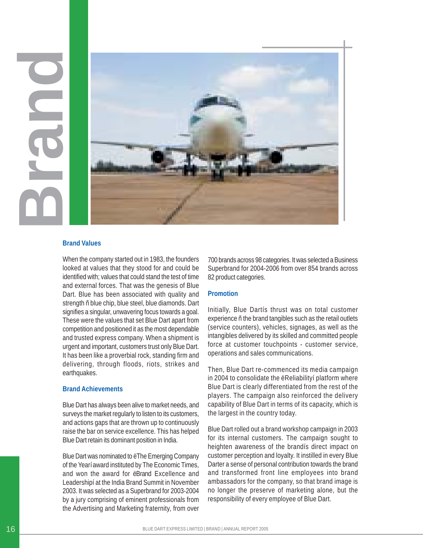

#### **Brand Values**

When the company started out in 1983, the founders looked at values that they stood for and could be identified with; values that could stand the test of time and external forces. That was the genesis of Blue Dart. Blue has been associated with quality and strength ñ blue chip, blue steel, blue diamonds. Dart signifies a singular, unwavering focus towards a goal. These were the values that set Blue Dart apart from competition and positioned it as the most dependable and trusted express company. When a shipment is urgent and important, customers trust only Blue Dart. It has been like a proverbial rock, standing firm and delivering, through floods, riots, strikes and earthquakes.

#### **Brand Achievements**

Blue Dart has always been alive to market needs, and surveys the market regularly to listen to its customers, and actions gaps that are thrown up to continuously raise the bar on service excellence. This has helped Blue Dart retain its dominant position in India.

Blue Dart was nominated to ëThe Emerging Company of the Yearí award instituted by The Economic Times, and won the award for ëBrand Excellence and Leadershipí at the India Brand Summit in November 2003. It was selected as a Superbrand for 2003-2004 by a jury comprising of eminent professionals from 700 brands across 98 categories. It was selected a Business Superbrand for 2004-2006 from over 854 brands across 82 product categories.

#### **Promotion**

Initially, Blue Dartís thrust was on total customer experience ñ the brand tangibles such as the retail outlets (service counters), vehicles, signages, as well as the intangibles delivered by its skilled and committed people force at customer touchpoints - customer service, operations and sales communications.

Then, Blue Dart re-commenced its media campaign in 2004 to consolidate the ëReliabilityí platform where Blue Dart is clearly differentiated from the rest of the players. The campaign also reinforced the delivery capability of Blue Dart in terms of its capacity, which is the largest in the country today.

Blue Dart rolled out a brand workshop campaign in 2003 for its internal customers. The campaign sought to heighten awareness of the brandís direct impact on customer perception and loyalty. It instilled in every Blue Darter a sense of personal contribution towards the brand and transformed front line employees into brand ambassadors for the company, so that brand image is no longer the preserve of marketing alone, but the responsibility of every employee of Blue Dart.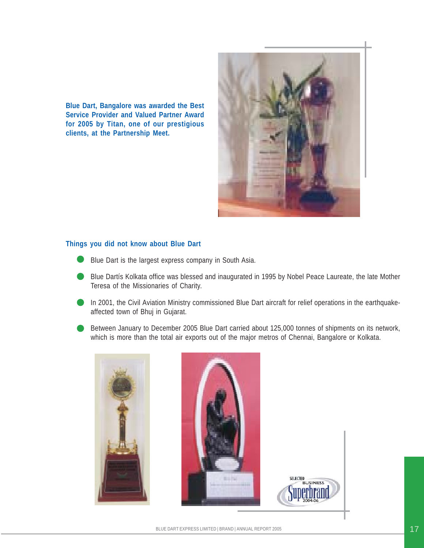**Blue Dart, Bangalore was awarded the Best Service Provider and Valued Partner Award for 2005 by Titan, one of our prestigious clients, at the Partnership Meet.**



#### **Things you did not know about Blue Dart**

- Blue Dart is the largest express company in South Asia.
- Blue Dartís Kolkata office was blessed and inaugurated in 1995 by Nobel Peace Laureate, the late Mother Teresa of the Missionaries of Charity.
- In 2001, the Civil Aviation Ministry commissioned Blue Dart aircraft for relief operations in the earthquakeaffected town of Bhuj in Gujarat.
- Between January to December 2005 Blue Dart carried about 125,000 tonnes of shipments on its network, which is more than the total air exports out of the major metros of Chennai, Bangalore or Kolkata.

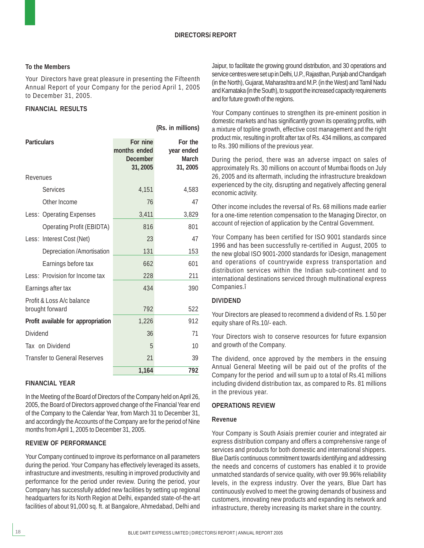#### **To the Members**

Your Directors have great pleasure in presenting the Fifteenth Annual Report of your Company for the period April 1, 2005 to December 31, 2005.

#### **FINANCIAL RESULTS**

**(Rs. in millions)**

| <b>Particulars</b>                           | For nine<br>months ended<br><b>December</b><br>31, 2005 | For the<br>year ended<br><b>March</b><br>31, 2005 |
|----------------------------------------------|---------------------------------------------------------|---------------------------------------------------|
| Revenues                                     |                                                         |                                                   |
| <b>Services</b>                              | 4,151                                                   | 4,583                                             |
| Other Income                                 | 76                                                      | 47                                                |
| Less: Operating Expenses                     | 3,411                                                   | 3,829                                             |
| <b>Operating Profit (EBIDTA)</b>             | 816                                                     | 801                                               |
| Less: Interest Cost (Net)                    | 23                                                      | 47                                                |
| Depreciation/Amortisation                    | 131                                                     | 153                                               |
| Earnings before tax                          | 662                                                     | 601                                               |
| Less: Provision for Income tax               | 228                                                     | 211                                               |
| Earnings after tax                           | 434                                                     | 390                                               |
| Profit & Loss A/c balance<br>brought forward | 792                                                     | 522                                               |
| Profit available for appropriation           | 1,226                                                   | 912                                               |
| <b>Dividend</b>                              | 36                                                      | 71                                                |
| Tax on Dividend                              | 5                                                       | 10                                                |
| <b>Transfer to General Reserves</b>          | 21                                                      | 39                                                |
|                                              | 1,164                                                   | 792                                               |

#### **FINANCIAL YEAR**

In the Meeting of the Board of Directors of the Company held on April 26, 2005, the Board of Directors approved change of the Financial Year end of the Company to the Calendar Year, from March 31 to December 31, and accordingly the Accounts of the Company are for the period of Nine months from April 1, 2005 to December 31, 2005.

#### **REVIEW OF PERFORMANCE**

Your Company continued to improve its performance on all parameters during the period. Your Company has effectively leveraged its assets, infrastructure and investments, resulting in improved productivity and performance for the period under review. During the period, your Company has successfully added new facilities by setting up regional headquarters for its North Region at Delhi, expanded state-of-the-art facilities of about 91,000 sq. ft. at Bangalore, Ahmedabad, Delhi and

Jaipur, to facilitate the growing ground distribution, and 30 operations and service centres were set up in Delhi, U.P., Rajasthan, Punjab and Chandigarh (in the North), Gujarat, Maharashtra and M.P. (in the West) and Tamil Nadu and Karnataka (in the South), to support the increased capacity requirements and for future growth of the regions.

Your Company continues to strengthen its pre-eminent position in domestic markets and has significantly grown its operating profits, with a mixture of topline growth, effective cost management and the right product mix, resulting in profit after tax of Rs. 434 millions, as compared to Rs. 390 millions of the previous year.

During the period, there was an adverse impact on sales of approximately Rs. 30 millions on account of Mumbai floods on July 26, 2005 and its aftermath, including the infrastructure breakdown experienced by the city, disrupting and negatively affecting general economic activity.

Other income includes the reversal of Rs. 68 millions made earlier for a one-time retention compensation to the Managing Director, on account of rejection of application by the Central Government.

Your Company has been certified for ISO 9001 standards since 1996 and has been successfully re-certified in August, 2005 to the new global ISO 9001-2000 standards for ìDesign, management and operations of countrywide express transportation and distribution services within the Indian sub-continent and to international destinations serviced through multinational express Companies.î

#### **DIVIDEND**

Your Directors are pleased to recommend a dividend of Rs. 1.50 per equity share of Rs.10/- each.

Your Directors wish to conserve resources for future expansion and growth of the Company.

The dividend, once approved by the members in the ensuing Annual General Meeting will be paid out of the profits of the Company for the period and will sum up to a total of Rs.41 millions including dividend distribution tax, as compared to Rs. 81 millions in the previous year.

#### **OPERATIONS REVIEW**

#### **Revenue**

Your Company is South Asiaís premier courier and integrated air express distribution company and offers a comprehensive range of services and products for both domestic and international shippers. Blue Dartís continuous commitment towards identifying and addressing the needs and concerns of customers has enabled it to provide unmatched standards of service quality, with over 99.96% reliability levels, in the express industry. Over the years, Blue Dart has continuously evolved to meet the growing demands of business and customers, innovating new products and expanding its network and infrastructure, thereby increasing its market share in the country.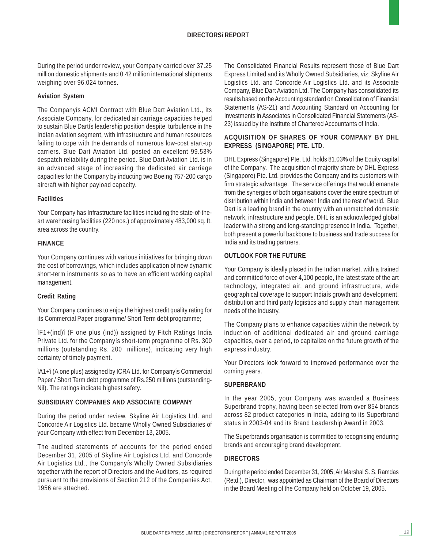During the period under review, your Company carried over 37.25 million domestic shipments and 0.42 million international shipments weighing over 96,024 tonnes.

#### **Aviation System**

The Companyís ACMI Contract with Blue Dart Aviation Ltd., its Associate Company, for dedicated air carriage capacities helped to sustain Blue Dartís leadership position despite turbulence in the Indian aviation segment, with infrastructure and human resources failing to cope with the demands of numerous low-cost start-up carriers. Blue Dart Aviation Ltd. posted an excellent 99.53% despatch reliability during the period. Blue Dart Aviation Ltd. is in an advanced stage of increasing the dedicated air carriage capacities for the Company by inducting two Boeing 757-200 cargo aircraft with higher payload capacity.

#### **Facilities**

Your Company has Infrastructure facilities including the state-of-theart warehousing facilities (220 nos.) of approximately 483,000 sq. ft. area across the country.

#### **FINANCE**

Your Company continues with various initiatives for bringing down the cost of borrowings, which includes application of new dynamic short-term instruments so as to have an efficient working capital management.

#### **Credit Rating**

Your Company continues to enjoy the highest credit quality rating for its Commercial Paper programme/ Short Term debt programme;

ìF1+(ind)î (F one plus (ind)) assigned by Fitch Ratings India Private Ltd. for the Companyís short-term programme of Rs. 300 millions (outstanding Rs. 200 millions), indicating very high certainty of timely payment.

ìA1+î (A one plus) assigned by ICRA Ltd. for Companyís Commercial Paper / Short Term debt programme of Rs.250 millions (outstanding-Nil). The ratings indicate highest safety.

#### **SUBSIDIARY COMPANIES AND ASSOCIATE COMPANY**

During the period under review, Skyline Air Logistics Ltd. and Concorde Air Logistics Ltd. became Wholly Owned Subsidiaries of your Company with effect from December 13, 2005.

The audited statements of accounts for the period ended December 31, 2005 of Skyline Air Logistics Ltd. and Concorde Air Logistics Ltd., the Companyís Wholly Owned Subsidiaries together with the report of Directors and the Auditors, as required pursuant to the provisions of Section 212 of the Companies Act, 1956 are attached.

The Consolidated Financial Results represent those of Blue Dart Express Limited and its Wholly Owned Subsidiaries, viz; Skyline Air Logistics Ltd. and Concorde Air Logistics Ltd. and its Associate Company, Blue Dart Aviation Ltd. The Company has consolidated its results based on the Accounting standard on Consolidation of Financial Statements (AS-21) and Accounting Standard on Accounting for Investments in Associates in Consolidated Financial Statements (AS-23) issued by the Institute of Chartered Accountants of India.

#### **ACQUISITION OF SHARES OF YOUR COMPANY BY DHL EXPRESS (SINGAPORE) PTE. LTD.**

DHL Express (Singapore) Pte. Ltd. holds 81.03% of the Equity capital of the Company. The acquisition of majority share by DHL Express (Singapore) Pte. Ltd. provides the Company and its customers with firm strategic advantage. The service offerings that would emanate from the synergies of both organisations cover the entire spectrum of distribution within India and between India and the rest of world. Blue Dart is a leading brand in the country with an unmatched domestic network, infrastructure and people. DHL is an acknowledged global leader with a strong and long-standing presence in India. Together, both present a powerful backbone to business and trade success for India and its trading partners.

#### **OUTLOOK FOR THE FUTURE**

Your Company is ideally placed in the Indian market, with a trained and committed force of over 4,100 people, the latest state of the art technology, integrated air, and ground infrastructure, wide geographical coverage to support Indiaís growth and development, distribution and third party logistics and supply chain management needs of the Industry.

The Company plans to enhance capacities within the network by induction of additional dedicated air and ground carriage capacities, over a period, to capitalize on the future growth of the express industry.

Your Directors look forward to improved performance over the coming years.

#### **SUPERBRAND**

In the year 2005, your Company was awarded a Business Superbrand trophy, having been selected from over 854 brands across 82 product categories in India, adding to its Superbrand status in 2003-04 and its Brand Leadership Award in 2003.

The Superbrands organisation is committed to recognising enduring brands and encouraging brand development.

#### **DIRECTORS**

During the period ended December 31, 2005, Air Marshal S. S. Ramdas (Retd.), Director, was appointed as Chairman of the Board of Directors in the Board Meeting of the Company held on October 19, 2005.

19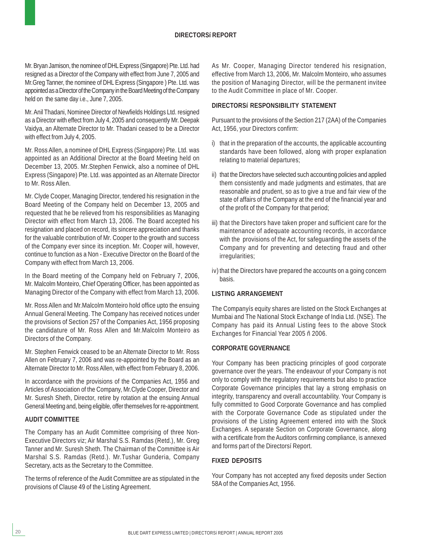#### **DIRECTORSí REPORT**

Mr. Bryan Jamison, the nominee of DHL Express (Singapore) Pte. Ltd. had resigned as a Director of the Company with effect from June 7, 2005 and Mr.Greg Tanner, the nominee of DHL Express (Singapore ) Pte. Ltd. was appointed as a Director of the Company in the Board Meeting of the Company held on the same day i.e., June 7, 2005.

Mr. Anil Thadani, Nominee Director of Newfields Holdings Ltd. resigned as a Director with effect from July 4, 2005 and consequently Mr. Deepak Vaidya, an Alternate Director to Mr. Thadani ceased to be a Director with effect from July 4, 2005.

Mr. Ross Allen, a nominee of DHL Express (Singapore) Pte. Ltd. was appointed as an Additional Director at the Board Meeting held on December 13, 2005. Mr.Stephen Fenwick, also a nominee of DHL Express (Singapore) Pte. Ltd. was appointed as an Alternate Director to Mr. Ross Allen.

Mr. Clyde Cooper, Managing Director, tendered his resignation in the Board Meeting of the Company held on December 13, 2005 and requested that he be relieved from his responsibilities as Managing Director with effect from March 13, 2006. The Board accepted his resignation and placed on record, its sincere appreciation and thanks for the valuable contribution of Mr. Cooper to the growth and success of the Company ever since its inception. Mr. Cooper will, however, continue to function as a Non - Executive Director on the Board of the Company with effect from March 13, 2006.

In the Board meeting of the Company held on February 7, 2006, Mr. Malcolm Monteiro, Chief Operating Officer, has been appointed as Managing Director of the Company with effect from March 13, 2006.

Mr. Ross Allen and Mr.Malcolm Monteiro hold office upto the ensuing Annual General Meeting. The Company has received notices under the provisions of Section 257 of the Companies Act, 1956 proposing the candidature of Mr. Ross Allen and Mr.Malcolm Monteiro as Directors of the Company.

Mr. Stephen Fenwick ceased to be an Alternate Director to Mr. Ross Allen on February 7, 2006 and was re-appointed by the Board as an Alternate Director to Mr. Ross Allen, with effect from February 8, 2006.

In accordance with the provisions of the Companies Act, 1956 and Articles of Association of the Company, Mr.Clyde Cooper, Director and Mr. Suresh Sheth, Director, retire by rotation at the ensuing Annual General Meeting and, being eligible, offer themselves for re-appointment.

#### **AUDIT COMMITTEE**

The Company has an Audit Committee comprising of three Non-Executive Directors viz; Air Marshal S.S. Ramdas (Retd.), Mr. Greg Tanner and Mr. Suresh Sheth. The Chairman of the Committee is Air Marshal S.S. Ramdas (Retd.). Mr.Tushar Gunderia, Company Secretary, acts as the Secretary to the Committee.

The terms of reference of the Audit Committee are as stipulated in the provisions of Clause 49 of the Listing Agreement.

As Mr. Cooper, Managing Director tendered his resignation, effective from March 13, 2006, Mr. Malcolm Monteiro, who assumes the position of Managing Director, will be the permanent invitee to the Audit Committee in place of Mr. Cooper.

#### **DIRECTORSí RESPONSIBILITY STATEMENT**

Pursuant to the provisions of the Section 217 (2AA) of the Companies Act, 1956, your Directors confirm:

- i) that in the preparation of the accounts, the applicable accounting standards have been followed, along with proper explanation relating to material departures;
- ii) that the Directors have selected such accounting policies and applied them consistently and made judgments and estimates, that are reasonable and prudent, so as to give a true and fair view of the state of affairs of the Company at the end of the financial year and of the profit of the Company for that period;
- iii) that the Directors have taken proper and sufficient care for the maintenance of adequate accounting records, in accordance with the provisions of the Act, for safeguarding the assets of the Company and for preventing and detecting fraud and other irregularities;
- iv) that the Directors have prepared the accounts on a going concern basis.

#### **LISTING ARRANGEMENT**

The Companyís equity shares are listed on the Stock Exchanges at Mumbai and The National Stock Exchange of India Ltd. (NSE). The Company has paid its Annual Listing fees to the above Stock Exchanges for Financial Year 2005 ñ 2006.

#### **CORPORATE GOVERNANCE**

Your Company has been practicing principles of good corporate governance over the years. The endeavour of your Company is not only to comply with the regulatory requirements but also to practice Corporate Governance principles that lay a strong emphasis on integrity, transparency and overall accountability. Your Company is fully committed to Good Corporate Governance and has complied with the Corporate Governance Code as stipulated under the provisions of the Listing Agreement entered into with the Stock Exchanges. A separate Section on Corporate Governance, along with a certificate from the Auditors confirming compliance, is annexed and forms part of the Directorsí Report.

#### **FIXED DEPOSITS**

Your Company has not accepted any fixed deposits under Section 58A of the Companies Act, 1956.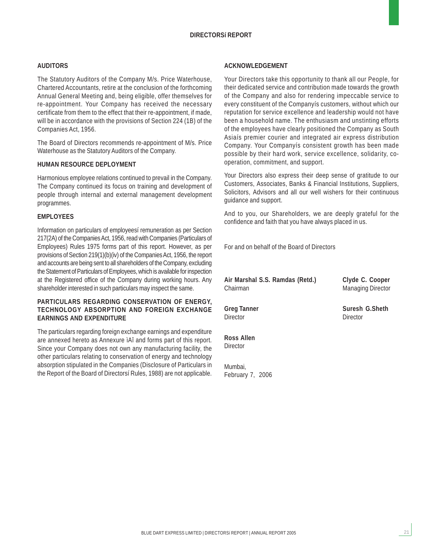#### **DIRECTORSí REPORT**

#### **AUDITORS**

The Statutory Auditors of the Company M/s. Price Waterhouse, Chartered Accountants, retire at the conclusion of the forthcoming Annual General Meeting and, being eligible, offer themselves for re-appointment. Your Company has received the necessary certificate from them to the effect that their re-appointment, if made, will be in accordance with the provisions of Section 224 (1B) of the Companies Act, 1956.

The Board of Directors recommends re-appointment of M/s. Price Waterhouse as the Statutory Auditors of the Company.

#### **HUMAN RESOURCE DEPLOYMENT**

Harmonious employee relations continued to prevail in the Company. The Company continued its focus on training and development of people through internal and external management development programmes.

#### **EMPLOYEES**

Information on particulars of employeesí remuneration as per Section 217(2A) of the Companies Act, 1956, read with Companies (Particulars of Employees) Rules 1975 forms part of this report. However, as per provisions of Section 219(1)(b)(iv) of the Companies Act, 1956, the report and accounts are being sent to all shareholders of the Company, excluding the Statement of Particulars of Employees, which is available for inspection at the Registered office of the Company during working hours. Any shareholder interested in such particulars may inspect the same.

#### **PARTICULARS REGARDING CONSERVATION OF ENERGY, TECHNOLOGY ABSORPTION AND FOREIGN EXCHANGE EARNINGS AND EXPENDITURE**

The particulars regarding foreign exchange earnings and expenditure are annexed hereto as Annexure ìAî and forms part of this report. Since your Company does not own any manufacturing facility, the other particulars relating to conservation of energy and technology absorption stipulated in the Companies (Disclosure of Particulars in the Report of the Board of Directorsí Rules, 1988) are not applicable.

#### **ACKNOWLEDGEMENT**

Your Directors take this opportunity to thank all our People, for their dedicated service and contribution made towards the growth of the Company and also for rendering impeccable service to every constituent of the Companyís customers, without which our reputation for service excellence and leadership would not have been a household name. The enthusiasm and unstinting efforts of the employees have clearly positioned the Company as South Asiaís premier courier and integrated air express distribution Company. Your Companyís consistent growth has been made possible by their hard work, service excellence, solidarity, cooperation, commitment, and support.

Your Directors also express their deep sense of gratitude to our Customers, Associates, Banks & Financial Institutions, Suppliers, Solicitors, Advisors and all our well wishers for their continuous guidance and support.

And to you, our Shareholders, we are deeply grateful for the confidence and faith that you have always placed in us.

For and on behalf of the Board of Directors

**Air Marshal S.S. Ramdas (Retd.) Clyde C. Cooper** Chairman Managing Director

Director Director

**Ross Allen Director** 

Mumbai, February 7, 2006

**Greg Tanner Suresh G.Sheth**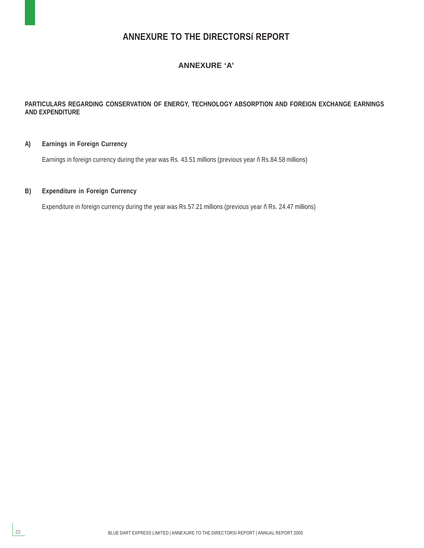### **ANNEXURE TO THE DIRECTORSí REPORT**

#### **ANNEXURE 'A'**

#### **PARTICULARS REGARDING CONSERVATION OF ENERGY, TECHNOLOGY ABSORPTION AND FOREIGN EXCHANGE EARNINGS AND EXPENDITURE**

#### **A) Earnings in Foreign Currency**

Earnings in foreign currency during the year was Rs. 43.51 millions (previous year ñ Rs.84.58 millions)

#### **B) Expenditure in Foreign Currency**

22

Expenditure in foreign currency during the year was Rs.57.21 millions (previous year ñ Rs. 24.47 millions)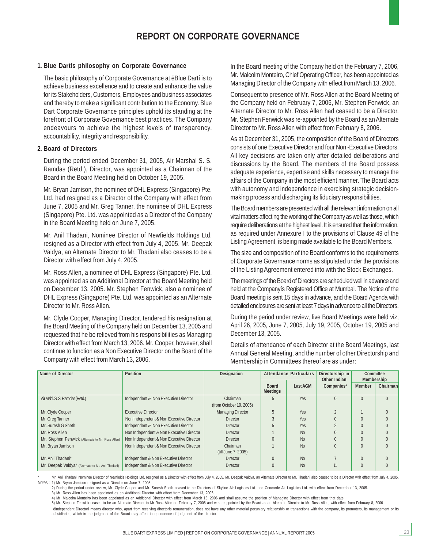#### **1. Blue Dartís philosophy on Corporate Governance**

The basic philosophy of Corporate Governance at ëBlue Dartí is to achieve business excellence and to create and enhance the value for its Stakeholders, Customers, Employees and business associates and thereby to make a significant contribution to the Economy. Blue Dart Corporate Governance principles uphold its standing at the forefront of Corporate Governance best practices. The Company endeavours to achieve the highest levels of transparency, accountability, integrity and responsibility.

#### **2. Board of Directors**

During the period ended December 31, 2005, Air Marshal S. S. Ramdas (Retd.), Director, was appointed as a Chairman of the Board in the Board Meeting held on October 19, 2005.

Mr. Bryan Jamison, the nominee of DHL Express (Singapore) Pte. Ltd. had resigned as a Director of the Company with effect from June 7, 2005 and Mr. Greg Tanner, the nominee of DHL Express (Singapore) Pte. Ltd. was appointed as a Director of the Company in the Board Meeting held on June 7, 2005.

Mr. Anil Thadani, Nominee Director of Newfields Holdings Ltd. resigned as a Director with effect from July 4, 2005. Mr. Deepak Vaidya, an Alternate Director to Mr. Thadani also ceases to be a Director with effect from July 4, 2005.

Mr. Ross Allen, a nominee of DHL Express (Singapore) Pte. Ltd. was appointed as an Additional Director at the Board Meeting held on December 13, 2005. Mr. Stephen Fenwick, also a nominee of DHL Express (Singapore) Pte. Ltd. was appointed as an Alternate Director to Mr. Ross Allen.

Mr. Clyde Cooper, Managing Director, tendered his resignation at the Board Meeting of the Company held on December 13, 2005 and requested that he be relieved from his responsibilities as Managing Director with effect from March 13, 2006. Mr. Cooper, however, shall continue to function as a Non Executive Director on the Board of the Company with effect from March 13, 2006.

In the Board meeting of the Company held on the February 7, 2006, Mr. Malcolm Monteiro, Chief Operating Officer, has been appointed as Managing Director of the Company with effect from March 13, 2006.

Consequent to presence of Mr. Ross Allen at the Board Meeting of the Company held on February 7, 2006, Mr. Stephen Fenwick, an Alternate Director to Mr. Ross Allen had ceased to be a Director. Mr. Stephen Fenwick was re-appointed by the Board as an Alternate Director to Mr. Ross Allen with effect from February 8, 2006.

As at December 31, 2005, the composition of the Board of Directors consists of one Executive Director and four Non -Executive Directors. All key decisions are taken only after detailed deliberations and discussions by the Board. The members of the Board possess adequate experience, expertise and skills necessary to manage the affairs of the Company in the most efficient manner. The Board acts with autonomy and independence in exercising strategic decisionmaking process and discharging its fiduciary responsibilities.

The Board members are presented with all the relevant information on all vital matters affecting the working of the Company as well as those, which require deliberations at the highest level. It is ensured that the information, as required under Annexure I to the provisions of Clause 49 of the Listing Agreement, is being made available to the Board Members.

The size and composition of the Board conforms to the requirements of Corporate Governance norms as stipulated under the provisions of the Listing Agreement entered into with the Stock Exchanges.

The meetings of the Board of Directors are scheduled well in advance and held at the Companyís Registered Office at Mumbai. The Notice of the Board meeting is sent 15 days in advance, and the Board Agenda with detailed enclosures are sent at least 7 days in advance to all the Directors.

During the period under review, five Board Meetings were held viz; April 26, 2005, June 7, 2005, July 19, 2005, October 19, 2005 and December 13, 2005.

Details of attendance of each Director at the Board Meetings, last Annual General Meeting, and the number of other Directorship and Membership in Committees thereof are as under:

| Name of Director                                   | <b>Position</b>                          | <b>Attendance Particulars</b><br>Directorship in<br><b>Designation</b><br>Other Indian |                                 |                 |            | Membership    | Committee |
|----------------------------------------------------|------------------------------------------|----------------------------------------------------------------------------------------|---------------------------------|-----------------|------------|---------------|-----------|
|                                                    |                                          |                                                                                        | <b>Board</b><br><b>Meetings</b> | <b>Last AGM</b> | Companies* | <b>Member</b> | Chairman  |
| Air Mshl. S. S. Ramdas (Retd.)                     | Independent & Non Executive Director     | Chairman<br>(from October 19, 2005)                                                    | 5                               | Yes             | $\Omega$   | $\Omega$      | $\Omega$  |
| Mr. Clyde Cooper                                   | <b>Executive Director</b>                | <b>Managing Director</b>                                                               | 5                               | <b>Yes</b>      |            |               |           |
| Mr. Greg Tanner                                    | Non Independent & Non Executive Director | <b>Director</b>                                                                        |                                 | <b>Yes</b>      |            |               |           |
| Mr. Suresh G Sheth                                 | Independent & Non Executive Director     | <b>Director</b>                                                                        |                                 | <b>Yes</b>      |            |               |           |
| Mr. Ross Allen                                     | Non Independent & Non Executive Director | <b>Director</b>                                                                        |                                 | No              |            |               |           |
| Mr. Stephen Fenwick (Alternate to Mr. Ross Allen)  | Non Independent & Non Executive Director | <b>Director</b>                                                                        |                                 | No              |            |               |           |
| Mr. Bryan Jamison                                  | Non Independent & Non Executive Director | Chairman<br>(till June 7, 2005)                                                        |                                 | No              | $\Omega$   | $\Omega$      |           |
| Mr. Anil Thadani*                                  | Independent & Non Executive Director     | <b>Director</b>                                                                        | $\Omega$                        | <b>No</b>       |            | $\Omega$      |           |
| Mr. Deepak Vaidya* (Alternate to Mr. Anil Thadani) | Independent & Non Executive Director     | <b>Director</b>                                                                        |                                 | <b>No</b>       | 11         |               |           |

Mr. Anil Thadani, Nominee Director of Newfields Holdings Ltd. resigned as a Director with effect from July 4, 2005. Mr. Deepak Vaidya, an Alternate Director to Mr. Thadani also ceased to be a Director with effect from July Notes : 1) Mr. Bryan Jamison resigned as a Director on June 7, 2005

2) During the period under review, Mr. Clyde Cooper and Mr. Suresh Sheth ceased to be Directors of Skyline Air Logistics Ltd. and Concorde Air Logistics Ltd. with effect from December 13, 2005.

3) Mr. Ross Allen has been appointed as an Additional Director with effect from December 13, 2005.

4) Mr. Malcolm Monteiro has been appointed as an Additional Director with effect from March 13, 2006 and shall assume the position of Managing Director with effect from that date.

5) Mr. Stephen Fenwick ceased to be an Alternate Director to Mr Ross Allen on February 7, 2006 and was reappointed by the Board as an Alternate Director to Mr. Ross Allen, with effect from February 8, 2006 ëIndependent Directorí means director who, apart from receiving directorís remuneration, does not have any other material pecuniary relationship or transactions with the company, its promoters, its management or its subsidiaries, which in the judgment of the Board may affect independence of judgment of the director.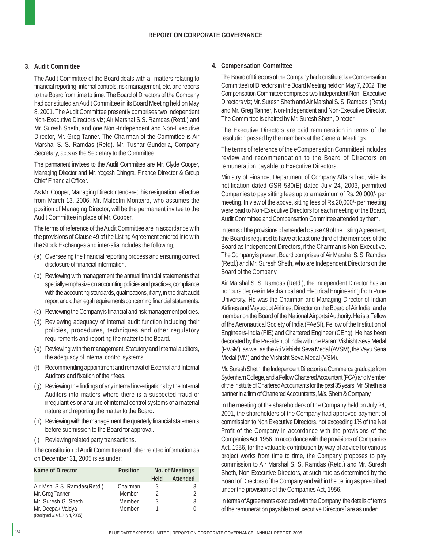#### **3. Audit Committee**

The Audit Committee of the Board deals with all matters relating to financial reporting, internal controls, risk management, etc. and reports to the Board from time to time. The Board of Directors of the Company had constituted an Audit Committee in its Board Meeting held on May 8, 2001. The Audit Committee presently comprises two Independent Non-Executive Directors viz; Air Marshal S.S. Ramdas (Retd.) and Mr. Suresh Sheth, and one Non -Independent and Non-Executive Director, Mr. Greg Tanner. The Chairman of the Committee is Air Marshal S. S. Ramdas (Retd). Mr. Tushar Gunderia, Company Secretary, acts as the Secretary to the Committee.

The permanent invitees to the Audit Committee are Mr. Clyde Cooper, Managing Director and Mr. Yogesh Dhingra, Finance Director & Group Chief Financial Officer.

As Mr. Cooper, Managing Director tendered his resignation, effective from March 13, 2006, Mr. Malcolm Monteiro, who assumes the position of Managing Director, will be the permanent invitee to the Audit Committee in place of Mr. Cooper.

The terms of reference of the Audit Committee are in accordance with the provisions of Clause 49 of the Listing Agreement entered into with the Stock Exchanges and inter-alia includes the following;

- (a) Overseeing the financial reporting process and ensuring correct disclosure of financial information.
- (b) Reviewing with management the annual financial statements that specially emphasize on accounting policies and practices, compliance with the accounting standards, qualifications, if any, in the draft audit report and other legal requirements concerning financial statements.
- (c) Reviewing the Companyís financial and risk management policies.
- (d) Reviewing adequacy of internal audit function including their policies, procedures, techniques and other regulatory requirements and reporting the matter to the Board.
- (e) Reviewing with the management, Statutory and Internal auditors, the adequacy of internal control systems.
- (f) Recommending appointment and removal of External and Internal Auditors and fixation of their fees.
- (g) Reviewing the findings of any internal investigations by the Internal Auditors into matters where there is a suspected fraud or irregularities or a failure of internal control systems of a material nature and reporting the matter to the Board.
- (h) Reviewing with the management the quarterly financial statements before submission to the Board for approval.
- (i) Reviewing related party transactions.

The constitution of Audit Committee and other related information as on December 31, 2005 is as under:

| <b>Name of Director</b>        | <b>Position</b> |             | <b>No. of Meetings</b> |
|--------------------------------|-----------------|-------------|------------------------|
|                                |                 | <b>Held</b> | <b>Attended</b>        |
| Air Mshl.S.S. Ramdas(Retd.)    | Chairman        | 3           |                        |
| Mr. Greg Tanner                | Member          | 2           |                        |
| Mr. Suresh G. Sheth            | Member          | 3           |                        |
| Mr. Deepak Vaidya              | Member          |             |                        |
| (Resigned w.e.f. July 4, 2005) |                 |             |                        |

#### **4. Compensation Committee**

The Board of Directors of the Company had constituted a ëCompensation Committeeí of Directors in the Board Meeting held on May 7, 2002. The Compensation Committee comprises two Independent Non - Executive Directors viz; Mr. Suresh Sheth and Air Marshal S. S. Ramdas (Retd.) and Mr. Greg Tanner, Non-Independent and Non-Executive Director. The Committee is chaired by Mr. Suresh Sheth, Director.

The Executive Directors are paid remuneration in terms of the resolution passed by the members at the General Meetings.

The terms of reference of the ëCompensation Committeeí includes review and recommendation to the Board of Directors on remuneration payable to Executive Directors.

Ministry of Finance, Department of Company Affairs had, vide its notification dated GSR 580(E) dated July 24, 2003, permitted Companies to pay sitting fees up to a maximum of Rs. 20,000/- per meeting. In view of the above, sitting fees of Rs.20,000/- per meeting were paid to Non-Executive Directors for each meeting of the Board, Audit Committee and Compensation Committee attended by them.

In terms of the provisions of amended clause 49 of the Listing Agreement, the Board is required to have at least one third of the members of the Board as Independent Directors, if the Chairman is Non-Executive. The Companyís present Board comprises of Air Marshal S. S. Ramdas (Retd.) and Mr. Suresh Sheth, who are Independent Directors on the Board of the Company.

Air Marshal S. S. Ramdas (Retd.), the Independent Director has an honours degree in Mechanical and Electrical Engineering from Pune University. He was the Chairman and Managing Director of Indian Airlines and Vayudoot Airlines, Director on the Board of Air India, and a member on the Board of the National Airportsí Authority. He is a Fellow of the Aeronautical Society of India (FAeSI), Fellow of the Institution of Engineers-India (FIE) and Chartered Engineer (CEng). He has been decorated by the President of India with the Param Vishisht Seva Medal (PVSM), as well as the Ati Vishisht Seva Medal (AVSM), the Vayu Sena Medal (VM) and the Vishisht Seva Medal (VSM).

Mr. Suresh Sheth, the Independent Director is a Commerce graduate from Sydenham College, and a Fellow Chartered Accountant (FCA) and Member of the Institute of Chartered Accountants for the past 35 years. Mr. Sheth is a partner in a firm of Chartered Accountants, M/s. Sheth & Company

In the meeting of the shareholders of the Company held on July 24, 2001, the shareholders of the Company had approved payment of commission to Non Executive Directors, not exceeding 1% of the Net Profit of the Company in accordance with the provisions of the Companies Act, 1956. In accordance with the provisions of Companies Act, 1956, for the valuable contribution by way of advice for various project works from time to time, the Company proposes to pay commission to Air Marshal S. S. Ramdas (Retd.) and Mr. Suresh Sheth, Non-Executive Directors, at such rate as determined by the Board of Directors of the Company and within the ceiling as prescribed under the provisions of the Companies Act, 1956.

In terms of Agreements executed with the Company, the details of terms of the remuneration payable to ëExecutive Directorsí are as under: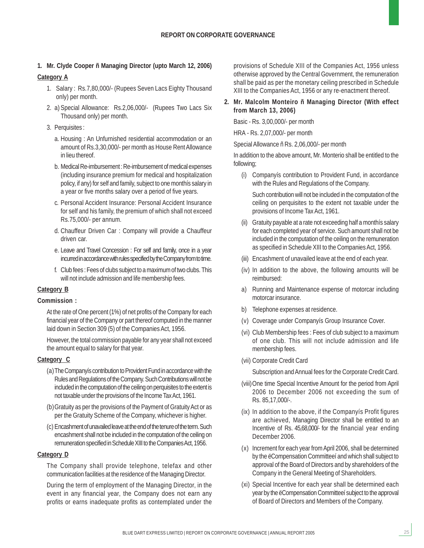#### **1. Mr. Clyde Cooper ñ Managing Director (upto March 12, 2006)**

#### **Category A**

- 1. Salary : Rs.7,80,000/- (Rupees Seven Lacs Eighty Thousand only) per month.
- 2. a) Special Allowance: Rs.2,06,000/- (Rupees Two Lacs Six Thousand only) per month.
- 3. Perquisites :
	- a. Housing : An Unfurnished residential accommodation or an amount of Rs.3,30,000/- per month as House Rent Allowance in lieu thereof.
	- b. Medical Re-imbursement : Re-imbursement of medical expenses (including insurance premium for medical and hospitalization policy, if any) for self and family, subject to one monthís salary in a year or five months salary over a period of five years.
	- c. Personal Accident Insurance: Personal Accident Insurance for self and his family, the premium of which shall not exceed Rs.75,000/- per annum.
	- d. Chauffeur Driven Car : Company will provide a Chauffeur driven car.
	- e. Leave and Travel Concession : For self and family, once in a year incurred in accordance with rules specified by the Company from to time.
	- f. Club fees : Fees of clubs subject to a maximum of two clubs. This will not include admission and life membership fees.

#### **Category B**

#### **Commission :**

At the rate of One percent (1%) of net profits of the Company for each financial year of the Company or part thereof computed in the manner laid down in Section 309 (5) of the Companies Act, 1956.

However, the total commission payable for any year shall not exceed the amount equal to salary for that year.

#### **Category C**

- (a)The Companyís contribution to Provident Fund in accordance with the Rules and Regulations of the Company. Such Contributions will not be included in the computation of the ceiling on perquisites to the extent is not taxable under the provisions of the Income Tax Act, 1961.
- (b)Gratuity as per the provisions of the Payment of Gratuity Act or as per the Gratuity Scheme of the Company, whichever is higher.
- (c) Encashment of unavailed leave at the end of the tenure of the term. Such encashment shall not be included in the computation of the ceiling on remuneration specified in Schedule XIII to the Companies Act, 1956.

#### **Category D**

The Company shall provide telephone, telefax and other communication facilities at the residence of the Managing Director.

During the term of employment of the Managing Director, in the event in any financial year, the Company does not earn any profits or earns inadequate profits as contemplated under the

provisions of Schedule XIII of the Companies Act, 1956 unless otherwise approved by the Central Government, the remuneration shall be paid as per the monetary ceiling prescribed in Schedule XIII to the Companies Act, 1956 or any re-enactment thereof.

#### **2. Mr. Malcolm Monteiro ñ Managing Director (With effect from March 13, 2006)**

Basic - Rs. 3,00,000/- per month

HRA - Rs. 2,07,000/- per month

Special Allowance ñ Rs. 2,06,000/- per month

In addition to the above amount, Mr. Monterio shall be entitled to the following;

(i) Companyís contribution to Provident Fund, in accordance with the Rules and Regulations of the Company.

Such contribution will not be included in the computation of the ceiling on perquisites to the extent not taxable under the provisions of Income Tax Act, 1961.

- (ii) Gratuity payable at a rate not exceeding half a monthís salary for each completed year of service. Such amount shall not be included in the computation of the ceiling on the remuneration as specified in Schedule XIII to the Companies Act, 1956.
- (iii) Encashment of unavailed leave at the end of each year.
- (iv) In addition to the above, the following amounts will be reimbursed:
- a) Running and Maintenance expense of motorcar including motorcar insurance.
- b) Telephone expenses at residence.
- (v) Coverage under Companyís Group Insurance Cover.
- (vi) Club Membership fees : Fees of club subject to a maximum of one club. This will not include admission and life membership fees.
- (vii) Corporate Credit Card

Subscription and Annual fees for the Corporate Credit Card.

- (viii)One time Special Incentive Amount for the period from April 2006 to December 2006 not exceeding the sum of Rs. 85,17,000/-.
- (ix) In addition to the above, if the Companyís Profit figures are achieved, Managing Director shall be entitled to an Incentive of Rs. 45,68,000/- for the financial year ending December 2006.
- (x) Increment for each year from April 2006, shall be determined by the ëCompensation Committeeí and which shall subject to approval of the Board of Directors and by shareholders of the Company in the General Meeting of Shareholders.
- (xi) Special Incentive for each year shall be determined each year by the ëCompensation Committeeí subject to the approval of Board of Directors and Members of the Company.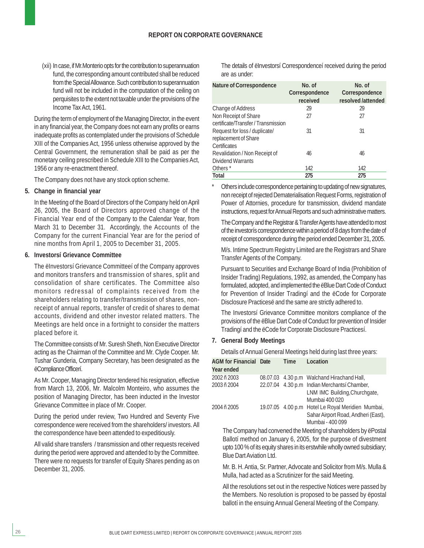(xii) In case, if Mr.Monterio opts for the contribution to superannuation fund, the corresponding amount contributed shall be reduced from the Special Allowance. Such contribution to superannuation fund will not be included in the computation of the ceiling on perquisites to the extent not taxable under the provisions of the Income Tax Act, 1961.

During the term of employment of the Managing Director, in the event in any financial year, the Company does not earn any profits or earns inadequate profits as contemplated under the provisions of Schedule XIII of the Companies Act, 1956 unless otherwise approved by the Central Government, the remuneration shall be paid as per the monetary ceiling prescribed in Schedule XIII to the Companies Act, 1956 or any re-enactment thereof.

The Company does not have any stock option scheme.

#### **5. Change in financial year**

In the Meeting of the Board of Directors of the Company held on April 26, 2005, the Board of Directors approved change of the Financial Year end of the Company to the Calendar Year, from March 31 to December 31. Accordingly, the Accounts of the Company for the current Financial Year are for the period of nine months from April 1, 2005 to December 31, 2005.

#### **6. Investorsí Grievance Committee**

The ëInvestorsí Grievance Committeeí of the Company approves and monitors transfers and transmission of shares, split and consolidation of share certificates. The Committee also monitors redressal of complaints received from the shareholders relating to transfer/transmission of shares, nonreceipt of annual reports, transfer of credit of shares to demat accounts, dividend and other investor related matters. The Meetings are held once in a fortnight to consider the matters placed before it.

The Committee consists of Mr. Suresh Sheth, Non Executive Director acting as the Chairman of the Committee and Mr. Clyde Cooper. Mr. Tushar Gunderia, Company Secretary, has been designated as the ëCompliance Officerí.

As Mr. Cooper, Managing Director tendered his resignation, effective from March 13, 2006, Mr. Malcolm Monteiro, who assumes the position of Managing Director, has been inducted in the Investor Grievance Committee in place of Mr. Cooper.

During the period under review, Two Hundred and Seventy Five correspondence were received from the shareholders/ investors. All the correspondence have been attended to expeditiously.

All valid share transfers / transmission and other requests received during the period were approved and attended to by the Committee. There were no requests for transfer of Equity Shares pending as on December 31, 2005.

The details of einvestorsí Correspondenceí received during the period are as under:

| <b>Nature of Correspondence</b>     | No. of<br>Correspondence<br>received | No. of<br>Correspondence<br>resolved /attended |
|-------------------------------------|--------------------------------------|------------------------------------------------|
| <b>Change of Address</b>            | 29                                   | 29                                             |
| Non Receipt of Share                | 27                                   | 27                                             |
| certificate/Transfer / Transmission |                                      |                                                |
| Request for loss / duplicate/       | 31                                   | 31                                             |
| replacement of Share                |                                      |                                                |
| Certificates                        |                                      |                                                |
| Revalidation / Non Receipt of       | 46                                   | 46                                             |
| <b>Dividend Warrants</b>            |                                      |                                                |
| Others <sup>*</sup>                 | 142                                  | 142                                            |
| <b>Total</b>                        | 275                                  | 275                                            |

Others include correspondence pertaining to updating of new signatures, non receipt of rejected Dematerialisation Request Forms, registration of Power of Attornies, procedure for transmission, dividend mandate instructions, request for Annual Reports and such administrative matters.

The Company and the Registrar & Transfer Agents have attended to most of the investorís correspondence within a period of 8 days from the date of receipt of correspondence during the period ended December 31, 2005.

M/s. Intime Spectrum Registry Limited are the Registrars and Share Transfer Agents of the Company.

Pursuant to Securities and Exchange Board of India (Prohibition of Insider Trading) Regulations, 1992, as amended, the Company has formulated, adopted, and implemented the ëBlue Dart Code of Conduct for Prevention of Insider Tradingí and the ëCode for Corporate Disclosure Practicesë and the same are strictly adhered to.

The Investorsí Grievance Committee monitors compliance of the provisions of the ëBlue Dart Code of Conduct for prevention of Insider Tradingí and the ëCode for Corporate Disclosure Practicesí.

#### **7. General Body Meetings**

Details of Annual General Meetings held during last three years:

| <b>AGM</b> for Financial Date<br><b>Year ended</b> | <b>Time</b> | Location                                                                                                     |
|----------------------------------------------------|-------------|--------------------------------------------------------------------------------------------------------------|
| 2002 ñ 2003                                        |             | 08.07.03 4.30 p.m Walchand Hirachand Hall,                                                                   |
| 2003 ñ 2004                                        |             | 22.07.04 4.30 p.m Indian Merchantsí Chamber,<br>LNM IMC Building, Churchgate,<br>Mumbai 400 020              |
| 2004 ñ 2005                                        |             | 19.07.05 4.00 p.m Hotel Le Royal Meridien Mumbai,<br>Sahar Airport Road, Andheri (East),<br>Mumbai - 400 099 |

The Company had convened the Meeting of shareholders by ëPostal Ballotí method on January 6, 2005, for the purpose of divestment upto 100 % of its equity shares in its erstwhile wholly owned subsidiary; Blue Dart Aviation Ltd.

Mr. B. H. Antia, Sr. Partner, Advocate and Solicitor from M/s. Mulla & Mulla, had acted as a Scrutinizer for the said Meeting.

All the resolutions set out in the respective Notices were passed by the Members. No resolution is proposed to be passed by ëpostal ballotí in the ensuing Annual General Meeting of the Company.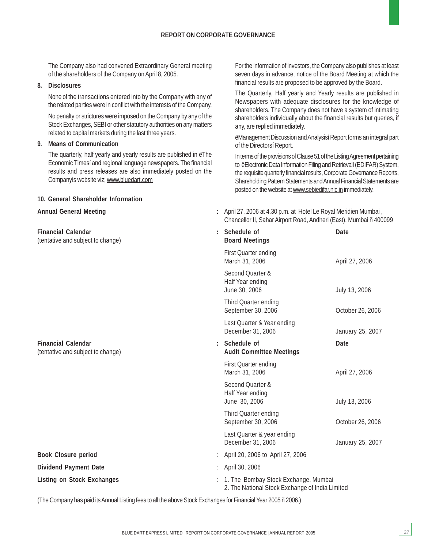The Company also had convened Extraordinary General meeting of the shareholders of the Company on April 8, 2005.

#### **8. Disclosures**

None of the transactions entered into by the Company with any of the related parties were in conflict with the interests of the Company.

No penalty or strictures were imposed on the Company by any of the Stock Exchanges, SEBI or other statutory authorities on any matters related to capital markets during the last three years.

#### **9. Means of Communication**

The quarterly, half yearly and yearly results are published in ëThe Economic Timesí and regional language newspapers. The financial results and press releases are also immediately posted on the Companyís website viz; www.bluedart.com

#### **10. General Shareholder Information**

**Financial Calendar** (tentative and subject to change) **Board Meetings**

 $Financial$  Calendar (tentative and subject to change)

**Book Closure period Dividend Payment Date Listing on Stock Exchanges** 

For the information of investors, the Company also publishes at least seven days in advance, notice of the Board Meeting at which the financial results are proposed to be approved by the Board.

The Quarterly, Half yearly and Yearly results are published in Newspapers with adequate disclosures for the knowledge of shareholders. The Company does not have a system of intimating shareholders individually about the financial results but queries, if any, are replied immediately.

ëManagement Discussion and Analysisí Report forms an integral part of the Directorsí Report.

In terms of the provisions of Clause 51 of the Listing Agreement pertaining to ëElectronic Data Information Filing and Retrievalí (EDIFAR) System, the requisite quarterly financial results, Corporate Governance Reports, Shareholding Pattern Statements and Annual Financial Statements are posted on the website at www.sebiedifar.nic.in immediately.

**Annual General Meeting :** April 27, 2006 at 4.30 p.m. at Hotel Le Royal Meridien Mumbai , Chancellor II, Sahar Airport Road, Andheri (East), Mumbai ñ 400099

|                      | Schedule of<br><b>Board Meetings</b>                                                    | Date             |
|----------------------|-----------------------------------------------------------------------------------------|------------------|
|                      | <b>First Quarter ending</b><br>March 31, 2006                                           | April 27, 2006   |
|                      | Second Quarter &<br>Half Year ending<br>June 30, 2006                                   | July 13, 2006    |
|                      | Third Quarter ending<br>September 30, 2006                                              | October 26, 2006 |
|                      | Last Quarter & Year ending<br>December 31, 2006                                         | January 25, 2007 |
| $\ddot{\phantom{0}}$ | Schedule of<br><b>Audit Committee Meetings</b>                                          | Date             |
|                      | First Quarter ending<br>March 31, 2006                                                  | April 27, 2006   |
|                      | Second Quarter &<br>Half Year ending<br>June 30, 2006                                   | July 13, 2006    |
|                      | Third Quarter ending<br>September 30, 2006                                              | October 26, 2006 |
|                      | Last Quarter & year ending<br>December 31, 2006                                         | January 25, 2007 |
| ÷                    | April 20, 2006 to April 27, 2006                                                        |                  |
| t                    | April 30, 2006                                                                          |                  |
| ÷.                   | 1. The Bombay Stock Exchange, Mumbai<br>2. The National Stock Exchange of India Limited |                  |
|                      |                                                                                         |                  |

(The Company has paid its Annual Listing fees to all the above Stock Exchanges for Financial Year 2005 ñ 2006.)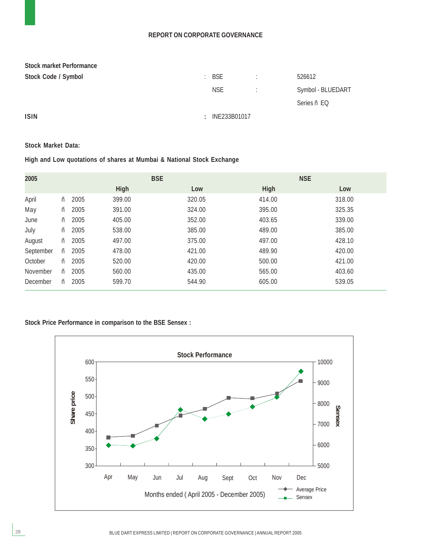#### **REPORT ON CORPORATE GOVERNANCE**

| <b>Stock market Performance</b> |          |                  |                          |                   |
|---------------------------------|----------|------------------|--------------------------|-------------------|
| Stock Code / Symbol             |          | $\therefore$ BSE | ٠.                       | 526612            |
|                                 |          | <b>NSE</b>       | $\sim 1000$ km s $^{-1}$ | Symbol - BLUEDART |
|                                 |          |                  |                          | Series ñ EQ       |
| <b>ISIN</b>                     | <b>T</b> | INE233B01017     |                          |                   |

#### **Stock Market Data:**

**High and Low quotations of shares at Mumbai & National Stock Exchange**

| 2005      |   |      | <b>BSE</b> |        | <b>NSE</b> |        |  |
|-----------|---|------|------------|--------|------------|--------|--|
|           |   |      | High       | Low    | High       | Low    |  |
| April     | ñ | 2005 | 399.00     | 320.05 | 414.00     | 318.00 |  |
| May       | ñ | 2005 | 391.00     | 324.00 | 395.00     | 325.35 |  |
| June      | ñ | 2005 | 405.00     | 352.00 | 403.65     | 339.00 |  |
| July      | ñ | 2005 | 538.00     | 385.00 | 489.00     | 385.00 |  |
| August    | ñ | 2005 | 497.00     | 375.00 | 497.00     | 428.10 |  |
| September | ñ | 2005 | 478.00     | 421.00 | 489.90     | 420.00 |  |
| October   | ñ | 2005 | 520.00     | 420.00 | 500.00     | 421.00 |  |
| November  | ñ | 2005 | 560.00     | 435.00 | 565.00     | 403.60 |  |
| December  | ñ | 2005 | 599.70     | 544.90 | 605.00     | 539.05 |  |

#### **Stock Price Performance in comparison to the BSE Sensex :**

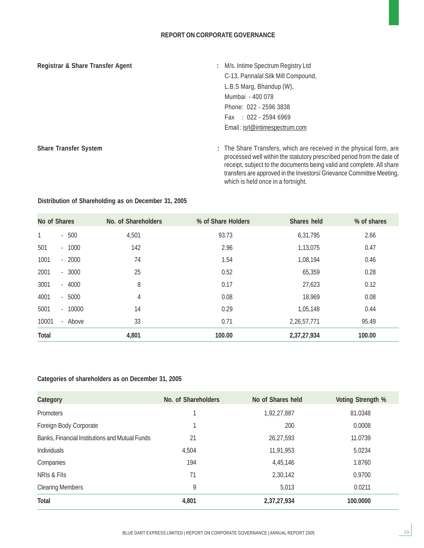#### **REPORT ON CORPORATE GOVERNANCE**

#### Registrar & Share Transfer Agent **1988** 2008 : M/s. Intime Spectrum Registry Ltd

- C-13, Pannalal Silk Mill Compound, L.B.S Marg, Bhandup (W), Mumbai - 400 078 Phone: 022 - 2596 3838 Fax : 022 - 2594 6969 Email : isrl@intimespectrum.com
- Share Transfer System **:** The Share Transfers, which are received in the physical form, are processed well within the statutory prescribed period from the date of receipt, subject to the documents being valid and complete. All share transfers are approved in the Investorsí Grievance Committee Meeting, which is held once in a fortnight.

| No of Shares |          | No. of Shareholders | % of Share Holders | Shares held | % of shares |
|--------------|----------|---------------------|--------------------|-------------|-------------|
| 1            | $-500$   | 4,501               | 93.73              | 6,31,795    | 2.66        |
| 501          | $-1000$  | 142                 | 2.96               | 1,13,075    | 0.47        |
| 1001         | $-2000$  | 74                  | 1.54               | 1,08,194    | 0.46        |
| 2001         | $-3000$  | 25                  | 0.52               | 65,359      | 0.28        |
| 3001         | $-4000$  | 8                   | 0.17               | 27,623      | 0.12        |
| 4001         | $-5000$  | 4                   | 0.08               | 18,969      | 0.08        |
| 5001         | $-10000$ | 14                  | 0.29               | 1,05,148    | 0.44        |
| 10001        | - Above  | 33                  | 0.71               | 2,26,57,771 | 95.49       |
| <b>Total</b> |          | 4,801               | 100.00             | 2,37,27,934 | 100.00      |

#### **Distribution of Shareholding as on December 31, 2005**

#### **Categories of shareholders as on December 31, 2005**

| <b>Category</b>                                | No. of Shareholders | No of Shares held | <b>Voting Strength %</b> |
|------------------------------------------------|---------------------|-------------------|--------------------------|
| <b>Promoters</b>                               |                     | 1,92,27,887       | 81.0348                  |
| Foreign Body Corporate                         |                     | 200               | 0.0008                   |
| Banks, Financial Institutions and Mutual Funds | 21                  | 26,27,593         | 11.0739                  |
| Individuals                                    | 4,504               | 11,91,953         | 5.0234                   |
| Companies                                      | 194                 | 4,45,146          | 1.8760                   |
| NRIS & FIIS                                    | 71                  | 2,30,142          | 0.9700                   |
| <b>Clearing Members</b>                        | 9                   | 5,013             | 0.0211                   |
| <b>Total</b>                                   | 4,801               | 2,37,27,934       | 100.0000                 |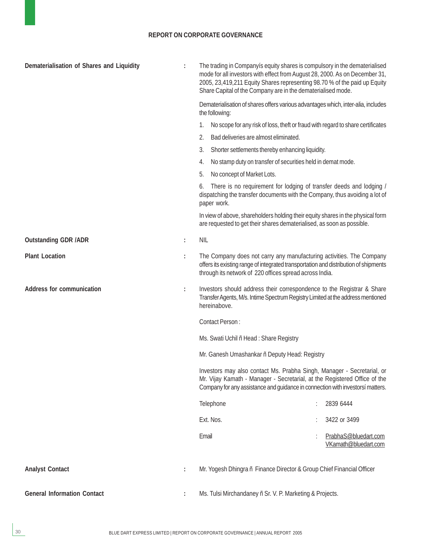#### **REPORT ON CORPORATE GOVERNANCE**

| Dematerialisation of Shares and Liquidity |   | The trading in Companyis equity shares is compulsory in the dematerialised<br>mode for all investors with effect from August 28, 2000. As on December 31,<br>2005, 23,419,211 Equity Shares representing 98.70 % of the paid up Equity<br>Share Capital of the Company are in the dematerialised mode. |                                              |  |
|-------------------------------------------|---|--------------------------------------------------------------------------------------------------------------------------------------------------------------------------------------------------------------------------------------------------------------------------------------------------------|----------------------------------------------|--|
|                                           |   | Dematerialisation of shares offers various advantages which, inter-alia, includes<br>the following:                                                                                                                                                                                                    |                                              |  |
|                                           |   | No scope for any risk of loss, theft or fraud with regard to share certificates<br>1.                                                                                                                                                                                                                  |                                              |  |
|                                           |   | 2.<br>Bad deliveries are almost eliminated.                                                                                                                                                                                                                                                            |                                              |  |
|                                           |   | 3.<br>Shorter settlements thereby enhancing liquidity.                                                                                                                                                                                                                                                 |                                              |  |
|                                           |   | No stamp duty on transfer of securities held in demat mode.<br>4.                                                                                                                                                                                                                                      |                                              |  |
|                                           |   | 5.<br>No concept of Market Lots.                                                                                                                                                                                                                                                                       |                                              |  |
|                                           |   | There is no requirement for lodging of transfer deeds and lodging /<br>6.<br>dispatching the transfer documents with the Company, thus avoiding a lot of<br>paper work.                                                                                                                                |                                              |  |
|                                           |   | In view of above, shareholders holding their equity shares in the physical form<br>are requested to get their shares dematerialised, as soon as possible.                                                                                                                                              |                                              |  |
| <b>Outstanding GDR /ADR</b>               | ÷ | <b>NIL</b>                                                                                                                                                                                                                                                                                             |                                              |  |
| <b>Plant Location</b>                     | ÷ | The Company does not carry any manufacturing activities. The Company<br>offers its existing range of integrated transportation and distribution of shipments<br>through its network of 220 offices spread across India.                                                                                |                                              |  |
| <b>Address for communication</b>          | ÷ | Investors should address their correspondence to the Registrar & Share<br>Transfer Agents, M/s. Intime Spectrum Registry Limited at the address mentioned<br>hereinabove.                                                                                                                              |                                              |  |
|                                           |   | Contact Person:                                                                                                                                                                                                                                                                                        |                                              |  |
|                                           |   | Ms. Swati Uchil ñ Head: Share Registry                                                                                                                                                                                                                                                                 |                                              |  |
|                                           |   | Mr. Ganesh Umashankar ñ Deputy Head: Registry                                                                                                                                                                                                                                                          |                                              |  |
|                                           |   | Investors may also contact Ms. Prabha Singh, Manager - Secretarial, or<br>Mr. Vijay Kamath - Manager - Secretarial, at the Registered Office of the<br>Company for any assistance and guidance in connection with investorsí matters.                                                                  |                                              |  |
|                                           |   | Telephone                                                                                                                                                                                                                                                                                              | 2839 6444                                    |  |
|                                           |   | Ext. Nos.                                                                                                                                                                                                                                                                                              | 3422 or 3499                                 |  |
|                                           |   | Email                                                                                                                                                                                                                                                                                                  | PrabhaS@bluedart.com<br>VKamath@bluedart.com |  |
| <b>Analyst Contact</b>                    |   | Mr. Yogesh Dhingra ñ Finance Director & Group Chief Financial Officer                                                                                                                                                                                                                                  |                                              |  |
| <b>General Information Contact</b>        |   | Ms. Tulsi Mirchandaney ñ Sr. V. P. Marketing & Projects.                                                                                                                                                                                                                                               |                                              |  |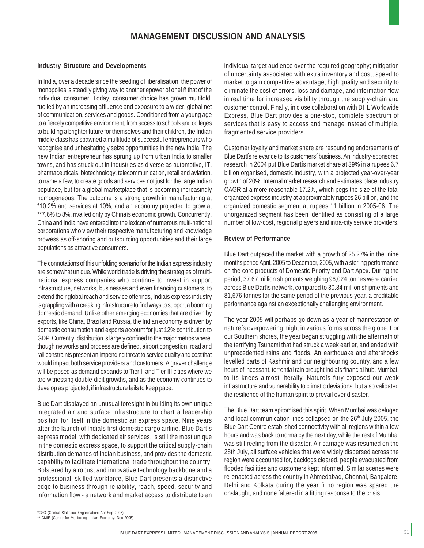#### **MANAGEMENT DISCUSSION AND ANALYSIS**

#### **Industry Structure and Developments**

In India, over a decade since the seeding of liberalisation, the power of monopolies is steadily giving way to another ëpower of oneí ñ that of the individual consumer. Today, consumer choice has grown multifold, fuelled by an increasing affluence and exposure to a wider, global net of communication, services and goods. Conditioned from a young age to a fiercely competitive environment, from access to schools and colleges to building a brighter future for themselves and their children, the Indian middle class has spawned a multitude of successful entrepreneurs who recognise and unhesitatingly seize opportunities in the new India. The new Indian entrepreneur has sprung up from urban India to smaller towns, and has struck out in industries as diverse as automotive, IT, pharmaceuticals, biotechnology, telecommunication, retail and aviation, to name a few, to create goods and services not just for the large Indian populace, but for a global marketplace that is becoming increasingly homogeneous. The outcome is a strong growth in manufacturing at \*10.2% and services at 10%, and an economy projected to grow at \*\*7.6% to 8%, rivalled only by Chinaís economic growth. Concurrently, China and India have entered into the lexicon of numerous multi-national corporations who view their respective manufacturing and knowledge prowess as off-shoring and outsourcing opportunities and their large populations as attractive consumers.

The connotations of this unfolding scenario for the Indian express industry are somewhat unique. While world trade is driving the strategies of multinational express companies who continue to invest in support infrastructure, networks, businesses and even financing customers, to extend their global reach and service offerings, Indiaís express industry is grappling with a creaking infrastructure to find ways to support a booming domestic demand. Unlike other emerging economies that are driven by exports, like China, Brazil and Russia, the Indian economy is driven by domestic consumption and exports account for just 12% contribution to GDP. Currently, distribution is largely confined to the major metros where, though networks and process are defined, airport congestion, road and rail constraints present an impending threat to service quality and cost that would impact both service providers and customers. A graver challenge will be posed as demand expands to Tier II and Tier III cities where we are witnessing double-digit growths, and as the economy continues to develop as projected, if infrastructure fails to keep pace.

Blue Dart displayed an unusual foresight in building its own unique integrated air and surface infrastructure to chart a leadership position for itself in the domestic air express space. Nine years after the launch of Indiaís first domestic cargo airline, Blue Dartís express model, with dedicated air services, is still the most unique in the domestic express space, to support the critical supply-chain distribution demands of Indian business, and provides the domestic capability to facilitate international trade throughout the country. Bolstered by a robust and innovative technology backbone and a professional, skilled workforce, Blue Dart presents a distinctive edge to business through reliability, reach, speed, security and information flow - a network and market access to distribute to an individual target audience over the required geography; mitigation of uncertainty associated with extra inventory and cost; speed to market to gain competitive advantage; high quality and security to eliminate the cost of errors, loss and damage, and information flow in real time for increased visibility through the supply-chain and customer control. Finally, in close collaboration with DHL Worldwide Express, Blue Dart provides a one-stop, complete spectrum of services that is easy to access and manage instead of multiple, fragmented service providers.

Customer loyalty and market share are resounding endorsements of Blue Dartís relevance to its customersí business. An industry-sponsored research in 2004 put Blue Dartís market share at 39% in a rupees 6.7 billion organised, domestic industry, with a projected year-over-year growth of 20%. Internal market research and estimates place industry CAGR at a more reasonable 17.2%, which pegs the size of the total organized express industry at approximately rupees 26 billion, and the organized domestic segment at rupees 11 billion in 2005-06. The unorganized segment has been identified as consisting of a large number of low-cost, regional players and intra-city service providers.

#### **Review of Performance**

Blue Dart outpaced the market with a growth of 25.27% in the nine months period April, 2005 to December, 2005, with a sterling performance on the core products of Domestic Priority and Dart Apex. During the period, 37.67 million shipments weighing 96,024 tonnes were carried across Blue Dartís network, compared to 30.84 million shipments and 81,676 tonnes for the same period of the previous year, a creditable performance against an exceptionally challenging environment.

The year 2005 will perhaps go down as a year of manifestation of natureís overpowering might in various forms across the globe. For our Southern shores, the year began struggling with the aftermath of the terrifying Tsunami that had struck a week earlier, and ended with unprecedented rains and floods. An earthquake and aftershocks levelled parts of Kashmir and our neighbouring country, and a few hours of incessant, torrential rain brought Indiaís financial hub, Mumbai, to its knees almost literally. Natureís fury exposed our weak infrastructure and vulnerability to climatic deviations, but also validated the resilience of the human spirit to prevail over disaster.

The Blue Dart team epitomised this spirit. When Mumbai was deluged and local communication lines collapsed on the 26<sup>th</sup> July 2005, the Blue Dart Centre established connectivity with all regions within a few hours and was back to normalcy the next day, while the rest of Mumbai was still reeling from the disaster. Air carriage was resumed on the 28th July, all surface vehicles that were widely dispersed across the region were accounted for, backlogs cleared, people evacuated from flooded facilities and customers kept informed. Similar scenes were re-enacted across the country in Ahmedabad, Chennai, Bangalore, Delhi and Kolkata during the year ñ no region was spared the onslaught, and none faltered in a fitting response to the crisis.

\*CSO (Central Statistical Organisation: Apr-Sep 2005) \*\* CMIE (Centre for Monitoring Indian Economy: Dec 2005)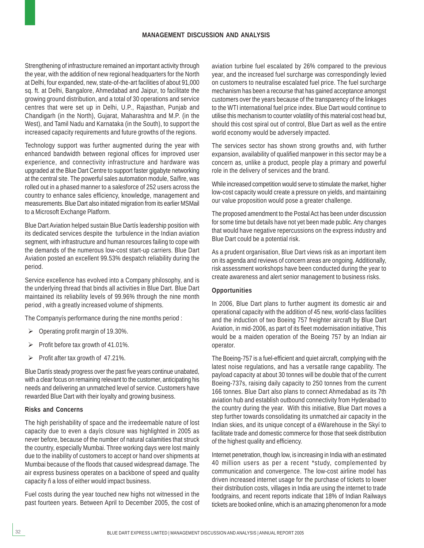#### **MANAGEMENT DISCUSSION AND ANALYSIS**

Strengthening of infrastructure remained an important activity through the year, with the addition of new regional headquarters for the North at Delhi, four expanded, new, state-of-the-art facilities of about 91,000 sq. ft. at Delhi, Bangalore, Ahmedabad and Jaipur, to facilitate the growing ground distribution, and a total of 30 operations and service centres that were set up in Delhi, U.P., Rajasthan, Punjab and Chandigarh (in the North), Gujarat, Maharashtra and M.P. (in the West), and Tamil Nadu and Karnataka (in the South), to support the increased capacity requirements and future growths of the regions.

Technology support was further augmented during the year with enhanced bandwidth between regional offices for improved user experience, and connectivity infrastructure and hardware was upgraded at the Blue Dart Centre to support faster gigabyte networking at the central site. The powerful sales automation module, Saífire, was rolled out in a phased manner to a salesforce of 252 users across the country to enhance sales efficiency, knowledge, management and measurements. Blue Dart also initiated migration from its earlier MSMail to a Microsoft Exchange Platform.

Blue Dart Aviation helped sustain Blue Dartís leadership position with its dedicated services despite the turbulence in the Indian aviation segment, with infrastructure and human resources failing to cope with the demands of the numerous low-cost start-up carriers. Blue Dart Aviation posted an excellent 99.53% despatch reliability during the period.

Service excellence has evolved into a Company philosophy, and is the underlying thread that binds all activities in Blue Dart. Blue Dart maintained its reliability levels of 99.96% through the nine month period , with a greatly increased volume of shipments.

The Companyís performance during the nine months period :

- Operating profit margin of 19.30%.
- Profit before tax growth of 41.01%.
- $\triangleright$  Profit after tax growth of 47.21%.

Blue Dartís steady progress over the past five years continue unabated, with a clear focus on remaining relevant to the customer, anticipating his needs and delivering an unmatched level of service. Customers have rewarded Blue Dart with their loyalty and growing business.

#### **Risks and Concerns**

The high perishability of space and the irredeemable nature of lost capacity due to even a dayís closure was highlighted in 2005 as never before, because of the number of natural calamities that struck the country, especially Mumbai. Three working days were lost mainly due to the inability of customers to accept or hand over shipments at Mumbai because of the floods that caused widespread damage. The air express business operates on a backbone of speed and quality capacity ñ a loss of either would impact business.

Fuel costs during the year touched new highs not witnessed in the past fourteen years. Between April to December 2005, the cost of aviation turbine fuel escalated by 26% compared to the previous year, and the increased fuel surcharge was correspondingly levied on customers to neutralise escalated fuel price. The fuel surcharge mechanism has been a recourse that has gained acceptance amongst customers over the years because of the transparency of the linkages to the WTI international fuel price index. Blue Dart would continue to utilise this mechanism to counter volatility of this material cost head but, should this cost spiral out of control, Blue Dart as well as the entire world economy would be adversely impacted.

The services sector has shown strong growths and, with further expansion, availability of qualified manpower in this sector may be a concern as, unlike a product, people play a primary and powerful role in the delivery of services and the brand.

While increased competition would serve to stimulate the market, higher low-cost capacity would create a pressure on yields, and maintaining our value proposition would pose a greater challenge.

The proposed amendment to the Postal Act has been under discussion for some time but details have not yet been made public. Any changes that would have negative repercussions on the express industry and Blue Dart could be a potential risk.

As a prudent organisation, Blue Dart views risk as an important item on its agenda and reviews of concern areas are ongoing. Additionally, risk assessment workshops have been conducted during the year to create awareness and alert senior management to business risks.

#### **Opportunities**

In 2006, Blue Dart plans to further augment its domestic air and operational capacity with the addition of 45 new, world-class facilities and the induction of two Boeing 757 freighter aircraft by Blue Dart Aviation, in mid-2006, as part of its fleet modernisation initiative, This would be a maiden operation of the Boeing 757 by an Indian air operator.

The Boeing-757 is a fuel-efficient and quiet aircraft, complying with the latest noise regulations, and has a versatile range capability. The payload capacity at about 30 tonnes will be double that of the current Boeing-737s, raising daily capacity to 250 tonnes from the current 166 tonnes. Blue Dart also plans to connect Ahmedabad as its 7th aviation hub and establish outbound connectivity from Hyderabad to the country during the year. With this initiative, Blue Dart moves a step further towards consolidating its unmatched air capacity in the Indian skies, and its unique concept of a ëWarehouse in the Skyí to facilitate trade and domestic commerce for those that seek distribution of the highest quality and efficiency.

Internet penetration, though low, is increasing in India with an estimated 40 million users as per a recent \*study, complemented by communication and convergence. The low-cost airline model has driven increased internet usage for the purchase of tickets to lower their distribution costs, villages in India are using the internet to trade foodgrains, and recent reports indicate that 18% of Indian Railways tickets are booked online, which is an amazing phenomenon for a mode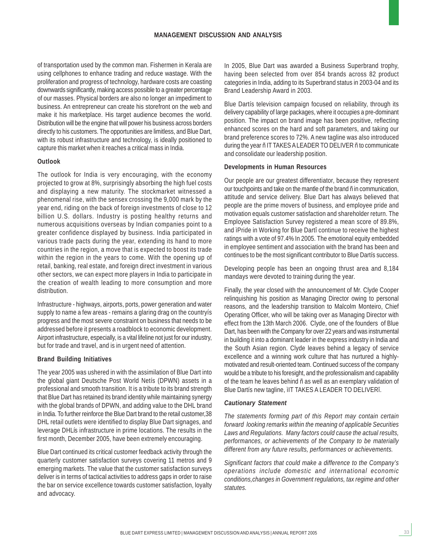of transportation used by the common man. Fishermen in Kerala are using cellphones to enhance trading and reduce wastage. With the proliferation and progress of technology, hardware costs are coasting downwards significantly, making access possible to a greater percentage of our masses. Physical borders are also no longer an impediment to business. An entrepreneur can create his storefront on the web and make it his marketplace. His target audience becomes the world. Distribution will be the engine that will power his business across borders directly to his customers. The opportunities are limitless, and Blue Dart, with its robust infrastructure and technology, is ideally positioned to capture this market when it reaches a critical mass in India.

#### **Outlook**

The outlook for India is very encouraging, with the economy projected to grow at 8%, surprisingly absorbing the high fuel costs and displaying a new maturity. The stockmarket witnessed a phenomenal rise, with the sensex crossing the 9,000 mark by the year end, riding on the back of foreign investments of close to 12 billion U.S. dollars. Industry is posting healthy returns and numerous acquisitions overseas by Indian companies point to a greater confidence displayed by business. India participated in various trade pacts during the year, extending its hand to more countries in the region, a move that is expected to boost its trade within the region in the years to come. With the opening up of retail, banking, real estate, and foreign direct investment in various other sectors, we can expect more players in India to participate in the creation of wealth leading to more consumption and more distribution.

Infrastructure - highways, airports, ports, power generation and water supply to name a few areas - remains a glaring drag on the countryís progress and the most severe constraint on business that needs to be addressed before it presents a roadblock to economic development. Airport infrastructure, especially, is a vital lifeline not just for our industry, but for trade and travel, and is in urgent need of attention.

#### **Brand Building Initiatives**

The year 2005 was ushered in with the assimilation of Blue Dart into the global giant Deutsche Post World Netís (DPWN) assets in a professional and smooth transition. It is a tribute to its brand strength that Blue Dart has retained its brand identity while maintaining synergy with the global brands of DPWN, and adding value to the DHL brand in India. To further reinforce the Blue Dart brand to the retail customer,38 DHL retail outlets were identified to display Blue Dart signages, and leverage DHLís infrastructure in prime locations. The results in the first month, December 2005, have been extremely encouraging.

Blue Dart continued its critical customer feedback activity through the quarterly customer satisfaction surveys covering 11 metros and 9 emerging markets. The value that the customer satisfaction surveys deliver is in terms of tactical activities to address gaps in order to raise the bar on service excellence towards customer satisfaction, loyalty and advocacy.

In 2005, Blue Dart was awarded a Business Superbrand trophy, having been selected from over 854 brands across 82 product categories in India, adding to its Superbrand status in 2003-04 and its Brand Leadership Award in 2003.

Blue Dartís television campaign focused on reliability, through its delivery capability of large packages, where it occupies a pre-dominant position. The impact on brand image has been positive, reflecting enhanced scores on the hard and soft parameters, and taking our brand preference scores to 72%. A new tagline was also introduced during the year ñ IT TAKES A LEADER TO DELIVER ñ to communicate and consolidate our leadership position.

#### **Developments in Human Resources**

Our people are our greatest differentiator, because they represent our touchpoints and take on the mantle of the brand ñ in communication, attitude and service delivery. Blue Dart has always believed that people are the prime movers of business, and employee pride and motivation equals customer satisfaction and shareholder return. The Employee Satisfaction Survey registered a mean score of 89.8%, and ìPride in Working for Blue Dartî continue to receive the highest ratings with a vote of 97.4% In 2005. The emotional equity embedded in employee sentiment and association with the brand has been and continues to be the most significant contributor to Blue Dartís success.

Developing people has been an ongoing thrust area and 8,184 mandays were devoted to training during the year.

Finally, the year closed with the announcement of Mr. Clyde Cooper relinquishing his position as Managing Director owing to personal reasons, and the leadership transition to Malcolm Monteiro, Chief Operating Officer, who will be taking over as Managing Director with effect from the 13th March 2006. Clyde, one of the founders of Blue Dart, has been with the Company for over 22 years and was instrumental in building it into a dominant leader in the express industry in India and the South Asian region. Clyde leaves behind a legacy of service excellence and a winning work culture that has nurtured a highlymotivated and result-oriented team. Continued success of the company would be a tribute to his foresight, and the professionalism and capability of the team he leaves behind ñ as well as an exemplary validation of Blue Dartís new tagline, ìIT TAKES A LEADER TO DELIVERî.

#### *Cautionary Statement*

*The statements forming part of this Report may contain certain forward looking remarks within the meaning of applicable Securities Laws and Regulations. Many factors could cause the actual results, performances, or achievements of the Company to be materially different from any future results, performances or achievements.*

*Significant factors that could make a difference to the Company's operations include domestic and international economic conditions,changes in Government regulations, tax regime and other statutes.*

33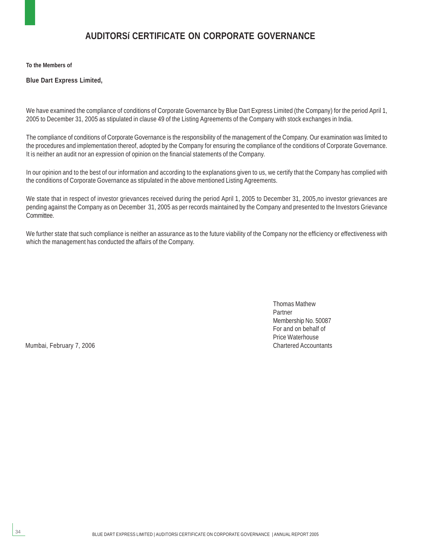### **AUDITORSí CERTIFICATE ON CORPORATE GOVERNANCE**

**To the Members of**

**Blue Dart Express Limited,**

We have examined the compliance of conditions of Corporate Governance by Blue Dart Express Limited (the Company) for the period April 1, 2005 to December 31, 2005 as stipulated in clause 49 of the Listing Agreements of the Company with stock exchanges in India.

The compliance of conditions of Corporate Governance is the responsibility of the management of the Company. Our examination was limited to the procedures and implementation thereof, adopted by the Company for ensuring the compliance of the conditions of Corporate Governance. It is neither an audit nor an expression of opinion on the financial statements of the Company.

In our opinion and to the best of our information and according to the explanations given to us, we certify that the Company has complied with the conditions of Corporate Governance as stipulated in the above mentioned Listing Agreements.

We state that in respect of investor grievances received during the period April 1, 2005 to December 31, 2005,no investor grievances are pending against the Company as on December 31, 2005 as per records maintained by the Company and presented to the Investors Grievance Committee.

We further state that such compliance is neither an assurance as to the future viability of the Company nor the efficiency or effectiveness with which the management has conducted the affairs of the Company.

> Thomas Mathew Partner Membership No. 50087 For and on behalf of Price Waterhouse

Mumbai, February 7, 2006 **Chartered Accountants** Chartered Accountants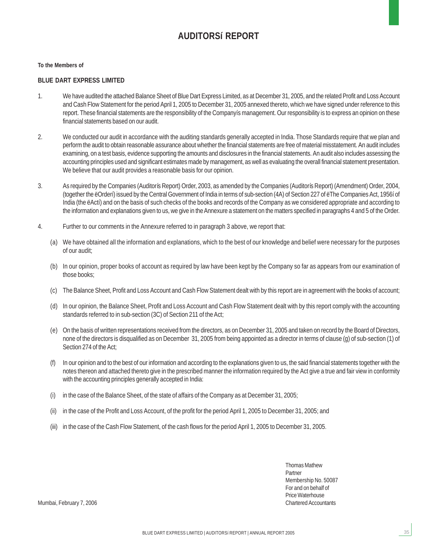### **AUDITORSí REPORT**

#### **To the Members of**

#### **BLUE DART EXPRESS LIMITED**

- 1. We have audited the attached Balance Sheet of Blue Dart Express Limited, as at December 31, 2005, and the related Profit and Loss Account and Cash Flow Statement for the period April 1, 2005 to December 31, 2005 annexed thereto, which we have signed under reference to this report. These financial statements are the responsibility of the Companyís management. Our responsibility is to express an opinion on these financial statements based on our audit.
- 2. We conducted our audit in accordance with the auditing standards generally accepted in India. Those Standards require that we plan and perform the audit to obtain reasonable assurance about whether the financial statements are free of material misstatement. An audit includes examining, on a test basis, evidence supporting the amounts and disclosures in the financial statements. An audit also includes assessing the accounting principles used and significant estimates made by management, as well as evaluating the overall financial statement presentation. We believe that our audit provides a reasonable basis for our opinion.
- 3. As required by the Companies (Auditorís Report) Order, 2003, as amended by the Companies (Auditorís Report) (Amendment) Order, 2004, (together the ëOrderí) issued by the Central Government of India in terms of sub-section (4A) of Section 227 of ëThe Companies Act, 1956í of India (the ëActí) and on the basis of such checks of the books and records of the Company as we considered appropriate and according to the information and explanations given to us, we give in the Annexure a statement on the matters specified in paragraphs 4 and 5 of the Order.
- 4. Further to our comments in the Annexure referred to in paragraph 3 above, we report that:
	- (a) We have obtained all the information and explanations, which to the best of our knowledge and belief were necessary for the purposes of our audit;
	- (b) In our opinion, proper books of account as required by law have been kept by the Company so far as appears from our examination of those books;
	- (c) The Balance Sheet, Profit and Loss Account and Cash Flow Statement dealt with by this report are in agreement with the books of account;
	- (d) In our opinion, the Balance Sheet, Profit and Loss Account and Cash Flow Statement dealt with by this report comply with the accounting standards referred to in sub-section (3C) of Section 211 of the Act;
	- (e) On the basis of written representations received from the directors, as on December 31, 2005 and taken on record by the Board of Directors, none of the directors is disqualified as on December 31, 2005 from being appointed as a director in terms of clause (g) of sub-section (1) of Section 274 of the Act;
	- (f) In our opinion and to the best of our information and according to the explanations given to us, the said financial statements together with the notes thereon and attached thereto give in the prescribed manner the information required by the Act give a true and fair view in conformity with the accounting principles generally accepted in India:
	- (i) in the case of the Balance Sheet, of the state of affairs of the Company as at December 31, 2005;
	- (ii) in the case of the Profit and Loss Account, of the profit for the period April 1, 2005 to December 31, 2005; and
	- (iii) in the case of the Cash Flow Statement, of the cash flows for the period April 1, 2005 to December 31, 2005.

Thomas Mathew Partner Membership No. 50087 For and on behalf of Price Waterhouse

35

Mumbai, February 7, 2006 **Chartered Accountants** Chartered Accountants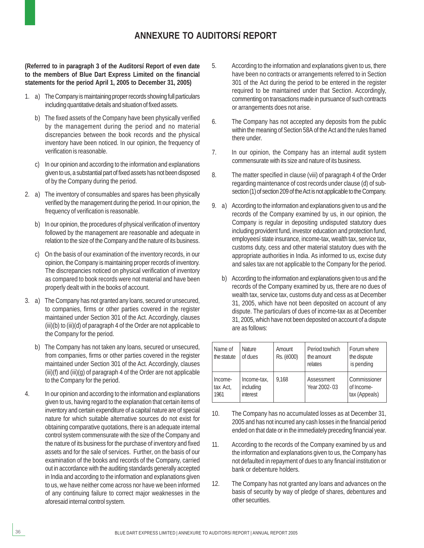### **ANNEXURE TO AUDITORSí REPORT**

**(Referred to in paragraph 3 of the Auditorsí Report of even date to the members of Blue Dart Express Limited on the financial statements for the period April 1, 2005 to December 31, 2005)**

- 1. a) The Company is maintaining proper records showing full particulars including quantitative details and situation of fixed assets.
	- b) The fixed assets of the Company have been physically verified by the management during the period and no material discrepancies between the book records and the physical inventory have been noticed. In our opinion, the frequency of verification is reasonable.
	- c) In our opinion and according to the information and explanations given to us, a substantial part of fixed assets has not been disposed of by the Company during the period.
- 2. a) The inventory of consumables and spares has been physically verified by the management during the period. In our opinion, the frequency of verification is reasonable.
	- b) In our opinion, the procedures of physical verification of inventory followed by the management are reasonable and adequate in relation to the size of the Company and the nature of its business.
	- On the basis of our examination of the inventory records, in our opinion, the Company is maintaining proper records of inventory. The discrepancies noticed on physical verification of inventory as compared to book records were not material and have been properly dealt with in the books of account.
- 3. a) The Company has not granted any loans, secured or unsecured, to companies, firms or other parties covered in the register maintained under Section 301 of the Act. Accordingly, clauses (iii)(b) to (iii)(d) of paragraph 4 of the Order are not applicable to the Company for the period.
	- b) The Company has not taken any loans, secured or unsecured, from companies, firms or other parties covered in the register maintained under Section 301 of the Act. Accordingly, clauses (iii)(f) and (iii)(g) of paragraph 4 of the Order are not applicable to the Company for the period.
- 4. In our opinion and according to the information and explanations given to us, having regard to the explanation that certain items of inventory and certain expenditure of a capital nature are of special nature for which suitable alternative sources do not exist for obtaining comparative quotations, there is an adequate internal control system commensurate with the size of the Company and the nature of its business for the purchase of inventory and fixed assets and for the sale of services. Further, on the basis of our examination of the books and records of the Company, carried out in accordance with the auditing standards generally accepted in India and according to the information and explanations given to us, we have neither come across nor have we been informed of any continuing failure to correct major weaknesses in the aforesaid internal control system.
- 5. According to the information and explanations given to us, there have been no contracts or arrangements referred to in Section 301 of the Act during the period to be entered in the register required to be maintained under that Section. Accordingly, commenting on transactions made in pursuance of such contracts or arrangements does not arise.
- 6. The Company has not accepted any deposits from the public within the meaning of Section 58A of the Act and the rules framed there under.
- 7. In our opinion, the Company has an internal audit system commensurate with its size and nature of its business.
- 8. The matter specified in clause (viii) of paragraph 4 of the Order regarding maintenance of cost records under clause (d) of subsection (1) of section 209 of the Act is not applicable to the Company.
- 9. a) According to the information and explanations given to us and the records of the Company examined by us, in our opinion, the Company is regular in depositing undisputed statutory dues including provident fund, investor education and protection fund, employeesí state insurance, income-tax, wealth tax, service tax, customs duty, cess and other material statutory dues with the appropriate authorities in India. As informed to us, excise duty and sales tax are not applicable to the Company for the period.
	- b) According to the information and explanations given to us and the records of the Company examined by us, there are no dues of wealth tax, service tax, customs duty and cess as at December 31, 2005, which have not been deposited on account of any dispute. The particulars of dues of income-tax as at December 31, 2005, which have not been deposited on account of a dispute are as follows:

| Name of<br>the statute      | <b>Nature</b><br>of dues             | Amount<br>Rs. (ë000) | Period towhich<br>the amount<br>relates | Forum where<br>the dispute<br>is pending    |
|-----------------------------|--------------------------------------|----------------------|-----------------------------------------|---------------------------------------------|
| Income-<br>tax Act,<br>1961 | Income-tax,<br>including<br>interest | 9.168                | Assessment<br>Year 2002-03              | Commissioner<br>of Income-<br>tax (Appeals) |

- 10. The Company has no accumulated losses as at December 31, 2005 and has not incurred any cash losses in the financial period ended on that date or in the immediately preceding financial year.
- 11. According to the records of the Company examined by us and the information and explanations given to us, the Company has not defaulted in repayment of dues to any financial institution or bank or debenture holders.
- 12. The Company has not granted any loans and advances on the basis of security by way of pledge of shares, debentures and other securities.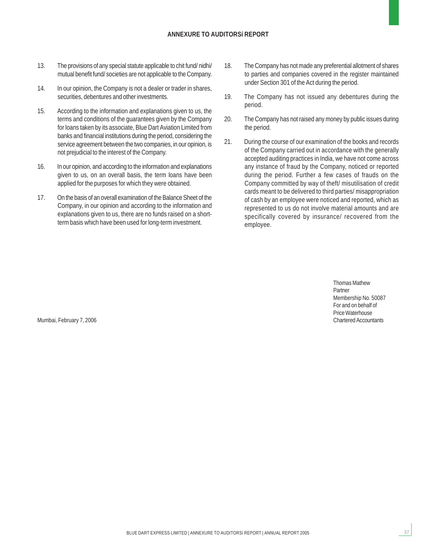#### **ANNEXURE TO AUDITORSí REPORT**

- 13. The provisions of any special statute applicable to chit fund/ nidhi/ mutual benefit fund/ societies are not applicable to the Company.
- 14. In our opinion, the Company is not a dealer or trader in shares, securities, debentures and other investments.
- 15. According to the information and explanations given to us, the terms and conditions of the guarantees given by the Company for loans taken by its associate, Blue Dart Aviation Limited from banks and financial institutions during the period, considering the service agreement between the two companies, in our opinion, is not prejudicial to the interest of the Company.
- 16. In our opinion, and according to the information and explanations given to us, on an overall basis, the term loans have been applied for the purposes for which they were obtained.
- 17. On the basis of an overall examination of the Balance Sheet of the Company, in our opinion and according to the information and explanations given to us, there are no funds raised on a shortterm basis which have been used for long-term investment.
- 18. The Company has not made any preferential allotment of shares to parties and companies covered in the register maintained under Section 301 of the Act during the period.
- 19. The Company has not issued any debentures during the period.
- 20. The Company has not raised any money by public issues during the period.
- 21. During the course of our examination of the books and records of the Company carried out in accordance with the generally accepted auditing practices in India, we have not come across any instance of fraud by the Company, noticed or reported during the period. Further a few cases of frauds on the Company committed by way of theft/ misutilisation of credit cards meant to be delivered to third parties/ misappropriation of cash by an employee were noticed and reported, which as represented to us do not involve material amounts and are specifically covered by insurance/ recovered from the employee.

Thomas Mathew Partner Membership No. 50087 For and on behalf of Price Waterhouse<br>Chartered Accountants

37

Mumbai, February 7, 2006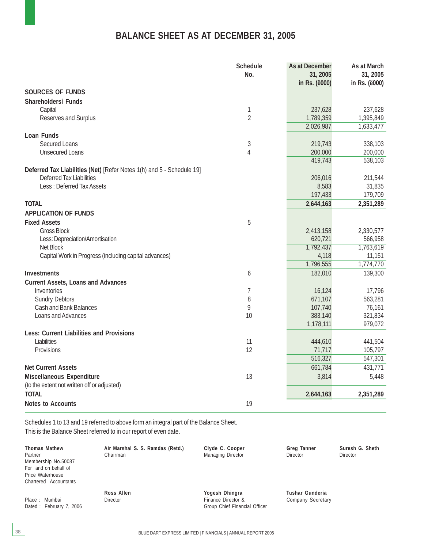## **BALANCE SHEET AS AT DECEMBER 31, 2005**

|                                                                       | <b>Schedule</b><br>No. | As at December<br>31,2005<br>in Rs. (ë000) | As at March<br>31, 2005<br>in Rs. (ë000) |
|-----------------------------------------------------------------------|------------------------|--------------------------------------------|------------------------------------------|
| <b>SOURCES OF FUNDS</b>                                               |                        |                                            |                                          |
| Shareholdersí Funds                                                   |                        |                                            |                                          |
| Capital                                                               | 1                      | 237,628                                    | 237,628                                  |
| Reserves and Surplus                                                  | $\overline{2}$         | 1,789,359                                  | 1,395,849                                |
|                                                                       |                        | 2,026,987                                  | 1,633,477                                |
| Loan Funds                                                            |                        |                                            |                                          |
| <b>Secured Loans</b>                                                  | $\sqrt{3}$             | 219,743                                    | 338,103                                  |
| <b>Unsecured Loans</b>                                                | 4                      | 200,000                                    | 200,000                                  |
|                                                                       |                        | 419,743                                    | 538,103                                  |
| Deferred Tax Liabilities (Net) [Refer Notes 1(h) and 5 - Schedule 19] |                        |                                            |                                          |
| <b>Deferred Tax Liabilities</b>                                       |                        | 206,016                                    | 211,544                                  |
| <b>Less: Deferred Tax Assets</b>                                      |                        | 8,583<br>197,433                           | 31,835<br>179,709                        |
| <b>TOTAL</b>                                                          |                        |                                            |                                          |
|                                                                       |                        | 2,644,163                                  | 2,351,289                                |
| <b>APPLICATION OF FUNDS</b>                                           |                        |                                            |                                          |
| <b>Fixed Assets</b>                                                   | 5                      |                                            |                                          |
| <b>Gross Block</b><br>Less: Depreciation/Amortisation                 |                        | 2,413,158<br>620,721                       | 2,330,577<br>566,958                     |
| <b>Net Block</b>                                                      |                        | 1,792,437                                  | 1,763,619                                |
| Capital Work in Progress (including capital advances)                 |                        | 4,118                                      | 11,151                                   |
|                                                                       |                        | 1,796,555                                  | 1,774,770                                |
| <b>Investments</b>                                                    | 6                      | 182,010                                    | 139,300                                  |
| <b>Current Assets, Loans and Advances</b>                             |                        |                                            |                                          |
| Inventories                                                           | 7                      | 16,124                                     | 17,796                                   |
| <b>Sundry Debtors</b>                                                 | 8                      | 671,107                                    | 563,281                                  |
| <b>Cash and Bank Balances</b>                                         | 9                      | 107,740                                    | 76,161                                   |
| Loans and Advances                                                    | 10                     | 383,140                                    | 321,834                                  |
|                                                                       |                        | 1,178,111                                  | 979,072                                  |
| <b>Less: Current Liabilities and Provisions</b>                       |                        |                                            |                                          |
| Liabilities                                                           | 11                     | 444,610                                    | 441,504                                  |
| Provisions                                                            | 12                     | 71,717                                     | 105,797                                  |
|                                                                       |                        | 516,327                                    | 547,301                                  |
| <b>Net Current Assets</b>                                             |                        | 661,784                                    | 431,771                                  |
| Miscellaneous Expenditure                                             | 13                     | 3,814                                      | 5,448                                    |
| (to the extent not written off or adjusted)                           |                        |                                            |                                          |
| <b>TOTAL</b>                                                          |                        | 2,644,163                                  | 2,351,289                                |
| <b>Notes to Accounts</b>                                              | 19                     |                                            |                                          |

Schedules 1 to 13 and 19 referred to above form an integral part of the Balance Sheet. This is the Balance Sheet referred to in our report of even date.

| <b>Thomas Mathew</b><br>Partner<br>Membership No.50087<br>For and on behalf of<br>Price Waterhouse<br>Chartered Accountants | Air Marshal S. S. Ramdas (Retd.)<br>Chairman | Clyde C. Cooper<br>Managing Director                                  | <b>Greg Tanner</b><br><b>Director</b>       | <b>Suresh</b><br>Director |
|-----------------------------------------------------------------------------------------------------------------------------|----------------------------------------------|-----------------------------------------------------------------------|---------------------------------------------|---------------------------|
| Place: Mumbai<br>Dated: February 7, 2006                                                                                    | Ross Allen<br><b>Director</b>                | Yogesh Dhingra<br>Finance Director &<br>Group Chief Financial Officer | Tushar Gunderia<br><b>Company Secretary</b> |                           |

BLUE DART EXPRESS LIMITED | FINANCIALS | ANNUAL REPORT 2005

**Suresh G. Sheth**<br>Director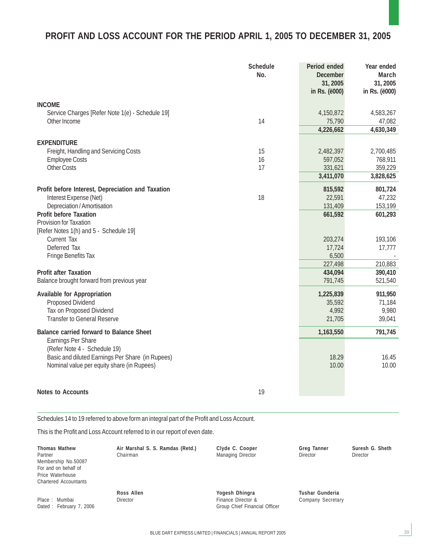## **PROFIT AND LOSS ACCOUNT FOR THE PERIOD APRIL 1, 2005 TO DECEMBER 31, 2005**

|                                                           | <b>Schedule</b><br>No. | Period ended<br><b>December</b><br>31, 2005<br>in Rs. (ë000) | Year ended<br>March<br>31, 2005<br>in Rs. (ë000) |
|-----------------------------------------------------------|------------------------|--------------------------------------------------------------|--------------------------------------------------|
| <b>INCOME</b>                                             |                        |                                                              |                                                  |
| Service Charges [Refer Note 1(e) - Schedule 19]           |                        | 4,150,872                                                    | 4,583,267                                        |
| Other Income                                              | 14                     | 75,790                                                       | 47,082                                           |
|                                                           |                        | 4,226,662                                                    | 4,630,349                                        |
| <b>EXPENDITURE</b>                                        |                        |                                                              |                                                  |
| Freight, Handling and Servicing Costs                     | 15                     | 2,482,397                                                    | 2,700,485                                        |
| <b>Employee Costs</b>                                     | 16                     | 597,052                                                      | 768,911                                          |
| <b>Other Costs</b>                                        | 17                     | 331,621                                                      | 359,229                                          |
|                                                           |                        | 3,411,070                                                    | 3,828,625                                        |
| Profit before Interest, Depreciation and Taxation         |                        | 815,592                                                      | 801,724                                          |
| Interest Expense (Net)                                    | 18                     | 22,591                                                       | 47,232                                           |
| Depreciation / Amortisation                               |                        | 131,409                                                      | 153,199                                          |
| <b>Profit before Taxation</b>                             |                        | 661,592                                                      | 601,293                                          |
| <b>Provision for Taxation</b>                             |                        |                                                              |                                                  |
| [Refer Notes 1(h) and 5 - Schedule 19]                    |                        |                                                              |                                                  |
| <b>Current Tax</b>                                        |                        | 203,274                                                      | 193,106                                          |
| Deferred Tax                                              |                        | 17,724                                                       | 17,777                                           |
| <b>Fringe Benefits Tax</b>                                |                        | 6,500                                                        |                                                  |
|                                                           |                        | 227,498                                                      | 210,883                                          |
| <b>Profit after Taxation</b>                              |                        | 434,094                                                      | 390,410                                          |
| Balance brought forward from previous year                |                        | 791,745                                                      | 521,540                                          |
| <b>Available for Appropriation</b>                        |                        | 1,225,839                                                    | 911,950                                          |
| <b>Proposed Dividend</b>                                  |                        | 35,592                                                       | 71,184                                           |
| Tax on Proposed Dividend                                  |                        | 4,992                                                        | 9,980                                            |
| <b>Transfer to General Reserve</b>                        |                        | 21,705                                                       | 39,041                                           |
| <b>Balance carried forward to Balance Sheet</b>           |                        | 1,163,550                                                    | 791,745                                          |
| <b>Earnings Per Share</b><br>(Refer Note 4 - Schedule 19) |                        |                                                              |                                                  |
| Basic and diluted Earnings Per Share (in Rupees)          |                        | 18.29                                                        | 16.45                                            |
| Nominal value per equity share (in Rupees)                |                        | 10.00                                                        | 10.00                                            |
| <b>Notes to Accounts</b>                                  | 19                     |                                                              |                                                  |

Schedules 14 to 19 referred to above form an integral part of the Profit and Loss Account.

This is the Profit and Loss Account referred to in our report of even date.

| <b>Thomas Mathew</b><br>Partner<br>Membership No.50087<br>For and on behalf of<br>Price Waterhouse<br><b>Chartered Accountants</b> | Air Marshal S. S. Ramdas (Retd.)<br>Chairman | Clyde C. Cooper<br><b>Managing Director</b>                           | <b>Greg Tanner</b><br><b>Director</b> | Suresh G. Sheth<br><b>Director</b> |
|------------------------------------------------------------------------------------------------------------------------------------|----------------------------------------------|-----------------------------------------------------------------------|---------------------------------------|------------------------------------|
| Place: Mumbai<br>Dated: February 7, 2006                                                                                           | Ross Allen<br>Director                       | Yogesh Dhingra<br>Finance Director &<br>Group Chief Financial Officer | Tushar Gunderia<br>Company Secretary  |                                    |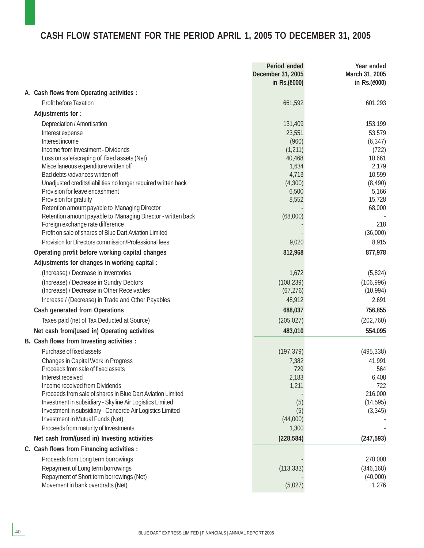# **CASH FLOW STATEMENT FOR THE PERIOD APRIL 1, 2005 TO DECEMBER 31, 2005**

|                                                                                                                        | Period ended<br>December 31, 2005<br>in Rs.(ë000) | Year ended<br>March 31, 2005<br>in Rs.(ë000) |
|------------------------------------------------------------------------------------------------------------------------|---------------------------------------------------|----------------------------------------------|
| A. Cash flows from Operating activities :                                                                              |                                                   |                                              |
| <b>Profit before Taxation</b>                                                                                          | 661,592                                           | 601,293                                      |
| Adjustments for:                                                                                                       |                                                   |                                              |
| Depreciation / Amortisation                                                                                            | 131,409                                           | 153,199                                      |
| Interest expense                                                                                                       | 23,551                                            | 53,579                                       |
| Interest income                                                                                                        | (960)                                             | (6, 347)                                     |
| Income from Investment - Dividends                                                                                     | (1, 211)                                          | (722)                                        |
| Loss on sale/scraping of fixed assets (Net)                                                                            | 40,468                                            | 10,661                                       |
| Miscellaneous expenditure written off                                                                                  | 1,634                                             | 2,179                                        |
| Bad debts /advances written off                                                                                        | 4,713                                             | 10,599                                       |
| Unadjusted credits/liabilities no longer required written back<br>Provision for leave encashment                       | (4,300)<br>6,500                                  | (8, 490)<br>5,166                            |
| Provision for gratuity                                                                                                 | 8,552                                             | 15,728                                       |
| Retention amount payable to Managing Director                                                                          |                                                   | 68,000                                       |
| Retention amount payable to Managing Director - written back                                                           | (68,000)                                          |                                              |
| Foreign exchange rate difference                                                                                       |                                                   | 218                                          |
| Profit on sale of shares of Blue Dart Aviation Limited                                                                 |                                                   | (36,000)                                     |
| Provision for Directors commission/Professional fees                                                                   | 9,020                                             | 8,915                                        |
| Operating profit before working capital changes                                                                        | 812,968                                           | 877,978                                      |
| Adjustments for changes in working capital :                                                                           |                                                   |                                              |
| (Increase) / Decrease in Inventories                                                                                   | 1,672                                             | (5,824)                                      |
| (Increase) / Decrease in Sundry Debtors                                                                                | (108, 239)                                        | (106, 996)                                   |
| (Increase) / Decrease in Other Receivables                                                                             | (67, 276)                                         | (10, 994)                                    |
| Increase / (Decrease) in Trade and Other Payables                                                                      | 48,912                                            | 2,691                                        |
| <b>Cash generated from Operations</b>                                                                                  | 688,037                                           | 756,855                                      |
| Taxes paid (net of Tax Deducted at Source)                                                                             | (205, 027)                                        | (202, 760)                                   |
| Net cash from/(used in) Operating activities                                                                           | 483,010                                           | 554,095                                      |
| B. Cash flows from Investing activities :                                                                              |                                                   |                                              |
| Purchase of fixed assets                                                                                               | (197, 379)                                        | (495, 338)                                   |
| Changes in Capital Work in Progress                                                                                    | 7,382                                             | 41,991                                       |
| Proceeds from sale of fixed assets                                                                                     | 729                                               | 564                                          |
| Interest received                                                                                                      | 2,183                                             | 6,408                                        |
| Income received from Dividends                                                                                         | 1,211                                             | 722                                          |
| Proceeds from sale of shares in Blue Dart Aviation Limited<br>Investment in subsidiary - Skyline Air Logistics Limited | (5)                                               | 216,000<br>(14, 595)                         |
| Investment in subsidiary - Concorde Air Logistics Limited                                                              | (5)                                               | (3, 345)                                     |
| Investment in Mutual Funds (Net)                                                                                       | (44,000)                                          |                                              |
| Proceeds from maturity of Investments                                                                                  | 1,300                                             |                                              |
| Net cash from/(used in) Investing activities                                                                           | (228, 584)                                        | (247, 593)                                   |
| C. Cash flows from Financing activities :                                                                              |                                                   |                                              |
| Proceeds from Long term borrowings                                                                                     |                                                   | 270,000                                      |
| Repayment of Long term borrowings                                                                                      | (113, 333)                                        | (346, 168)                                   |
| Repayment of Short term borrowings (Net)                                                                               |                                                   | (40,000)                                     |
| Movement in bank overdrafts (Net)                                                                                      | (5,027)                                           | 1,276                                        |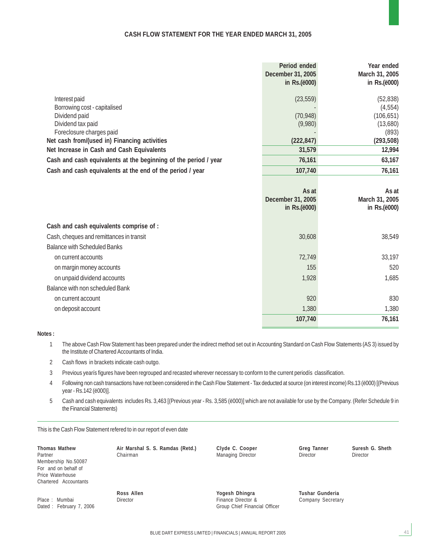#### **CASH FLOW STATEMENT FOR THE YEAR ENDED MARCH 31, 2005**

|                                                                 | Period ended          | Year ended     |
|-----------------------------------------------------------------|-----------------------|----------------|
|                                                                 | December 31, 2005     | March 31, 2005 |
|                                                                 | in Rs.(ë000)          | in Rs.(ë000)   |
| Interest paid                                                   | (23, 559)             | (52, 838)      |
| Borrowing cost - capitalised                                    |                       | (4, 554)       |
| Dividend paid                                                   | (70, 948)             | (106, 651)     |
| Dividend tax paid                                               | (9,980)               | (13,680)       |
| Foreclosure charges paid                                        |                       | (893)          |
| Net cash from/(used in) Financing activities                    | (222, 847)            | (293, 508)     |
| Net Increase in Cash and Cash Equivalents                       | 31,579                | 12,994         |
| Cash and cash equivalents at the beginning of the period / year | 76,161                | 63,167         |
| Cash and cash equivalents at the end of the period / year       | 107,740               | 76,161         |
|                                                                 |                       |                |
|                                                                 | As at                 | As at          |
|                                                                 | December 31, 2005     | March 31, 2005 |
|                                                                 | in Rs.( <i>ë000</i> ) | in Rs.(ë000)   |
| Cash and cash equivalents comprise of :                         |                       |                |
| Cash, cheques and remittances in transit                        | 30,608                | 38,549         |
| <b>Balance with Scheduled Banks</b>                             |                       |                |
| on current accounts                                             | 72,749                | 33,197         |
| on margin money accounts                                        | 155                   | 520            |
| on unpaid dividend accounts                                     | 1,928                 | 1,685          |
| Balance with non scheduled Bank                                 |                       |                |
| on current account                                              | 920                   | 830            |
| on deposit account                                              | 1,380                 | 1,380          |
|                                                                 | 107,740               | 76,161         |

**Notes :**

1 The above Cash Flow Statement has been prepared under the indirect method set out in Accounting Standard on Cash Flow Statements (AS 3) issued by the Institute of Chartered Accountants of India.

- 2 Cash flows in brackets indicate cash outgo.
- 3 Previous yearís figures have been regrouped and recasted wherever necessary to conform to the current periodís classification.
- 4 Following non cash transactions have not been considered in the Cash Flow Statement Tax deducted at source (on interest income) Rs.13 (ë000) [(Previous year - Rs.142 (ë000)].
- 5 Cash and cash equivalents includes Rs. 3,463 [(Previous year Rs. 3,585 (ë000)] which are not available for use by the Company. (Refer Schedule 9 in the Financial Statements)

This is the Cash Flow Statement refered to in our report of even date

| <b>Thomas Mathew</b>  |
|-----------------------|
| Partner               |
| Membership No.50087   |
| For and on behalf of  |
| Price Waterhouse      |
| Chartered Accountants |
|                       |

Place : Mumbai **Director Director Election Election Election Election Election Company Secretary** Dated : February 7, 2006 Crown Chief Financial Officer

Partner Chairman Managing Director Director Director

**Thomas Mathew Air Marshal S. S. Ramdas (Retd.) Clyde C. Cooper Greg Tanner Suresh G. Sheth**

41

**Ross Allen Yogesh Dhingra Tushar Gunderia**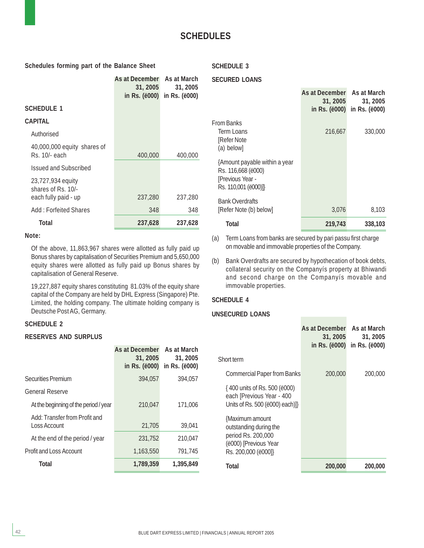#### **Schedules forming part of the Balance Sheet**

#### **SCHEDULE 3**

#### **SECURED LOANS**

|                                                                 | As at December As at March<br>31, 2005<br>in Rs. (ë000) | 31, 2005<br>in Rs. (ë000) |
|-----------------------------------------------------------------|---------------------------------------------------------|---------------------------|
| SCHEDULE 1                                                      |                                                         |                           |
| CAPITAL                                                         |                                                         |                           |
| Authorised                                                      |                                                         |                           |
| 40,000,000 equity shares of<br>Rs. 10/- each                    | 400,000                                                 | 400,000                   |
| Issued and Subscribed                                           |                                                         |                           |
| 23,727,934 equity<br>shares of Rs. 10/-<br>each fully paid - up | 237,280                                                 | 237,280                   |
| Add: Forfeited Shares                                           | 348                                                     | 348                       |
| Total                                                           | 237,628                                                 | 237,628                   |

#### **Note:**

Of the above, 11,863,967 shares were allotted as fully paid up Bonus shares by capitalisation of Securities Premium and 5,650,000 equity shares were allotted as fully paid up Bonus shares by capitalisation of General Reserve.

19,227,887 equity shares constituting 81.03% of the equity share capital of the Company are held by DHL Express (Singapore) Pte. Limited, the holding company. The ultimate holding company is Deutsche Post AG, Germany.

#### **SCHEDULE 2**

#### **RESERVES AND SURPLUS**

|                                               | As at December<br>31, 2005<br>in Rs. ( <i>ë000</i> ) | As at March<br>31, 2005<br>in Rs. ( <i>ë</i> 000) |
|-----------------------------------------------|------------------------------------------------------|---------------------------------------------------|
| <b>Securities Premium</b>                     | 394.057                                              | 394,057                                           |
| <b>General Reserve</b>                        |                                                      |                                                   |
| At the beginning of the period / year         | 210.047                                              | 171.006                                           |
| Add: Transfer from Profit and<br>Loss Account | 21,705                                               | 39,041                                            |
| At the end of the period / year               | 231.752                                              | 210.047                                           |
| <b>Profit and Loss Account</b>                | 1.163.550                                            | 791,745                                           |
| <b>Total</b>                                  | 1,789,359                                            | 1,395,849                                         |

|                               | As at December<br>31, 2005<br>in Rs. ( <i>ë</i> 000) | As at March<br>31, 2005<br>in Rs. (ë000) |
|-------------------------------|------------------------------------------------------|------------------------------------------|
| From Banks                    |                                                      |                                          |
| Term Loans                    | 216.667                                              | 330,000                                  |
| [Refer Note                   |                                                      |                                          |
| (a) below]                    |                                                      |                                          |
| {Amount payable within a year |                                                      |                                          |
| Rs. 116,668 (ë000)            |                                                      |                                          |
| [Previous Year -              |                                                      |                                          |
| Rs. 110,001 (ë000)]}          |                                                      |                                          |
| <b>Bank Overdrafts</b>        |                                                      |                                          |
| [Refer Note (b) below]        | 3,076                                                | 8,103                                    |
| Total                         | 219,743                                              | 338,103                                  |
|                               |                                                      |                                          |

(a) Term Loans from banks are secured by pari passu first charge on movable and immovable properties of the Company.

(b) Bank Overdrafts are secured by hypothecation of book debts, collateral security on the Companyís property at Bhiwandi and second charge on the Companyís movable and immovable properties.

#### **SCHEDULE 4**

#### **UNSECURED LOANS**

|                                                                                                                 | As at December<br>31, 2005<br>in Rs. (ë000) | As at March<br>31, 2005<br>in Rs. ( <i>ë</i> 000) |
|-----------------------------------------------------------------------------------------------------------------|---------------------------------------------|---------------------------------------------------|
| Short term                                                                                                      |                                             |                                                   |
| <b>Commercial Paper from Banks</b>                                                                              | 200,000                                     | 200,000                                           |
| {400 units of Rs. 500 (ë000)<br>each [Previous Year - 400<br>Units of Rs. 500 (e000) each)]}                    |                                             |                                                   |
| {Maximum amount<br>outstanding during the<br>period Rs. 200,000<br>(ë000) [Previous Year<br>Rs. 200,000 (ë000]} |                                             |                                                   |
| Total                                                                                                           | 200,000                                     | 200,000                                           |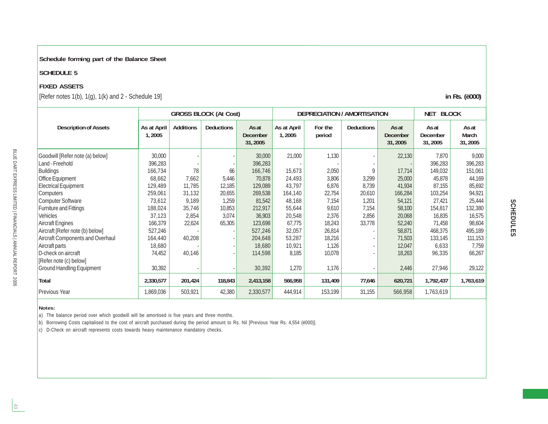#### **Schedule forming part of the Balance Sheet**

#### **SCHEDULE 5**

#### **FIXED ASSETS**

[Refer notes 1(b), 1(g), 1(k) and 2 - Schedule 19] **in Rs. (ë000)**

|                                         |                       |                  | <b>GROSS BLOCK (At Cost)</b> |                                      | <b>DEPRECIATION / AMORTISATION</b> |                   |                   |                                     | <b>NET BLOCK</b>              |                                  |
|-----------------------------------------|-----------------------|------------------|------------------------------|--------------------------------------|------------------------------------|-------------------|-------------------|-------------------------------------|-------------------------------|----------------------------------|
| <b>Description of Assets</b>            | As at April<br>1,2005 | <b>Additions</b> | <b>Deductions</b>            | As at<br><b>December</b><br>31, 2005 | As at April<br>1,2005              | For the<br>period | <b>Deductions</b> | As at<br><b>December</b><br>31,2005 | As at<br>December<br>31, 2005 | As at<br><b>March</b><br>31,2005 |
| Goodwill [Refer note (a) below]         | 30,000                |                  |                              | 30,000                               | 21,000                             | 1,130             |                   | 22,130                              | 7,870                         | 9,000                            |
| Land - Freehold                         | 396,283               |                  |                              | 396,283                              |                                    |                   |                   |                                     | 396,283                       | 396,283                          |
| <b>Buildings</b>                        | 166,734               | 78               | 66                           | 166,746                              | 15,673                             | 2,050             | 9                 | 17,714                              | 149,032                       | 151,061                          |
| Office Equipment                        | 68,662                | 7,662            | 5,446                        | 70,878                               | 24,493                             | 3,806             | 3,299             | 25,000                              | 45,878                        | 44,169                           |
| <b>Electrical Equipment</b>             | 129,489               | 11,785           | 12,185                       | 129,089                              | 43,797                             | 6,876             | 8,739             | 41,934                              | 87,155                        | 85,692                           |
| Computers                               | 259,061               | 31,132           | 20,655                       | 269,538                              | 164,140                            | 22,754            | 20,610            | 166,284                             | 103,254                       | 94,921                           |
| <b>Computer Software</b>                | 73,612                | 9,189            | 1,259                        | 81,542                               | 48,168                             | 7,154             | 1,201             | 54,121                              | 27,421                        | 25,444                           |
| <b>Furniture and Fittings</b>           | 188,024               | 35,746           | 10,853                       | 212,917                              | 55,644                             | 9,610             | 7,154             | 58,100                              | 154,817                       | 132,380                          |
| Vehicles                                | 37,123                | 2,854            | 3,074                        | 36,903                               | 20,548                             | 2,376             | 2,856             | 20,068                              | 16,835                        | 16,575                           |
| <b>Aircraft Engines</b>                 | 166,379               | 22,624           | 65,305                       | 123,698                              | 67,775                             | 18,243            | 33,778            | 52,240                              | 71,458                        | 98,604                           |
| Aircraft [Refer note (b) below]         | 527,246               |                  |                              | 527,246                              | 32,057                             | 26,814            |                   | 58,871                              | 468,375                       | 495,189                          |
| <b>Aircraft Components and Overhaul</b> | 164,440               | 40,208           |                              | 204,648                              | 53,287                             | 18,216            |                   | 71,503                              | 133,145                       | 111,153                          |
| Aircraft parts                          | 18,680                |                  |                              | 18,680                               | 10,921                             | 1,126             |                   | 12,047                              | 6,633                         | 7,759                            |
| D-check on aircraft                     | 74,452                | 40,146           |                              | 114,598                              | 8,185                              | 10,078            |                   | 18,263                              | 96,335                        | 66,267                           |
| [Refer note (c) below]                  |                       |                  |                              |                                      |                                    |                   |                   |                                     |                               |                                  |
| <b>Ground Handling Equipment</b>        | 30,392                |                  |                              | 30,392                               | 1,270                              | 1,176             |                   | 2,446                               | 27,946                        | 29,122                           |
| Total                                   | 2,330,577             | 201,424          | 118,843                      | 2,413,158                            | 566,958                            | 131,409           | 77,646            | 620,721                             | 1,792,437                     | 1,763,619                        |
| Previous Year                           | 1,869,036             | 503,921          | 42,380                       | 2,330,577                            | 444,914                            | 153,199           | 31,155            | 566,958                             | 1,763,619                     |                                  |

#### **Notes:**

a) The balance period over which goodwill will be amortised is five years and three months.

b) Borrowing Costs capitalised to the cost of aircraft purchased during the period amount to Rs. Nil [Previous Year Rs. 4,554 (ë000)].

c) D-Check on aircraft represents costs towards heavy maintenance mandatory checks.

BLUE DART EXPRESS LIMITED | FINANCIALS | ANNUAL REPORT 2005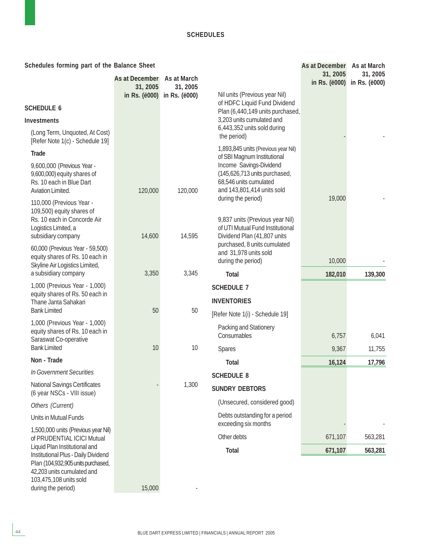**As at December As at March**

**Schedules forming part of the Balance Sheet**

|                                                                                                                                                         | As at December As at March<br>31, 2005 | 31, 2005      | Nil units (Previous year Nil)                                                                                                      | 31, 2005<br>in Rs. (ë000) | 31, 2005<br>in Rs. (ë000) |
|---------------------------------------------------------------------------------------------------------------------------------------------------------|----------------------------------------|---------------|------------------------------------------------------------------------------------------------------------------------------------|---------------------------|---------------------------|
| <b>SCHEDULE 6</b>                                                                                                                                       | in Rs. (ë000)                          | in Rs. (ë000) | of HDFC Liquid Fund Dividend                                                                                                       |                           |                           |
| <b>Investments</b>                                                                                                                                      |                                        |               | Plan (6,440,149 units purchased,<br>3,203 units cumulated and                                                                      |                           |                           |
| (Long Term, Unquoted, At Cost)<br>[Refer Note 1(c) - Schedule 19]                                                                                       |                                        |               | 6,443,352 units sold during<br>the period)                                                                                         |                           |                           |
| <b>Trade</b>                                                                                                                                            |                                        |               | 1,893,845 units (Previous year Nil)<br>of SBI Magnum Institutional                                                                 |                           |                           |
| 9,600,000 (Previous Year -<br>9,600,000) equity shares of<br>Rs. 10 each in Blue Dart<br>Aviation Limited.                                              | 120,000                                | 120,000       | Income Savings-Dividend<br>(145,626,713 units purchased,<br>68,546 units cumulated<br>and 143,801,414 units sold                   |                           |                           |
| 110,000 (Previous Year -<br>109,500) equity shares of                                                                                                   |                                        |               | during the period)                                                                                                                 | 19,000                    |                           |
| Rs. 10 each in Concorde Air<br>Logistics Limited, a<br>subsidiary company                                                                               | 14,600                                 | 14,595        | 9,837 units (Previous year Nil)<br>of UTI Mutual Fund Institutional<br>Dividend Plan (41,807 units<br>purchased, 8 units cumulated |                           |                           |
| 60,000 (Previous Year - 59,500)<br>equity shares of Rs. 10 each in                                                                                      |                                        |               | and 31,978 units sold                                                                                                              |                           |                           |
| Skyline Air Logistics Limited,                                                                                                                          |                                        |               | during the period)                                                                                                                 | 10,000                    |                           |
| a subsidiary company<br>1,000 (Previous Year - 1,000)                                                                                                   | 3,350                                  | 3,345         | <b>Total</b>                                                                                                                       | 182,010                   | 139,300                   |
| equity shares of Rs. 50 each in                                                                                                                         |                                        |               | <b>SCHEDULE 7</b>                                                                                                                  |                           |                           |
| Thane Janta Sahakari<br><b>Bank Limited</b>                                                                                                             | 50                                     | 50            | <b>INVENTORIES</b>                                                                                                                 |                           |                           |
| 1,000 (Previous Year - 1,000)                                                                                                                           |                                        |               | [Refer Note 1(i) - Schedule 19]                                                                                                    |                           |                           |
| equity shares of Rs. 10 each in                                                                                                                         |                                        |               | Packing and Stationery<br>Consumables                                                                                              | 6,757                     | 6,041                     |
| Saraswat Co-operative<br><b>Bank Limited</b>                                                                                                            | 10                                     | 10            | <b>Spares</b>                                                                                                                      | 9,367                     | 11,755                    |
| Non - Trade                                                                                                                                             |                                        |               | <b>Total</b>                                                                                                                       | 16,124                    | 17,796                    |
| In Government Securities                                                                                                                                |                                        |               | <b>SCHEDULE 8</b>                                                                                                                  |                           |                           |
| <b>National Savings Certificates</b><br>(6 year NSCs - VIII issue)                                                                                      |                                        | 1,300         | <b>SUNDRY DEBTORS</b>                                                                                                              |                           |                           |
| Others (Current)                                                                                                                                        |                                        |               | (Unsecured, considered good)                                                                                                       |                           |                           |
| Units in Mutual Funds                                                                                                                                   |                                        |               | Debts outstanding for a period<br>exceeding six months                                                                             |                           |                           |
| 1,500,000 units (Previous year Nil)<br>of PRUDENTIAL ICICI Mutual                                                                                       |                                        |               | Other debts                                                                                                                        | 671,107                   | 563,281                   |
| Liquid Plan Institutional and                                                                                                                           |                                        |               | Total                                                                                                                              | 671,107                   | 563,281                   |
| Institutional Plus - Daily Dividend<br>Plan (104,932,905 units purchased,<br>42,203 units cumulated and<br>103,475,108 units sold<br>during the period) | 15,000                                 |               |                                                                                                                                    |                           |                           |
|                                                                                                                                                         |                                        |               |                                                                                                                                    |                           |                           |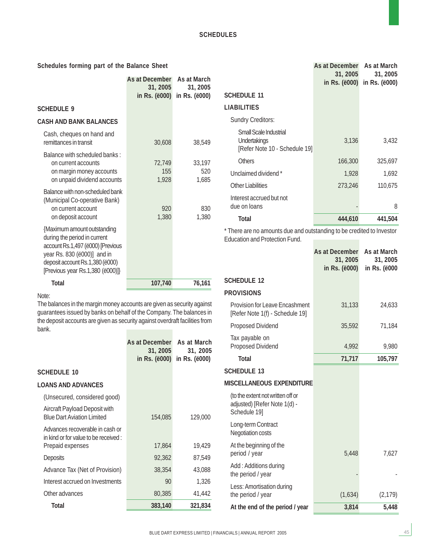#### **Schedules forming part of the Balance Sheet**

|                                                                                                                                                                                                        | As at December As at March<br>31, 2005<br>in Rs. (ë000) | 31, 2005<br>in Rs. (ë000) |  |
|--------------------------------------------------------------------------------------------------------------------------------------------------------------------------------------------------------|---------------------------------------------------------|---------------------------|--|
| <b>SCHEDULE 9</b>                                                                                                                                                                                      |                                                         |                           |  |
| <b>CASH AND BANK BALANCES</b>                                                                                                                                                                          |                                                         |                           |  |
| Cash, cheques on hand and<br>remittances in transit                                                                                                                                                    | 30,608                                                  | 38,549                    |  |
| Balance with scheduled banks:<br>on current accounts<br>on margin money accounts<br>on unpaid dividend accounts                                                                                        | 72,749<br>155<br>1,928                                  | 33,197<br>520<br>1,685    |  |
| Balance with non-scheduled bank<br>(Municipal Co-operative Bank)<br>on current account<br>on deposit account                                                                                           | 920<br>1,380                                            | 830<br>1,380              |  |
| {Maximum amount outstanding<br>during the period in current<br>account Rs.1,497 (ë000) [Previous<br>year Rs. 830 (ë000)] and in<br>deposit account Rs.1,380 (ë000)<br>[Previous year Rs.1,380 (ë000)]} |                                                         |                           |  |
| <b>Total</b>                                                                                                                                                                                           | 107,740                                                 | 76,161                    |  |

#### Note:

The balances in the margin money accounts are given as security against guarantees issued by banks on behalf of the Company. The balances in the deposit accounts are given as security against overdraft facilities from bank.

|                                                                          | As at December<br>31, 2005<br>in Rs. (ë000) | As at March<br>31, 2005<br>in Rs. (ë000) |
|--------------------------------------------------------------------------|---------------------------------------------|------------------------------------------|
| <b>SCHEDULE 10</b>                                                       |                                             |                                          |
| <b>LOANS AND ADVANCES</b>                                                |                                             |                                          |
| (Unsecured, considered good)                                             |                                             |                                          |
| Aircraft Payload Deposit with<br><b>Blue Dart Aviation Limited</b>       | 154,085                                     | 129,000                                  |
| Advances recoverable in cash or<br>in kind or for value to be received : |                                             |                                          |
| Prepaid expenses                                                         | 17,864                                      | 19,429                                   |
| Deposits                                                                 | 92,362                                      | 87,549                                   |
| Advance Tax (Net of Provision)                                           | 38,354                                      | 43,088                                   |
| Interest accrued on Investments                                          | 90                                          | 1,326                                    |
| Other advances                                                           | 80,385                                      | 41,442                                   |
| Total                                                                    | 383,140                                     | 321,834                                  |

|                                                                         | As at December<br>31, 2005<br>in Rs. (ë000) | As at March<br>31, 2005<br>in Rs. (ë000) |
|-------------------------------------------------------------------------|---------------------------------------------|------------------------------------------|
| Schedule 11                                                             |                                             |                                          |
| LIABILITIES                                                             |                                             |                                          |
| <b>Sundry Creditors:</b>                                                |                                             |                                          |
| Small Scale Industrial<br>Undertakings<br>[Refer Note 10 - Schedule 19] | 3,136                                       | 3,432                                    |
| <b>Others</b>                                                           | 166,300                                     | 325,697                                  |
| Unclaimed dividend *                                                    | 1,928                                       | 1,692                                    |
| Other Liabilities                                                       | 273,246                                     | 110,675                                  |
| Interest accrued but not<br>due on loans                                |                                             | 8                                        |
| Total                                                                   | 444,610                                     | 441,504                                  |

\* There are no amounts due and outstanding to be credited to Investor Education and Protection Fund.

|                                                                                  | As at December<br>31, 2005<br>in Rs. (ë000) | As at March<br>31, 2005<br>in Rs. (ë000 |
|----------------------------------------------------------------------------------|---------------------------------------------|-----------------------------------------|
| <b>SCHEDULE 12</b>                                                               |                                             |                                         |
| <b>PROVISIONS</b>                                                                |                                             |                                         |
| <b>Provision for Leave Encashment</b><br>[Refer Note 1(f) - Schedule 19]         | 31,133                                      | 24,633                                  |
| <b>Proposed Dividend</b>                                                         | 35,592                                      | 71,184                                  |
| Tax payable on<br>Proposed Dividend                                              | 4,992                                       | 9,980                                   |
| <b>Total</b>                                                                     | 71,717                                      | 105,797                                 |
| <b>SCHEDULE 13</b>                                                               |                                             |                                         |
| MISCELLANEOUS EXPENDITURE                                                        |                                             |                                         |
| (to the extent not written off or<br>adjusted) [Refer Note 1(d) -<br>Schedule 19 |                                             |                                         |
| Long-term Contract<br>Negotiation costs                                          |                                             |                                         |
| At the beginning of the<br>period / year                                         | 5,448                                       | 7,627                                   |
| Add: Additions during<br>the period / year                                       |                                             |                                         |
| Less: Amortisation during<br>the period / year                                   | (1,634)                                     | (2, 179)                                |
| At the end of the period / year                                                  | 3,814                                       | 5,448                                   |
|                                                                                  |                                             |                                         |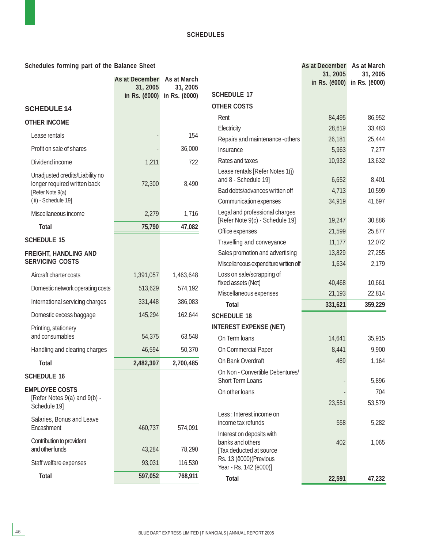| Schedules forming part of the Balance Sheet                     |                        |               |                                                                          | As at December            | As at March               |
|-----------------------------------------------------------------|------------------------|---------------|--------------------------------------------------------------------------|---------------------------|---------------------------|
|                                                                 | As at December         | As at March   |                                                                          | 31, 2005<br>in Rs. (ë000) | 31, 2005<br>in Rs. (ë000) |
|                                                                 | 31, 2005               | 31, 2005      | <b>SCHEDULE 17</b>                                                       |                           |                           |
|                                                                 | in Rs. ( <i>ë000</i> ) | in Rs. (ë000) | <b>OTHER COSTS</b>                                                       |                           |                           |
| <b>SCHEDULE 14</b>                                              |                        |               | Rent                                                                     | 84,495                    | 86,952                    |
| <b>OTHER INCOME</b>                                             |                        |               | Electricity                                                              | 28,619                    | 33,483                    |
| Lease rentals                                                   |                        | 154           | Repairs and maintenance -others                                          | 26,181                    | 25,444                    |
| Profit on sale of shares                                        |                        | 36,000        | Insurance                                                                | 5,963                     | 7,277                     |
| Dividend income                                                 | 1,211                  | 722           | Rates and taxes                                                          | 10,932                    | 13,632                    |
| Unadjusted credits/Liability no<br>longer required written back | 72,300                 | 8,490         | Lease rentals [Refer Notes 1(j)<br>and 8 - Schedule 19]                  | 6,652                     | 8,401                     |
| [Refer Note 9(a)                                                |                        |               | Bad debts/advances written off                                           | 4,713                     | 10,599                    |
| (ii) - Schedule 19]                                             |                        |               | Communication expenses                                                   | 34,919                    | 41,697                    |
| Miscellaneous income                                            | 2,279                  | 1,716         | Legal and professional charges<br>[Refer Note 9(c) - Schedule 19]        | 19,247                    | 30,886                    |
| <b>Total</b>                                                    | 75,790                 | 47,082        | Office expenses                                                          | 21,599                    | 25,877                    |
| <b>SCHEDULE 15</b>                                              |                        |               | Travelling and conveyance                                                | 11,177                    | 12,072                    |
| <b>FREIGHT, HANDLING AND</b>                                    |                        |               | Sales promotion and advertising                                          | 13,829                    | 27,255                    |
| <b>SERVICING COSTS</b>                                          |                        |               | Miscellaneous expenditure written off                                    | 1,634                     | 2,179                     |
| Aircraft charter costs                                          | 1,391,057              | 1,463,648     | Loss on sale/scrapping of                                                |                           |                           |
| Domestic network operating costs                                | 513,629                | 574,192       | fixed assets (Net)<br>Miscellaneous expenses                             | 40,468<br>21,193          | 10,661<br>22,814          |
| International servicing charges                                 | 331,448                | 386,083       | <b>Total</b>                                                             | 331,621                   | 359,229                   |
| Domestic excess baggage                                         | 145,294                | 162,644       | <b>SCHEDULE 18</b>                                                       |                           |                           |
| Printing, stationery                                            |                        |               | <b>INTEREST EXPENSE (NET)</b>                                            |                           |                           |
| and consumables                                                 | 54,375                 | 63,548        | On Term loans                                                            | 14,641                    | 35,915                    |
| Handling and clearing charges                                   | 46,594                 | 50,370        | On Commercial Paper                                                      | 8,441                     | 9,900                     |
| <b>Total</b>                                                    | 2,482,397              | 2,700,485     | On Bank Overdraft                                                        | 469                       | 1,164                     |
| <b>SCHEDULE 16</b>                                              |                        |               | On Non - Convertible Debentures/<br><b>Short Term Loans</b>              |                           | 5,896                     |
| <b>EMPLOYEE COSTS</b>                                           |                        |               | On other loans                                                           |                           | 704                       |
| [Refer Notes 9(a) and 9(b) -<br>Schedule 19]                    |                        |               |                                                                          | 23,551                    | 53,579                    |
| Salaries, Bonus and Leave<br>Encashment                         | 460,737                | 574,091       | Less : Interest income on<br>income tax refunds                          | 558                       | 5,282                     |
| Contribution to provident<br>and other funds                    | 43,284                 | 78,290        | Interest on deposits with<br>banks and others<br>[Tax deducted at source | 402                       | 1,065                     |
| Staff welfare expenses                                          | 93,031                 | 116,530       | Rs. 13 (ë000) (Previous<br>Year - Rs. 142 (ë000)]                        |                           |                           |
| <b>Total</b>                                                    | 597,052                | 768,911       | <b>Total</b>                                                             | 22,591                    | 47,232                    |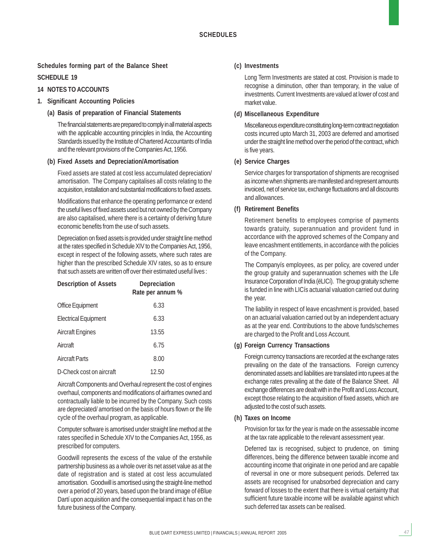#### **Schedules forming part of the Balance Sheet**

#### **SCHEDULE 19**

#### **14 NOTES TO ACCOUNTS**

- **1. Significant Accounting Policies**
	- **(a) Basis of preparation of Financial Statements**

The financial statements are prepared to comply in all material aspects with the applicable accounting principles in India, the Accounting Standards issued by the Institute of Chartered Accountants of India and the relevant provisions of the Companies Act, 1956.

#### **(b) Fixed Assets and Depreciation/Amortisation**

Fixed assets are stated at cost less accumulated depreciation/ amortisation. The Company capitalises all costs relating to the acquisition, installation and substantial modifications to fixed assets.

Modifications that enhance the operating performance or extend the useful lives of fixed assets used but not owned by the Company are also capitalised, where there is a certainty of deriving future economic benefits from the use of such assets.

Depreciation on fixed assets is provided under straight line method at the rates specified in Schedule XIV to the Companies Act, 1956, except in respect of the following assets, where such rates are higher than the prescribed Schedule XIV rates, so as to ensure that such assets are written off over their estimated useful lives :

| <b>Description of Assets</b> | Depreciation<br>Rate per annum % |
|------------------------------|----------------------------------|
| Office Equipment             | 6.33                             |
| <b>Electrical Equipment</b>  | 6.33                             |
| <b>Aircraft Engines</b>      | 13.55                            |
| Aircraft                     | 6.75                             |
| <b>Aircraft Parts</b>        | 8.00                             |
| D-Check cost on aircraft     | 12.50                            |

Aircraft Components and Overhaul represent the cost of engines overhaul, components and modifications of airframes owned and contractually liable to be incurred by the Company. Such costs are depreciated/ amortised on the basis of hours flown or the life cycle of the overhaul program, as applicable.

Computer software is amortised under straight line method at the rates specified in Schedule XIV to the Companies Act, 1956, as prescribed for computers.

Goodwill represents the excess of the value of the erstwhile partnership business as a whole over its net asset value as at the date of registration and is stated at cost less accumulated amortisation. Goodwill is amortised using the straight-line method over a period of 20 years, based upon the brand image of ëBlue Dartí upon acquisition and the consequential impact it has on the future business of the Company.

#### **(c) Investments**

Long Term Investments are stated at cost. Provision is made to recognise a diminution, other than temporary, in the value of investments. Current Investments are valued at lower of cost and market value.

#### **(d) Miscellaneous Expenditure**

Miscellaneous expenditure constituting long-term contract negotiation costs incurred upto March 31, 2003 are deferred and amortised under the straight line method over the period of the contract, which is five years.

#### **(e) Service Charges**

Service charges for transportation of shipments are recognised as income when shipments are manifested and represent amounts invoiced, net of service tax, exchange fluctuations and all discounts and allowances.

#### **(f) Retirement Benefits**

Retirement benefits to employees comprise of payments towards gratuity, superannuation and provident fund in accordance with the approved schemes of the Company and leave encashment entitlements, in accordance with the policies of the Company.

The Companyís employees, as per policy, are covered under the group gratuity and superannuation schemes with the Life Insurance Corporation of India (ëLICí). The group gratuity scheme is funded in line with LICís actuarial valuation carried out during the year.

The liability in respect of leave encashment is provided, based on an actuarial valuation carried out by an independent actuary as at the year end. Contributions to the above funds/schemes are charged to the Profit and Loss Account.

#### **(g) Foreign Currency Transactions**

Foreign currency transactions are recorded at the exchange rates prevailing on the date of the transactions. Foreign currency denominated assets and liabilities are translated into rupees at the exchange rates prevailing at the date of the Balance Sheet. All exchange differences are dealt with in the Profit and Loss Account, except those relating to the acquisition of fixed assets, which are adjusted to the cost of such assets.

#### **(h) Taxes on Income**

Provision for tax for the year is made on the assessable income at the tax rate applicable to the relevant assessment year.

Deferred tax is recognised, subject to prudence, on timing differences, being the difference between taxable income and accounting income that originate in one period and are capable of reversal in one or more subsequent periods. Deferred tax assets are recognised for unabsorbed depreciation and carry forward of losses to the extent that there is virtual certainty that sufficient future taxable income will be available against which such deferred tax assets can be realised.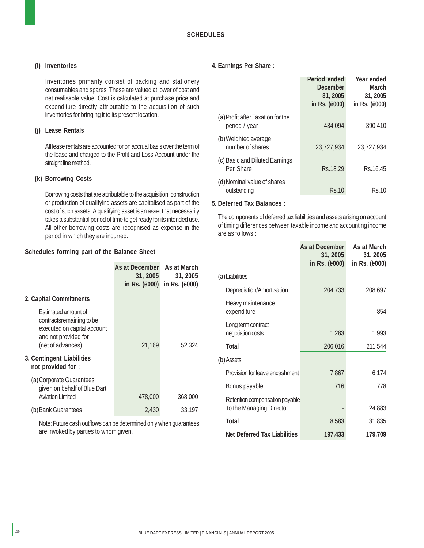#### **(i) Inventories**

Inventories primarily consist of packing and stationery consumables and spares. These are valued at lower of cost and net realisable value. Cost is calculated at purchase price and expenditure directly attributable to the acquisition of such inventories for bringing it to its present location.

#### **(j) Lease Rentals**

All lease rentals are accounted for on accrual basis over the term of the lease and charged to the Profit and Loss Account under the straight line method.

#### **(k) Borrowing Costs**

Borrowing costs that are attributable to the acquisition, construction or production of qualifying assets are capitalised as part of the cost of such assets. A qualifying asset is an asset that necessarily takes a substantial period of time to get ready for its intended use. All other borrowing costs are recognised as expense in the period in which they are incurred.

#### **Schedules forming part of the Balance Sheet**

|                                                                                                                                     | As at December<br>31, 2005<br>in Rs. (ë000) | As at March<br>31, 2005<br>in Rs. (ë000) |
|-------------------------------------------------------------------------------------------------------------------------------------|---------------------------------------------|------------------------------------------|
| 2. Capital Commitments                                                                                                              |                                             |                                          |
| <b>Estimated amount of</b><br>contracts remaining to be<br>executed on capital account<br>and not provided for<br>(net of advances) | 21,169                                      | 52,324                                   |
| 3. Contingent Liabilities<br>not provided for :                                                                                     |                                             |                                          |
| (a) Corporate Guarantees<br>given on behalf of Blue Dart<br>Aviation Limited                                                        | 478,000                                     | 368,000                                  |
| (b) Bank Guarantees                                                                                                                 | 2,430                                       | 33,197                                   |

Note: Future cash outflows can be determined only when guarantees are invoked by parties to whom given.

#### **4. Earnings Per Share :**

|                                                    | Period ended<br>December<br>31, 2005<br>in Rs. ( <i>ë</i> 000) | Year ended<br><b>March</b><br>31, 2005<br>in Rs. (ë000) |
|----------------------------------------------------|----------------------------------------------------------------|---------------------------------------------------------|
| (a) Profit after Taxation for the<br>period / year | 434,094                                                        | 390,410                                                 |
| (b) Weighted average<br>number of shares           | 23.727.934                                                     | 23,727,934                                              |
| (c) Basic and Diluted Earnings<br>Per Share        | Rs.18.29                                                       | Rs.16.45                                                |
| (d) Nominal value of shares<br>outstanding         | Rs.10                                                          | Rs.10                                                   |

#### **5. Deferred Tax Balances :**

The components of deferred tax liabilities and assets arising on account of timing differences between taxable income and accounting income are as follows :

|                                                            | As at December<br>31, 2005<br>in Rs. (ë000) | As at March<br>31, 2005<br>in Rs. (ë000) |
|------------------------------------------------------------|---------------------------------------------|------------------------------------------|
| (a) Liabilities                                            |                                             |                                          |
| Depreciation/Amortisation                                  | 204,733                                     | 208,697                                  |
| Heavy maintenance<br>expenditure                           |                                             | 854                                      |
| Long term contract<br>negotiation costs                    | 1,283                                       | 1,993                                    |
| <b>Total</b>                                               | 206,016                                     | 211,544                                  |
| (b) Assets                                                 |                                             |                                          |
| Provision for leave encashment                             | 7,867                                       | 6,174                                    |
| Bonus payable                                              | 716                                         | 778                                      |
| Retention compensation payable<br>to the Managing Director |                                             | 24,883                                   |
| <b>Total</b>                                               | 8,583                                       | 31,835                                   |
| <b>Net Deferred Tax Liabilities</b>                        | 197,433                                     | 179,709                                  |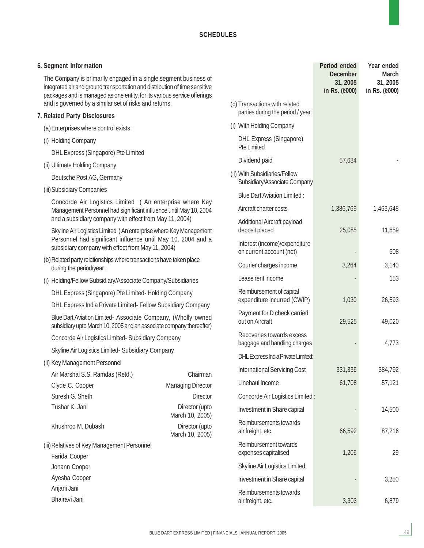| 6. Segment Information                                                                                                                                                                                                      |                                   |                                                                                                                                      | Period ended                                 | Year ended                                |
|-----------------------------------------------------------------------------------------------------------------------------------------------------------------------------------------------------------------------------|-----------------------------------|--------------------------------------------------------------------------------------------------------------------------------------|----------------------------------------------|-------------------------------------------|
| The Company is primarily engaged in a single segment business of<br>integrated air and ground transportation and distribution of time sensitive<br>packages and is managed as one entity, for its various service offerings |                                   |                                                                                                                                      | <b>December</b><br>31, 2005<br>in Rs. (ë000) | <b>March</b><br>31, 2005<br>in Rs. (ë000) |
| and is governed by a similar set of risks and returns.                                                                                                                                                                      |                                   | (c) Transactions with related<br>parties during the period / year:                                                                   |                                              |                                           |
| 7. Related Party Disclosures                                                                                                                                                                                                |                                   | (i) With Holding Company                                                                                                             |                                              |                                           |
| (a) Enterprises where control exists:                                                                                                                                                                                       |                                   |                                                                                                                                      |                                              |                                           |
| (i) Holding Company                                                                                                                                                                                                         |                                   | <b>DHL Express (Singapore)</b><br><b>Pte Limited</b>                                                                                 |                                              |                                           |
| DHL Express (Singapore) Pte Limited                                                                                                                                                                                         |                                   | Dividend paid                                                                                                                        | 57,684                                       |                                           |
| (ii) Ultimate Holding Company                                                                                                                                                                                               |                                   |                                                                                                                                      |                                              |                                           |
| Deutsche Post AG, Germany                                                                                                                                                                                                   |                                   | (ii) With Subsidiaries/Fellow<br>Subsidiary/Associate Company                                                                        |                                              |                                           |
| (iii) Subsidiary Companies                                                                                                                                                                                                  |                                   | <b>Blue Dart Aviation Limited:</b>                                                                                                   |                                              |                                           |
| Concorde Air Logistics Limited (An enterprise where Key                                                                                                                                                                     |                                   |                                                                                                                                      |                                              |                                           |
| Management Personnel had significant influence until May 10, 2004<br>and a subsidiary company with effect from May 11, 2004)                                                                                                |                                   | Aircraft charter costs<br>Additional Aircraft payload<br>deposit placed<br>Interest (income)/expenditure<br>on current account (net) | 1,386,769                                    | 1,463,648                                 |
|                                                                                                                                                                                                                             |                                   |                                                                                                                                      | 25,085                                       | 11,659                                    |
| Skyline Air Logistics Limited (An enterprise where Key Management<br>Personnel had significant influence until May 10, 2004 and a                                                                                           |                                   |                                                                                                                                      |                                              |                                           |
| subsidiary company with effect from May 11, 2004)                                                                                                                                                                           |                                   |                                                                                                                                      |                                              | 608                                       |
| (b) Related party relationships where transactions have taken place<br>during the period/year :                                                                                                                             |                                   | Courier charges income                                                                                                               | 3,264                                        | 3,140                                     |
| (i) Holding/Fellow Subsidiary/Associate Company/Subsidiaries                                                                                                                                                                |                                   | Lease rent income                                                                                                                    |                                              | 153                                       |
| DHL Express (Singapore) Pte Limited-Holding Company                                                                                                                                                                         |                                   | Reimbursement of capital                                                                                                             |                                              |                                           |
| DHL Express India Private Limited- Fellow Subsidiary Company                                                                                                                                                                |                                   | expenditure incurred (CWIP)                                                                                                          | 1,030                                        | 26,593                                    |
| Blue Dart Aviation Limited- Associate Company, (Wholly owned<br>subsidiary upto March 10, 2005 and an associate company thereafter)                                                                                         |                                   | Payment for D check carried<br>out on Aircraft                                                                                       | 29,525                                       | 49,020                                    |
| Concorde Air Logistics Limited- Subsidiary Company                                                                                                                                                                          |                                   | Recoveries towards excess                                                                                                            |                                              |                                           |
| Skyline Air Logistics Limited- Subsidiary Company                                                                                                                                                                           |                                   | baggage and handling charges                                                                                                         |                                              | 4,773                                     |
| (ii) Key Management Personnel                                                                                                                                                                                               |                                   | DHL Express India Private Limited:                                                                                                   |                                              |                                           |
| Air Marshal S.S. Ramdas (Retd.)                                                                                                                                                                                             | Chairman                          | <b>International Servicing Cost</b>                                                                                                  | 331,336                                      | 384,792                                   |
| Clyde C. Cooper                                                                                                                                                                                                             | <b>Managing Director</b>          | Linehaul Income                                                                                                                      | 61,708                                       | 57,121                                    |
| Suresh G. Sheth                                                                                                                                                                                                             | <b>Director</b>                   | Concorde Air Logistics Limited:                                                                                                      |                                              |                                           |
| Tushar K. Jani                                                                                                                                                                                                              | Director (upto                    | Investment in Share capital                                                                                                          |                                              | 14,500                                    |
|                                                                                                                                                                                                                             | March 10, 2005)                   | Reimbursements towards                                                                                                               |                                              |                                           |
| Khushroo M. Dubash                                                                                                                                                                                                          | Director (upto<br>March 10, 2005) | air freight, etc.                                                                                                                    | 66,592                                       | 87,216                                    |
| (iii) Relatives of Key Management Personnel                                                                                                                                                                                 |                                   | Reimbursement towards                                                                                                                |                                              |                                           |
| Farida Cooper                                                                                                                                                                                                               |                                   | expenses capitalised                                                                                                                 | 1,206                                        | 29                                        |
| Johann Cooper                                                                                                                                                                                                               |                                   | Skyline Air Logistics Limited:                                                                                                       |                                              |                                           |
| Ayesha Cooper                                                                                                                                                                                                               |                                   | Investment in Share capital                                                                                                          |                                              | 3,250                                     |
| Anjani Jani<br>Bhairavi Jani                                                                                                                                                                                                |                                   | Reimbursements towards<br>air freight, etc.                                                                                          | 3,303                                        | 6,879                                     |

49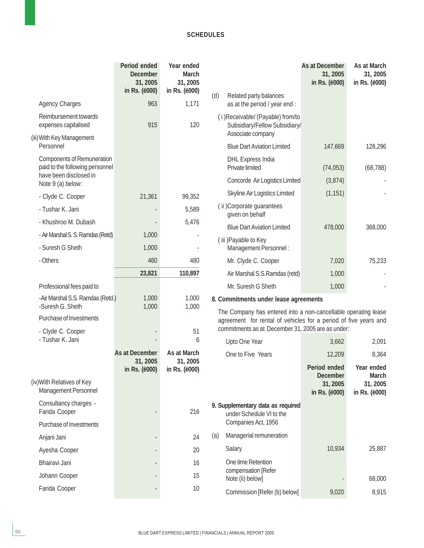|                                                                      | Period ended<br><b>December</b><br>31, 2005<br>in Rs. (ë000) | Year ended<br><b>March</b><br>31, 2005<br>in Rs. (ë000) |                                                                                                                                   |                                                                                         | As at December<br>31, 2005<br>in Rs. (ë000)  | As at March<br>31, 2005<br>in Rs. (ë000)  |  |
|----------------------------------------------------------------------|--------------------------------------------------------------|---------------------------------------------------------|-----------------------------------------------------------------------------------------------------------------------------------|-----------------------------------------------------------------------------------------|----------------------------------------------|-------------------------------------------|--|
| <b>Agency Charges</b>                                                | 963                                                          | 1,171                                                   | (d)                                                                                                                               | Related party balances<br>as at the period / year end :                                 |                                              |                                           |  |
| Reimbursement towards<br>expenses capitalised                        | 915                                                          | 120                                                     |                                                                                                                                   | (i) Receivable/ (Payable) from/to<br>Subsidiary/Fellow Subsidiary/<br>Associate company |                                              |                                           |  |
| (iii) With Key Management<br>Personnel                               |                                                              |                                                         |                                                                                                                                   | <b>Blue Dart Aviation Limited</b>                                                       | 147,669                                      | 128,296                                   |  |
| <b>Components of Remuneration</b><br>paid to the following personnel |                                                              |                                                         |                                                                                                                                   | <b>DHL Express India</b><br>Private limited                                             | (74, 053)                                    | (68, 788)                                 |  |
| have been disclosed in<br>Note 9 (a) below:                          |                                                              |                                                         |                                                                                                                                   | Concorde Air Logistics Limited                                                          | (3,874)                                      |                                           |  |
| - Clyde C. Cooper                                                    | 21,361                                                       | 99,352                                                  |                                                                                                                                   | Skyline Air Logistics Limited                                                           | (1, 151)                                     |                                           |  |
| - Tushar K. Jani                                                     |                                                              | 5,589                                                   |                                                                                                                                   | (ii) Corporate guarantees<br>given on behalf                                            |                                              |                                           |  |
| - Khushroo M. Dubash                                                 |                                                              | 5,476                                                   |                                                                                                                                   | <b>Blue Dart Aviation Limited</b>                                                       | 478,000                                      | 368,000                                   |  |
| - Air Marshal S. S. Ramdas (Retd)                                    | 1,000                                                        |                                                         |                                                                                                                                   | (iii) Payable to Key                                                                    |                                              |                                           |  |
| - Suresh G Sheth                                                     | 1,000                                                        |                                                         |                                                                                                                                   | Management Personnel:                                                                   |                                              |                                           |  |
| - Others                                                             | 460                                                          | 480                                                     |                                                                                                                                   | Mr. Clyde C. Cooper                                                                     | 7,020                                        | 75,233                                    |  |
|                                                                      | 23,821                                                       | 110,897                                                 |                                                                                                                                   | Air Marshal S.S.Ramdas (retd)                                                           | 1,000                                        |                                           |  |
| Professional fees paid to                                            |                                                              |                                                         |                                                                                                                                   | Mr. Suresh G Sheth                                                                      | 1,000                                        |                                           |  |
| -Air Marshal S.S. Ramdas (Retd.)<br>-Suresh G. Sheth                 | 1,000<br>1,000                                               | 1,000<br>1,000                                          |                                                                                                                                   | 8. Commitments under lease agreements                                                   |                                              |                                           |  |
| Purchase of Investments                                              |                                                              |                                                         | The Company has entered into a non-cancellable operating lease<br>agreement for rental of vehicles for a period of five years and |                                                                                         |                                              |                                           |  |
| - Clyde C. Cooper<br>- Tushar K. Jani                                |                                                              | 51<br>6                                                 |                                                                                                                                   | commitments as at December 31, 2005 are as under:<br>Upto One Year                      | 3,662                                        | 2,091                                     |  |
|                                                                      | <b>As at December</b>                                        | As at March                                             |                                                                                                                                   | One to Five Years                                                                       | 12,209                                       | 8,364                                     |  |
|                                                                      | 31, 2005                                                     | 31, 2005                                                |                                                                                                                                   |                                                                                         | Period ended                                 | Year ended                                |  |
| (iv) With Relatives of Key<br>Management Personnel                   | in Rs. (ë000)                                                | in Rs. (ë000)                                           |                                                                                                                                   |                                                                                         | <b>December</b><br>31, 2005<br>in Rs. (ë000) | <b>March</b><br>31, 2005<br>in Rs. (ë000) |  |
| Consultancy charges -<br>Farida Cooper                               |                                                              | 216                                                     |                                                                                                                                   | 9. Supplementary data as required<br>under Schedule VI to the                           |                                              |                                           |  |
| Purchase of Investments                                              |                                                              |                                                         |                                                                                                                                   | Companies Act, 1956                                                                     |                                              |                                           |  |
| Anjani Jani                                                          |                                                              | 24                                                      | (a)                                                                                                                               | Managerial remuneration                                                                 |                                              |                                           |  |
| Ayesha Cooper                                                        |                                                              | 20                                                      |                                                                                                                                   | Salary                                                                                  | 10,934                                       | 25,887                                    |  |
| Bhairavi Jani                                                        |                                                              | 16                                                      |                                                                                                                                   | One time Retention                                                                      |                                              |                                           |  |
| Johann Cooper                                                        |                                                              | 15                                                      |                                                                                                                                   | compensation [Refer<br>Note (ii) below]                                                 |                                              | 68,000                                    |  |
| Farida Cooper                                                        |                                                              | 10                                                      |                                                                                                                                   | Commission [Refer (b) below]                                                            | 9,020                                        | 8,915                                     |  |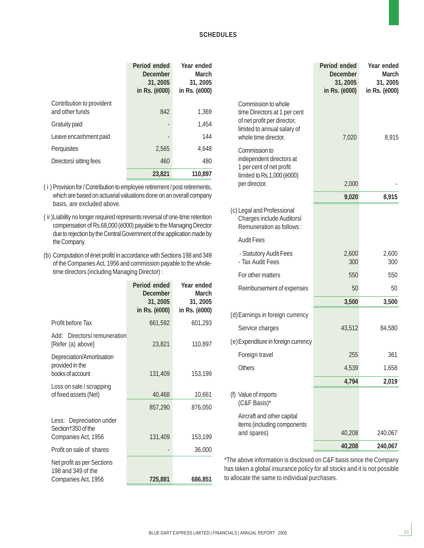|                                              | Period ended<br><b>December</b><br>31, 2005<br>in Rs. (ë000) | Year ended<br><b>March</b><br>31, 2005<br>in Rs. (ë000) |
|----------------------------------------------|--------------------------------------------------------------|---------------------------------------------------------|
| Contribution to provident<br>and other funds | 842                                                          | 1.369                                                   |
| Gratuity paid                                |                                                              | 1.454                                                   |
| Leave encashment paid                        |                                                              | 144                                                     |
| Perguisites                                  | 2.565                                                        | 4.648                                                   |
| Directorsí sitting fees                      | 460                                                          | 480                                                     |
|                                              | 23,821                                                       | 110,897                                                 |

( i ) Provision for / Contribution to employee retirement / post retirements, which are based on actuarial valuations done on an overall company basis, are excluded above.

- ( ii )Liability no longer required represents reversal of one-time retention compensation of Rs.68,000 (ë000) payable to the Managing Director due to rejection by the Central Government of the application made by the Company.
- (b) Computation of ënet profití in accordance with Sections 198 and 349 of the Companies Act, 1956 and commission payable to the wholetime directors (including Managing Director) :

|                                                                       | Period ended<br><b>December</b><br>31, 2005<br>in Rs. (ë000) | Year ended<br>March<br>31, 2005<br>in Rs. (ë000) |
|-----------------------------------------------------------------------|--------------------------------------------------------------|--------------------------------------------------|
| Profit before Tax                                                     | 661,592                                                      | 601,293                                          |
| Add: Directorsí remuneration<br>[Refer (a) above]                     | 23,821                                                       | 110,897                                          |
| Depreciation/Amortisation<br>provided in the<br>books of account      | 131,409                                                      | 153,199                                          |
| Loss on sale / scrapping<br>of fixed assets (Net)                     | 40,468                                                       | 10,661                                           |
|                                                                       | 857,290                                                      | 876,050                                          |
| Less: Depreciation under<br>Section†350 of the<br>Companies Act, 1956 | 131,409                                                      | 153,199                                          |
| Profit on sale of shares                                              |                                                              | 36,000                                           |
| Net profit as per Sections<br>198 and 349 of the                      |                                                              |                                                  |
| Companies Act, 1956                                                   | 725,881                                                      | 686,851                                          |

|                                                                                                                                           | Period ended<br><b>December</b><br>31, 2005<br>in Rs. (ë000) | Year ended<br><b>March</b><br>31, 2005<br>in Rs. (ë000) |
|-------------------------------------------------------------------------------------------------------------------------------------------|--------------------------------------------------------------|---------------------------------------------------------|
| Commission to whole<br>time Directors at 1 per cent<br>of net profit per director,<br>limited to annual salary of<br>whole time director. | 7,020                                                        | 8,915                                                   |
| Commission to<br>independent directors at<br>1 per cent of net profit<br>limited to Rs.1,000 (ë000)                                       |                                                              |                                                         |
| per director.                                                                                                                             | 2,000                                                        |                                                         |
|                                                                                                                                           | 9,020                                                        | 8,915                                                   |
| (c) Legal and Professional<br>Charges include Auditorsí<br>Remuneration as follows:                                                       |                                                              |                                                         |
| <b>Audit Fees</b>                                                                                                                         |                                                              |                                                         |
| - Statutory Audit Fees<br>- Tax Audit Fees                                                                                                | 2,600<br>300                                                 | 2,600<br>300                                            |
| For other matters                                                                                                                         | 550                                                          | 550                                                     |
| Reimbursement of expenses                                                                                                                 | 50                                                           | 50                                                      |
|                                                                                                                                           | 3,500                                                        | 3,500                                                   |
| (d) Earnings in foreign currency                                                                                                          |                                                              |                                                         |
| Service charges                                                                                                                           | 43,512                                                       | 84,580                                                  |
| (e) Expenditure in foreign currency                                                                                                       |                                                              |                                                         |
| Foreign travel                                                                                                                            | 255                                                          | 361                                                     |
| Others                                                                                                                                    | 4,539                                                        | 1,658                                                   |
|                                                                                                                                           | 4,794                                                        | 2,019                                                   |
| (f) Value of imports<br>(C&F Basis)*                                                                                                      |                                                              |                                                         |
| Aircraft and other capital<br>items (including components                                                                                 |                                                              |                                                         |
| and spares)                                                                                                                               | 40,208                                                       | 240,067                                                 |
|                                                                                                                                           | 40,208                                                       | 240,067                                                 |

\*The above information is disclosed on C&F basis since the Company has taken a global insurance policy for all stocks and it is not possible to allocate the same to individual purchases.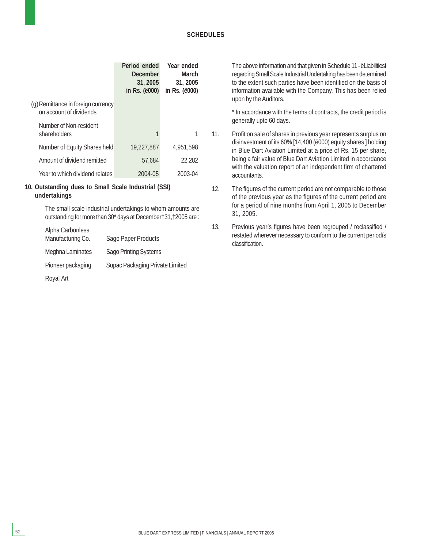|                                                               | Period ended<br>December<br>31, 2005<br>in Rs. (ë000) | Year ended<br>March<br>31, 2005<br>in Rs. (ë000) |
|---------------------------------------------------------------|-------------------------------------------------------|--------------------------------------------------|
| (g) Remittance in foreign currency<br>on account of dividends |                                                       |                                                  |
| Number of Non-resident<br>shareholders                        | 1                                                     |                                                  |
| Number of Equity Shares held                                  | 19,227,887                                            | 4.951.598                                        |
| Amount of dividend remitted                                   | 57.684                                                | 22,282                                           |
| Year to which dividend relates                                | 2004-05                                               | 2003-04                                          |

#### **10. Outstanding dues to Small Scale Industrial (SSI) undertakings**

The small scale industrial undertakings to whom amounts are outstanding for more than 30\* days at December†31,†2005 are :

| Alpha Carbonless  |                                 |
|-------------------|---------------------------------|
| Manufacturing Co. | Sago Paper Products             |
| Meghna Laminates  | <b>Sago Printing Systems</b>    |
| Pioneer packaging | Supac Packaging Private Limited |

Royal Art

The above information and that given in Schedule 11 - ëLiabilitiesí regarding Small Scale Industrial Undertaking has been determined to the extent such parties have been identified on the basis of information available with the Company. This has been relied upon by the Auditors.

\* In accordance with the terms of contracts, the credit period is generally upto 60 days.

- 11. Profit on sale of shares in previous year represents surplus on disinvestment of its 60% [14,400 (ë000) equity shares ] holding in Blue Dart Aviation Limited at a price of Rs. 15 per share, being a fair value of Blue Dart Aviation Limited in accordance with the valuation report of an independent firm of chartered accountants.
- 12. The figures of the current period are not comparable to those of the previous year as the figures of the current period are for a period of nine months from April 1, 2005 to December 31, 2005.
- 13. Previous yearís figures have been regrouped / reclassified / restated wherever necessary to conform to the current periodís classification.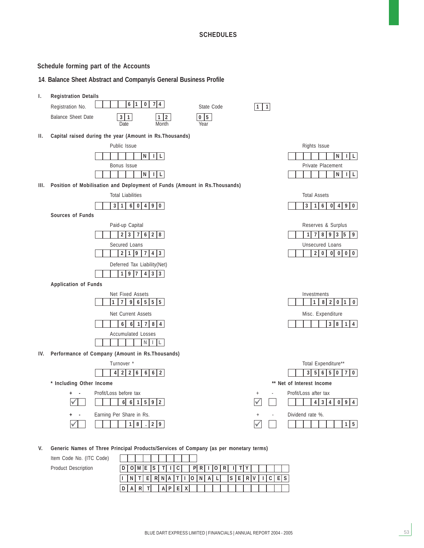#### **Schedule forming part of the Accounts**

#### **14**. **Balance Sheet Abstract and Companyís General Business Profile**



**V. Generic Names of Three Principal Products/Services of Company (as per monetary terms)**

Item Code No. (ITC Code) **Product Description** 

|  |  | $D[0 0 0]E[S T 1]C]$   $P[R 1 0 R 1 T Y $ |  |  |  |  |  |  |  |  |  |
|--|--|-------------------------------------------|--|--|--|--|--|--|--|--|--|
|  |  | I NTERNATIONAL SERVICES                   |  |  |  |  |  |  |  |  |  |
|  |  |                                           |  |  |  |  |  |  |  |  |  |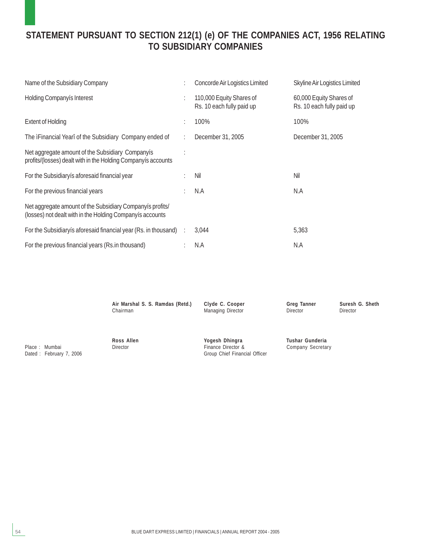### **STATEMENT PURSUANT TO SECTION 212(1) (e) OF THE COMPANIES ACT, 1956 RELATING TO SUBSIDIARY COMPANIES**

| Name of the Subsidiary Company                                                                                         |   | Concorde Air Logistics Limited                        | Skyline Air Logistics Limited                        |
|------------------------------------------------------------------------------------------------------------------------|---|-------------------------------------------------------|------------------------------------------------------|
| <b>Holding Companyis Interest</b>                                                                                      | ÷ | 110,000 Equity Shares of<br>Rs. 10 each fully paid up | 60,000 Equity Shares of<br>Rs. 10 each fully paid up |
| <b>Extent of Holding</b>                                                                                               |   | 100%                                                  | 100%                                                 |
| The iFinancial Yearî of the Subsidiary Company ended of                                                                |   | December 31, 2005                                     | December 31, 2005                                    |
| Net aggregate amount of the Subsidiary Companyis<br>profits/(losses) dealt with in the Holding Companyis accounts      |   |                                                       |                                                      |
| For the Subsidiary is aforesaid financial year                                                                         |   | Nil                                                   | Nil                                                  |
| For the previous financial years                                                                                       |   | N.A                                                   | N.A                                                  |
| Net aggregate amount of the Subsidiary Companyis profits/<br>(losses) not dealt with in the Holding Companyis accounts |   |                                                       |                                                      |
| For the Subsidiary is aforesaid financial year (Rs. in thousand) :                                                     |   | 3,044                                                 | 5,363                                                |
| For the previous financial years (Rs.in thousand)                                                                      |   | N.A                                                   | N.A                                                  |

| Air Marshal S. S. Ramdas (Retd.) | Clyde C. Cooper                                                       | <b>Greg Tanner</b>                   | Suresh G. Sheth |
|----------------------------------|-----------------------------------------------------------------------|--------------------------------------|-----------------|
| Chairman                         | <b>Managing Director</b>                                              | <b>Director</b>                      | <b>Director</b> |
| Ross Allen<br><b>Director</b>    | Yogesh Dhingra<br>Finance Director &<br>Group Chief Financial Officer | Tushar Gunderia<br>Company Secretary |                 |

Place : Mumbai Dated : February 7, 2006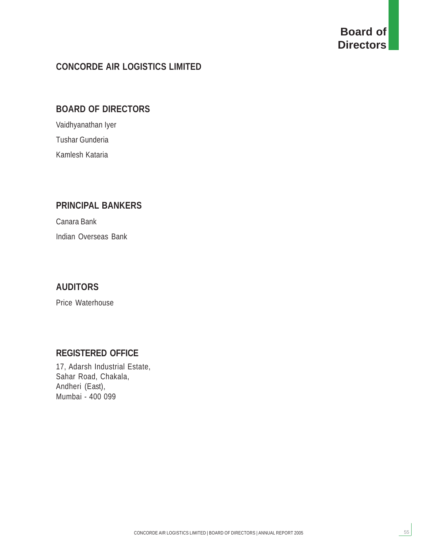# **Board of Directors**

55

### **CONCORDE AIR LOGISTICS LIMITED**

### **BOARD OF DIRECTORS**

Vaidhyanathan Iyer Tushar Gunderia Kamlesh Kataria

### **PRINCIPAL BANKERS**

Canara Bank Indian Overseas Bank

### **AUDITORS**

Price Waterhouse

### **REGISTERED OFFICE**

17, Adarsh Industrial Estate, Sahar Road, Chakala, Andheri (East), Mumbai - 400 099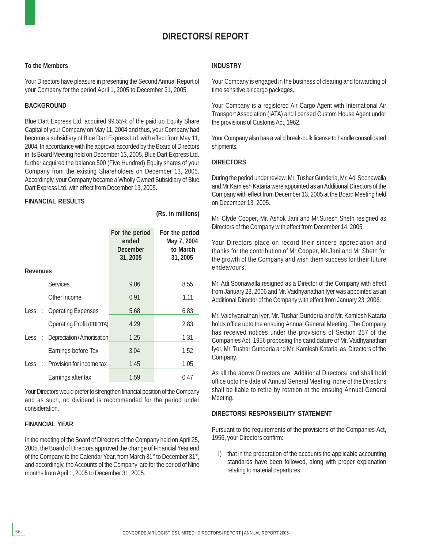### **DIRECTORSí REPORT**

#### **To the Members**

Your Directors have pleasure in presenting the Second Annual Report of your Company for the period April 1, 2005 to December 31, 2005.

#### **BACKGROUND**

Blue Dart Express Ltd. acquired 99.55% of the paid up Equity Share Capital of your Company on May 11, 2004 and thus, your Company had become a subsidiary of Blue Dart Express Ltd. with effect from May 11, 2004. In accordance with the approval accorded by the Board of Directors in its Board Meeting held on December 13, 2005, Blue Dart Express Ltd. further acquired the balance 500 (Five Hundred) Equity shares of your Company from the existing Shareholders on December 13, 2005. Accordingly, your Company became a Wholly Owned Subsidiary of Blue Dart Express Ltd. with effect from December 13, 2005.

#### **FINANCIAL RESULTS**

**(Rs. in millions) For the period For the period ended May 7, 2004** December to March **31, 2005 31, 2005 Revenues** Services 9.06 8.55 Other Income 0.91 1.11 Less : Operating Expenses 6.83 Operating Profit (EBIDTA) 4.29 2.83 Less : Depreciation/Amortisation 1.25 1.31 Earnings before Tax 3.04 1.52 Less : Provision for income tax 1.45 1.05 Earnings after tax 1.59 0.47

Your Directors would prefer to strengthen financial position of the Company and as such, no dividend is recommended for the period under consideration.

#### **FINANCIAL YEAR**

In the meeting of the Board of Directors of the Company held on April 25, 2005, the Board of Directors approved the change of Financial Year end of the Company to the Calendar Year, from March 31<sup>st</sup> to December 31<sup>st</sup>, and accordingly, the Accounts of the Company are for the period of Nine months from April 1, 2005 to December 31, 2005.

#### **INDUSTRY**

Your Company is engaged in the business of clearing and forwarding of time sensitive air cargo packages.

Your Company is a registered Air Cargo Agent with International Air Transport Association (IATA) and licensed Custom House Agent under the provisions of Customs Act, 1962.

Your Company also has a valid break-bulk license to handle consolidated shipments.

#### **DIRECTORS**

During the period under review, Mr. Tushar Gunderia, Mr. Adi Soonawalla and Mr.Kamlesh Kataria were appointed as an Additional Directors of the Company with effect from December 13, 2005 at the Board Meeting held on December 13, 2005.

Mr. Clyde Cooper, Mr. Ashok Jani and Mr.Suresh Sheth resigned as Directors of the Company with effect from December 14, 2005.

Your Directors place on record their sincere appreciation and thanks for the contribution of Mr.Cooper, Mr.Jani and Mr.Sheth for the growth of the Company and wish them success for their future endeavours.

Mr. Adi Soonawalla resigned as a Director of the Company with effect from January 23, 2006 and Mr. Vaidhyanathan Iyer was appointed as an Additional Director of the Company with effect from January 23, 2006.

Mr. Vaidhyanathan Iyer, Mr. Tushar Gunderia and Mr. Kamlesh Kataria holds office upto the ensuing Annual General Meeting. The Company has received notices under the provisions of Section 257 of the Companies Act, 1956 proposing the candidature of Mr. Vaidhyanathan Iyer, Mr. Tushar Gunderia and Mr. Kamlesh Kataria as Directors of the Company.

As all the above Directors are `Additional Directorsí and shall hold office upto the date of Annual General Meeting, none of the Directors shall be liable to retire by rotation at the ensuing Annual General Meeting.

#### **DIRECTORSí RESPONSIBILITY STATEMENT**

Pursuant to the requirements of the provisions of the Companies Act, 1956, your Directors confirm:

I) that in the preparation of the accounts the applicable accounting standards have been followed, along with proper explanation relating to material departures;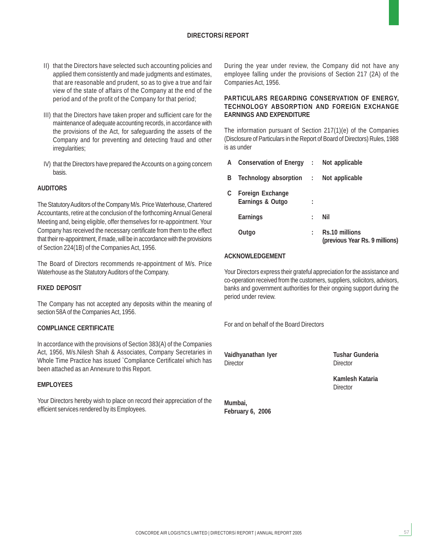#### **DIRECTORSí REPORT**

- II) that the Directors have selected such accounting policies and applied them consistently and made judgments and estimates, that are reasonable and prudent, so as to give a true and fair view of the state of affairs of the Company at the end of the period and of the profit of the Company for that period;
- III) that the Directors have taken proper and sufficient care for the maintenance of adequate accounting records, in accordance with the provisions of the Act, for safeguarding the assets of the Company and for preventing and detecting fraud and other irregularities;
- IV) that the Directors have prepared the Accounts on a going concern basis.

#### **AUDITORS**

The Statutory Auditors of the Company M/s. Price Waterhouse, Chartered Accountants, retire at the conclusion of the forthcoming Annual General Meeting and, being eligible, offer themselves for re-appointment. Your Company has received the necessary certificate from them to the effect that their re-appointment, if made, will be in accordance with the provisions of Section 224(1B) of the Companies Act, 1956.

The Board of Directors recommends re-appointment of M/s. Price Waterhouse as the Statutory Auditors of the Company.

#### **FIXED DEPOSIT**

The Company has not accepted any deposits within the meaning of section 58A of the Companies Act, 1956.

#### **COMPLIANCE CERTIFICATE**

In accordance with the provisions of Section 383(A) of the Companies Act, 1956, M/s.Nilesh Shah & Associates, Company Secretaries in Whole Time Practice has issued `Compliance Certificateí which has been attached as an Annexure to this Report.

#### **EMPLOYEES**

Your Directors hereby wish to place on record their appreciation of the efficient services rendered by its Employees.

During the year under review, the Company did not have any employee falling under the provisions of Section 217 (2A) of the Companies Act, 1956.

#### **PARTICULARS REGARDING CONSERVATION OF ENERGY, TECHNOLOGY ABSORPTION AND FOREIGN EXCHANGE EARNINGS AND EXPENDITURE**

The information pursuant of Section 217(1)(e) of the Companies (Disclosure of Particulars in the Report of Board of Directors) Rules, 1988 is as under

|    | A Conservation of Energy : Not applicable   |   |                                                  |
|----|---------------------------------------------|---|--------------------------------------------------|
| B  | Technology absorption : Not applicable      |   |                                                  |
| C. | <b>Foreign Exchange</b><br>Earnings & Outgo |   |                                                  |
|    | <b>Earnings</b>                             | t | Nil                                              |
|    | Outgo                                       |   | Rs.10 millions<br>(previous Year Rs. 9 millions) |

#### **ACKNOWLEDGEMENT**

Your Directors express their grateful appreciation for the assistance and co-operation received from the customers, suppliers, solicitors, advisors, banks and government authorities for their ongoing support during the period under review.

For and on behalf of the Board Directors

**Vaidhyanathan Iyer Tushar Gunderia** Director Director

**Kamlesh Kataria Director** 

57

**Mumbai, February 6, 2006**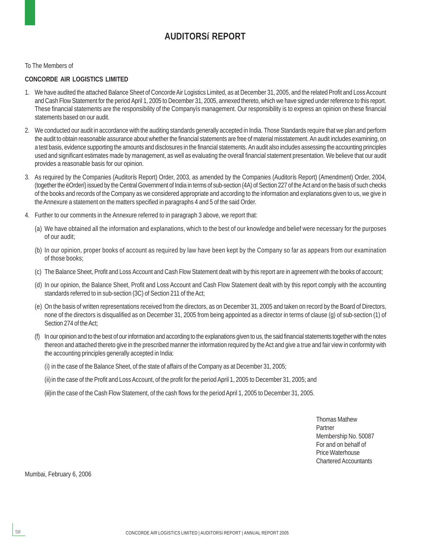### **AUDITORSí REPORT**

To The Members of

#### **CONCORDE AIR LOGISTICS LIMITED**

- 1. We have audited the attached Balance Sheet of Concorde Air Logistics Limited, as at December 31, 2005, and the related Profit and Loss Account and Cash Flow Statement for the period April 1, 2005 to December 31, 2005, annexed thereto, which we have signed under reference to this report. These financial statements are the responsibility of the Companyís management. Our responsibility is to express an opinion on these financial statements based on our audit.
- 2. We conducted our audit in accordance with the auditing standards generally accepted in India. Those Standards require that we plan and perform the audit to obtain reasonable assurance about whether the financial statements are free of material misstatement. An audit includes examining, on a test basis, evidence supporting the amounts and disclosures in the financial statements. An audit also includes assessing the accounting principles used and significant estimates made by management, as well as evaluating the overall financial statement presentation. We believe that our audit provides a reasonable basis for our opinion.
- 3. As required by the Companies (Auditorís Report) Order, 2003, as amended by the Companies (Auditorís Report) (Amendment) Order, 2004, (together the ëOrderí) issued by the Central Government of India in terms of sub-section (4A) of Section 227 of the Act and on the basis of such checks of the books and records of the Company as we considered appropriate and according to the information and explanations given to us, we give in the Annexure a statement on the matters specified in paragraphs 4 and 5 of the said Order.
- 4. Further to our comments in the Annexure referred to in paragraph 3 above, we report that:
	- (a) We have obtained all the information and explanations, which to the best of our knowledge and belief were necessary for the purposes of our audit;
	- (b) In our opinion, proper books of account as required by law have been kept by the Company so far as appears from our examination of those books;
	- (c) The Balance Sheet, Profit and Loss Account and Cash Flow Statement dealt with by this report are in agreement with the books of account;
	- (d) In our opinion, the Balance Sheet, Profit and Loss Account and Cash Flow Statement dealt with by this report comply with the accounting standards referred to in sub-section (3C) of Section 211 of the Act;
	- (e) On the basis of written representations received from the directors, as on December 31, 2005 and taken on record by the Board of Directors, none of the directors is disqualified as on December 31, 2005 from being appointed as a director in terms of clause (g) of sub-section (1) of Section 274 of the Act;
	- (f) In our opinion and to the best of our information and according to the explanations given to us, the said financial statements together with the notes thereon and attached thereto give in the prescribed manner the information required by the Act and give a true and fair view in conformity with the accounting principles generally accepted in India:
		- (i) in the case of the Balance Sheet, of the state of affairs of the Company as at December 31, 2005;
		- (ii)in the case of the Profit and Loss Account, of the profit for the period April 1, 2005 to December 31, 2005; and

(iii)in the case of the Cash Flow Statement, of the cash flows for the period April 1, 2005 to December 31, 2005.

Thomas Mathew Partner Membership No. 50087 For and on behalf of Price Waterhouse Chartered Accountants

Mumbai, February 6, 2006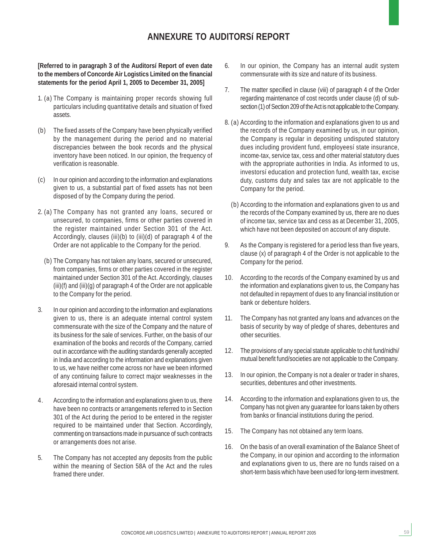### **ANNEXURE TO AUDITORSí REPORT**

**[Referred to in paragraph 3 of the Auditorsí Report of even date to the members of Concorde Air Logistics Limited on the financial statements for the period April 1, 2005 to December 31, 2005]**

- 1. (a) The Company is maintaining proper records showing full particulars including quantitative details and situation of fixed assets.
- (b) The fixed assets of the Company have been physically verified by the management during the period and no material discrepancies between the book records and the physical inventory have been noticed. In our opinion, the frequency of verification is reasonable.
- (c) In our opinion and according to the information and explanations given to us, a substantial part of fixed assets has not been disposed of by the Company during the period.
- 2. (a) The Company has not granted any loans, secured or unsecured, to companies, firms or other parties covered in the register maintained under Section 301 of the Act. Accordingly, clauses (iii)(b) to (iii)(d) of paragraph 4 of the Order are not applicable to the Company for the period.
	- (b) The Company has not taken any loans, secured or unsecured, from companies, firms or other parties covered in the register maintained under Section 301 of the Act. Accordingly, clauses (iii)(f) and (iii)(g) of paragraph 4 of the Order are not applicable to the Company for the period.
- 3. In our opinion and according to the information and explanations given to us, there is an adequate internal control system commensurate with the size of the Company and the nature of its business for the sale of services. Further, on the basis of our examination of the books and records of the Company, carried out in accordance with the auditing standards generally accepted in India and according to the information and explanations given to us, we have neither come across nor have we been informed of any continuing failure to correct major weaknesses in the aforesaid internal control system.
- 4. According to the information and explanations given to us, there have been no contracts or arrangements referred to in Section 301 of the Act during the period to be entered in the register required to be maintained under that Section. Accordingly, commenting on transactions made in pursuance of such contracts or arrangements does not arise.
- 5. The Company has not accepted any deposits from the public within the meaning of Section 58A of the Act and the rules framed there under.
- 6. In our opinion, the Company has an internal audit system commensurate with its size and nature of its business.
- 7. The matter specified in clause (viii) of paragraph 4 of the Order regarding maintenance of cost records under clause (d) of subsection (1) of Section 209 of the Act is not applicable to the Company.
- 8. (a) According to the information and explanations given to us and the records of the Company examined by us, in our opinion, the Company is regular in depositing undisputed statutory dues including provident fund, employeesí state insurance, income-tax, service tax, cess and other material statutory dues with the appropriate authorities in India. As informed to us, investorsí education and protection fund, wealth tax, excise duty, customs duty and sales tax are not applicable to the Company for the period.
	- (b) According to the information and explanations given to us and the records of the Company examined by us, there are no dues of income tax, service tax and cess as at December 31, 2005, which have not been deposited on account of any dispute.
- 9. As the Company is registered for a period less than five years, clause (x) of paragraph 4 of the Order is not applicable to the Company for the period.
- 10. According to the records of the Company examined by us and the information and explanations given to us, the Company has not defaulted in repayment of dues to any financial institution or bank or debenture holders.
- 11. The Company has not granted any loans and advances on the basis of security by way of pledge of shares, debentures and other securities.
- 12. The provisions of any special statute applicable to chit fund/nidhi/ mutual benefit fund/societies are not applicable to the Company.
- 13. In our opinion, the Company is not a dealer or trader in shares, securities, debentures and other investments.
- 14. According to the information and explanations given to us, the Company has not given any guarantee for loans taken by others from banks or financial institutions during the period.
- 15. The Company has not obtained any term loans.
- 16. On the basis of an overall examination of the Balance Sheet of the Company, in our opinion and according to the information and explanations given to us, there are no funds raised on a short-term basis which have been used for long-term investment.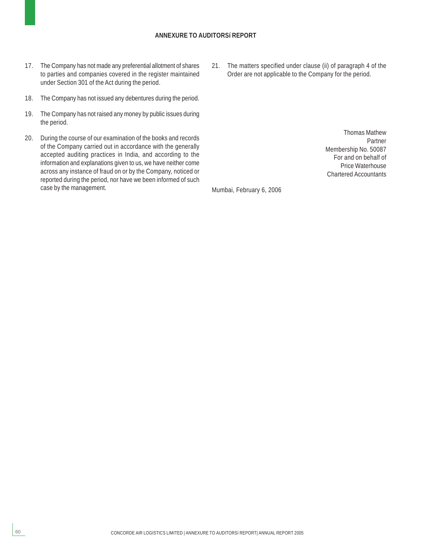#### **ANNEXURE TO AUDITORSí REPORT**

- 17. The Company has not made any preferential allotment of shares to parties and companies covered in the register maintained under Section 301 of the Act during the period.
- 18. The Company has not issued any debentures during the period.
- 19. The Company has not raised any money by public issues during the period.
- 20. During the course of our examination of the books and records of the Company carried out in accordance with the generally accepted auditing practices in India, and according to the information and explanations given to us, we have neither come across any instance of fraud on or by the Company, noticed or reported during the period, nor have we been informed of such case by the management.

21. The matters specified under clause (ii) of paragraph 4 of the Order are not applicable to the Company for the period.

> Thomas Mathew Partner Membership No. 50087 For and on behalf of Price Waterhouse Chartered Accountants

Mumbai, February 6, 2006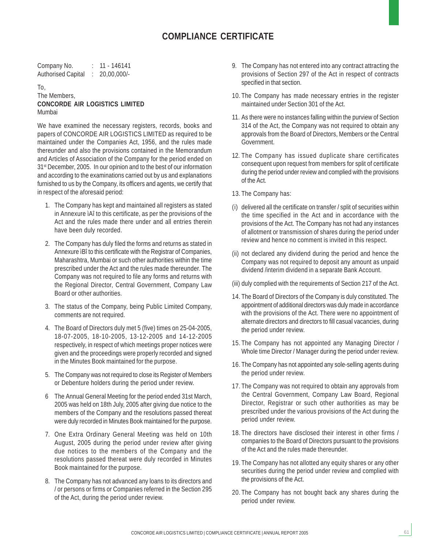### **COMPLIANCE CERTIFICATE**

Company No. : 11 - 146141 Authorised Capital : 20,00,000/-

#### To, The Members, **CONCORDE AIR LOGISTICS LIMITED** Mumbai

We have examined the necessary registers, records, books and papers of CONCORDE AIR LOGISTICS LIMITED as required to be maintained under the Companies Act, 1956, and the rules made thereunder and also the provisions contained in the Memorandum and Articles of Association of the Company for the period ended on 31<sup>st</sup> December, 2005. In our opinion and to the best of our information and according to the examinations carried out by us and explanations furnished to us by the Company, its officers and agents, we certify that in respect of the aforesaid period:

- 1. The Company has kept and maintained all registers as stated in Annexure ìAî to this certificate, as per the provisions of the Act and the rules made there under and all entries therein have been duly recorded.
- 2. The Company has duly filed the forms and returns as stated in Annexure ìBî to this certificate with the Registrar of Companies, Maharashtra, Mumbai or such other authorities within the time prescribed under the Act and the rules made thereunder. The Company was not required to file any forms and returns with the Regional Director, Central Government, Company Law Board or other authorities.
- 3. The status of the Company, being Public Limited Company, comments are not required.
- 4. The Board of Directors duly met 5 (five) times on 25-04-2005, 18-07-2005, 18-10-2005, 13-12-2005 and 14-12-2005 respectively, in respect of which meetings proper notices were given and the proceedings were properly recorded and signed in the Minutes Book maintained for the purpose.
- 5. The Company was not required to close its Register of Members or Debenture holders during the period under review.
- 6 The Annual General Meeting for the period ended 31st March, 2005 was held on 18th July, 2005 after giving due notice to the members of the Company and the resolutions passed thereat were duly recorded in Minutes Book maintained for the purpose.
- 7. One Extra Ordinary General Meeting was held on 10th August, 2005 during the period under review after giving due notices to the members of the Company and the resolutions passed thereat were duly recorded in Minutes Book maintained for the purpose.
- 8. The Company has not advanced any loans to its directors and / or persons or firms or Companies referred in the Section 295 of the Act, during the period under review.
- 9. The Company has not entered into any contract attracting the provisions of Section 297 of the Act in respect of contracts specified in that section.
- 10. The Company has made necessary entries in the register maintained under Section 301 of the Act.
- 11. As there were no instances falling within the purview of Section 314 of the Act, the Company was not required to obtain any approvals from the Board of Directors, Members or the Central Government.
- 12. The Company has issued duplicate share certificates consequent upon request from members for split of certificate during the period under review and complied with the provisions of the Act.
- 13. The Company has:
- (i) delivered all the certificate on transfer / split of securities within the time specified in the Act and in accordance with the provisions of the Act. The Company has not had any instances of allotment or transmission of shares during the period under review and hence no comment is invited in this respect.
- (ii) not declared any dividend during the period and hence the Company was not required to deposit any amount as unpaid dividend /interim dividend in a separate Bank Account.
- (iii) duly complied with the requirements of Section 217 of the Act.
- 14. The Board of Directors of the Company is duly constituted. The appointment of additional directors was duly made in accordance with the provisions of the Act. There were no appointment of alternate directors and directors to fill casual vacancies, during the period under review.
- 15. The Company has not appointed any Managing Director / Whole time Director / Manager during the period under review.
- 16. The Company has not appointed any sole-selling agents during the period under review.
- 17. The Company was not required to obtain any approvals from the Central Government, Company Law Board, Regional Director, Registrar or such other authorities as may be prescribed under the various provisions of the Act during the period under review.
- 18. The directors have disclosed their interest in other firms / companies to the Board of Directors pursuant to the provisions of the Act and the rules made thereunder.
- 19. The Company has not allotted any equity shares or any other securities during the period under review and complied with the provisions of the Act.
- 20. The Company has not bought back any shares during the period under review.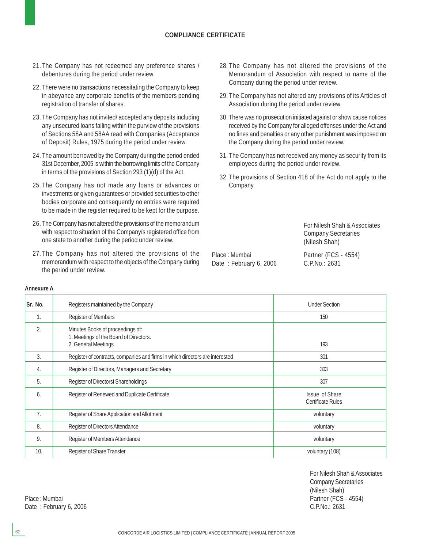#### **COMPLIANCE CERTIFICATE**

- 21. The Company has not redeemed any preference shares / debentures during the period under review.
- 22. There were no transactions necessitating the Company to keep in abeyance any corporate benefits of the members pending registration of transfer of shares.
- 23. The Company has not invited/ accepted any deposits including any unsecured loans falling within the purview of the provisions of Sections 58A and 58AA read with Companies (Acceptance of Deposit) Rules, 1975 during the period under review.
- 24. The amount borrowed by the Company during the period ended 31st December, 2005 is within the borrowing limits of the Company in terms of the provisions of Section 293 (1)(d) of the Act.
- 25. The Company has not made any loans or advances or investments or given guarantees or provided securities to other bodies corporate and consequently no entries were required to be made in the register required to be kept for the purpose.
- 26. The Company has not altered the provisions of the memorandum with respect to situation of the Companyís registered office from one state to another during the period under review.
- 27. The Company has not altered the provisions of the memorandum with respect to the objects of the Company during the period under review.
- 28. The Company has not altered the provisions of the Memorandum of Association with respect to name of the Company during the period under review.
- 29. The Company has not altered any provisions of its Articles of Association during the period under review.
- 30. There was no prosecution initiated against or show cause notices received by the Company for alleged offenses under the Act and no fines and penalties or any other punishment was imposed on the Company during the period under review.
- 31. The Company has not received any money as security from its employees during the period under review.
- 32. The provisions of Section 418 of the Act do not apply to the Company.

For Nilesh Shah & Associates Company Secretaries (Nilesh Shah)

Date: February 6, 2006 C.P.No.: 2631

Place : Mumbai Partner (FCS - 4554)

| Sr. No.        | Registers maintained by the Company                                                               | <b>Under Section</b>                       |
|----------------|---------------------------------------------------------------------------------------------------|--------------------------------------------|
| $\mathbf{1}$ . | <b>Register of Members</b>                                                                        | 150                                        |
| 2.             | Minutes Books of proceedings of:<br>1. Meetings of the Board of Directors.<br>2. General Meetings | 193                                        |
| 3.             | Register of contracts, companies and firms in which directors are interested                      | 301                                        |
| 4.             | Register of Directors, Managers and Secretary                                                     | 303                                        |
| 5.             | Register of Directorsí Shareholdings                                                              | 307                                        |
| 6.             | Register of Renewed and Duplicate Certificate                                                     | Issue of Share<br><b>Certificate Rules</b> |
| 7 <sub>1</sub> | Register of Share Application and Allotment                                                       | voluntary                                  |
| 8.             | Register of Directors Attendance                                                                  | voluntary                                  |
| 9.             | Register of Members Attendance                                                                    | voluntary                                  |
| 10.            | Register of Share Transfer                                                                        | voluntary (108)                            |

For Nilesh Shah & Associates Company Secretaries (Nilesh Shah) Place : Mumbai Partner (FCS - 4554)

**Annexure A**

Date : February 6, 2006 C.P.No.: 2631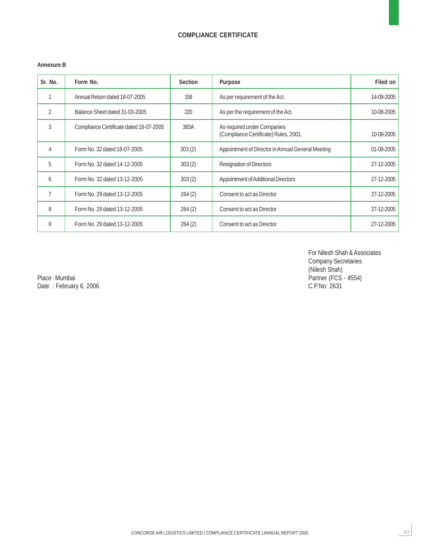### **COMPLIANCE CERTIFICATE**

#### **Annexure B**

| Sr. No.        | Form No.                                | <b>Section</b> | <b>Purpose</b>                                                       | Filed on   |
|----------------|-----------------------------------------|----------------|----------------------------------------------------------------------|------------|
|                | Annual Return dated 18-07-2005          | 159            | As per requirement of the Act.                                       | 14-09-2005 |
| $\mathfrak{D}$ | Balance Sheet dated 31-03-2005          | 220            | As per the requirement of the Act.                                   | 10-08-2005 |
| 3              | Compliance Certificate dated 18-07-2005 | 383A           | As required under Companies<br>(Compliance Certificate) Rules, 2001. | 10-08-2005 |
| $\overline{4}$ | Form No. 32 dated 18-07-2005            | 303(2)         | Appointment of Director in Annual General Meeting                    | 01-08-2005 |
| 5              | Form No. 32 dated 14-12-2005            | 303(2)         | <b>Resignation of Directors</b>                                      | 27-12-2005 |
| 6              | Form No. 32 dated 13-12-2005            | 303(2)         | <b>Appointment of Additional Directors</b>                           | 27-12-2005 |
| 7              | Form No. 29 dated 13-12-2005            | 264(2)         | Consent to act as Director                                           | 27-12-2005 |
| 8              | Form No. 29 dated 13-12-2005            | 264(2)         | Consent to act as Director                                           | 27-12-2005 |
| 9              | Form No. 29 dated 13-12-2005            | 264(2)         | Consent to act as Director                                           | 27-12-2005 |

For Nilesh Shah & Associates Company Secretaries (Nilesh Shah)

Place : Mumbai Partner (FCS - 4554) Date : February 6, 2006 C.P.No: 2631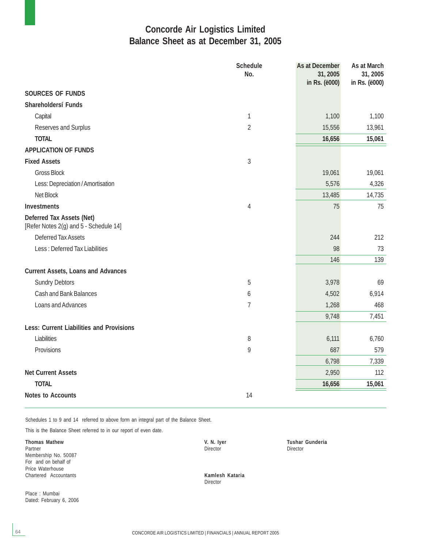### **Concorde Air Logistics Limited Balance Sheet as at December 31, 2005**

|                                                                     | <b>Schedule</b><br>No. | As at December<br>31, 2005<br>in Rs. (ë000) | As at March<br>31, 2005<br>in Rs. (ë000) |
|---------------------------------------------------------------------|------------------------|---------------------------------------------|------------------------------------------|
| <b>SOURCES OF FUNDS</b>                                             |                        |                                             |                                          |
| Shareholdersí Funds                                                 |                        |                                             |                                          |
| Capital                                                             | $\mathbf{1}$           | 1,100                                       | 1,100                                    |
| Reserves and Surplus                                                | $\overline{2}$         | 15,556                                      | 13,961                                   |
| <b>TOTAL</b>                                                        |                        | 16,656                                      | 15,061                                   |
| <b>APPLICATION OF FUNDS</b>                                         |                        |                                             |                                          |
| <b>Fixed Assets</b>                                                 | $\sqrt{3}$             |                                             |                                          |
| <b>Gross Block</b>                                                  |                        | 19,061                                      | 19,061                                   |
| Less: Depreciation / Amortisation                                   |                        | 5,576                                       | 4,326                                    |
| Net Block                                                           |                        | 13,485                                      | 14,735                                   |
| <b>Investments</b>                                                  | $\overline{4}$         | 75                                          | 75                                       |
| Deferred Tax Assets (Net)<br>[Refer Notes 2(g) and 5 - Schedule 14] |                        |                                             |                                          |
| <b>Deferred Tax Assets</b>                                          |                        | 244                                         | 212                                      |
| Less: Deferred Tax Liabilities                                      |                        | 98                                          | 73                                       |
|                                                                     |                        | 146                                         | 139                                      |
| <b>Current Assets, Loans and Advances</b>                           |                        |                                             |                                          |
| <b>Sundry Debtors</b>                                               | 5                      | 3,978                                       | 69                                       |
| <b>Cash and Bank Balances</b>                                       | 6                      | 4,502                                       | 6,914                                    |
| Loans and Advances                                                  | $\overline{1}$         | 1,268                                       | 468                                      |
|                                                                     |                        | 9,748                                       | 7,451                                    |
| <b>Less: Current Liabilities and Provisions</b>                     |                        |                                             |                                          |
| Liabilities                                                         | 8                      | 6,111                                       | 6,760                                    |
| Provisions                                                          | 9                      | 687                                         | 579                                      |
|                                                                     |                        | 6,798                                       | 7,339                                    |
| <b>Net Current Assets</b>                                           |                        | 2,950                                       | 112                                      |
| <b>TOTAL</b>                                                        |                        | 16,656                                      | 15,061                                   |
| <b>Notes to Accounts</b>                                            | 14                     |                                             |                                          |

Schedules 1 to 9 and 14 referred to above form an integral part of the Balance Sheet.

This is the Balance Sheet referred to in our report of even date.

**Thomas Mathew Community Community Community Community Community Community Community Community Community Community Community Community Community Community Community Community Community Community Community Community Communi** Partner **Director** Director **Director** Director **Director** Director **Director** Director Membership No. 50087 For and on behalf of Price Waterhouse Chartered Accountants **Kamlesh Kataria**

Place : Mumbai Dated: February 6, 2006

Director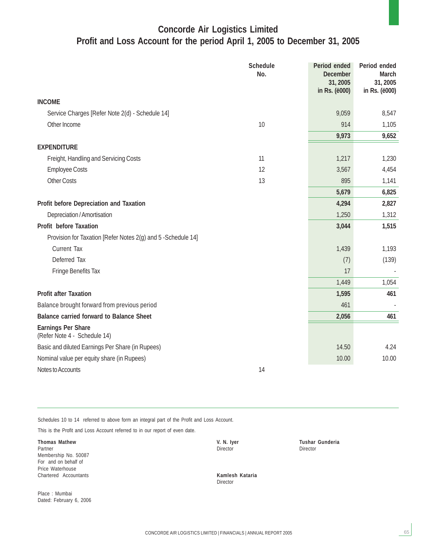### **Concorde Air Logistics Limited Profit and Loss Account for the period April 1, 2005 to December 31, 2005**

|                                                               | <b>Schedule</b><br>No. | Period ended<br><b>December</b><br>31, 2005<br>in Rs. (ë000) | Period ended<br><b>March</b><br>31,2005<br>in Rs. (ë000) |
|---------------------------------------------------------------|------------------------|--------------------------------------------------------------|----------------------------------------------------------|
| <b>INCOME</b>                                                 |                        |                                                              |                                                          |
| Service Charges [Refer Note 2(d) - Schedule 14]               |                        | 9,059                                                        | 8,547                                                    |
| Other Income                                                  | 10                     | 914                                                          | 1,105                                                    |
|                                                               |                        | 9,973                                                        | 9,652                                                    |
| <b>EXPENDITURE</b>                                            |                        |                                                              |                                                          |
| Freight, Handling and Servicing Costs                         | 11                     | 1,217                                                        | 1,230                                                    |
| <b>Employee Costs</b>                                         | 12                     | 3,567                                                        | 4,454                                                    |
| <b>Other Costs</b>                                            | 13                     | 895                                                          | 1,141                                                    |
|                                                               |                        | 5,679                                                        | 6,825                                                    |
| Profit before Depreciation and Taxation                       |                        | 4,294                                                        | 2,827                                                    |
| Depreciation / Amortisation                                   |                        | 1,250                                                        | 1,312                                                    |
| <b>Profit before Taxation</b>                                 |                        | 3,044                                                        | 1,515                                                    |
| Provision for Taxation [Refer Notes 2(g) and 5 - Schedule 14] |                        |                                                              |                                                          |
| <b>Current Tax</b>                                            |                        | 1,439                                                        | 1,193                                                    |
| Deferred Tax                                                  |                        | (7)                                                          | (139)                                                    |
| <b>Fringe Benefits Tax</b>                                    |                        | 17                                                           |                                                          |
|                                                               |                        | 1,449                                                        | 1,054                                                    |
| <b>Profit after Taxation</b>                                  |                        | 1,595                                                        | 461                                                      |
| Balance brought forward from previous period                  |                        | 461                                                          |                                                          |
| <b>Balance carried forward to Balance Sheet</b>               |                        | 2,056                                                        | 461                                                      |
| <b>Earnings Per Share</b><br>(Refer Note 4 - Schedule 14)     |                        |                                                              |                                                          |
| Basic and diluted Earnings Per Share (in Rupees)              |                        | 14.50                                                        | 4.24                                                     |
| Nominal value per equity share (in Rupees)                    |                        | 10.00                                                        | 10.00                                                    |
| Notes to Accounts                                             | 14                     |                                                              |                                                          |

Schedules 10 to 14 referred to above form an integral part of the Profit and Loss Account.

This is the Profit and Loss Account referred to in our report of even date.

**Thomas Mathew Community Community Community Community Community Community Community Community Community Community Community Community Community Community Community Community Community Community Community Community Communi** Partner **Director** Director **Director** Director **Director** Director **Director** Director Membership No. 50087 For and on behalf of Price Waterhouse Chartered Accountants **Kamlesh Kataria**

Place : Mumbai Dated: February 6, 2006

Director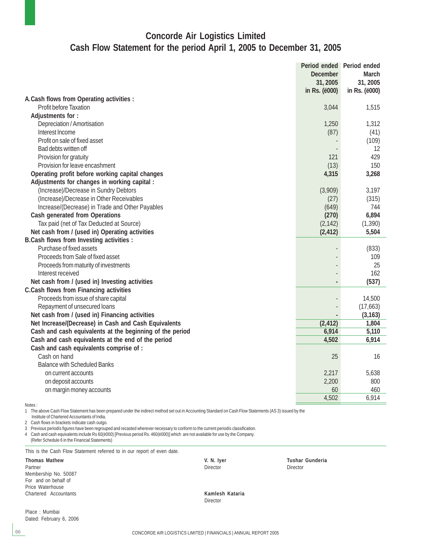### **Concorde Air Logistics Limited Cash Flow Statement for the period April 1, 2005 to December 31, 2005**

|                                                          | Period ended Period ended<br><b>December</b><br>31, 2005<br>in Rs. ( <i>ë000</i> ) | <b>March</b><br>31, 2005<br>in Rs. (ë000) |
|----------------------------------------------------------|------------------------------------------------------------------------------------|-------------------------------------------|
| A. Cash flows from Operating activities :                |                                                                                    |                                           |
| Profit before Taxation                                   | 3,044                                                                              | 1,515                                     |
| Adjustments for:                                         |                                                                                    |                                           |
| Depreciation / Amortisation                              | 1,250                                                                              | 1,312                                     |
| Interest Income                                          | (87)                                                                               | (41)                                      |
| Profit on sale of fixed asset                            |                                                                                    | (109)                                     |
| Bad debts written off                                    |                                                                                    | 12                                        |
| Provision for gratuity                                   | 121                                                                                | 429                                       |
| Provision for leave encashment                           | (13)                                                                               | 150                                       |
| Operating profit before working capital changes          | 4,315                                                                              | 3,268                                     |
| Adjustments for changes in working capital :             |                                                                                    |                                           |
| (Increase)/Decrease in Sundry Debtors                    | (3,909)                                                                            | 3,197                                     |
| (Increase)/Decrease in Other Receivables                 | (27)                                                                               | (315)                                     |
| Increase/(Decrease) in Trade and Other Payables          | (649)                                                                              | 744                                       |
| <b>Cash generated from Operations</b>                    | (270)                                                                              | 6,894                                     |
| Tax paid (net of Tax Deducted at Source)                 | (2, 142)                                                                           | (1, 390)                                  |
| Net cash from / (used in) Operating activities           | (2, 412)                                                                           | 5,504                                     |
| <b>B.Cash flows from Investing activities :</b>          |                                                                                    |                                           |
| Purchase of fixed assets                                 |                                                                                    | (833)                                     |
| Proceeds from Sale of fixed asset                        |                                                                                    | 109                                       |
| Proceeds from maturity of investments                    |                                                                                    | 25                                        |
| Interest received                                        |                                                                                    | 162                                       |
| Net cash from / (used in) Investing activities           |                                                                                    | (537)                                     |
| <b>C.Cash flows from Financing activities</b>            |                                                                                    |                                           |
| Proceeds from issue of share capital                     |                                                                                    | 14,500                                    |
| Repayment of unsecured loans                             |                                                                                    | (17,663)                                  |
| Net cash from / (used in) Financing activities           |                                                                                    | (3, 163)                                  |
| Net Increase/(Decrease) in Cash and Cash Equivalents     | (2, 412)                                                                           | 1,804                                     |
| Cash and cash equivalents at the beginning of the period | 6,914                                                                              | 5,110                                     |
| Cash and cash equivalents at the end of the period       | 4,502                                                                              | 6,914                                     |
| Cash and cash equivalents comprise of :                  |                                                                                    |                                           |
| Cash on hand                                             | 25                                                                                 | 16                                        |
| <b>Balance with Scheduled Banks</b>                      |                                                                                    |                                           |
| on current accounts                                      | 2,217                                                                              | 5,638                                     |
| on deposit accounts                                      | 2,200                                                                              | 800                                       |
| on margin money accounts                                 | 60                                                                                 | 460                                       |
|                                                          | 4,502                                                                              | 6,914                                     |
| Notes:                                                   |                                                                                    |                                           |

1 The above Cash Flow Statement has been prepared under the indirect method set out in Accounting Standard on Cash Flow Statements (AS 3) issued by the

Institute of Chartered Accountants of India.

2 Cash flows in brackets indicate cash outgo.

3 Previous periodís figures have been regrouped and recasted wherever necessary to conform to the current periodís classification.

4 Cash and cash equivalents include Rs 60(ë000) [Previous period Rs. 460(ë000)] which are not available for use by the Company. (Refer Schedule 6 in the Financial Statements)

This is the Cash Flow Statement referred to in our report of even date.

Partner **Director** Director **Director** Director **Director** Director **Director** Director Membership No. 50087 For and on behalf of Price Waterhouse Chartered Accountants **Kamlesh Kataria**

Place : Mumbai Dated: February 6, 2006

**Thomas Mathew Tushar Gunderia**<br>
Partner Mathew **V. N. Iyer** Tushar Gunderia<br>
Director Director Director Director

Director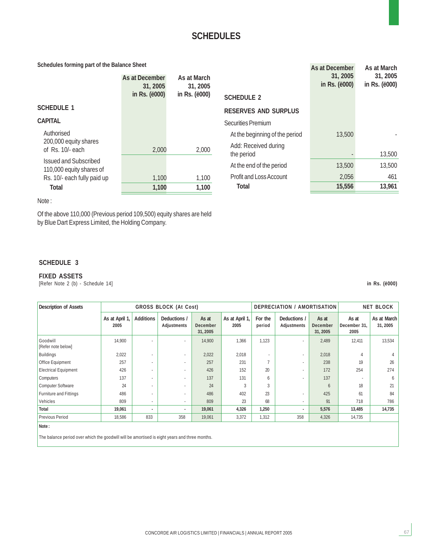#### **Schedules forming part of the Balance Sheet**

| Schedules forming part of the Balance Sheet              |                            |                         |                                    | As at December                     | As at March                        |
|----------------------------------------------------------|----------------------------|-------------------------|------------------------------------|------------------------------------|------------------------------------|
|                                                          | As at December<br>31, 2005 | As at March<br>31, 2005 |                                    | 31, 2005<br>in Rs. ( <i>ë000</i> ) | 31, 2005<br>in Rs. ( <i>ë000</i> ) |
|                                                          | in Rs. ( <i>ë000</i> )     | in Rs. ( <i>ë</i> 000)  | <b>SCHEDULE 2</b>                  |                                    |                                    |
| <b>SCHEDULE 1</b>                                        |                            |                         | <b>RESERVES AND SURPLUS</b>        |                                    |                                    |
| <b>CAPITAL</b>                                           |                            |                         | Securities Premium                 |                                    |                                    |
| Authorised                                               |                            |                         | At the beginning of the period     | 13,500                             |                                    |
| 200,000 equity shares<br>of Rs. 10/- each                | 2,000                      | 2,000                   | Add: Received during<br>the period |                                    | 13,500                             |
| <b>Issued and Subscribed</b><br>110,000 equity shares of |                            |                         | At the end of the period           | 13,500                             | 13,500                             |
| Rs. 10/- each fully paid up                              | 1,100                      | 1,100                   | <b>Profit and Loss Account</b>     | 2,056                              | 461                                |
| <b>Total</b>                                             | 1,100                      | 1,100                   | <b>Total</b>                       | 15,556                             | 13,961                             |

Note :

Of the above 110,000 (Previous period 109,500) equity shares are held by Blue Dart Express Limited, the Holding Company.

#### **SCHEDULE 3**

#### **FIXED ASSETS**

[Refer Note 2 (b) - Schedule 14] **in Rs. (ë000)**

67

| <b>Description of Assets</b>   | <b>GROSS BLOCK (At Cost)</b> |                          |                                    |                               | DEPRECIATION / AMORTISATION |                   | <b>NET BLOCK</b>                   |                                     |                               |                         |
|--------------------------------|------------------------------|--------------------------|------------------------------------|-------------------------------|-----------------------------|-------------------|------------------------------------|-------------------------------------|-------------------------------|-------------------------|
|                                | As at April 1,<br>2005       | <b>Additions</b>         | Deductions /<br><b>Adjustments</b> | As at<br>December<br>31, 2005 | As at April 1,<br>2005      | For the<br>period | Deductions /<br><b>Adjustments</b> | As at<br><b>December</b><br>31,2005 | As at<br>December 31.<br>2005 | As at March<br>31, 2005 |
| Goodwill<br>[Refer note below] | 14,900                       |                          | $\overline{\phantom{a}}$           | 14,900                        | 1,366                       | 1,123             | $\overline{\phantom{a}}$           | 2,489                               | 12,411                        | 13,534                  |
| <b>Buildings</b>               | 2,022                        |                          | $\overline{\phantom{a}}$           | 2,022                         | 2,018                       |                   |                                    | 2,018                               |                               |                         |
| <b>Office Equipment</b>        | 257                          | $\overline{\phantom{a}}$ | $\overline{\phantom{a}}$           | 257                           | 231                         |                   |                                    | 238                                 | 19                            | 26                      |
| <b>Electrical Equipment</b>    | 426                          |                          | $\overline{\phantom{a}}$           | 426                           | 152                         | 20                |                                    | 172                                 | 254                           | 274                     |
| Computers                      | 137                          | $\overline{\phantom{0}}$ | $\overline{\phantom{a}}$           | 137                           | 131                         | 6                 |                                    | 137                                 |                               | <sub>6</sub>            |
| Computer Software              | 24                           |                          | $\overline{\phantom{a}}$           | 24                            | 3                           | 3                 |                                    | 6                                   | 18                            | 21                      |
| Furniture and Fittings         | 486                          |                          | $\overline{\phantom{a}}$           | 486                           | 402                         | 23                |                                    | 425                                 | 61                            | 84                      |
| Vehicles                       | 809                          |                          | $\overline{\phantom{a}}$           | 809                           | 23                          | 68                |                                    | 91                                  | 718                           | 786                     |
| Total                          | 19,061                       | ٠                        | ٠                                  | 19,061                        | 4,326                       | 1,250             |                                    | 5,576                               | 13,485                        | 14,735                  |
| <b>Previous Period</b>         | 18,586                       | 833                      | 358                                | 19,061                        | 3,372                       | 1,312             | 358                                | 4,326                               | 14,735                        |                         |
| Note:                          |                              |                          |                                    |                               |                             |                   |                                    |                                     |                               |                         |

**Note :**

The balance period over which the goodwill will be amortised is eight years and three months.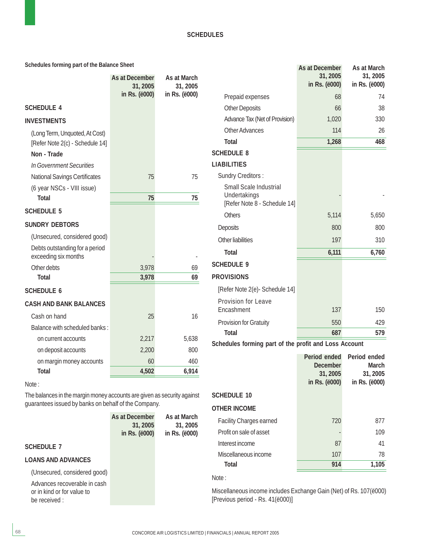**Schedules forming part of the Balance Sheet**

|                                                                   | As at December<br>31, 2005<br>in Rs. (ë000) | As at March<br>31, 2005<br>in Rs. (ë000) |
|-------------------------------------------------------------------|---------------------------------------------|------------------------------------------|
| <b>SCHEDULE 4</b>                                                 |                                             |                                          |
| <b>INVESTMENTS</b>                                                |                                             |                                          |
| (Long Term, Unquoted, At Cost)<br>[Refer Note 2(c) - Schedule 14] |                                             |                                          |
| Non - Trade                                                       |                                             |                                          |
| In Government Securities                                          |                                             |                                          |
| <b>National Savings Certificates</b>                              | 75                                          | 75                                       |
| (6 year NSCs - VIII issue)                                        |                                             |                                          |
| <b>Total</b>                                                      | 75                                          | 75                                       |
| <b>SCHEDULE 5</b>                                                 |                                             |                                          |
| <b>SUNDRY DEBTORS</b>                                             |                                             |                                          |
| (Unsecured, considered good)                                      |                                             |                                          |
| Debts outstanding for a period<br>exceeding six months            |                                             |                                          |
| Other debts                                                       | 3,978                                       | 69                                       |
| <b>Total</b>                                                      | 3,978                                       | 69                                       |
| <b>SCHEDULE 6</b>                                                 |                                             |                                          |
| <b>CASH AND BANK BALANCES</b>                                     |                                             |                                          |
| Cash on hand                                                      | 25                                          | 16                                       |
| Balance with scheduled banks:                                     |                                             |                                          |
| on current accounts                                               | 2,217                                       | 5,638                                    |
| on deposit accounts                                               | 2,200                                       | 800                                      |
| on margin money accounts                                          | 60                                          | 460                                      |
| <b>Total</b>                                                      | 4,502                                       | 6,914                                    |

#### Note :

The balances in the margin money accounts are given as security against guarantees issued by banks on behalf of the Company.

| As at March   |
|---------------|
| 31, 2005      |
| in Rs. (ë000) |
|               |

#### **SCHEDULE 7**

#### **LOANS AND ADVANCES**

(Unsecured, considered good)

Advances recoverable in cash or in kind or for value to be received :

|                                                                        | As at December<br>31, 2005<br>in Rs. (ë000) | As at March<br>31, 2005<br>in Rs. (ë000) |
|------------------------------------------------------------------------|---------------------------------------------|------------------------------------------|
| Prepaid expenses                                                       | 68                                          | 74                                       |
| <b>Other Deposits</b>                                                  | 66                                          | 38                                       |
| Advance Tax (Net of Provision)                                         | 1,020                                       | 330                                      |
| Other Advances                                                         | 114                                         | 26                                       |
| <b>Total</b>                                                           | 1,268                                       | 468                                      |
| <b>SCHEDULE 8</b>                                                      |                                             |                                          |
| <b>LIABILITIES</b>                                                     |                                             |                                          |
| <b>Sundry Creditors:</b>                                               |                                             |                                          |
| Small Scale Industrial<br>Undertakings<br>[Refer Note 8 - Schedule 14] |                                             |                                          |
| <b>Others</b>                                                          | 5,114                                       | 5,650                                    |
| <b>Deposits</b>                                                        | 800                                         | 800                                      |
| Other liabilities                                                      | 197                                         | 310                                      |
| <b>Total</b>                                                           | 6,111                                       | 6,760                                    |
| <b>SCHEDULE 9</b>                                                      |                                             |                                          |
| <b>PROVISIONS</b>                                                      |                                             |                                          |
| [Refer Note 2(e)- Schedule 14]                                         |                                             |                                          |
| <b>Provision for Leave</b><br>Encashment                               | 137                                         | 150                                      |
| Provision for Gratuity                                                 | 550                                         | 429                                      |
| <b>Total</b>                                                           | 687                                         | 579                                      |
| a bara a bash a control de concertant                                  | a 11                                        |                                          |

**Schedules forming part of the profit and Loss Account**

|                                | Period ended<br><b>December</b><br>31, 2005<br>in Rs. (ë000) | Period ended<br>March<br>31, 2005<br>in Rs. (ë000) |
|--------------------------------|--------------------------------------------------------------|----------------------------------------------------|
| <b>SCHEDULE 10</b>             |                                                              |                                                    |
| OTHER INCOME                   |                                                              |                                                    |
| <b>Facility Charges earned</b> | 720                                                          | 877                                                |
| Profit on sale of asset        |                                                              | 109                                                |
| Interest income                | 87                                                           | 41                                                 |
| Miscellaneous income           | 107                                                          | 78                                                 |
| Total                          | 914                                                          | 1,105                                              |

### Note :

Miscellaneous income includes Exchange Gain (Net) of Rs. 107(ë000) [Previous period - Rs. 41(ë000)]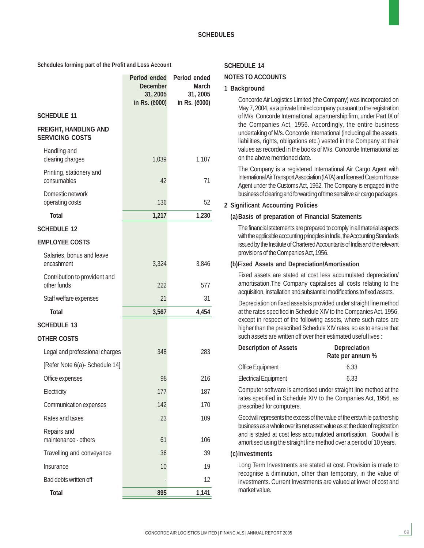**Schedules forming part of the Profit and Loss Account**

|                                                        | Period ended<br>December<br>31, 2005<br>in Rs. (ë000) | Period ended<br><b>March</b><br>31, 2005<br>in Rs. (ë000) |
|--------------------------------------------------------|-------------------------------------------------------|-----------------------------------------------------------|
| <b>SCHEDULE 11</b>                                     |                                                       |                                                           |
| <b>FREIGHT, HANDLING AND</b><br><b>SERVICING COSTS</b> |                                                       |                                                           |
| Handling and<br>clearing charges                       | 1,039                                                 | 1,107                                                     |
| Printing, stationery and<br>consumables                | 42                                                    | 71                                                        |
| Domestic network<br>operating costs                    | 136                                                   | 52                                                        |
| <b>Total</b>                                           | 1,217                                                 | 1,230                                                     |
| <b>SCHEDULE 12</b>                                     |                                                       |                                                           |
| <b>EMPLOYEE COSTS</b>                                  |                                                       |                                                           |
| Salaries, bonus and leave<br>encashment                | 3,324                                                 | 3,846                                                     |
| Contribution to provident and<br>other funds           | 222                                                   | 577                                                       |
| Staff welfare expenses                                 | 21                                                    | 31                                                        |
| <b>Total</b>                                           | 3,567                                                 | 4,454                                                     |
| <b>SCHEDULE 13</b>                                     |                                                       |                                                           |
| <b>OTHER COSTS</b>                                     |                                                       |                                                           |
| Legal and professional charges                         | 348                                                   | 283                                                       |
| [Refer Note 6(a)- Schedule 14]                         |                                                       |                                                           |
| Office expenses                                        | 98                                                    | 216                                                       |
| Electricity                                            | 177                                                   | 187                                                       |
| Communication expenses                                 | 142                                                   | 170                                                       |
| Rates and taxes                                        | 23                                                    | 109                                                       |
| Repairs and<br>maintenance - others                    | 61                                                    | 106                                                       |
| Travelling and conveyance                              | 36                                                    | 39                                                        |
| Insurance                                              | 10                                                    | 19                                                        |
| Bad debts written off                                  |                                                       | 12                                                        |
| <b>Total</b>                                           | 895                                                   | 1,141                                                     |

#### **SCHEDULE 14**

#### **NOTES TO ACCOUNTS**

#### **1 Background**

Concorde Air Logistics Limited (the Company) was incorporated on May 7, 2004, as a private limited company pursuant to the registration of M/s. Concorde International, a partnership firm, under Part IX of the Companies Act, 1956. Accordingly, the entire business undertaking of M/s. Concorde International (including all the assets, liabilities, rights, obligations etc.) vested in the Company at their values as recorded in the books of M/s. Concorde International as on the above mentioned date.

The Company is a registered International Air Cargo Agent with International Air Transport Association (IATA) and licensed Custom House Agent under the Customs Act, 1962. The Company is engaged in the business of clearing and forwarding of time sensitive air cargo packages.

#### **2 Significant Accounting Policies**

#### **(a)Basis of preparation of Financial Statements**

The financial statements are prepared to comply in all material aspects with the applicable accounting principles in India, the Accounting Standards issued by the Institute of Chartered Accountants of India and the relevant provisions of the Companies Act, 1956.

#### **(b)Fixed Assets and Depreciation/Amortisation**

Fixed assets are stated at cost less accumulated depreciation/ amortisation.The Company capitalises all costs relating to the acquisition, installation and substantial modifications to fixed assets.

Depreciation on fixed assets is provided under straight line method at the rates specified in Schedule XIV to the Companies Act, 1956, except in respect of the following assets, where such rates are higher than the prescribed Schedule XIV rates, so as to ensure that such assets are written off over their estimated useful lives :

| <b>Description of Assets</b> | <b>Depreciation</b><br>Rate per annum % |
|------------------------------|-----------------------------------------|
| <b>Office Equipment</b>      | 6.33                                    |
| <b>Electrical Equipment</b>  | 6.33                                    |

Computer software is amortised under straight line method at the rates specified in Schedule XIV to the Companies Act, 1956, as prescribed for computers.

Goodwill represents the excess of the value of the erstwhile partnership business as a whole over its net asset value as at the date of registration and is stated at cost less accumulated amortisation. Goodwill is amortised using the straight line method over a period of 10 years.

#### **(c)Investments**

Long Term Investments are stated at cost. Provision is made to recognise a diminution, other than temporary, in the value of investments. Current Investments are valued at lower of cost and market value.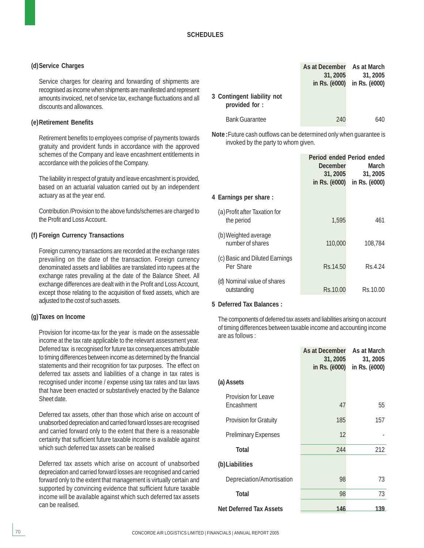#### **(d)Service Charges**

Service charges for clearing and forwarding of shipments are recognised as income when shipments are manifested and represent amounts invoiced, net of service tax, exchange fluctuations and all discounts and allowances.

#### **(e)Retirement Benefits**

Retirement benefits to employees comprise of payments towards gratuity and provident funds in accordance with the approved schemes of the Company and leave encashment entitlements in accordance with the policies of the Company.

The liability in respect of gratuity and leave encashment is provided, based on an actuarial valuation carried out by an independent actuary as at the year end.

Contribution /Provision to the above funds/schemes are charged to the Profit and Loss Account.

#### **(f) Foreign Currency Transactions**

Foreign currency transactions are recorded at the exchange rates prevailing on the date of the transaction. Foreign currency denominated assets and liabilities are translated into rupees at the exchange rates prevailing at the date of the Balance Sheet. All exchange differences are dealt with in the Profit and Loss Account, except those relating to the acquisition of fixed assets, which are adjusted to the cost of such assets.

#### **(g)Taxes on Income**

Provision for income-tax for the year is made on the assessable income at the tax rate applicable to the relevant assessment year. Deferred tax is recognised for future tax consequences attributable to timing differences between income as determined by the financial statements and their recognition for tax purposes. The effect on deferred tax assets and liabilities of a change in tax rates is recognised under income / expense using tax rates and tax laws that have been enacted or substantively enacted by the Balance Sheet date.

Deferred tax assets, other than those which arise on account of unabsorbed depreciation and carried forward losses are recognised and carried forward only to the extent that there is a reasonable certainty that sufficient future taxable income is available against which such deferred tax assets can be realised

Deferred tax assets which arise on account of unabsorbed depreciation and carried forward losses are recognised and carried forward only to the extent that management is virtually certain and supported by convincing evidence that sufficient future taxable income will be available against which such deferred tax assets can be realised.

|                                             | As at December As at March |                             |
|---------------------------------------------|----------------------------|-----------------------------|
|                                             | 31, 2005                   | 31, 2005                    |
|                                             |                            | in Rs. (ë000) in Rs. (ë000) |
| 3 Contingent liability not<br>provided for: |                            |                             |
| <b>Bank Guarantee</b>                       | 240                        | 640                         |

**Note :**Future cash outflows can be determined only when guarantee is invoked by the party to whom given.

|                                             | <b>December</b><br>31, 2005<br>in Rs. ( <i>ë</i> 000) | Period ended Period ended<br>March<br>31, 2005<br>in Rs. ( <i>ë</i> 000) |
|---------------------------------------------|-------------------------------------------------------|--------------------------------------------------------------------------|
| 4 Earnings per share:                       |                                                       |                                                                          |
| (a) Profit after Taxation for<br>the period | 1,595                                                 | 461                                                                      |
| (b) Weighted average<br>number of shares    | 110,000                                               | 108.784                                                                  |
| (c) Basic and Diluted Earnings<br>Per Share | Rs.14.50                                              | Rs 4.24                                                                  |
| (d) Nominal value of shares<br>outstanding  | Rs.10.00                                              | Rs.10.00                                                                 |

#### **5 Deferred Tax Balances :**

The components of deferred tax assets and liabilities arising on account of timing differences between taxable income and accounting income are as follows :

|                                          | As at December<br>31, 2005<br>in Rs. ( <i>ë000</i> ) | As at March<br>31, 2005<br>in Rs. ( <i>ë000</i> ) |
|------------------------------------------|------------------------------------------------------|---------------------------------------------------|
| (a) Assets                               |                                                      |                                                   |
| <b>Provision for Leave</b><br>Encashment | 47                                                   | 55                                                |
| <b>Provision for Gratuity</b>            | 185                                                  | 157                                               |
| <b>Preliminary Expenses</b>              | 12                                                   |                                                   |
| <b>Total</b>                             | 244                                                  | 212                                               |
| (b) Liabilities                          |                                                      |                                                   |
| Depreciation/Amortisation                | 98                                                   | 73                                                |
| <b>Total</b>                             | 98                                                   | 73                                                |
| <b>Net Deferred Tax Assets</b>           | 146                                                  | 139                                               |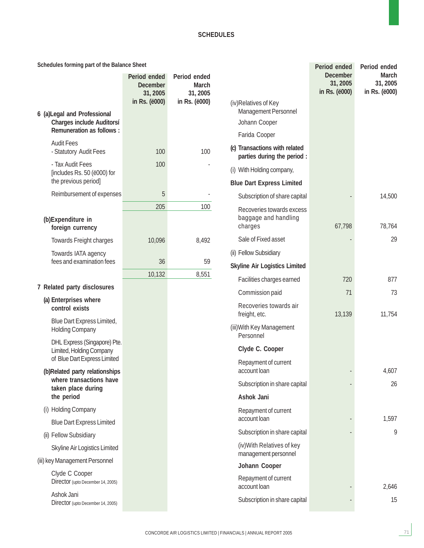#### **Schedules forming part of the Balance Sheet**

|                                                                                                     | Period ended<br><b>December</b><br>31, 2005<br>in Rs. (ë000) | Period ended<br>March<br>31,2005<br>in Rs. (ë000) |
|-----------------------------------------------------------------------------------------------------|--------------------------------------------------------------|---------------------------------------------------|
| 6 (a) Legal and Professional<br><b>Charges include Auditorsí</b><br><b>Remuneration as follows:</b> |                                                              |                                                   |
| <b>Audit Fees</b><br>- Statutory Audit Fees                                                         | 100                                                          | 100                                               |
| - Tax Audit Fees<br>[includes Rs. 50 (ë000) for<br>the previous period]                             | 100                                                          |                                                   |
| Reimbursement of expenses                                                                           | 5                                                            |                                                   |
|                                                                                                     | 205                                                          | 100                                               |
| (b)Expenditure in<br>foreign currency                                                               |                                                              |                                                   |
| <b>Towards Freight charges</b>                                                                      | 10,096                                                       | 8,492                                             |
| Towards IATA agency<br>fees and examination fees                                                    | 36                                                           | 59                                                |
|                                                                                                     | 10,132                                                       | 8,551                                             |
| 7 Related party disclosures                                                                         |                                                              |                                                   |
| (a) Enterprises where<br>control exists                                                             |                                                              |                                                   |
| Blue Dart Express Limited,<br><b>Holding Company</b>                                                |                                                              |                                                   |
| DHL Express (Singapore) Pte.<br>Limited, Holding Company<br>of Blue Dart Express Limited            |                                                              |                                                   |
| (b)Related party relationships<br>where transactions have<br>taken place during<br>the period       |                                                              |                                                   |
| (i) Holding Company                                                                                 |                                                              |                                                   |
| <b>Blue Dart Express Limited</b>                                                                    |                                                              |                                                   |
| (ii) Fellow Subsidiary                                                                              |                                                              |                                                   |
| <b>Skyline Air Logistics Limited</b>                                                                |                                                              |                                                   |
| (iii) key Management Personnel                                                                      |                                                              |                                                   |
| Clyde C Cooper<br>Director (upto December 14, 2005)                                                 |                                                              |                                                   |

Ashok Jani Director (upto December 14, 2005)

|                                                              | Period ended<br><b>December</b><br>31, 2005<br>in Rs. ( <i>ë</i> 000) | Period ended<br><b>March</b><br>31, 2005<br>in Rs. (ë000) |
|--------------------------------------------------------------|-----------------------------------------------------------------------|-----------------------------------------------------------|
| (iv)Relatives of Key<br>Management Personnel                 |                                                                       |                                                           |
| Johann Cooper                                                |                                                                       |                                                           |
| Farida Cooper                                                |                                                                       |                                                           |
| (c) Transactions with related<br>parties during the period : |                                                                       |                                                           |
| (i) With Holding company,                                    |                                                                       |                                                           |
| <b>Blue Dart Express Limited</b>                             |                                                                       |                                                           |
| Subscription of share capital                                |                                                                       | 14,500                                                    |
| Recoveries towards excess<br>baggage and handling<br>charges | 67,798                                                                | 78,764                                                    |
| Sale of Fixed asset                                          |                                                                       | 29                                                        |
| (ii) Fellow Subsidiary                                       |                                                                       |                                                           |
| <b>Skyline Air Logistics Limited</b>                         |                                                                       |                                                           |
| Facilities charges earned                                    | 720                                                                   | 877                                                       |
| Commission paid                                              | 71                                                                    | 73                                                        |
| Recoveries towards air<br>freight, etc.                      | 13,139                                                                | 11,754                                                    |
| (iii) With Key Management<br>Personnel                       |                                                                       |                                                           |
| Clyde C. Cooper                                              |                                                                       |                                                           |
| Repayment of current<br>account loan                         |                                                                       | 4,607                                                     |
| Subscription in share capital                                |                                                                       | 26                                                        |
| <b>Ashok Jani</b>                                            |                                                                       |                                                           |
| Repayment of current<br>account loan                         |                                                                       | 1,597                                                     |
| Subscription in share capital                                |                                                                       | 9                                                         |
| (iv) With Relatives of key<br>management personnel           |                                                                       |                                                           |
| Johann Cooper                                                |                                                                       |                                                           |
| Repayment of current<br>account loan                         |                                                                       | 2,646                                                     |
| Subscription in share capital                                |                                                                       | 15                                                        |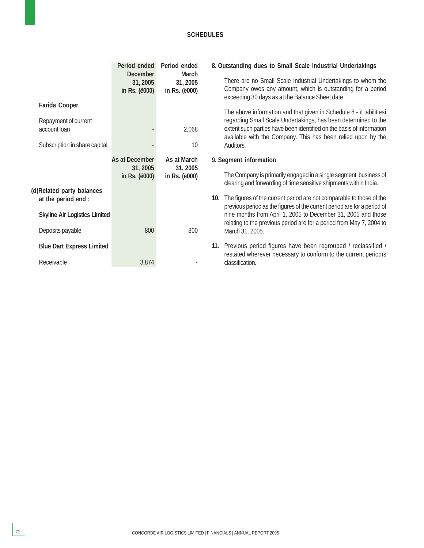|                                                                                               | Period ended<br><b>December</b><br>31, 2005<br>in Rs. (ë000) | Period ended<br>March<br>31, 2005<br>in Rs. (ë000) | 8. Outstanding dues to Small Scale Industrial Undertakings<br>There are no Small Scale Industrial Undertakings to whom the<br>Company owes any amount, which is outstanding for a period<br>exceeding 30 days as at the Balance Sheet date.                                                                                                                                                                                                                      |
|-----------------------------------------------------------------------------------------------|--------------------------------------------------------------|----------------------------------------------------|------------------------------------------------------------------------------------------------------------------------------------------------------------------------------------------------------------------------------------------------------------------------------------------------------------------------------------------------------------------------------------------------------------------------------------------------------------------|
| <b>Farida Cooper</b><br>Repayment of current<br>account loan<br>Subscription in share capital |                                                              | 2,068<br>10                                        | The above information and that given in Schedule 8 - iLiabilitiesi<br>regarding Small Scale Undertakings, has been determined to the<br>extent such parties have been identified on the basis of information<br>available with the Company. This has been relied upon by the<br>Auditors.                                                                                                                                                                        |
| (d)Related party balances<br>at the period end :<br><b>Skyline Air Logistics Limited</b>      | As at December<br>31, 2005<br>in Rs. ( <i>ë000</i> )         | As at March<br>31, 2005<br>in Rs. (ë000)           | 9. Segment information<br>The Company is primarily engaged in a single segment business of<br>clearing and forwarding of time sensitive shipments within India.<br>10. The figures of the current period are not comparable to those of the<br>previous period as the figures of the current period are for a period of<br>nine months from April 1, 2005 to December 31, 2005 and those<br>relating to the previous period are for a period from May 7, 2004 to |
| Deposits payable<br><b>Blue Dart Express Limited</b><br>Receivable                            | 800<br>3,874                                                 | 800                                                | March 31, 2005.<br>11. Previous period figures have been regrouped / reclassified /<br>restated wherever necessary to conform to the current periodis<br>classification.                                                                                                                                                                                                                                                                                         |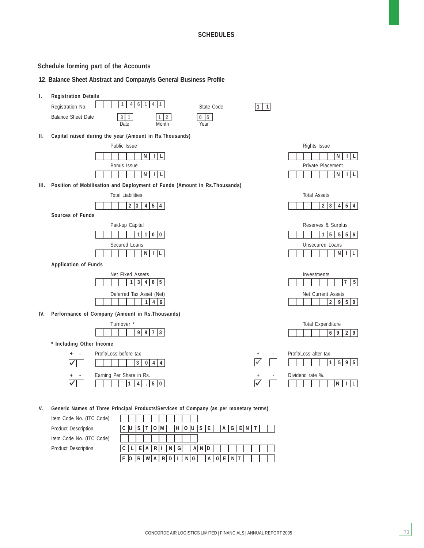#### **Schedule forming part of the Accounts**

#### **12**. **Balance Sheet Abstract and Companyís General Business Profile**



**V. Generic Names of Three Principal Products/Services of Company (as per monetary terms)**

Item Code No. (ITC Product Description Item Code No. (ITC Product Description

| Code) |   |    |                         |   |       |   |    |                       |         |         |     |  |    |  |  |
|-------|---|----|-------------------------|---|-------|---|----|-----------------------|---------|---------|-----|--|----|--|--|
|       |   |    |                         |   |       | M | H  |                       | O U S E |         | A G |  | ΙN |  |  |
| Code) |   |    |                         |   |       |   |    |                       |         |         |     |  |    |  |  |
|       |   |    |                         | A | R I I |   | GI |                       | AND     |         |     |  |    |  |  |
|       | F | 10 | $R$ $W$ $A$ $R$ $D$ $I$ |   |       |   |    | $\lfloor N \rfloor$ G |         | A G E N |     |  |    |  |  |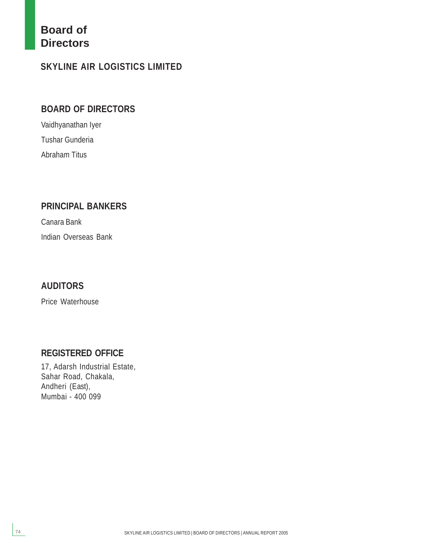### **Board of Directors**

### **SKYLINE AIR LOGISTICS LIMITED**

### **BOARD OF DIRECTORS**

Vaidhyanathan Iyer Tushar Gunderia Abraham Titus

### **PRINCIPAL BANKERS**

Canara Bank Indian Overseas Bank

### **AUDITORS**

Price Waterhouse

### **REGISTERED OFFICE**

17, Adarsh Industrial Estate, Sahar Road, Chakala, Andheri (East), Mumbai - 400 099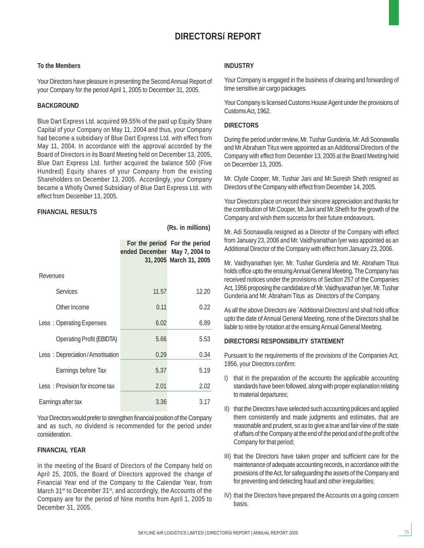### **DIRECTORSí REPORT**

**(Rs. in millions)**

#### **To the Members**

Your Directors have pleasure in presenting the Second Annual Report of your Company for the period April 1, 2005 to December 31, 2005.

#### **BACKGROUND**

Blue Dart Express Ltd. acquired 99.55% of the paid up Equity Share Capital of your Company on May 11, 2004 and thus, your Company had become a subsidiary of Blue Dart Express Ltd. with effect from May 11, 2004. In accordance with the approval accorded by the Board of Directors in its Board Meeting held on December 13, 2005, Blue Dart Express Ltd. further acquired the balance 500 (Five Hundred) Equity shares of your Company from the existing Shareholders on December 13, 2005. Accordingly, your Company became a Wholly Owned Subsidiary of Blue Dart Express Ltd. with effect from December 13, 2005.

#### **FINANCIAL RESULTS**

|                                  | ended December May 7, 2004 to | For the period For the period<br>31, 2005 March 31, 2005 |  |
|----------------------------------|-------------------------------|----------------------------------------------------------|--|
| Revenues                         |                               |                                                          |  |
| <b>Services</b>                  | 11.57                         | 12.20                                                    |  |
| Other Income                     | 0.11                          | 0.22                                                     |  |
| Less: Operating Expenses         | 6.02                          | 6.89                                                     |  |
| <b>Operating Profit (EBIDTA)</b> | 5.66                          | 5.53                                                     |  |
| Less: Depreciation/Amortisation  | 0.29                          | 0.34                                                     |  |
| Earnings before Tax              | 5.37                          | 5.19                                                     |  |
| Less: Provision for income tax   | 2.01                          | 2.02                                                     |  |
| Earnings after tax               | 3.36                          | 3.17                                                     |  |

Your Directors would prefer to strengthen financial position of the Company and as such, no dividend is recommended for the period under consideration.

#### **FINANCIAL YEAR**

In the meeting of the Board of Directors of the Company held on April 25, 2005, the Board of Directors approved the change of Financial Year end of the Company to the Calendar Year, from March 31<sup>st</sup> to December 31<sup>st</sup>, and accordingly, the Accounts of the Company are for the period of Nine months from April 1, 2005 to December 31, 2005.

#### **INDUSTRY**

Your Company is engaged in the business of clearing and forwarding of time sensitive air cargo packages.

Your Company is licensed Customs House Agent under the provisions of Customs Act, 1962.

#### **DIRECTORS**

During the period under review, Mr. Tushar Gunderia, Mr. Adi Soonawalla and Mr.Abraham Titus were appointed as an Additional Directors of the Company with effect from December 13, 2005 at the Board Meeting held on December 13, 2005.

Mr. Clyde Cooper, Mr. Tushar Jani and Mr.Suresh Sheth resigned as Directors of the Company with effect from December 14, 2005.

Your Directors place on record their sincere appreciation and thanks for the contribution of Mr.Cooper, Mr.Jani and Mr.Sheth for the growth of the Company and wish them success for their future endeavours.

Mr. Adi Soonawalla resigned as a Director of the Company with effect from January 23, 2006 and Mr. Vaidhyanathan Iyer was appointed as an Additional Director of the Company with effect from January 23, 2006.

Mr. Vaidhyanathan Iyer, Mr. Tushar Gunderia and Mr. Abraham Titus holds office upto the ensuing Annual General Meeting. The Company has received notices under the provisions of Section 257 of the Companies Act, 1956 proposing the candidature of Mr. Vaidhyanathan Iyer, Mr. Tushar Gunderia and Mr. Abraham Titus as Directors of the Company.

As all the above Directors are `Additional Directorsí and shall hold office upto the date of Annual General Meeting, none of the Directors shall be liable to retire by rotation at the ensuing Annual General Meeting.

#### **DIRECTORSí RESPONSIBILITY STATEMENT**

Pursuant to the requirements of the provisions of the Companies Act, 1956, your Directors confirm:

- I) that in the preparation of the accounts the applicable accounting standards have been followed, along with proper explanation relating to material departures;
- II) that the Directors have selected such accounting policies and applied them consistently and made judgments and estimates, that are reasonable and prudent, so as to give a true and fair view of the state of affairs of the Company at the end of the period and of the profit of the Company for that period;
- III) that the Directors have taken proper and sufficient care for the maintenance of adequate accounting records, in accordance with the provisions of the Act, for safeguarding the assets of the Company and for preventing and detecting fraud and other irregularities;
- IV) that the Directors have prepared the Accounts on a going concern basis.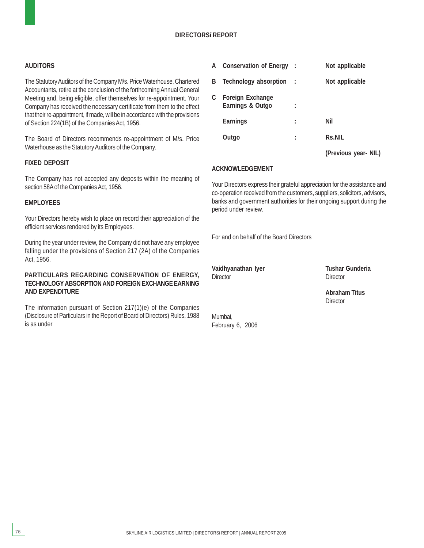#### **DIRECTORSí REPORT**

#### **AUDITORS**

The Statutory Auditors of the Company M/s. Price Waterhouse, Chartered Accountants, retire at the conclusion of the forthcoming Annual General Meeting and, being eligible, offer themselves for re-appointment. Your Company has received the necessary certificate from them to the effect that their re-appointment, if made, will be in accordance with the provisions of Section 224(1B) of the Companies Act, 1956.

The Board of Directors recommends re-appointment of M/s. Price Waterhouse as the Statutory Auditors of the Company.

#### **FIXED DEPOSIT**

The Company has not accepted any deposits within the meaning of section 58A of the Companies Act, 1956.

#### **EMPLOYEES**

Your Directors hereby wish to place on record their appreciation of the efficient services rendered by its Employees.

During the year under review, the Company did not have any employee falling under the provisions of Section 217 (2A) of the Companies Act, 1956.

#### **PARTICULARS REGARDING CONSERVATION OF ENERGY, TECHNOLOGY ABSORPTION AND FOREIGN EXCHANGE EARNING AND EXPENDITURE**

The information pursuant of Section 217(1)(e) of the Companies (Disclosure of Particulars in the Report of Board of Directors) Rules, 1988 is as under

| A | <b>Conservation of Energy</b> :             |   | Not applicable       |
|---|---------------------------------------------|---|----------------------|
| B | Technology absorption :                     |   | Not applicable       |
| C | <b>Foreign Exchange</b><br>Earnings & Outgo |   |                      |
|   | <b>Earnings</b>                             |   | Nil                  |
|   | Outgo                                       | : | <b>Rs.NIL</b>        |
|   |                                             |   | (Previous year- NIL) |

#### **ACKNOWLEDGEMENT**

Your Directors express their grateful appreciation for the assistance and co-operation received from the customers, suppliers, solicitors, advisors, banks and government authorities for their ongoing support during the period under review.

For and on behalf of the Board Directors

**Vaidhyanathan Iyer Tushar Gunderia** Director **Director** Director

Mumbai,

February 6, 2006

**Abraham Titus Director**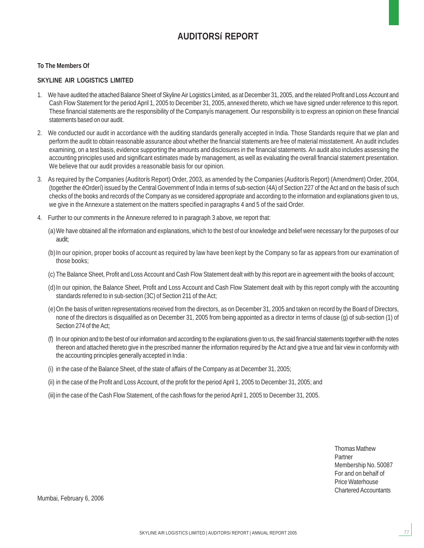### **AUDITORSí REPORT**

#### **To The Members Of**

#### **SKYLINE AIR LOGISTICS LIMITED**

- 1. We have audited the attached Balance Sheet of Skyline Air Logistics Limited, as at December 31, 2005, and the related Profit and Loss Account and Cash Flow Statement for the period April 1, 2005 to December 31, 2005, annexed thereto, which we have signed under reference to this report. These financial statements are the responsibility of the Companyís management. Our responsibility is to express an opinion on these financial statements based on our audit.
- 2. We conducted our audit in accordance with the auditing standards generally accepted in India. Those Standards require that we plan and perform the audit to obtain reasonable assurance about whether the financial statements are free of material misstatement. An audit includes examining, on a test basis, evidence supporting the amounts and disclosures in the financial statements. An audit also includes assessing the accounting principles used and significant estimates made by management, as well as evaluating the overall financial statement presentation. We believe that our audit provides a reasonable basis for our opinion.
- 3. As required by the Companies (Auditorís Report) Order, 2003, as amended by the Companies (Auditorís Report) (Amendment) Order, 2004, (together the ëOrderí) issued by the Central Government of India in terms of sub-section (4A) of Section 227 of the Act and on the basis of such checks of the books and records of the Company as we considered appropriate and according to the information and explanations given to us, we give in the Annexure a statement on the matters specified in paragraphs 4 and 5 of the said Order.
- 4. Further to our comments in the Annexure referred to in paragraph 3 above, we report that:
	- (a)We have obtained all the information and explanations, which to the best of our knowledge and belief were necessary for the purposes of our audit;
	- (b)In our opinion, proper books of account as required by law have been kept by the Company so far as appears from our examination of those books;
	- (c) The Balance Sheet, Profit and Loss Account and Cash Flow Statement dealt with by this report are in agreement with the books of account;
	- (d)In our opinion, the Balance Sheet, Profit and Loss Account and Cash Flow Statement dealt with by this report comply with the accounting standards referred to in sub-section (3C) of Section 211 of the Act;
	- (e)On the basis of written representations received from the directors, as on December 31, 2005 and taken on record by the Board of Directors, none of the directors is disqualified as on December 31, 2005 from being appointed as a director in terms of clause (g) of sub-section (1) of Section 274 of the Act;
	- (f) In our opinion and to the best of our information and according to the explanations given to us, the said financial statements together with the notes thereon and attached thereto give in the prescribed manner the information required by the Act and give a true and fair view in conformity with the accounting principles generally accepted in India :
	- (i) in the case of the Balance Sheet, of the state of affairs of the Company as at December 31, 2005;
	- (ii) in the case of the Profit and Loss Account, of the profit for the period April 1, 2005 to December 31, 2005; and

(iii) in the case of the Cash Flow Statement, of the cash flows for the period April 1, 2005 to December 31, 2005.

Thomas Mathew Partner Membership No. 50087 For and on behalf of Price Waterhouse Chartered Accountants

Mumbai, February 6, 2006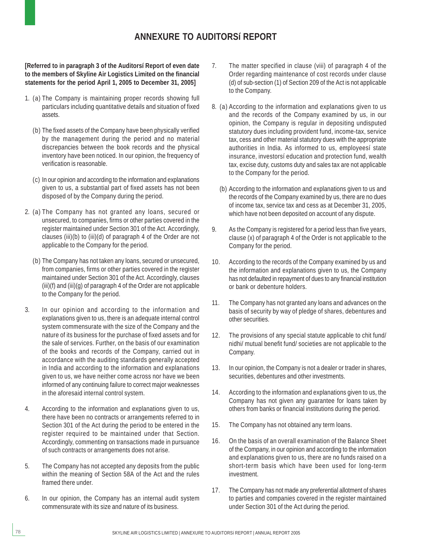### **ANNEXURE TO AUDITORSí REPORT**

**[Referred to in paragraph 3 of the Auditorsí Report of even date to the members of Skyline Air Logistics Limited on the financial statements for the period April 1, 2005 to December 31, 2005]**

- 1. (a) The Company is maintaining proper records showing full particulars including quantitative details and situation of fixed assets.
	- (b) The fixed assets of the Company have been physically verified by the management during the period and no material discrepancies between the book records and the physical inventory have been noticed. In our opinion, the frequency of verification is reasonable.
	- (c) In our opinion and according to the information and explanations given to us, a substantial part of fixed assets has not been disposed of by the Company during the period.
- 2. (a) The Company has not granted any loans, secured or unsecured, to companies, firms or other parties covered in the register maintained under Section 301 of the Act. Accordingly, clauses (iii)(b) to (iii)(d) of paragraph 4 of the Order are not applicable to the Company for the period.
	- (b) The Company has not taken any loans, secured or unsecured, from companies, firms or other parties covered in the register maintained under Section 301 of the Act. Accordingly, clauses (iii)(f) and (iii)(g) of paragraph 4 of the Order are not applicable to the Company for the period.
- 3. In our opinion and according to the information and explanations given to us, there is an adequate internal control system commensurate with the size of the Company and the nature of its business for the purchase of fixed assets and for the sale of services. Further, on the basis of our examination of the books and records of the Company, carried out in accordance with the auditing standards generally accepted in India and according to the information and explanations given to us, we have neither come across nor have we been informed of any continuing failure to correct major weaknesses in the aforesaid internal control system.
- 4. According to the information and explanations given to us, there have been no contracts or arrangements referred to in Section 301 of the Act during the period to be entered in the register required to be maintained under that Section. Accordingly, commenting on transactions made in pursuance of such contracts or arrangements does not arise.
- 5. The Company has not accepted any deposits from the public within the meaning of Section 58A of the Act and the rules framed there under.
- 6. In our opinion, the Company has an internal audit system commensurate with its size and nature of its business.
- 7. The matter specified in clause (viii) of paragraph 4 of the Order regarding maintenance of cost records under clause (d) of sub-section (1) of Section 209 of the Act is not applicable to the Company.
- 8. (a) According to the information and explanations given to us and the records of the Company examined by us, in our opinion, the Company is regular in depositing undisputed statutory dues including provident fund, income-tax, service tax, cess and other material statutory dues with the appropriate authorities in India. As informed to us, employeesí state insurance, investorsí education and protection fund, wealth tax, excise duty, customs duty and sales tax are not applicable to the Company for the period.
	- (b) According to the information and explanations given to us and the records of the Company examined by us, there are no dues of income tax, service tax and cess as at December 31, 2005, which have not been deposited on account of any dispute.
- 9. As the Company is registered for a period less than five years, clause (x) of paragraph 4 of the Order is not applicable to the Company for the period.
- 10. According to the records of the Company examined by us and the information and explanations given to us, the Company has not defaulted in repayment of dues to any financial institution or bank or debenture holders.
- 11. The Company has not granted any loans and advances on the basis of security by way of pledge of shares, debentures and other securities.
- 12. The provisions of any special statute applicable to chit fund/ nidhi/ mutual benefit fund/ societies are not applicable to the Company.
- 13. In our opinion, the Company is not a dealer or trader in shares, securities, debentures and other investments.
- 14. According to the information and explanations given to us, the Company has not given any guarantee for loans taken by others from banks or financial institutions during the period.
- 15. The Company has not obtained any term loans.
- 16. On the basis of an overall examination of the Balance Sheet of the Company, in our opinion and according to the information and explanations given to us, there are no funds raised on a short-term basis which have been used for long-term investment.
- 17. The Company has not made any preferential allotment of shares to parties and companies covered in the register maintained under Section 301 of the Act during the period.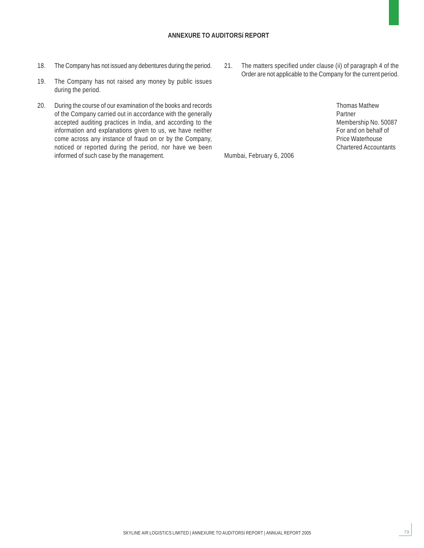#### **ANNEXURE TO AUDITORSí REPORT**

- 18. The Company has not issued any debentures during the period.
- 19. The Company has not raised any money by public issues during the period.
- 20. During the course of our examination of the books and records of the Company carried out in accordance with the generally accepted auditing practices in India, and according to the information and explanations given to us, we have neither come across any instance of fraud on or by the Company, noticed or reported during the period, nor have we been informed of such case by the management.
- 21. The matters specified under clause (ii) of paragraph 4 of the Order are not applicable to the Company for the current period.
	- Thomas Mathew Partner Membership No. 50087 For and on behalf of Price Waterhouse Chartered Accountants

79

Mumbai, February 6, 2006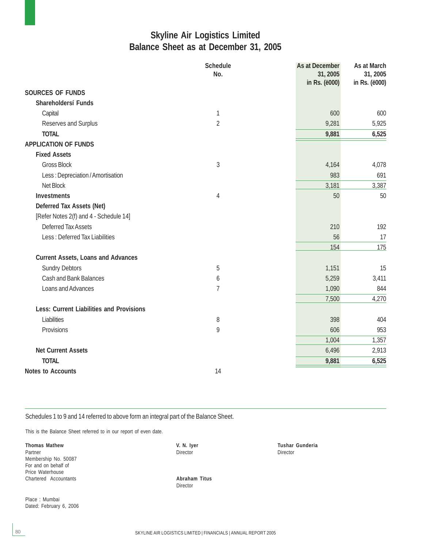### **Skyline Air Logistics Limited Balance Sheet as at December 31, 2005**

|                                                 | <b>Schedule</b><br>No. | As at December<br>31, 2005<br>in Rs. (ë000) | As at March<br>31, 2005<br>in Rs. (ë000) |
|-------------------------------------------------|------------------------|---------------------------------------------|------------------------------------------|
| <b>SOURCES OF FUNDS</b>                         |                        |                                             |                                          |
| Shareholdersí Funds                             |                        |                                             |                                          |
| Capital                                         | 1                      | 600                                         | 600                                      |
| Reserves and Surplus                            | $\overline{2}$         | 9,281                                       | 5,925                                    |
| <b>TOTAL</b>                                    |                        | 9,881                                       | 6,525                                    |
| <b>APPLICATION OF FUNDS</b>                     |                        |                                             |                                          |
| <b>Fixed Assets</b>                             |                        |                                             |                                          |
| <b>Gross Block</b>                              | $\sqrt{3}$             | 4,164                                       | 4,078                                    |
| Less: Depreciation / Amortisation               |                        | 983                                         | 691                                      |
| Net Block                                       |                        | 3,181                                       | 3,387                                    |
| <b>Investments</b>                              | $\overline{4}$         | 50                                          | 50                                       |
| Deferred Tax Assets (Net)                       |                        |                                             |                                          |
| [Refer Notes 2(f) and 4 - Schedule 14]          |                        |                                             |                                          |
| <b>Deferred Tax Assets</b>                      |                        | 210                                         | 192                                      |
| Less: Deferred Tax Liabilities                  |                        | 56                                          | 17                                       |
|                                                 |                        | 154                                         | 175                                      |
| <b>Current Assets, Loans and Advances</b>       |                        |                                             |                                          |
| <b>Sundry Debtors</b>                           | 5                      | 1,151                                       | 15                                       |
| <b>Cash and Bank Balances</b>                   | 6                      | 5,259                                       | 3,411                                    |
| Loans and Advances                              | $\overline{1}$         | 1,090                                       | 844                                      |
|                                                 |                        | 7,500                                       | 4,270                                    |
| <b>Less: Current Liabilities and Provisions</b> |                        |                                             |                                          |
| Liabilities                                     | 8                      | 398                                         | 404                                      |
| Provisions                                      | 9                      | 606                                         | 953                                      |
|                                                 |                        | 1,004                                       | 1,357                                    |
| <b>Net Current Assets</b>                       |                        | 6,496                                       | 2,913                                    |
| <b>TOTAL</b>                                    |                        | 9,881                                       | 6,525                                    |
| <b>Notes to Accounts</b>                        | 14                     |                                             |                                          |

Schedules 1 to 9 and 14 referred to above form an integral part of the Balance Sheet.

This is the Balance Sheet referred to in our report of even date.

**Thomas Mathew Strategier Control of the Control of Control of Control of Control of Tushar Gunderia**<br>
Partner Control of Control of Control of Control of Control of Control of Control of Control of Control of Control of C Partner Director Director Director Director Director Director Director Director Director Membership No. 50087 For and on behalf of Price Waterhouse Chartered Accountants **Abraham Titus**

Director

Place : Mumbai Dated: February 6, 2006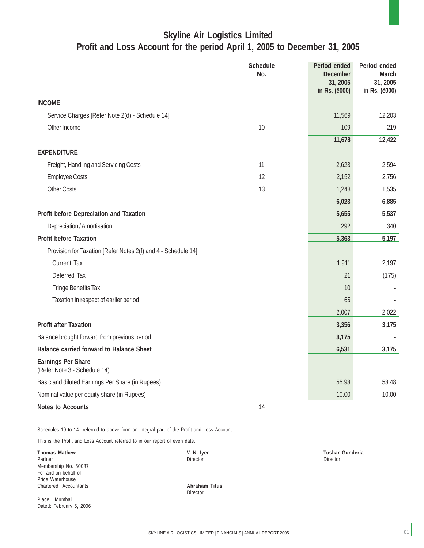### **Skyline Air Logistics Limited Profit and Loss Account for the period April 1, 2005 to December 31, 2005**

|                                                               | <b>Schedule</b><br>No. | Period ended<br><b>December</b><br>31,2005 | Period ended<br><b>March</b><br>31, 2005 |
|---------------------------------------------------------------|------------------------|--------------------------------------------|------------------------------------------|
|                                                               |                        | in Rs. (ë000)                              | in Rs. (ë000)                            |
| <b>INCOME</b>                                                 |                        |                                            |                                          |
| Service Charges [Refer Note 2(d) - Schedule 14]               |                        | 11,569                                     | 12,203                                   |
| Other Income                                                  | 10                     | 109                                        | 219                                      |
|                                                               |                        | 11,678                                     | 12,422                                   |
| <b>EXPENDITURE</b>                                            |                        |                                            |                                          |
| Freight, Handling and Servicing Costs                         | 11                     | 2,623                                      | 2,594                                    |
| <b>Employee Costs</b>                                         | 12                     | 2,152                                      | 2,756                                    |
| <b>Other Costs</b>                                            | 13                     | 1,248                                      | 1,535                                    |
|                                                               |                        | 6,023                                      | 6,885                                    |
| Profit before Depreciation and Taxation                       |                        | 5,655                                      | 5,537                                    |
| Depreciation / Amortisation                                   |                        | 292                                        | 340                                      |
| <b>Profit before Taxation</b>                                 |                        | 5,363                                      | 5,197                                    |
| Provision for Taxation [Refer Notes 2(f) and 4 - Schedule 14] |                        |                                            |                                          |
| <b>Current Tax</b>                                            |                        | 1,911                                      | 2,197                                    |
| Deferred Tax                                                  |                        | 21                                         | (175)                                    |
| Fringe Benefits Tax                                           |                        | 10                                         |                                          |
| Taxation in respect of earlier period                         |                        | 65                                         |                                          |
|                                                               |                        | 2,007                                      | 2,022                                    |
| <b>Profit after Taxation</b>                                  |                        | 3,356                                      | 3,175                                    |
| Balance brought forward from previous period                  |                        | 3,175                                      |                                          |
| <b>Balance carried forward to Balance Sheet</b>               |                        | 6,531                                      | 3,175                                    |
| <b>Earnings Per Share</b><br>(Refer Note 3 - Schedule 14)     |                        |                                            |                                          |
| Basic and diluted Earnings Per Share (in Rupees)              |                        | 55.93                                      | 53.48                                    |
| Nominal value per equity share (in Rupees)                    |                        | 10.00                                      | 10.00                                    |
| <b>Notes to Accounts</b>                                      | 14                     |                                            |                                          |

Schedules 10 to 14 referred to above form an integral part of the Profit and Loss Account.

This is the Profit and Loss Account referred to in our report of even date.

**Thomas Mathew C. Community C. Community C. N. Iyer Community C. A. Iyer Cushar Gunderia**<br>Partner Community Director Community Community Community Community Community Community Community Community Comm<br>Community Community Partner Director Director Membership No. 50087 For and on behalf of Price Waterhouse Chartered Accountants **Abraham Titus**

Place : Mumbai Dated: February 6, 2006

Director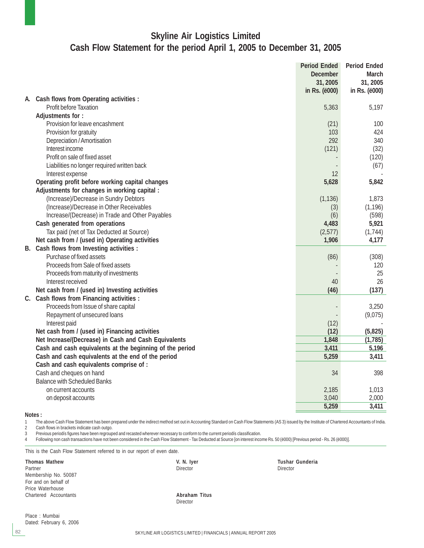### **Skyline Air Logistics Limited Cash Flow Statement for the period April 1, 2005 to December 31, 2005**

|    |                                                          | <b>Period Ended</b> | <b>Period Ended</b> |
|----|----------------------------------------------------------|---------------------|---------------------|
|    |                                                          | <b>December</b>     | March               |
|    |                                                          | 31, 2005            | 31, 2005            |
|    |                                                          | in Rs. (ë000)       | in Rs. (ë000)       |
| А. | Cash flows from Operating activities :                   |                     |                     |
|    | Profit before Taxation                                   | 5,363               | 5,197               |
|    | Adjustments for:                                         |                     |                     |
|    | Provision for leave encashment                           | (21)                | 100                 |
|    | Provision for gratuity                                   | 103                 | 424                 |
|    | Depreciation / Amortisation                              | 292                 | 340                 |
|    | Interest income                                          | (121)               | (32)                |
|    | Profit on sale of fixed asset                            |                     | (120)               |
|    | Liabilities no longer required written back              |                     | (67)                |
|    | Interest expense                                         | 12                  |                     |
|    | Operating profit before working capital changes          | 5,628               | 5,842               |
|    | Adjustments for changes in working capital :             |                     |                     |
|    | (Increase)/Decrease in Sundry Debtors                    | (1, 136)            | 1,873               |
|    | (Increase)/Decrease in Other Receivables                 | (3)                 | (1, 196)            |
|    | Increase/(Decrease) in Trade and Other Payables          | (6)                 | (598)               |
|    | Cash generated from operations                           | 4,483               | 5,921               |
|    | Tax paid (net of Tax Deducted at Source)                 | (2,577)             | (1, 744)            |
|    | Net cash from / (used in) Operating activities           | 1,906               | 4,177               |
|    | B. Cash flows from Investing activities :                |                     |                     |
|    | Purchase of fixed assets                                 | (86)                | (308)               |
|    | Proceeds from Sale of fixed assets                       |                     | 120                 |
|    | Proceeds from maturity of investments                    |                     | 25                  |
|    | Interest received                                        | 40                  | 26                  |
|    | Net cash from / (used in) Investing activities           | (46)                | (137)               |
|    | C. Cash flows from Financing activities :                |                     |                     |
|    | Proceeds from Issue of share capital                     |                     | 3,250               |
|    | Repayment of unsecured loans                             |                     | (9,075)             |
|    | Interest paid                                            | (12)                |                     |
|    | Net cash from / (used in) Financing activities           | (12)                | (5,825)             |
|    | Net Increase/(Decrease) in Cash and Cash Equivalents     | 1,848               | (1,785)             |
|    | Cash and cash equivalents at the beginning of the period | 3,411               | 5,196               |
|    | Cash and cash equivalents at the end of the period       | 5,259               | 3,411               |
|    | Cash and cash equivalents comprise of :                  |                     |                     |
|    | Cash and cheques on hand                                 | 34                  | 398                 |
|    | <b>Balance with Scheduled Banks</b>                      |                     |                     |
|    |                                                          | 2,185               | 1,013               |
|    | on current accounts                                      | 3,040               | 2,000               |
|    | on deposit accounts                                      | 5,259               |                     |
|    |                                                          |                     | 3,411               |

#### **Notes :**

1 The above Cash Flow Statement has been prepared under the indirect method set out in Accounting Standard on Cash Flow Statements (AS 3) issued by the Institute of Chartered Accountants of India.<br>2 Cash flows in brackets

Cash flows in brackets indicate cash outgo.

3 Previous periodís figures have been regrouped and recasted wherever necessary to conform to the current periodís classification.

4 Following non cash transactions have not been considered in the Cash Flow Statement - Tax Deducted at Source [on interest income Rs. 50 (ë000) [Previous period - Rs. 26 (ë000)].

This is the Cash Flow Statement referred to in our report of even date.

#### Partner Director Director Membership No. 50087 For and on behalf of Price Waterhouse

**Thomas Mathew The Contract Contract Contract Contract Contract Contract Contract Contract Contract Contract Contract Contract Contract Contract Contract Contract Contract Contract Contract Contract Contract Contract Contr** 

Chartered Accountants **Abraham Titus** Director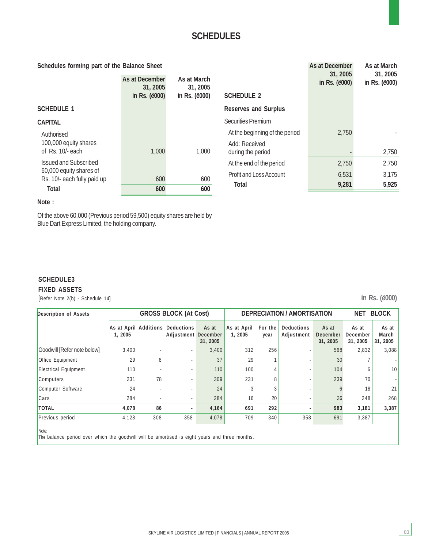#### **Schedules forming part of the Balance Sheet**

| concuments forming part of the Balance oncet           |                            |                         |                                | $\sim$ 13 G $\sim$ 2000 $\sim$ 11 F $\sim$ 1<br>31, 2005 | , 1991 1991 1991<br>31, 2005 |
|--------------------------------------------------------|----------------------------|-------------------------|--------------------------------|----------------------------------------------------------|------------------------------|
|                                                        | As at December<br>31, 2005 | As at March<br>31, 2005 |                                | in Rs. ( <i>ë000</i> )                                   | in Rs. ( <i>ë000</i> )       |
|                                                        | in Rs. ( <i>ë000</i> )     | in Rs. ( <i>ë000</i> )  | <b>SCHEDULE 2</b>              |                                                          |                              |
| <b>SCHEDULE 1</b>                                      |                            |                         | <b>Reserves and Surplus</b>    |                                                          |                              |
| <b>CAPITAL</b>                                         |                            |                         | <b>Securities Premium</b>      |                                                          |                              |
| Authorised                                             |                            |                         | At the beginning of the period | 2.750                                                    |                              |
| 100,000 equity shares                                  |                            |                         | Add: Received                  |                                                          |                              |
| of Rs. 10/- each                                       | 1,000                      | 1,000                   | during the period              |                                                          | 2,750                        |
| <b>Issued and Subscribed</b>                           |                            |                         | At the end of the period       | 2,750                                                    | 2,750                        |
| 60,000 equity shares of<br>Rs. 10/- each fully paid up | 600                        | 600                     | Profit and Loss Account        | 6,531                                                    | 3,175                        |
| Total                                                  | 600                        | 600                     | <b>Total</b>                   | 9,281                                                    | 5,925                        |
|                                                        |                            |                         |                                |                                                          |                              |

#### **Note :**

**SCHEDULE3 FIXED ASSETS**

Of the above 60,000 (Previous period 59,500) equity shares are held by Blue Dart Express Limited, the holding company.

# [Refer Note 2(b) - Schedule 14] **in Rs. (ë000)**

**As at December As at March**

**Description of Assets GROSS BLOCK (At Cost) DEPRECIATION / AMORTISATION** NET BLOCK **As at April Additions Deductions As at As at April For the Deductions As at As at As at As at As at As at As at As at As at As at As at As at As at As at As at As at As at As at As at As at As at As at As at As at As at A 1, 2005** year **Adjustment December** December 1, 2005 year **Adjustment December December 1, 2005** 1, 2005 **31, 2005 31, 2005 31, 2005 31, 2005** Goodwill [Refer note below] 3,400 - - 3,400 312 256 - 568 2,832 3,088 Office Equipment  $29 \mid 8 \mid -1 \mid 37 \mid 29 \mid 1 \mid -1 \mid 30 \mid 7$ Electrical Equipment 110 - - 110 100 4 - 104 6 10 Computers 231 78 - 309 231 8 - 239 70 - Computer Software  $24$  -  $24$  24  $3$  3 - 6 18 21 Cars 284 - - 284 16 20 - 36 248 268 **TOTAL 4,078 86 - 4,164 691 292 - 983 3,181 3,387** Previous period 4,128 308 358 4,078 709 340 358 691 3,387

Note:

The balance period over which the goodwill will be amortised is eight years and three months.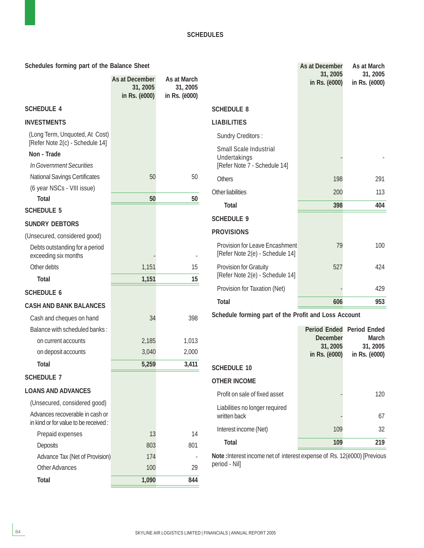| Schedules forming part of the Balance Sheet                             |                                                      |                                          |                                                                          | As at December            | As at March                      |
|-------------------------------------------------------------------------|------------------------------------------------------|------------------------------------------|--------------------------------------------------------------------------|---------------------------|----------------------------------|
|                                                                         | As at December<br>31, 2005<br>in Rs. ( <i>ë000</i> ) | As at March<br>31, 2005<br>in Rs. (ë000) |                                                                          | 31, 2005<br>in Rs. (ë000) | 31, 2005<br>in Rs. (ë000)        |
| <b>SCHEDULE 4</b>                                                       |                                                      |                                          | <b>SCHEDULE 8</b>                                                        |                           |                                  |
| <b>INVESTMENTS</b>                                                      |                                                      |                                          | <b>LIABILITIES</b>                                                       |                           |                                  |
| (Long Term, Unquoted, At Cost)                                          |                                                      |                                          | <b>Sundry Creditors:</b>                                                 |                           |                                  |
| [Refer Note 2(c) - Schedule 14]<br>Non - Trade                          |                                                      |                                          | Small Scale Industrial                                                   |                           |                                  |
| In Government Securities                                                |                                                      |                                          | Undertakings<br>[Refer Note 7 - Schedule 14]                             |                           |                                  |
| <b>National Savings Certificates</b>                                    | 50                                                   | 50                                       | <b>Others</b>                                                            | 198                       | 291                              |
| (6 year NSCs - VIII issue)                                              |                                                      |                                          | Other liabilities                                                        | 200                       | 113                              |
| <b>Total</b>                                                            | 50                                                   | 50                                       |                                                                          |                           |                                  |
| <b>SCHEDULE 5</b>                                                       |                                                      |                                          | <b>Total</b>                                                             | 398                       | 404                              |
| <b>SUNDRY DEBTORS</b>                                                   |                                                      |                                          | <b>SCHEDULE 9</b>                                                        |                           |                                  |
| (Unsecured, considered good)                                            |                                                      |                                          | <b>PROVISIONS</b>                                                        |                           |                                  |
| Debts outstanding for a period<br>exceeding six months                  |                                                      |                                          | <b>Provision for Leave Encashment</b><br>[Refer Note 2(e) - Schedule 14] | 79                        | 100                              |
| Other debts                                                             | 1,151                                                | 15                                       | Provision for Gratuity                                                   | 527                       | 424                              |
| <b>Total</b>                                                            | 1,151                                                | 15                                       | [Refer Note 2(e) - Schedule 14]                                          |                           |                                  |
| <b>SCHEDULE 6</b>                                                       |                                                      |                                          | Provision for Taxation (Net)                                             |                           | 429                              |
| <b>CASH AND BANK BALANCES</b>                                           |                                                      |                                          | <b>Total</b>                                                             | 606                       | 953                              |
| Cash and cheques on hand                                                | 34                                                   | 398                                      | Schedule forming part of the Profit and Loss Account                     |                           |                                  |
| Balance with scheduled banks:                                           |                                                      |                                          |                                                                          |                           | <b>Period Ended Period Ended</b> |
| on current accounts                                                     | 2,185                                                | 1,013                                    |                                                                          | <b>December</b>           | <b>March</b>                     |
| on deposit accounts                                                     | 3,040                                                | 2,000                                    |                                                                          | 31, 2005<br>in Rs. (ë000) | 31, 2005<br>in Rs. (ë000)        |
| <b>Total</b>                                                            | 5,259                                                | 3,411                                    | <b>SCHEDULE 10</b>                                                       |                           |                                  |
| <b>SCHEDULE 7</b>                                                       |                                                      |                                          | <b>OTHER INCOME</b>                                                      |                           |                                  |
| <b>LOANS AND ADVANCES</b>                                               |                                                      |                                          | Profit on sale of fixed asset                                            |                           | 120                              |
| (Unsecured, considered good)                                            |                                                      |                                          | Liabilities no longer required                                           |                           |                                  |
| Advances recoverable in cash or<br>in kind or for value to be received: |                                                      |                                          | written back                                                             |                           | 67                               |
| Prepaid expenses                                                        | 13                                                   | 14                                       | Interest income (Net)                                                    | 109                       | 32                               |
| <b>Deposits</b>                                                         | 803                                                  | 801                                      | <b>Total</b>                                                             | 109                       | 219                              |
| Advance Tax (Net of Provision)                                          | 174                                                  |                                          | Note: Interest income net of interest expense of Rs. 12(e000) [Previous  |                           |                                  |
| <b>Other Advances</b>                                                   | 100                                                  | 29                                       | period - Nil]                                                            |                           |                                  |
| <b>Total</b>                                                            | 1,090                                                | 844                                      |                                                                          |                           |                                  |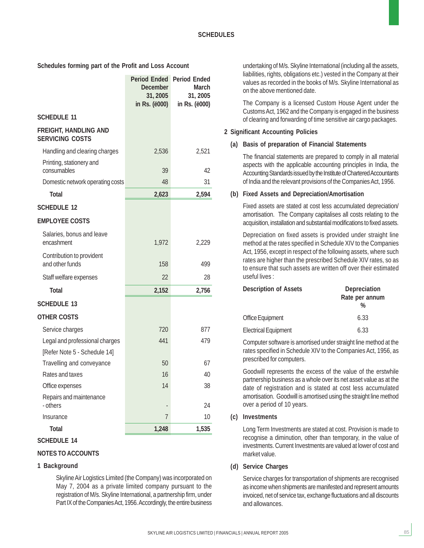**Schedules forming part of the Profit and Loss Account**

|                                                        | <b>Period Ended Period Ended</b><br><b>December</b><br>31, 2005 | <b>March</b><br>31, 2005 |
|--------------------------------------------------------|-----------------------------------------------------------------|--------------------------|
|                                                        | in Rs. ( <i>ë000</i> )                                          | in Rs. (ë000)            |
| <b>SCHEDULE 11</b>                                     |                                                                 |                          |
| <b>FREIGHT, HANDLING AND</b><br><b>SERVICING COSTS</b> |                                                                 |                          |
| Handling and clearing charges                          | 2,536                                                           | 2,521                    |
| Printing, stationery and<br>consumables                | 39                                                              | 42                       |
| Domestic network operating costs                       | 48                                                              | 31                       |
| <b>Total</b>                                           | 2,623                                                           | 2,594                    |
| <b>SCHEDULE 12</b>                                     |                                                                 |                          |
| <b>EMPLOYEE COSTS</b>                                  |                                                                 |                          |
| Salaries, bonus and leave<br>encashment                | 1,972                                                           | 2,229                    |
| Contribution to provident<br>and other funds           | 158                                                             | 499                      |
| Staff welfare expenses                                 | 22                                                              | 28                       |
| <b>Total</b>                                           | 2,152                                                           | 2,756                    |
| <b>SCHEDULE 13</b>                                     |                                                                 |                          |
| <b>OTHER COSTS</b>                                     |                                                                 |                          |
| Service charges                                        | 720                                                             | 877                      |
| Legal and professional charges                         | 441                                                             | 479                      |
| [Refer Note 5 - Schedule 14]                           |                                                                 |                          |
| Travelling and conveyance                              | 50                                                              | 67                       |
| Rates and taxes                                        | 16                                                              | 40                       |
| Office expenses                                        | 14                                                              | 38                       |
| Repairs and maintenance<br>- others                    |                                                                 | 24                       |
| Insurance                                              | $\overline{7}$                                                  | 10                       |
| <b>Total</b>                                           | 1,248                                                           | 1,535                    |

**SCHEDULE 14**

#### **NOTES TO ACCOUNTS**

#### **1 Background**

Skyline Air Logistics Limited (the Company) was incorporated on May 7, 2004 as a private limited company pursuant to the registration of M/s. Skyline International, a partnership firm, under Part IX of the Companies Act, 1956. Accordingly, the entire business

undertaking of M/s. Skyline International (including all the assets, liabilities, rights, obligations etc.) vested in the Company at their values as recorded in the books of M/s. Skyline International as on the above mentioned date.

The Company is a licensed Custom House Agent under the Customs Act, 1962 and the Company is engaged in the business of clearing and forwarding of time sensitive air cargo packages.

#### **2 Significant Accounting Policies**

#### **(a) Basis of preparation of Financial Statements**

The financial statements are prepared to comply in all material aspects with the applicable accounting principles in India, the Accounting Standards issued by the Institute of Chartered Accountants of India and the relevant provisions of the Companies Act, 1956.

#### **(b) Fixed Assets and Depreciation/Amortisation**

Fixed assets are stated at cost less accumulated depreciation/ amortisation. The Company capitalises all costs relating to the acquisition, installation and substantial modifications to fixed assets.

Depreciation on fixed assets is provided under straight line method at the rates specified in Schedule XIV to the Companies Act, 1956, except in respect of the following assets, where such rates are higher than the prescribed Schedule XIV rates, so as to ensure that such assets are written off over their estimated useful lives :

| <b>Description of Assets</b> | Depreciation<br>Rate per annum<br>% |
|------------------------------|-------------------------------------|
| <b>Office Equipment</b>      | 6.33                                |
| <b>Electrical Equipment</b>  | 6.33                                |

Computer software is amortised under straight line method at the rates specified in Schedule XIV to the Companies Act, 1956, as prescribed for computers.

Goodwill represents the excess of the value of the erstwhile partnership business as a whole over its net asset value as at the date of registration and is stated at cost less accumulated amortisation. Goodwill is amortised using the straight line method over a period of 10 years.

#### **(c) Investments**

Long Term Investments are stated at cost. Provision is made to recognise a diminution, other than temporary, in the value of investments. Current Investments are valued at lower of cost and market value.

#### **(d) Service Charges**

Service charges for transportation of shipments are recognised as income when shipments are manifested and represent amounts invoiced, net of service tax, exchange fluctuations and all discounts and allowances.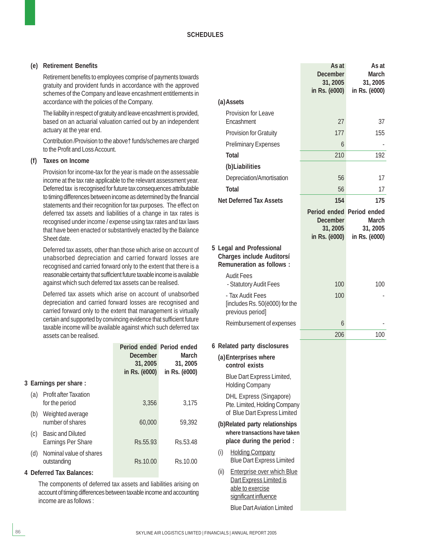#### **(e) Retirement Benefits**

Retirement benefits to employees comprise of payments towards gratuity and provident funds in accordance with the approved schemes of the Company and leave encashment entitlements in accordance with the policies of the Company.

The liability in respect of gratuity and leave encashment is provided, based on an actuarial valuation carried out by an independent actuary at the year end.

Contribution /Provision to the above† funds/schemes are charged to the Profit and Loss Account.

#### **(f) Taxes on Income**

Provision for income-tax for the year is made on the assessable income at the tax rate applicable to the relevant assessment year. Deferred tax is recognised for future tax consequences attributable to timing differences between income as determined by the financial statements and their recognition for tax purposes. The effect on deferred tax assets and liabilities of a change in tax rates is recognised under income / expense using tax rates and tax laws that have been enacted or substantively enacted by the Balance Sheet date.

Deferred tax assets, other than those which arise on account of unabsorbed depreciation and carried forward losses are recognised and carried forward only to the extent that there is a reasonable certainty that sufficient future taxable income is available against which such deferred tax assets can be realised.

Deferred tax assets which arise on account of unabsorbed depreciation and carried forward losses are recognised and carried forward only to the extent that management is virtually certain and supported by convincing evidence that sufficient future taxable income will be available against which such deferred tax assets can be realised.

|     |                                                       | Period ended Period ended<br><b>December</b><br>31, 2005<br>in Rs. $(e000)$ | March<br>31, 2005<br>in Rs. (ë000) |
|-----|-------------------------------------------------------|-----------------------------------------------------------------------------|------------------------------------|
|     | 3 Earnings per share:                                 |                                                                             |                                    |
| (a) | <b>Profit after Taxation</b><br>for the period        | 3,356                                                                       | 3,175                              |
| (b) | Weighted average<br>number of shares                  | 60,000                                                                      | 59,392                             |
| (C) | <b>Basic and Diluted</b><br><b>Earnings Per Share</b> | Rs. 55.93                                                                   | Rs.53.48                           |
| (d) | Nominal value of shares<br>outstanding                | Rs.10.00                                                                    | Rs 10.00                           |
|     |                                                       |                                                                             |                                    |

#### **4 Deferred Tax Balances:**

The components of deferred tax assets and liabilities arising on account of timing differences between taxable income and accounting income are as follows :

|                                                                                                                   | As at<br><b>December</b><br>31, 2005<br>in Rs. (ë000)                              | As at<br><b>March</b><br>31, 2005<br>in Rs. (ë000) |
|-------------------------------------------------------------------------------------------------------------------|------------------------------------------------------------------------------------|----------------------------------------------------|
| (a) Assets                                                                                                        |                                                                                    |                                                    |
| Provision for Leave                                                                                               |                                                                                    |                                                    |
| Encashment                                                                                                        | 27                                                                                 | 37                                                 |
| <b>Provision for Gratuity</b>                                                                                     | 177                                                                                | 155                                                |
| <b>Preliminary Expenses</b><br>Total                                                                              | 6                                                                                  |                                                    |
|                                                                                                                   | 210                                                                                | 192                                                |
| (b)Liabilities<br>Depreciation/Amortisation                                                                       | 56                                                                                 | 17                                                 |
| <b>Total</b>                                                                                                      | 56                                                                                 | 17                                                 |
| <b>Net Deferred Tax Assets</b>                                                                                    | 154                                                                                | 175                                                |
|                                                                                                                   | Period ended Period ended<br><b>December</b><br>31, 2005<br>in Rs. ( <i>ë000</i> ) | <b>March</b><br>31, 2005<br>in Rs. (ë000)          |
| 5 Legal and Professional<br><b>Charges include Auditorsí</b><br><b>Remuneration as follows:</b>                   |                                                                                    |                                                    |
| <b>Audit Fees</b><br>- Statutory Audit Fees                                                                       | 100                                                                                | 100                                                |
| - Tax Audit Fees<br>[includes Rs. 50(ë000) for the<br>previous period]                                            | 100                                                                                |                                                    |
| Reimbursement of expenses                                                                                         | 6                                                                                  |                                                    |
|                                                                                                                   | 206                                                                                | 100                                                |
| 6 Related party disclosures                                                                                       |                                                                                    |                                                    |
| (a) Enterprises where<br>control exists                                                                           |                                                                                    |                                                    |
| <b>Blue Dart Express Limited,</b><br><b>Holding Company</b>                                                       |                                                                                    |                                                    |
| <b>DHL Express (Singapore)</b><br>Pte. Limited, Holding Company<br>of Blue Dart Express Limited                   |                                                                                    |                                                    |
| (b)Related party relationships<br>where transactions have taken<br>place during the period :                      |                                                                                    |                                                    |
| (i)<br><b>Holding Company</b><br><b>Blue Dart Express Limited</b>                                                 |                                                                                    |                                                    |
| <b>Enterprise over which Blue</b><br>(ii)<br>Dart Express Limited is<br>able to exercise<br>significant influence |                                                                                    |                                                    |
| <b>Blue Dart Aviation Limited</b>                                                                                 |                                                                                    |                                                    |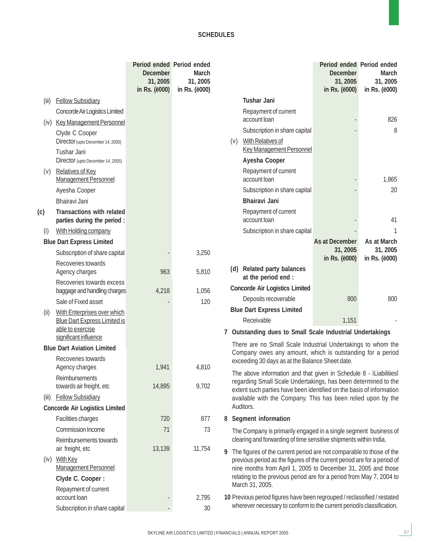|       |                                                                 | Period ended Period ended<br><b>December</b><br>31, 2005<br>in Rs. ( <i>ë000</i> ) | <b>March</b><br>31, 2005<br>in Rs. ( <i>ë000</i> ) |   |     |                                                                                                                                                   | Period ended Period ended<br><b>December</b><br>31, 2005<br>in Rs. (ë000) | <b>March</b><br>31, 2005<br>in Rs. (ë000) |
|-------|-----------------------------------------------------------------|------------------------------------------------------------------------------------|----------------------------------------------------|---|-----|---------------------------------------------------------------------------------------------------------------------------------------------------|---------------------------------------------------------------------------|-------------------------------------------|
| (iii) | <b>Fellow Subsidiary</b>                                        |                                                                                    |                                                    |   |     | <b>Tushar Jani</b>                                                                                                                                |                                                                           |                                           |
|       | Concorde Air Logistics Limited                                  |                                                                                    |                                                    |   |     | Repayment of current                                                                                                                              |                                                                           |                                           |
| (iv)  | <b>Key Management Personnel</b>                                 |                                                                                    |                                                    |   |     | account loan                                                                                                                                      |                                                                           | 826                                       |
|       | Clyde C Cooper                                                  |                                                                                    |                                                    |   |     | Subscription in share capital                                                                                                                     |                                                                           | 8                                         |
|       | Director (upto December 14, 2005)<br><b>Tushar Jani</b>         |                                                                                    |                                                    |   | (v) | With Relatives of<br><b>Key Management Personnel</b>                                                                                              |                                                                           |                                           |
|       | Director (upto December 14, 2005)                               |                                                                                    |                                                    |   |     | Ayesha Cooper                                                                                                                                     |                                                                           |                                           |
| (v)   | <b>Relatives of Key</b><br><b>Management Personnel</b>          |                                                                                    |                                                    |   |     | Repayment of current<br>account loan                                                                                                              |                                                                           | 1,865                                     |
|       | Ayesha Cooper                                                   |                                                                                    |                                                    |   |     | Subscription in share capital                                                                                                                     |                                                                           | 20                                        |
|       | Bhairavi Jani                                                   |                                                                                    |                                                    |   |     | <b>Bhairavi Jani</b>                                                                                                                              |                                                                           |                                           |
| (c)   | <b>Transactions with related</b><br>parties during the period : |                                                                                    |                                                    |   |     | Repayment of current<br>account loan                                                                                                              |                                                                           | 41                                        |
| (i)   | With Holding company                                            |                                                                                    |                                                    |   |     | Subscription in share capital                                                                                                                     |                                                                           | 1                                         |
|       | <b>Blue Dart Express Limited</b>                                |                                                                                    |                                                    |   |     |                                                                                                                                                   | As at December                                                            | As at March                               |
|       | Subscription of share capital                                   |                                                                                    | 3,250                                              |   |     |                                                                                                                                                   | 31, 2005                                                                  | 31, 2005                                  |
|       | Recoveries towards<br>Agency charges                            | 963                                                                                | 5,810                                              |   |     | (d) Related party balances                                                                                                                        | in Rs. (ë000)                                                             | in Rs. (ë000)                             |
|       | Recoveries towards excess                                       |                                                                                    |                                                    |   |     | at the period end :                                                                                                                               |                                                                           |                                           |
|       | baggage and handling charges                                    | 4,218                                                                              | 1,056                                              |   |     | <b>Concorde Air Logistics Limited</b>                                                                                                             |                                                                           |                                           |
|       | Sale of Fixed asset                                             |                                                                                    | 120                                                |   |     | Deposits recoverable                                                                                                                              | 800                                                                       | 800                                       |
| (i)   | With Enterprises over which                                     |                                                                                    |                                                    |   |     | <b>Blue Dart Express Limited</b>                                                                                                                  |                                                                           |                                           |
|       | <b>Blue Dart Express Limited is</b><br>able to exercise         |                                                                                    |                                                    |   |     | Receivable<br>7 Outstanding dues to Small Scale Industrial Undertakings                                                                           | 1,151                                                                     |                                           |
|       | significant influence                                           |                                                                                    |                                                    |   |     | There are no Small Scale Industrial Undertakings to whom the                                                                                      |                                                                           |                                           |
|       | <b>Blue Dart Aviation Limited</b>                               |                                                                                    |                                                    |   |     | Company owes any amount, which is outstanding for a period                                                                                        |                                                                           |                                           |
|       | Recoveries towards<br>Agency charges                            | 1,941                                                                              | 4,810                                              |   |     | exceeding 30 days as at the Balance Sheet date.                                                                                                   |                                                                           |                                           |
|       | Reimbursements                                                  |                                                                                    |                                                    |   |     | The above information and that given in Schedule 8 - iLiabilitiesî                                                                                |                                                                           |                                           |
|       | towards air freight, etc                                        | 14,895                                                                             | 9,702                                              |   |     | regarding Small Scale Undertakings, has been determined to the<br>extent such parties have been identified on the basis of information            |                                                                           |                                           |
| (iii) | <b>Fellow Subsidiary</b>                                        |                                                                                    |                                                    |   |     | available with the Company. This has been relied upon by the                                                                                      |                                                                           |                                           |
|       | <b>Concorde Air Logistics Limited</b>                           |                                                                                    |                                                    |   |     | Auditors.                                                                                                                                         |                                                                           |                                           |
|       | Facilities charges                                              | 720                                                                                | 877                                                |   |     | 8 Segment information                                                                                                                             |                                                                           |                                           |
|       | <b>Commission Income</b>                                        | 71                                                                                 | 73                                                 |   |     | The Company is primarily engaged in a single segment business of                                                                                  |                                                                           |                                           |
|       | Reimbursements towards                                          |                                                                                    |                                                    |   |     | clearing and forwarding of time sensitive shipments within India.                                                                                 |                                                                           |                                           |
|       | air freight, etc                                                | 13,139                                                                             | 11,754                                             | 9 |     | The figures of the current period are not comparable to those of the                                                                              |                                                                           |                                           |
| (iv)  | <b>With Key</b><br><b>Management Personnel</b>                  |                                                                                    |                                                    |   |     | previous period as the figures of the current period are for a period of<br>nine months from April 1, 2005 to December 31, 2005 and those         |                                                                           |                                           |
|       | Clyde C. Cooper:                                                |                                                                                    |                                                    |   |     | relating to the previous period are for a period from May 7, 2004 to                                                                              |                                                                           |                                           |
|       | Repayment of current                                            |                                                                                    |                                                    |   |     | March 31, 2005.                                                                                                                                   |                                                                           |                                           |
|       | account loan                                                    |                                                                                    | 2,795                                              |   |     | 10 Previous period figures have been regrouped / reclassified / restated<br>wherever necessary to conform to the current periodís classification. |                                                                           |                                           |
|       | Subscription in share capital                                   |                                                                                    | 30                                                 |   |     |                                                                                                                                                   |                                                                           |                                           |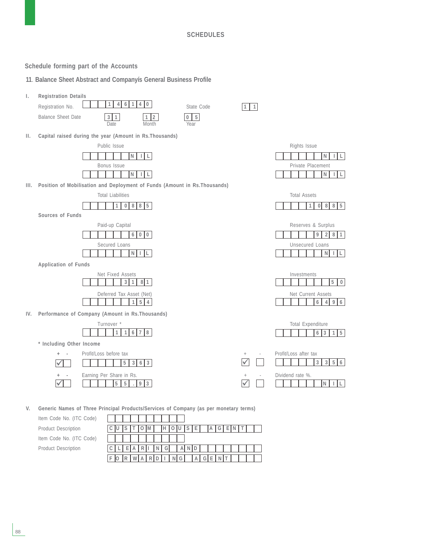**Schedule forming part of the Accounts**

**11**. **Balance Sheet Abstract and Companyís General Business Profile**



**V. Generic Names of Three Principal Products/Services of Company (as per monetary terms)**

Item Code No. (ITC Code) Product Description Item Code No. (ITC Code) Product Description

|  |     |         |  | M | H[0]U[S]E[AA]G[E]N]T |         |  |  |  |  |  |
|--|-----|---------|--|---|----------------------|---------|--|--|--|--|--|
|  |     |         |  |   |                      |         |  |  |  |  |  |
|  | C L | $E$ ARI |  |   | NG AND I             |         |  |  |  |  |  |
|  |     |         |  |   |                      | NG AGEN |  |  |  |  |  |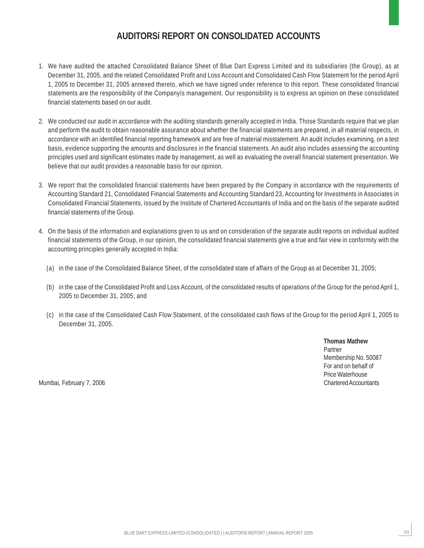### **AUDITORSí REPORT ON CONSOLIDATED ACCOUNTS**

- 1. We have audited the attached Consolidated Balance Sheet of Blue Dart Express Limited and its subsidiaries (the Group), as at December 31, 2005, and the related Consolidated Profit and Loss Account and Consolidated Cash Flow Statement for the period April 1, 2005 to December 31, 2005 annexed thereto, which we have signed under reference to this report. These consolidated financial statements are the responsibility of the Companyís management. Our responsibility is to express an opinion on these consolidated financial statements based on our audit.
- 2. We conducted our audit in accordance with the auditing standards generally accepted in India. Those Standards require that we plan and perform the audit to obtain reasonable assurance about whether the financial statements are prepared, in all material respects, in accordance with an identified financial reporting framework and are free of material misstatement. An audit includes examining, on a test basis, evidence supporting the amounts and disclosures in the financial statements. An audit also includes assessing the accounting principles used and significant estimates made by management, as well as evaluating the overall financial statement presentation. We believe that our audit provides a reasonable basis for our opinion.
- 3. We report that the consolidated financial statements have been prepared by the Company in accordance with the requirements of Accounting Standard 21, Consolidated Financial Statements and Accounting Standard 23, Accounting for Investments in Associates in Consolidated Financial Statements, issued by the Institute of Chartered Accountants of India and on the basis of the separate audited financial statements of the Group.
- 4. On the basis of the information and explanations given to us and on consideration of the separate audit reports on individual audited financial statements of the Group, in our opinion, the consolidated financial statements give a true and fair view in conformity with the accounting principles generally accepted in India:
	- (a) in the case of the Consolidated Balance Sheet, of the consolidated state of affairs of the Group as at December 31, 2005;
	- (b) in the case of the Consolidated Profit and Loss Account, of the consolidated results of operations of the Group for the period April 1, 2005 to December 31, 2005; and
	- (c) in the case of the Consolidated Cash Flow Statement, of the consolidated cash flows of the Group for the period April 1, 2005 to December 31, 2005.

**Thomas Mathew** Partner Membership No. 50087 For and on behalf of Price Waterhouse

89

Mumbai, February 7, 2006 **Chartered Accountants** Chartered Accountants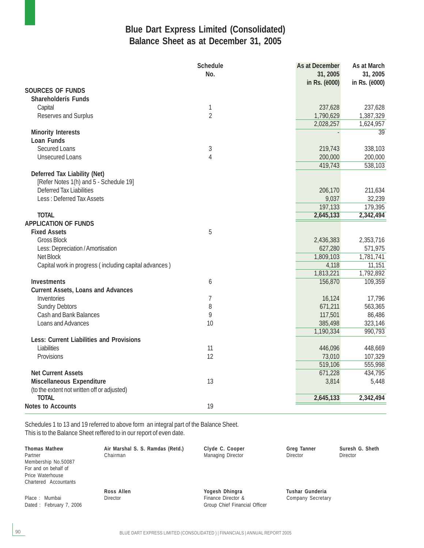### **Blue Dart Express Limited (Consolidated) Balance Sheet as at December 31, 2005**

|                                                       | <b>Schedule</b><br>No. | As at December<br>31, 2005<br>in Rs. (ë000) | As at March<br>31, 2005<br>in Rs. (ë000) |
|-------------------------------------------------------|------------------------|---------------------------------------------|------------------------------------------|
| <b>SOURCES OF FUNDS</b>                               |                        |                                             |                                          |
| Shareholderís Funds                                   |                        |                                             |                                          |
| Capital                                               | $\mathbf{1}$           | 237,628                                     | 237,628                                  |
| Reserves and Surplus                                  | $\overline{2}$         | 1,790,629                                   | 1,387,329                                |
|                                                       |                        | 2,028,257                                   | 1,624,957                                |
| <b>Minority Interests</b>                             |                        |                                             | 39                                       |
| Loan Funds                                            |                        |                                             |                                          |
| <b>Secured Loans</b>                                  | 3                      | 219,743                                     | 338,103                                  |
| <b>Unsecured Loans</b>                                | $\overline{4}$         | 200,000                                     | 200,000                                  |
|                                                       |                        | 419,743                                     | 538,103                                  |
| Deferred Tax Liability (Net)                          |                        |                                             |                                          |
| [Refer Notes 1(h) and 5 - Schedule 19]                |                        |                                             |                                          |
| <b>Deferred Tax Liabilities</b>                       |                        | 206,170                                     | 211,634                                  |
| Less: Deferred Tax Assets                             |                        | 9,037                                       | 32,239                                   |
|                                                       |                        | 197,133                                     | 179,395                                  |
| <b>TOTAL</b>                                          |                        | 2,645,133                                   | 2,342,494                                |
| <b>APPLICATION OF FUNDS</b>                           |                        |                                             |                                          |
| <b>Fixed Assets</b>                                   | 5                      |                                             |                                          |
| <b>Gross Block</b>                                    |                        | 2,436,383                                   | 2,353,716                                |
| Less: Depreciation / Amortisation                     |                        | 627,280                                     | 571,975                                  |
| Net Block                                             |                        | 1,809,103                                   | 1,781,741                                |
| Capital work in progress (including capital advances) |                        | 4,118                                       | 11,151                                   |
|                                                       |                        | 1,813,221                                   | 1,792,892                                |
| <b>Investments</b>                                    | 6                      | 156,870                                     | 109,359                                  |
| <b>Current Assets, Loans and Advances</b>             |                        |                                             |                                          |
| Inventories                                           | $\overline{1}$         | 16,124                                      | 17,796                                   |
| <b>Sundry Debtors</b>                                 | 8                      | 671,211                                     | 563,365                                  |
| <b>Cash and Bank Balances</b>                         | 9                      | 117,501                                     | 86,486                                   |
| Loans and Advances                                    | 10                     | 385,498                                     | 323,146                                  |
|                                                       |                        | 1,190,334                                   | 990,793                                  |
| <b>Less: Current Liabilities and Provisions</b>       |                        |                                             |                                          |
| Liabilities                                           | 11                     | 446,096                                     | 448,669                                  |
| Provisions                                            | 12                     | 73,010                                      | 107,329                                  |
|                                                       |                        | 519,106                                     | 555,998                                  |
| <b>Net Current Assets</b>                             |                        | 671,228                                     | 434,795                                  |
| Miscellaneous Expenditure                             | 13                     | 3,814                                       | 5,448                                    |
| (to the extent not written off or adjusted)           |                        |                                             |                                          |
| <b>TOTAL</b>                                          |                        | 2,645,133                                   | 2,342,494                                |
| <b>Notes to Accounts</b>                              | 19                     |                                             |                                          |

Schedules 1 to 13 and 19 referred to above form an integral part of the Balance Sheet. This is to the Balance Sheet reffered to in our report of even date.

| <b>Thomas Mathew</b><br>Partner | Air Marshal S. S. Ramdas (Retd.)<br>Chairman | Clyde C. Cooper<br>Managing Director | <b>Greg Tanner</b><br>Director | Suresh G. Sheth<br><b>Director</b> |
|---------------------------------|----------------------------------------------|--------------------------------------|--------------------------------|------------------------------------|
| Membership No.50087             |                                              |                                      |                                |                                    |
| For and on behalf of            |                                              |                                      |                                |                                    |
| Price Waterhouse                |                                              |                                      |                                |                                    |
| Chartered Accountants           |                                              |                                      |                                |                                    |
|                                 | Ross Allen                                   | Yogesh Dhingra                       | Tushar Gunderia                |                                    |
| Place: Mumbai                   | <b>Director</b>                              | Finance Director &                   | Company Secretary              |                                    |
| Dated: February 7, 2006         |                                              | Group Chief Financial Officer        |                                |                                    |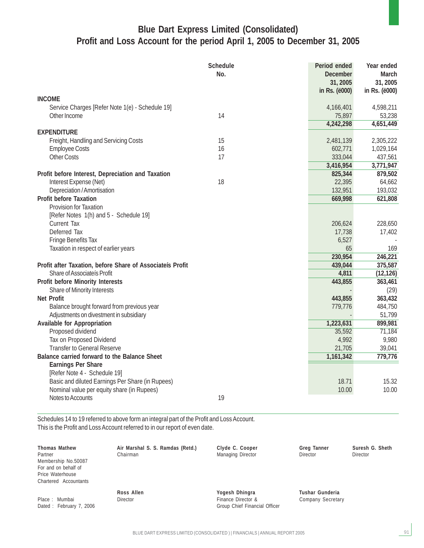### **Blue Dart Express Limited (Consolidated) Profit and Loss Account for the period April 1, 2005 to December 31, 2005**

|                                                           | <b>Schedule</b><br>No. | Period ended<br><b>December</b><br>31, 2005 | Year ended<br><b>March</b><br>31, 2005 |
|-----------------------------------------------------------|------------------------|---------------------------------------------|----------------------------------------|
|                                                           |                        | in Rs. (ë000)                               | in Rs. (ë000)                          |
| <b>INCOME</b>                                             |                        |                                             |                                        |
| Service Charges [Refer Note 1(e) - Schedule 19]           |                        | 4,166,401                                   | 4,598,211                              |
| Other Income                                              | 14                     | 75,897                                      | 53,238                                 |
|                                                           |                        | 4,242,298                                   | 4,651,449                              |
| <b>EXPENDITURE</b>                                        |                        |                                             |                                        |
| Freight, Handling and Servicing Costs                     | 15                     | 2,481,139                                   | 2,305,222                              |
| <b>Employee Costs</b>                                     | 16                     | 602,771                                     | 1,029,164                              |
| <b>Other Costs</b>                                        | 17                     | 333,044                                     | 437,561                                |
|                                                           |                        | 3,416,954                                   | 3,771,947                              |
| Profit before Interest, Depreciation and Taxation         |                        | 825,344                                     | 879,502                                |
| Interest Expense (Net)                                    | 18                     | 22,395                                      | 64,662                                 |
| Depreciation / Amortisation                               |                        | 132,951                                     | 193,032                                |
| <b>Profit before Taxation</b>                             |                        | 669,998                                     | 621,808                                |
| <b>Provision for Taxation</b>                             |                        |                                             |                                        |
| [Refer Notes 1(h) and 5 - Schedule 19]                    |                        |                                             |                                        |
| <b>Current Tax</b>                                        |                        | 206,624                                     | 228,650                                |
| Deferred Tax                                              |                        | 17,738                                      | 17,402                                 |
| <b>Fringe Benefits Tax</b>                                |                        | 6,527                                       |                                        |
| Taxation in respect of earlier years                      |                        | 65                                          | 169                                    |
|                                                           |                        | 230,954                                     | 246,221                                |
| Profit after Taxation, before Share of Associateís Profit |                        | 439,044                                     | 375,587                                |
| Share of Associateís Profit                               |                        | 4,811                                       | (12, 126)                              |
| <b>Profit before Minority Interests</b>                   |                        | 443,855                                     | 363,461                                |
| Share of Minority Interests                               |                        |                                             | (29)                                   |
| <b>Net Profit</b>                                         |                        | 443,855                                     | 363,432                                |
| Balance brought forward from previous year                |                        | 779,776                                     | 484,750                                |
| Adjustments on divestment in subsidiary                   |                        |                                             | 51,799                                 |
| <b>Available for Appropriation</b>                        |                        | 1,223,631                                   | 899,981                                |
| Proposed dividend                                         |                        | 35,592                                      | 71,184                                 |
| Tax on Proposed Dividend                                  |                        | 4,992                                       | 9,980                                  |
| <b>Transfer to General Reserve</b>                        |                        | 21,705                                      | 39,041                                 |
| Balance carried forward to the Balance Sheet              |                        | 1,161,342                                   | 779,776                                |
| <b>Earnings Per Share</b>                                 |                        |                                             |                                        |
| [Refer Note 4 - Schedule 19]                              |                        |                                             |                                        |
| Basic and diluted Earnings Per Share (in Rupees)          |                        | 18.71                                       | 15.32                                  |
| Nominal value per equity share (in Rupees)                |                        | 10.00                                       | 10.00                                  |
| Notes to Accounts                                         | 19                     |                                             |                                        |

Schedules 14 to 19 referred to above form an integral part of the Profit and Loss Account. This is the Profit and Loss Account referred to in our report of even date.

| <b>Thomas Mathew</b><br>Partner<br>Membership No.50087<br>For and on behalf of<br>Price Waterhouse<br>Chartered Accountants | Air Marshal S. S. Ramdas (Retd.)<br>Chairman | Clyde C. Cooper<br>Managing Director                                  | Greg Tanner<br><b>Director</b>       | Suresh G. Sheth<br><b>Director</b> |
|-----------------------------------------------------------------------------------------------------------------------------|----------------------------------------------|-----------------------------------------------------------------------|--------------------------------------|------------------------------------|
| Place: Mumbai<br>Dated: February 7, 2006                                                                                    | Ross Allen<br><b>Director</b>                | Yogesh Dhingra<br>Finance Director &<br>Group Chief Financial Officer | Tushar Gunderia<br>Company Secretary |                                    |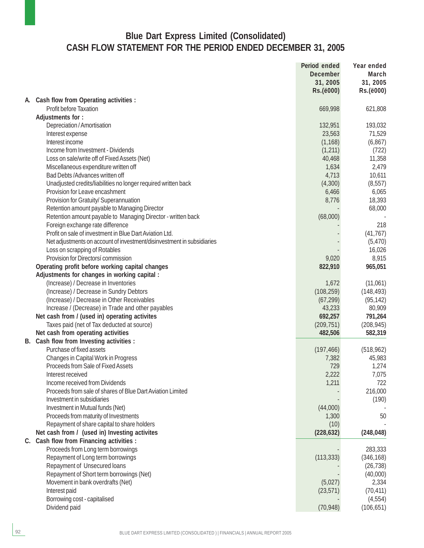### **Blue Dart Express Limited (Consolidated) CASH FLOW STATEMENT FOR THE PERIOD ENDED DECEMBER 31, 2005**

|    |                                                                                                  | Period ended<br><b>December</b><br>31, 2005<br>Rs.(ë000) | Year ended<br>March<br>31, 2005<br>Rs.(ë000) |
|----|--------------------------------------------------------------------------------------------------|----------------------------------------------------------|----------------------------------------------|
| A. | Cash flow from Operating activities :                                                            |                                                          |                                              |
|    | Profit before Taxation                                                                           | 669,998                                                  | 621,808                                      |
|    | Adjustments for:                                                                                 |                                                          |                                              |
|    | Depreciation / Amortisation                                                                      | 132,951                                                  | 193,032                                      |
|    | Interest expense                                                                                 | 23,563                                                   | 71,529                                       |
|    | Interest income                                                                                  | (1, 168)                                                 | (6, 867)                                     |
|    | Income from Investment - Dividends                                                               | (1, 211)                                                 | (722)                                        |
|    | Loss on sale/write off of Fixed Assets (Net)                                                     | 40,468                                                   | 11,358                                       |
|    | Miscellaneous expenditure written off                                                            | 1,634                                                    | 2,479                                        |
|    | Bad Debts / Advances written off                                                                 | 4,713                                                    | 10,611                                       |
|    | Unadjusted credits/liabilities no longer required written back                                   | (4,300)                                                  | (8, 557)                                     |
|    | Provision for Leave encashment                                                                   | 6,466                                                    | 6,065                                        |
|    | Provision for Gratuity/ Superannuation                                                           | 8,776                                                    | 18,393                                       |
|    | Retention amount payable to Managing Director                                                    |                                                          | 68,000                                       |
|    | Retention amount payable to Managing Director - written back<br>Foreign exchange rate difference | (68,000)                                                 | 218                                          |
|    | Profit on sale of investment in Blue Dart Aviation Ltd.                                          |                                                          | (41, 767)                                    |
|    | Net adjustments on account of investment/disinvestment in subsidiaries                           |                                                          | (5, 470)                                     |
|    | Loss on scrapping of Rotables                                                                    |                                                          | 16,026                                       |
|    | Provision for Directorsí commission                                                              | 9,020                                                    | 8,915                                        |
|    | Operating profit before working capital changes                                                  | 822,910                                                  | 965,051                                      |
|    | Adjustments for changes in working capital :                                                     |                                                          |                                              |
|    | (Increase) / Decrease in Inventories                                                             | 1,672                                                    | (11,061)                                     |
|    | (Increase) / Decrease in Sundry Debtors                                                          | (108, 259)                                               | (148, 493)                                   |
|    | (Increase) / Decrease in Other Receivables                                                       | (67, 299)                                                | (95, 142)                                    |
|    | Increase / (Decrease) in Trade and other payables                                                | 43,233                                                   | 80,909                                       |
|    | Net cash from / (used in) operating activites                                                    | 692,257                                                  | 791,264                                      |
|    | Taxes paid (net of Tax deducted at source)                                                       | (209, 751)                                               | (208, 945)                                   |
|    | Net cash from operating activities                                                               | 482,506                                                  | 582,319                                      |
|    | B. Cash flow from Investing activities :                                                         |                                                          |                                              |
|    | Purchase of fixed assets                                                                         | (197, 466)                                               | (518, 962)                                   |
|    | Changes in Capital Work in Progress                                                              | 7,382                                                    | 45,983                                       |
|    | Proceeds from Sale of Fixed Assets                                                               | 729                                                      | 1,274                                        |
|    | Interest received                                                                                | 2,222                                                    | 7,075                                        |
|    | Income received from Dividends                                                                   | 1,211                                                    | 722                                          |
|    | Proceeds from sale of shares of Blue Dart Aviation Limited                                       |                                                          | 216,000                                      |
|    | Investment in subsidiaries                                                                       |                                                          | (190)                                        |
|    | Investment in Mutual funds (Net)                                                                 | (44,000)                                                 |                                              |
|    | Proceeds from maturity of Investments                                                            | 1,300                                                    | 50                                           |
|    | Repayment of share capital to share holders                                                      | (10)                                                     |                                              |
|    | Net cash from / (used in) Investing activites                                                    | (228, 632)                                               | (248, 048)                                   |
|    | C. Cash flow from Financing activities :                                                         |                                                          |                                              |
|    | Proceeds from Long term borrowings                                                               |                                                          | 283,333                                      |
|    | Repayment of Long term borrowings                                                                | (113, 333)                                               | (346, 168)                                   |
|    | Repayment of Unsecured loans                                                                     |                                                          | (26, 738)                                    |
|    | Repayment of Short term borrowings (Net)                                                         | (5,027)                                                  | (40,000)                                     |
|    | Movement in bank overdrafts (Net)<br>Interest paid                                               | (23, 571)                                                | 2,334<br>(70, 411)                           |
|    | Borrowing cost - capitalised                                                                     |                                                          | (4, 554)                                     |
|    | Dividend paid                                                                                    | (70, 948)                                                | (106, 651)                                   |
|    |                                                                                                  |                                                          |                                              |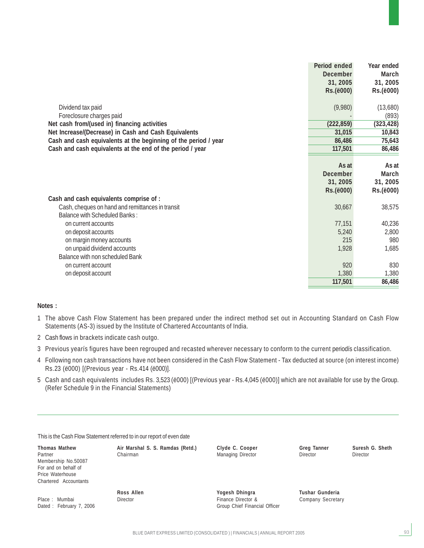|                                                                 | Period ended    | Year ended |
|-----------------------------------------------------------------|-----------------|------------|
|                                                                 | <b>December</b> | March      |
|                                                                 | 31, 2005        | 31, 2005   |
|                                                                 | Rs.(ë000)       | Rs.(ë000)  |
|                                                                 |                 |            |
| Dividend tax paid                                               | (9,980)         | (13,680)   |
| Foreclosure charges paid                                        |                 | (893)      |
| Net cash from/(used in) financing activities                    | (222, 859)      | (323, 428) |
| Net Increase/(Decrease) in Cash and Cash Equivalents            | 31,015          | 10,843     |
| Cash and cash equivalents at the beginning of the period / year | 86,486          | 75,643     |
| Cash and cash equivalents at the end of the period / year       | 117,501         | 86,486     |
|                                                                 |                 |            |
|                                                                 | As at           | As at      |
|                                                                 | <b>December</b> | March      |
|                                                                 | 31, 2005        | 31, 2005   |
|                                                                 | Rs.(ë000)       | Rs.(ë000)  |
| Cash and cash equivalents comprise of :                         |                 |            |
| Cash, cheques on hand and remittances in transit                | 30,667          | 38,575     |
| <b>Balance with Scheduled Banks:</b>                            |                 |            |
| on current accounts                                             | 77,151          | 40,236     |
| on deposit accounts                                             | 5,240           | 2,800      |
| on margin money accounts                                        | 215             | 980        |
| on unpaid dividend accounts                                     | 1,928           | 1,685      |
| Balance with non scheduled Bank                                 |                 |            |
| on current account                                              | 920             | 830        |
| on deposit account                                              | 1,380           | 1,380      |
|                                                                 | 117,501         | 86,486     |

#### **Notes :**

- 1 The above Cash Flow Statement has been prepared under the indirect method set out in Accounting Standard on Cash Flow Statements (AS-3) issued by the Institute of Chartered Accountants of India.
- 2 Cash flows in brackets indicate cash outgo.
- 3 Previous yearís figures have been regrouped and recasted wherever necessary to conform to the current periodís classification.
- 4 Following non cash transactions have not been considered in the Cash Flow Statement Tax deducted at source (on interest income) Rs.23 (ë000) [(Previous year - Rs.414 (ë000)].
- 5 Cash and cash equivalents includes Rs. 3,523 (ë000) [(Previous year Rs.4,045 (ë000)] which are not available for use by the Group. (Refer Schedule 9 in the Financial Statements)

|  |  | This is the Cash Flow Statement referred to in our report of even date |  |
|--|--|------------------------------------------------------------------------|--|
|  |  |                                                                        |  |

**Thomas Mathew Air Marshal S. S. Ramdas (Retd.) Clyde C. Cooper Greg Tanner Suresh G. Sheth** Membership No.50087 For and on behalf of Price Waterhouse Chartered Accountants

Partner **Chairman** Chairman Managing Director Director **Director** Director **Director** 

Place : Mumbai Director Finance Director & Company Secretary

Group Chief Financial Officer

**Ross Allen Nogesh Dhingra** Tushar Gunderia<br>
Director Company Secreta Pinance Director & Company Secreta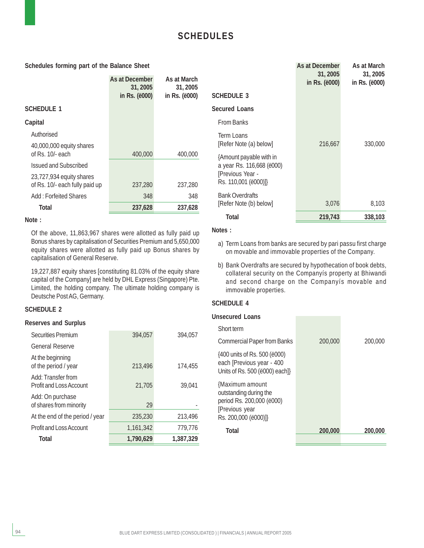#### **Schedules forming part of the Balance Sheet**

|                                                            | As at December<br>31, 2005<br>in Rs. (ë000) | As at March<br>31, 2005<br>in Rs. ( <i>ë</i> 000) |
|------------------------------------------------------------|---------------------------------------------|---------------------------------------------------|
| <b>SCHEDULE 1</b>                                          |                                             |                                                   |
| Capital                                                    |                                             |                                                   |
| Authorised                                                 |                                             |                                                   |
| 40,000,000 equity shares<br>of Rs. 10/- each               | 400,000                                     | 400,000                                           |
| <b>Issued and Subscribed</b>                               |                                             |                                                   |
| 23,727,934 equity shares<br>of Rs. 10/- each fully paid up | 237,280                                     | 237,280                                           |
| Add: Forfeited Shares                                      | 348                                         | 348                                               |
| Total                                                      | 237,628                                     | 237,628                                           |

#### **Note :**

Of the above, 11,863,967 shares were allotted as fully paid up Bonus shares by capitalisation of Securities Premium and 5,650,000 equity shares were allotted as fully paid up Bonus shares by capitalisation of General Reserve.

19,227,887 equity shares [constituting 81.03% of the equity share capital of the Company] are held by DHL Express (Singapore) Pte. Limited, the holding company. The ultimate holding company is Deutsche Post AG, Germany.

#### **SCHEDULE 2**

#### **Reserves and Surplus**

| <b>Securities Premium</b>                            | 394.057   | 394.057   |
|------------------------------------------------------|-----------|-----------|
| <b>General Reserve</b>                               |           |           |
| At the beginning<br>of the period / year             | 213,496   | 174,455   |
| Add: Transfer from<br><b>Profit and Loss Account</b> | 21.705    | 39,041    |
| Add: On purchase<br>of shares from minority          | 29        |           |
| At the end of the period / year                      | 235,230   | 213,496   |
| <b>Profit and Loss Account</b>                       | 1.161.342 | 779.776   |
| Total                                                | 1,790,629 | 1,387,329 |

|                                                                                                  | As at December<br>31, 2005<br>in Rs. (ë000) | As at March<br>31, 2005<br>in Rs. (ë000) |
|--------------------------------------------------------------------------------------------------|---------------------------------------------|------------------------------------------|
| <b>SCHEDULE 3</b>                                                                                |                                             |                                          |
| Secured Loans                                                                                    |                                             |                                          |
| <b>From Banks</b>                                                                                |                                             |                                          |
| Term Loans<br>[Refer Note (a) below]                                                             | 216,667                                     | 330,000                                  |
| {Amount payable with in<br>a year Rs. 116,668 (ë000)<br>[Previous Year -<br>Rs. 110,001 (ë000)]} |                                             |                                          |
| <b>Bank Overdrafts</b><br>[Refer Note (b) below]                                                 | 3,076                                       | 8,103                                    |
| Total                                                                                            | 219,743                                     | 338,103                                  |

#### **Notes :**

- a) Term Loans from banks are secured by pari passu first charge on movable and immovable properties of the Company.
- b) Bank Overdrafts are secured by hypothecation of book debts, collateral security on the Companyís property at Bhiwandi and second charge on the Companyís movable and immovable properties.

#### **SCHEDULE 4**

| Unsecured Loans                                                                                                  |         |         |
|------------------------------------------------------------------------------------------------------------------|---------|---------|
| Short term                                                                                                       |         |         |
| <b>Commercial Paper from Banks</b>                                                                               | 200,000 | 200,000 |
| {400 units of Rs. 500 (ë000)<br>each [Previous year - 400<br>Units of Rs. 500 (ë000) each]}                      |         |         |
| {Maximum amount<br>outstanding during the<br>period Rs. 200,000 (ë000)<br>[Previous year<br>Rs. 200,000 (ë000)]} |         |         |
| Total                                                                                                            | 200,000 | 200,000 |
|                                                                                                                  |         |         |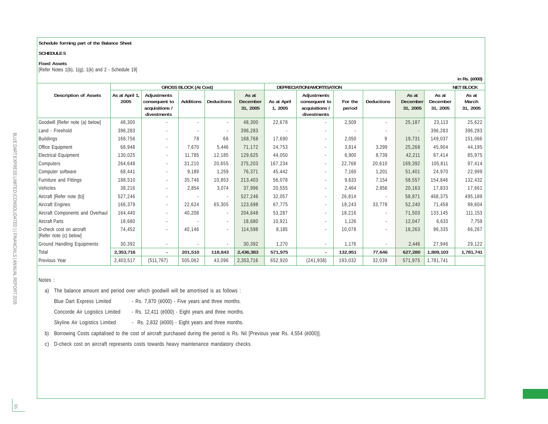#### **Schedule forming part of the Balance Sheet**

#### **SCHEDULE 5**

#### **Fixed Assets**

[Refer Notes  $1(b)$ ,  $1(g)$ ,  $1(k)$  and  $2 -$  Schedule  $19$ ]

|                                                    | <b>GROSS BLOCK (At Cost)</b> |                                                               |                  | DEPRECIATION/AMORTISATION |                                      |                        |                                                               | <b>NET BLOCK</b>  |                   |                               |                               |                            |
|----------------------------------------------------|------------------------------|---------------------------------------------------------------|------------------|---------------------------|--------------------------------------|------------------------|---------------------------------------------------------------|-------------------|-------------------|-------------------------------|-------------------------------|----------------------------|
| <b>Description of Assets</b>                       | As at April 1,<br>2005       | Adjustments<br>consequent to<br>acquisitions /<br>divestments | <b>Additions</b> | <b>Deductions</b>         | As at<br><b>December</b><br>31, 2005 | As at April<br>1, 2005 | Adjustments<br>consequent to<br>acquisitions /<br>divestments | For the<br>period | <b>Deductions</b> | As at<br>December<br>31, 2005 | As at<br>December<br>31, 2005 | As at<br>March<br>31, 2005 |
| Goodwill [Refer note (a) below]                    | 48,300                       |                                                               | $\sim$           | $\sim$                    | 48,300                               | 22,678                 |                                                               | 2,509             | $\sim$            | 25,187                        | 23,113                        | 25,622                     |
| Land - Freehold                                    | 396,283                      | $\sim$                                                        |                  |                           | 396,283                              |                        |                                                               |                   |                   |                               | 396,283                       | 396,283                    |
| <b>Buildings</b>                                   | 168,756                      | $\sim$                                                        | 78               | 66                        | 168,768                              | 17,690                 |                                                               | 2,050             | 9                 | 19,731                        | 149.037                       | 151,066                    |
| Office Equipment                                   | 68,948                       | $\sim$                                                        | 7.670            | 5,446                     | 71,172                               | 24,753                 |                                                               | 3,814             | 3,299             | 25,268                        | 45,904                        | 44,195                     |
| <b>Electrical Equipment</b>                        | 130,025                      | $\sim$                                                        | 11.785           | 12,185                    | 129,625                              | 44,050                 |                                                               | 6,900             | 8,739             | 42,211                        | 87,414                        | 85,975                     |
| Computers                                          | 264,648                      | $\sim$                                                        | 31,210           | 20,655                    | 275,203                              | 167,234                |                                                               | 22,768            | 20.610            | 169,392                       | 105.811                       | 97,414                     |
| Computer software                                  | 68,441                       | $\sim$                                                        | 9.189            | 1,259                     | 76,371                               | 45,442                 |                                                               | 7.160             | 1,201             | 51,401                        | 24,970                        | 22,999                     |
| Furniture and Fittings                             | 188,510                      | $\sim$                                                        | 35,746           | 10,853                    | 213,403                              | 56,078                 | ٠                                                             | 9,633             | 7,154             | 58,557                        | 154,846                       | 132,432                    |
| Vehicles                                           | 38,216                       | $\sim$                                                        | 2,854            | 3,074                     | 37,996                               | 20,555                 |                                                               | 2,464             | 2,856             | 20,163                        | 17,833                        | 17,661                     |
| Aircraft [Refer note (b)]                          | 527,246                      | $\sim$                                                        |                  |                           | 527,246                              | 32,057                 |                                                               | 26,814            |                   | 58,871                        | 468,375                       | 495,189                    |
| Aircraft Engines                                   | 166,379                      | $\sim$                                                        | 22,624           | 65,305                    | 123,698                              | 67,775                 | $\sim$                                                        | 18,243            | 33,778            | 52,240                        | 71.458                        | 98,604                     |
| Aircraft Components and Overhaul                   | 164,440                      | $\sim$                                                        | 40,208           |                           | 204,648                              | 53,287                 | ×.                                                            | 18,216            | $\sim$            | 71,503                        | 133,145                       | 111,153                    |
| <b>Aircraft Parts</b>                              | 18.680                       | $\sim$                                                        |                  | $\sim$                    | 18,680                               | 10,921                 |                                                               | 1.126             | $\sim$            | 12.047                        | 6,633                         | 7,759                      |
| D-check cost on aircraft<br>[Refer note (c) below] | 74,452                       |                                                               | 40.146           |                           | 114,598                              | 8,185                  |                                                               | 10,078            |                   | 18,263                        | 96,335                        | 66,267                     |
| Ground Handling Equipments                         | 30,392                       |                                                               |                  |                           | 30,392                               | 1,270                  |                                                               | 1,176             |                   | 2,446                         | 27,946                        | 29,122                     |
| Total                                              | 2,353,716                    | $\sim$                                                        | 201,510          | 118,843                   | 2,436,383                            | 571,975                | $\sim$                                                        | 132,951           | 77,646            | 627,280                       | 1,809,103                     | 1,781,741                  |
| Previous Year                                      | 2,403,517                    | (511, 767)                                                    | 505,062          | 43,096                    | 2,353,716                            | 652,920                | (241, 938)                                                    | 193,032           | 32,039            | 571,975                       | 1,781,741                     |                            |

**in Rs. (ë000)**

#### Notes :

a) The balance amount and period over which goodwill will be amortised is as follows :

Blue Dart Express Limited - Rs. 7,870 (ë000) - Five years and three months.

Concorde Air Logistics Limited - Rs. 12,411 (ë000) - Eight years and three months.

Skyline Air Logistics Limited - Rs. 2,832 (ë000) - Eight years and three months.

b) Borrowing Costs capitalised to the cost of aircraft purchased during the period is Rs. Nil [Previous year Rs. 4,554 (ë000)].

c) D-check cost on aircraft represents costs towards heavy maintenance mandatory checks.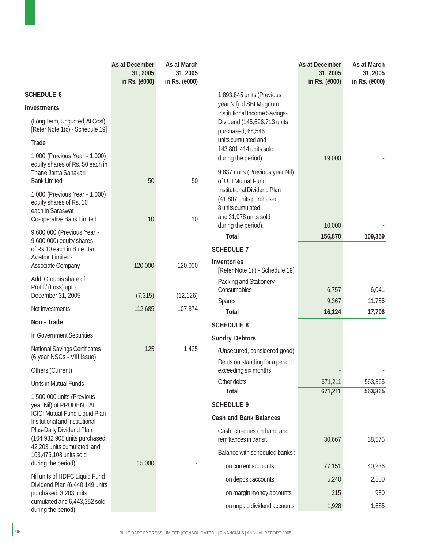|                                                                                         | As at December<br>31, 2005<br>in Rs. (ë000) | As at March<br>31, 2005<br>in Rs. (ë000) |                                                          | As at December<br>31, 2005<br>in Rs. (ë000) | As at March<br>31, 2005<br>in Rs. (ë000) |
|-----------------------------------------------------------------------------------------|---------------------------------------------|------------------------------------------|----------------------------------------------------------|---------------------------------------------|------------------------------------------|
| <b>SCHEDULE 6</b>                                                                       |                                             |                                          | 1,893,845 units (Previous                                |                                             |                                          |
| <b>Investments</b>                                                                      |                                             |                                          | year Nil) of SBI Magnum<br>Institutional Income Savings- |                                             |                                          |
| (Long Term, Unquoted, At Cost)<br>[Refer Note 1(c) - Schedule 19]                       |                                             |                                          | Dividend (145,626,713 units<br>purchased, 68,546         |                                             |                                          |
| <b>Trade</b>                                                                            |                                             |                                          | units cumulated and                                      |                                             |                                          |
| 1,000 (Previous Year - 1,000)                                                           |                                             |                                          | 143,801,414 units sold<br>during the period).            | 19,000                                      |                                          |
| equity shares of Rs. 50 each in<br>Thane Janta Sahakari<br><b>Bank Limited</b>          | 50                                          | 50                                       | 9,837 units (Previous year Nil)<br>of UTI Mutual Fund    |                                             |                                          |
| 1,000 (Previous Year - 1,000)                                                           |                                             |                                          | Institutional Dividend Plan                              |                                             |                                          |
| equity shares of Rs. 10<br>each in Saraswat                                             |                                             |                                          | (41,807 units purchased,<br>8 units cumulated            |                                             |                                          |
| Co-operative Bank Limited                                                               | 10                                          | 10                                       | and 31,978 units sold                                    |                                             |                                          |
| 9,600,000 (Previous Year -                                                              |                                             |                                          | during the period).                                      | 10,000                                      |                                          |
| 9,600,000) equity shares                                                                |                                             |                                          | <b>Total</b>                                             | 156,870                                     | 109,359                                  |
| of Rs 10 each in Blue Dart<br>Aviation Limited -                                        |                                             |                                          | <b>SCHEDULE 7</b>                                        |                                             |                                          |
| Associate Company                                                                       | 120,000                                     | 120,000                                  | <b>Inventories</b><br>[Refer Note 1(i) - Schedule 19]    |                                             |                                          |
| Add: Groupís share of                                                                   |                                             |                                          | Packing and Stationery                                   |                                             |                                          |
| Profit / (Loss) upto<br>December 31, 2005                                               | (7, 315)                                    | (12, 126)                                | Consumables                                              | 6,757                                       | 6,041                                    |
| Net Investments                                                                         | 112,685                                     | 107,874                                  | <b>Spares</b><br><b>Total</b>                            | 9,367<br>16,124                             | 11,755<br>17,796                         |
| Non - Trade                                                                             |                                             |                                          | <b>SCHEDULE 8</b>                                        |                                             |                                          |
| In Government Securities                                                                |                                             |                                          | <b>Sundry Debtors</b>                                    |                                             |                                          |
| <b>National Savings Certificates</b>                                                    | 125                                         | 1,425                                    | (Unsecured, considered good)                             |                                             |                                          |
| (6 year NSCs - VIII issue)                                                              |                                             |                                          | Debts outstanding for a period                           |                                             |                                          |
| Others (Current)                                                                        |                                             |                                          | exceeding six months                                     |                                             |                                          |
| Units in Mutual Funds                                                                   |                                             |                                          | Other debts                                              | 671,211                                     | 563,365                                  |
| 1,500,000 units (Previous                                                               |                                             |                                          | <b>Total</b>                                             | 671,211                                     | 563,365                                  |
| year Nil) of PRUDENTIAL<br><b>ICICI Mutual Fund Liquid Plan</b>                         |                                             |                                          | <b>SCHEDULE 9</b>                                        |                                             |                                          |
| Insitutional and Institutional                                                          |                                             |                                          | <b>Cash and Bank Balances</b>                            |                                             |                                          |
| Plus-Daily Dividend Plan<br>(104,932,905 units purchased,<br>42,203 units cumulated and |                                             |                                          | Cash, cheques on hand and<br>remittances in transit      | 30,667                                      | 38,575                                   |
| 103,475,108 units sold                                                                  |                                             |                                          | Balance with scheduled banks:                            |                                             |                                          |
| during the period)                                                                      | 15,000                                      |                                          | on current accounts                                      | 77,151                                      | 40,236                                   |
| Nil units of HDFC Liquid Fund<br>Dividend Plan (6,440,149 units                         |                                             |                                          | on deposit accounts                                      | 5,240                                       | 2,800                                    |
| purchased, 3,203 units                                                                  |                                             |                                          | on margin money accounts                                 | 215                                         | 980                                      |
| cumulated and 6,443,352 sold<br>during the period).                                     |                                             |                                          | on unpaid dividend accounts                              | 1,928                                       | 1,685                                    |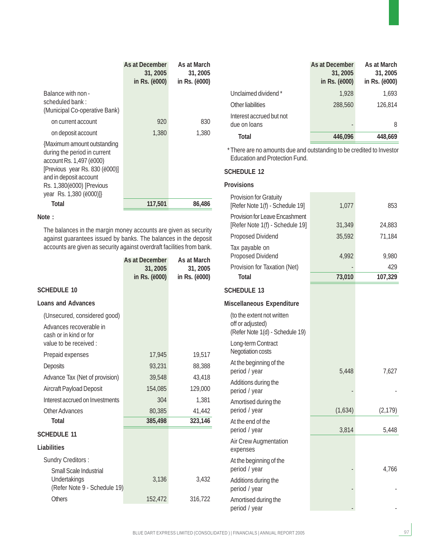|                                                                                                                                                                                                             | <b>As at December</b><br>31, 2005<br>in Rs. ( <i>ë</i> 000) | As at March<br>31, 2005<br>in Rs. ( <i>ë</i> 000) |
|-------------------------------------------------------------------------------------------------------------------------------------------------------------------------------------------------------------|-------------------------------------------------------------|---------------------------------------------------|
| Balance with non -<br>scheduled bank:<br>(Municipal Co-operative Bank)                                                                                                                                      |                                                             |                                                   |
| on current account                                                                                                                                                                                          | 920                                                         | 830                                               |
| on deposit account                                                                                                                                                                                          | 1,380                                                       | 1.380                                             |
| {Maximum amount outstanding<br>during the period in current<br>account Rs. 1,497 (ë000)<br>[Previous year Rs. 830 (ë000)]<br>and in deposit account<br>Rs. 1,380(ë000) [Previous<br>year Rs. 1,380 (ë000)]} |                                                             |                                                   |
| <b>Total</b>                                                                                                                                                                                                | 117,501                                                     | 86,486                                            |

#### **Note :**

The balances in the margin money accounts are given as security against guarantees issued by banks. The balances in the deposit accounts are given as security against overdraft facilities from bank.

|                                                                            | As at December<br>31, 2005<br>in Rs. (ë000) | As at March<br>31, 2005<br>in Rs. (ë000) |
|----------------------------------------------------------------------------|---------------------------------------------|------------------------------------------|
| <b>SCHEDULE 10</b>                                                         |                                             |                                          |
| <b>Loans and Advances</b>                                                  |                                             |                                          |
| (Unsecured, considered good)                                               |                                             |                                          |
| Advances recoverable in<br>cash or in kind or for<br>value to be received: |                                             |                                          |
| Prepaid expenses                                                           | 17,945                                      | 19,517                                   |
| Deposits                                                                   | 93,231                                      | 88,388                                   |
| Advance Tax (Net of provision)                                             | 39,548                                      | 43,418                                   |
| <b>Aircraft Payload Deposit</b>                                            | 154,085                                     | 129,000                                  |
| Interest accrued on Investments                                            | 304                                         | 1,381                                    |
| Other Advances                                                             | 80,385                                      | 41,442                                   |
| <b>Total</b>                                                               | 385,498                                     | 323,146                                  |
| <b>SCHEDULE 11</b>                                                         |                                             |                                          |
| Liabilities                                                                |                                             |                                          |
| <b>Sundry Creditors:</b>                                                   |                                             |                                          |
| Small Scale Industrial<br>Undertakings<br>(Refer Note 9 - Schedule 19)     | 3,136                                       | 3,432                                    |
| Others                                                                     | 152,472                                     | 316,722                                  |

|                                          | As at December<br>31, 2005<br>in Rs. (ë000) | As at March<br>31, 2005<br>in Rs. (ë000) |
|------------------------------------------|---------------------------------------------|------------------------------------------|
| Unclaimed dividend *                     | 1,928                                       | 1,693                                    |
| Other liabilities                        | 288,560                                     | 126.814                                  |
| Interest accrued but not<br>due on loans | -                                           | 8                                        |
| <b>Total</b>                             | 446.096                                     | 448,669                                  |

\* There are no amounts due and outstanding to be credited to Investor Education and Protection Fund.

#### **SCHEDULE 12**

#### **Provisions**

| <b>Provision for Gratuity</b><br>[Refer Note 1(f) - Schedule 19]                  | 1,077   | 853            |
|-----------------------------------------------------------------------------------|---------|----------------|
| <b>Provision for Leave Encashment</b><br>[Refer Note 1(f) - Schedule 19]          | 31,349  | 24,883         |
| <b>Proposed Dividend</b>                                                          | 35,592  | 71,184         |
| Tax payable on<br><b>Proposed Dividend</b>                                        | 4,992   | 9,980          |
| Provision for Taxation (Net)<br><b>Total</b>                                      | 73,010  | 429<br>107,329 |
| <b>SCHEDULE 13</b>                                                                |         |                |
| Miscellaneous Expenditure                                                         |         |                |
| (to the extent not written<br>off or adjusted)<br>(Refer Note 1(d) - Schedule 19) |         |                |
| Long-term Contract<br>Negotiation costs                                           |         |                |
| At the beginning of the<br>period / year                                          | 5,448   | 7,627          |
| Additions during the<br>period / year                                             |         |                |
| Amortised during the<br>period / year                                             | (1,634) | (2, 179)       |
| At the end of the<br>period / year                                                | 3,814   | 5,448          |
| <b>Air Crew Augmentation</b><br>expenses                                          |         |                |
| At the beginning of the<br>period / year                                          |         | 4,766          |
| Additions during the<br>period / year                                             |         |                |
| Amortised during the<br>period / year                                             |         |                |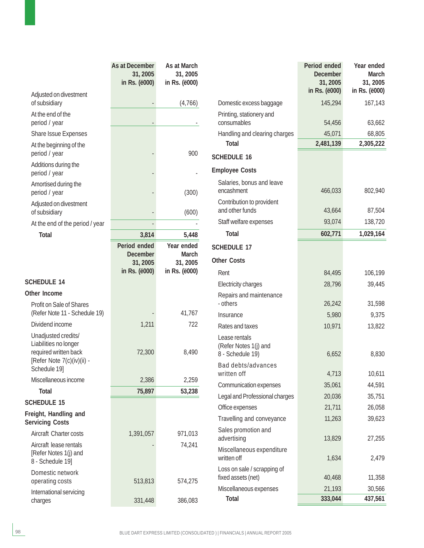|                                                                                                     | As at December<br>31, 2005<br>in Rs. (ë000) | As at March<br>31, 2005<br>in Rs. (ë000) |                                                            | Period ended<br><b>December</b><br>31, 2005<br>in Rs. (ë000) | Year ended<br><b>March</b><br>31, 2005<br>in Rs. (ë000) |
|-----------------------------------------------------------------------------------------------------|---------------------------------------------|------------------------------------------|------------------------------------------------------------|--------------------------------------------------------------|---------------------------------------------------------|
| Adjusted on divestment<br>of subsidiary                                                             |                                             | (4,766)                                  | Domestic excess baggage                                    | 145,294                                                      | 167,143                                                 |
| At the end of the<br>period / year                                                                  |                                             |                                          | Printing, stationery and<br>consumables                    | 54,456                                                       | 63,662                                                  |
| Share Issue Expenses                                                                                |                                             |                                          | Handling and clearing charges                              | 45,071                                                       | 68,805                                                  |
| At the beginning of the                                                                             |                                             |                                          | <b>Total</b>                                               | 2,481,139                                                    | 2,305,222                                               |
| period / year                                                                                       |                                             | 900                                      | <b>SCHEDULE 16</b>                                         |                                                              |                                                         |
| Additions during the<br>period / year                                                               |                                             |                                          | <b>Employee Costs</b>                                      |                                                              |                                                         |
| Amortised during the<br>period / year                                                               |                                             | (300)                                    | Salaries, bonus and leave<br>encashment                    | 466,033                                                      | 802,940                                                 |
| Adjusted on divestment                                                                              |                                             |                                          | Contribution to provident<br>and other funds               |                                                              | 87,504                                                  |
| of subsidiary                                                                                       |                                             | (600)                                    |                                                            | 43,664                                                       |                                                         |
| At the end of the period / year                                                                     |                                             |                                          | Staff welfare expenses                                     | 93,074                                                       | 138,720                                                 |
| <b>Total</b>                                                                                        | 3,814                                       | 5,448                                    | <b>Total</b>                                               | 602,771                                                      | 1,029,164                                               |
|                                                                                                     | Period ended<br><b>December</b>             | Year ended<br><b>March</b>               | <b>SCHEDULE 17</b>                                         |                                                              |                                                         |
|                                                                                                     | 31, 2005                                    | 31, 2005                                 | <b>Other Costs</b>                                         |                                                              |                                                         |
|                                                                                                     | in Rs. (ë000)                               | in Rs. (ë000)                            | Rent                                                       | 84,495                                                       | 106,199                                                 |
| <b>SCHEDULE 14</b>                                                                                  |                                             |                                          | Electricity charges                                        | 28,796                                                       | 39,445                                                  |
| Other Income                                                                                        |                                             |                                          | Repairs and maintenance                                    |                                                              |                                                         |
| Profit on Sale of Shares                                                                            |                                             |                                          | - others                                                   | 26,242                                                       | 31,598                                                  |
| (Refer Note 11 - Schedule 19)                                                                       |                                             | 41,767                                   | Insurance                                                  | 5,980                                                        | 9,375                                                   |
| Dividend income                                                                                     | 1,211                                       | 722                                      | Rates and taxes                                            | 10,971                                                       | 13,822                                                  |
| Unadjusted credits/<br>Liabilities no longer<br>required written back<br>[Refer Note 7(c)(iv)(ii) - | 72,300                                      | 8,490                                    | Lease rentals<br>(Refer Notes 1(j) and<br>8 - Schedule 19) | 6,652                                                        | 8,830                                                   |
| Schedule 19]                                                                                        |                                             |                                          | Bad debts/advances<br>written off                          | 4,713                                                        | 10,611                                                  |
| Miscellaneous income                                                                                | 2,386                                       | 2,259                                    | Communication expenses                                     | 35,061                                                       | 44,591                                                  |
| <b>Total</b>                                                                                        | 75,897                                      | 53,238                                   | Legal and Professional charges                             | 20,036                                                       | 35,751                                                  |
| <b>SCHEDULE 15</b>                                                                                  |                                             |                                          | Office expenses                                            | 21,711                                                       | 26,058                                                  |
| Freight, Handling and<br><b>Servicing Costs</b>                                                     |                                             |                                          | Travelling and conveyance                                  | 11,263                                                       | 39,623                                                  |
| Aircraft Charter costs                                                                              | 1,391,057                                   | 971,013                                  | Sales promotion and<br>advertising                         | 13,829                                                       | 27,255                                                  |
| Aircraft lease rentals<br>[Refer Notes 1(j) and<br>8 - Schedule 19]                                 |                                             | 74,241                                   | Miscellaneous expenditure<br>written off                   | 1,634                                                        | 2,479                                                   |
| Domestic network<br>operating costs                                                                 | 513,813                                     | 574,275                                  | Loss on sale / scrapping of<br>fixed assets (net)          | 40,468                                                       | 11,358                                                  |
| International servicing                                                                             |                                             |                                          | Miscellaneous expenses                                     | 21,193                                                       | 30,566                                                  |
| charges                                                                                             | 331,448                                     | 386,083                                  | <b>Total</b>                                               | 333,044                                                      | 437,561                                                 |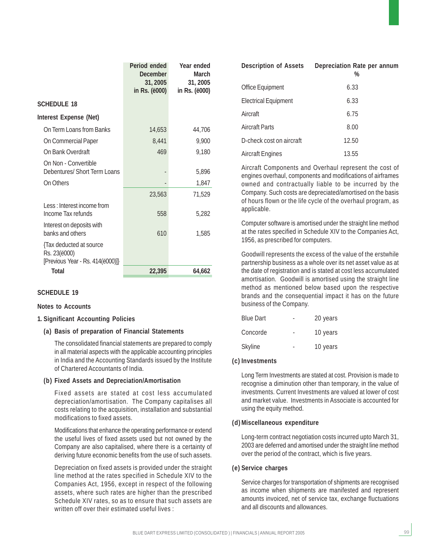|                                                                             | Period ended<br><b>December</b><br>31, 2005<br>in Rs. (ë000) | Year ended<br><b>March</b><br>31, 2005<br>in Rs. (ë000) |
|-----------------------------------------------------------------------------|--------------------------------------------------------------|---------------------------------------------------------|
| <b>SCHEDULE 18</b>                                                          |                                                              |                                                         |
| <b>Interest Expense (Net)</b>                                               |                                                              |                                                         |
| On Term Loans from Banks                                                    | 14,653                                                       | 44,706                                                  |
| On Commercial Paper                                                         | 8,441                                                        | 9,900                                                   |
| On Bank Overdraft                                                           | 469                                                          | 9,180                                                   |
| On Non - Convertible<br>Debentures/ Short Term Loans                        |                                                              | 5,896                                                   |
| On Others                                                                   |                                                              | 1,847                                                   |
|                                                                             | 23,563                                                       | 71,529                                                  |
| Less: Interest income from<br>Income Tax refunds                            | 558                                                          | 5,282                                                   |
| Interest on deposits with<br>banks and others                               | 610                                                          | 1,585                                                   |
| {Tax deducted at source<br>Rs. 23(ë000)<br>[Previous Year - Rs. 414(ë000)]} |                                                              |                                                         |
| <b>Total</b>                                                                | 22,395                                                       | 64,662                                                  |

#### **Notes to Accounts**

#### **1. Significant Accounting Policies**

#### **(a) Basis of preparation of Financial Statements**

The consolidated financial statements are prepared to comply in all material aspects with the applicable accounting principles in India and the Accounting Standards issued by the Institute of Chartered Accountants of India.

#### **(b) Fixed Assets and Depreciation/Amortisation**

Fixed assets are stated at cost less accumulated depreciation/amortisation. The Company capitalises all costs relating to the acquisition, installation and substantial modifications to fixed assets.

Modifications that enhance the operating performance or extend the useful lives of fixed assets used but not owned by the Company are also capitalised, where there is a certainty of deriving future economic benefits from the use of such assets.

Depreciation on fixed assets is provided under the straight line method at the rates specified in Schedule XIV to the Companies Act, 1956, except in respect of the following assets, where such rates are higher than the prescribed Schedule XIV rates, so as to ensure that such assets are written off over their estimated useful lives :

| <b>Description of Assets</b> | Depreciation Rate per annum<br>% |
|------------------------------|----------------------------------|
| Office Equipment             | 6.33                             |
| <b>Electrical Equipment</b>  | 6.33                             |
| Aircraft                     | 6.75                             |
| <b>Aircraft Parts</b>        | 8.00                             |
| D-check cost on aircraft     | 12.50                            |
| <b>Aircraft Engines</b>      | 13.55                            |

Aircraft Components and Overhaul represent the cost of engines overhaul, components and modifications of airframes owned and contractually liable to be incurred by the Company. Such costs are depreciated/amortised on the basis of hours flown or the life cycle of the overhaul program, as applicable.

Computer software is amortised under the straight line method at the rates specified in Schedule XIV to the Companies Act, 1956, as prescribed for computers.

Goodwill represents the excess of the value of the erstwhile partnership business as a whole over its net asset value as at the date of registration and is stated at cost less accumulated amortisation. Goodwill is amortised using the straight line method as mentioned below based upon the respective brands and the consequential impact it has on the future business of the Company.

| <b>Blue Dart</b> | 20 years |
|------------------|----------|
| Concorde         | 10 years |
| Skyline          | 10 years |

#### **(c) Investments**

Long Term Investments are stated at cost. Provision is made to recognise a diminution other than temporary, in the value of investments. Current Investments are valued at lower of cost and market value. Investments in Associate is accounted for using the equity method.

#### **(d) Miscellaneous expenditure**

Long-term contract negotiation costs incurred upto March 31, 2003 are deferred and amortised under the straight line method over the period of the contract, which is five years.

#### **(e) Service charges**

Service charges for transportation of shipments are recognised as income when shipments are manifested and represent amounts invoiced, net of service tax, exchange fluctuations and all discounts and allowances.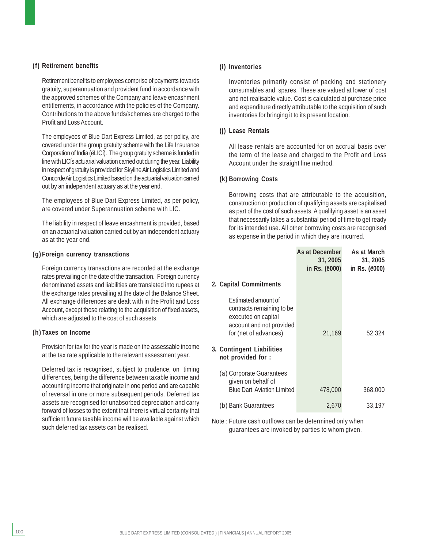#### **(f) Retirement benefits**

Retirement benefits to employees comprise of payments towards gratuity, superannuation and provident fund in accordance with the approved schemes of the Company and leave encashment entitlements, in accordance with the policies of the Company. Contributions to the above funds/schemes are charged to the Profit and Loss Account.

The employees of Blue Dart Express Limited, as per policy, are covered under the group gratuity scheme with the Life Insurance Corporation of India (ëLICí). The group gratuity scheme is funded in line with LICís actuarial valuation carried out during the year. Liability in respect of gratuity is provided for Skyline Air Logistics Limited and Concorde Air Logistics Limited based on the actuarial valuation carried out by an independent actuary as at the year end.

The employees of Blue Dart Express Limited, as per policy, are covered under Superannuation scheme with LIC.

The liability in respect of leave encashment is provided, based on an actuarial valuation carried out by an independent actuary as at the year end.

#### **(g) Foreign currency transactions**

Foreign currency transactions are recorded at the exchange rates prevailing on the date of the transaction. Foreign currency denominated assets and liabilities are translated into rupees at the exchange rates prevailing at the date of the Balance Sheet. All exchange differences are dealt with in the Profit and Loss Account, except those relating to the acquisition of fixed assets, which are adjusted to the cost of such assets.

#### **(h) Taxes on Income**

Provision for tax for the year is made on the assessable income at the tax rate applicable to the relevant assessment year.

Deferred tax is recognised, subject to prudence, on timing differences, being the difference between taxable income and accounting income that originate in one period and are capable of reversal in one or more subsequent periods. Deferred tax assets are recognised for unabsorbed depreciation and carry forward of losses to the extent that there is virtual certainty that sufficient future taxable income will be available against which such deferred tax assets can be realised.

#### **(i) Inventories**

Inventories primarily consist of packing and stationery consumables and spares. These are valued at lower of cost and net realisable value. Cost is calculated at purchase price and expenditure directly attributable to the acquisition of such inventories for bringing it to its present location.

#### **(j) Lease Rentals**

All lease rentals are accounted for on accrual basis over the term of the lease and charged to the Profit and Loss Account under the straight line method.

#### **(k) Borrowing Costs**

Borrowing costs that are attributable to the acquisition, construction or production of qualifying assets are capitalised as part of the cost of such assets. A qualifying asset is an asset that necessarily takes a substantial period of time to get ready for its intended use. All other borrowing costs are recognised as expense in the period in which they are incurred.

|                                                                                                                              | As at December<br>31, 2005<br>in Rs. (ë000) | As at March<br>31, 2005<br>in Rs. (ë000) |
|------------------------------------------------------------------------------------------------------------------------------|---------------------------------------------|------------------------------------------|
| 2. Capital Commitments                                                                                                       |                                             |                                          |
| Estimated amount of<br>contracts remaining to be<br>executed on capital<br>account and not provided<br>for (net of advances) | 21,169                                      | 52,324                                   |
| 3. Contingent Liabilities<br>not provided for :                                                                              |                                             |                                          |
| (a) Corporate Guarantees<br>given on behalf of<br><b>Blue Dart Aviation Limited</b>                                          | 478,000                                     | 368,000                                  |
| (b) Bank Guarantees                                                                                                          | 2.670                                       | 33,197                                   |

Note : Future cash outflows can be determined only when guarantees are invoked by parties to whom given.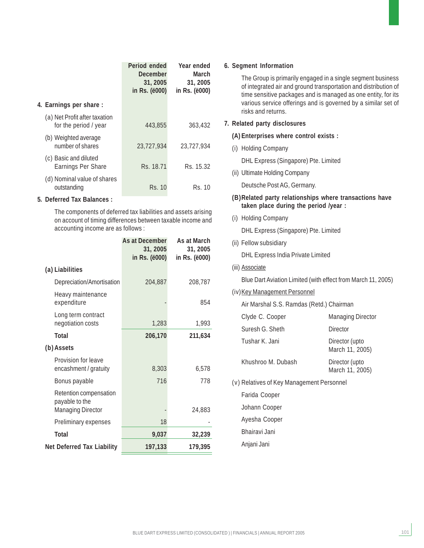|                                                        | Period ended<br>December<br>31, 2005<br>in Rs. (ë000) | Year ended<br>March<br>31, 2005<br>in Rs. ( <i>ë</i> 000) |
|--------------------------------------------------------|-------------------------------------------------------|-----------------------------------------------------------|
| 4. Earnings per share :                                |                                                       |                                                           |
| (a) Net Profit after taxation<br>for the period / year | 443.855                                               | 363,432                                                   |
| (b) Weighted average<br>number of shares               | 23.727.934                                            | 23.727.934                                                |
| (c) Basic and diluted<br><b>Earnings Per Share</b>     | Rs. 18.71                                             | Rs. 15.32                                                 |
| (d) Nominal value of shares<br>outstanding             | Rs. 10                                                | Rs. 10                                                    |

#### **5. Deferred Tax Balances :**

The components of deferred tax liabilities and assets arising on account of timing differences between taxable income and accounting income are as follows :

|                                                                      | <b>As at December</b><br>31, 2005<br>in Rs. (ë000) | As at March<br>31, 2005<br>in Rs. (ë000) |
|----------------------------------------------------------------------|----------------------------------------------------|------------------------------------------|
| (a) Liabilities                                                      |                                                    |                                          |
| Depreciation/Amortisation                                            | 204,887                                            | 208,787                                  |
| Heavy maintenance<br>expenditure                                     |                                                    | 854                                      |
| Long term contract<br>negotiation costs                              | 1,283                                              | 1,993                                    |
| <b>Total</b>                                                         | 206,170                                            | 211,634                                  |
| (b) Assets                                                           |                                                    |                                          |
| Provision for leave<br>encashment / gratuity                         | 8,303                                              | 6,578                                    |
| Bonus payable                                                        | 716                                                | 778                                      |
| Retention compensation<br>payable to the<br><b>Managing Director</b> |                                                    | 24,883                                   |
| Preliminary expenses                                                 | 18                                                 |                                          |
| <b>Total</b>                                                         | 9,037                                              | 32,239                                   |
| <b>Net Deferred Tax Liability</b>                                    | 197,133                                            | 179,395                                  |

#### **6. Segment Information**

The Group is primarily engaged in a single segment business of integrated air and ground transportation and distribution of time sensitive packages and is managed as one entity, for its various service offerings and is governed by a similar set of risks and returns.

#### **7. Related party disclosures**

#### **(A) Enterprises where control exists :**

(i) Holding Company

DHL Express (Singapore) Pte. Limited

(ii) Ultimate Holding Company

Deutsche Post AG, Germany.

#### **(B)Related party relationships where transactions have taken place during the period /year :**

(i) Holding Company

DHL Express (Singapore) Pte. Limited

(ii) Fellow subsidiary

DHL Express India Private Limited

(iii) Associate

Blue Dart Aviation Limited (with effect from March 11, 2005)

#### (iv) Key Management Personnel

Air Marshal S.S. Ramdas (Retd.) Chairman

| Clyde C. Cooper    | <b>Managing Director</b>          |
|--------------------|-----------------------------------|
| Suresh G. Sheth    | Director                          |
| Tushar K. Jani     | Director (upto<br>March 11, 2005) |
| Khushroo M. Dubash | Director (upto<br>March 11, 2005) |

(v) Relatives of Key Management Personnel

Farida Cooper Johann Cooper Ayesha Cooper Bhairavi Jani Anjani Jani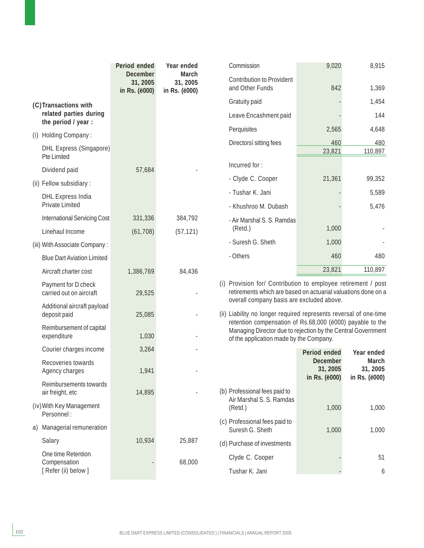|                                                      | Period ended<br><b>December</b> | Year ended<br>March       | Commission                                                                                                                                                                                                                                                                             | 9,020                                        | 8,915                                     |
|------------------------------------------------------|---------------------------------|---------------------------|----------------------------------------------------------------------------------------------------------------------------------------------------------------------------------------------------------------------------------------------------------------------------------------|----------------------------------------------|-------------------------------------------|
|                                                      | 31, 2005<br>in Rs. (ë000)       | 31, 2005<br>in Rs. (ë000) | <b>Contribution to Provident</b><br>and Other Funds                                                                                                                                                                                                                                    | 842                                          | 1,369                                     |
| (C)Transactions with                                 |                                 |                           | Gratuity paid                                                                                                                                                                                                                                                                          |                                              | 1,454                                     |
| related parties during                               |                                 |                           | Leave Encashment paid                                                                                                                                                                                                                                                                  |                                              | 144                                       |
| the period / year :                                  |                                 |                           | Perquisites                                                                                                                                                                                                                                                                            | 2,565                                        | 4,648                                     |
| (i) Holding Company:                                 |                                 |                           | Directorsí sitting fees                                                                                                                                                                                                                                                                | 460                                          | 480                                       |
| <b>DHL Express (Singapore)</b><br><b>Pte Limited</b> |                                 |                           |                                                                                                                                                                                                                                                                                        | 23,821                                       | 110,897                                   |
| Dividend paid                                        | 57,684                          |                           | Incurred for:                                                                                                                                                                                                                                                                          |                                              |                                           |
| (ii) Fellow subsidiary :                             |                                 |                           | - Clyde C. Cooper                                                                                                                                                                                                                                                                      | 21,361                                       | 99,352                                    |
| <b>DHL Express India</b>                             |                                 |                           | - Tushar K. Jani                                                                                                                                                                                                                                                                       |                                              | 5,589                                     |
| <b>Private Limited</b>                               |                                 |                           | - Khushroo M. Dubash                                                                                                                                                                                                                                                                   |                                              | 5,476                                     |
| <b>International Servicing Cost</b>                  | 331,336                         | 384,792                   | - Air Marshal S. S. Ramdas                                                                                                                                                                                                                                                             |                                              |                                           |
| Linehaul Income                                      | (61, 708)                       | (57, 121)                 | (Retd.)                                                                                                                                                                                                                                                                                | 1,000                                        |                                           |
| (iii) With Associate Company:                        |                                 |                           | - Suresh G. Sheth                                                                                                                                                                                                                                                                      | 1,000                                        |                                           |
| <b>Blue Dart Aviation Limited</b>                    |                                 |                           | - Others                                                                                                                                                                                                                                                                               | 460                                          | 480                                       |
| Aircraft charter cost                                | 1,386,769                       | 84,436                    |                                                                                                                                                                                                                                                                                        | 23,821                                       | 110,897                                   |
| Payment for D check<br>carried out on aircraft       | 29,525                          |                           | (i) Provision for/ Contribution to employee retirement / post<br>retirements which are based on actuarial valuations done on a                                                                                                                                                         |                                              |                                           |
| Additional aircraft payload<br>deposit paid          | 25,085                          |                           | overall company basis are excluded above.<br>(ii) Liability no longer required represents reversal of one-time<br>retention compensation of Rs.68,000 (ë000) payable to the<br>Managing Director due to rejection by the Central Government<br>of the application made by the Company. |                                              |                                           |
| Reimbursement of capital<br>expenditure              | 1,030                           |                           |                                                                                                                                                                                                                                                                                        |                                              |                                           |
| Courier charges income                               | 3,264                           |                           |                                                                                                                                                                                                                                                                                        | Period ended                                 | Year ended                                |
| Recoveries towards<br>Agency charges                 | 1,941                           |                           |                                                                                                                                                                                                                                                                                        | <b>December</b><br>31, 2005<br>in Rs. (ë000) | <b>March</b><br>31, 2005<br>in Rs. (ë000) |
| Reimbursements towards<br>air freight, etc           | 14,895                          |                           | (b) Professional fees paid to<br>Air Marshal S. S. Ramdas                                                                                                                                                                                                                              |                                              |                                           |
| (iv) With Key Management<br>Personnel:               |                                 |                           | (Retd.)                                                                                                                                                                                                                                                                                | 1,000                                        | 1,000                                     |
| a) Managerial remuneration                           |                                 |                           | (c) Professional fees paid to<br>Suresh G. Sheth                                                                                                                                                                                                                                       | 1,000                                        | 1,000                                     |
| Salary                                               | 10,934                          | 25,887                    | (d) Purchase of investments                                                                                                                                                                                                                                                            |                                              |                                           |
| One time Retention<br>Compensation                   |                                 | 68,000                    | Clyde C. Cooper                                                                                                                                                                                                                                                                        |                                              | 51                                        |
| [ Refer (ii) below ]                                 |                                 |                           | Tushar K. Jani                                                                                                                                                                                                                                                                         |                                              | 6                                         |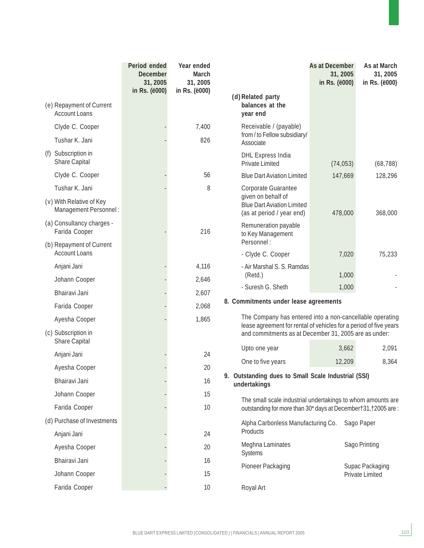|                                                   | Period ended<br><b>December</b><br>31, 2005<br>in Rs. ( <i>ë000</i> ) | Year ended<br><b>March</b><br>31, 2005<br>in Rs. (ë000) | (d) Related party                                                                                                                | As at December<br>31, 2005<br>in Rs. (ë000) | As at March<br>31, 2005<br>in Rs. (ë000)  |
|---------------------------------------------------|-----------------------------------------------------------------------|---------------------------------------------------------|----------------------------------------------------------------------------------------------------------------------------------|---------------------------------------------|-------------------------------------------|
| (e) Repayment of Current<br><b>Account Loans</b>  |                                                                       |                                                         | balances at the<br>year end                                                                                                      |                                             |                                           |
| Clyde C. Cooper                                   |                                                                       | 7,400                                                   | Receivable / (payable)                                                                                                           |                                             |                                           |
| Tushar K. Jani                                    |                                                                       | 826                                                     | from / to Fellow subsidiary/<br>Associate                                                                                        |                                             |                                           |
| Subscription in<br>(f)<br><b>Share Capital</b>    |                                                                       |                                                         | <b>DHL Express India</b><br><b>Private Limited</b>                                                                               | (74, 053)                                   | (68, 788)                                 |
| Clyde C. Cooper                                   |                                                                       | 56                                                      | <b>Blue Dart Aviation Limited</b>                                                                                                | 147,669                                     | 128,296                                   |
| Tushar K. Jani                                    |                                                                       | 8                                                       | Corporate Guarantee                                                                                                              |                                             |                                           |
| (v) With Relative of Key<br>Management Personnel: |                                                                       |                                                         | given on behalf of<br><b>Blue Dart Aviation Limited</b><br>(as at period / year end)                                             | 478,000                                     | 368,000                                   |
| (a) Consultancy charges -<br>Farida Cooper        |                                                                       | 216                                                     | Remuneration payable<br>to Key Management                                                                                        |                                             |                                           |
| (b) Repayment of Current<br><b>Account Loans</b>  |                                                                       |                                                         | Personnel:<br>- Clyde C. Cooper                                                                                                  | 7,020                                       | 75,233                                    |
| Anjani Jani                                       |                                                                       | 4,116                                                   | - Air Marshal S. S. Ramdas                                                                                                       |                                             |                                           |
| Johann Cooper                                     |                                                                       | 2,646                                                   | (Retd.)                                                                                                                          | 1,000                                       |                                           |
| Bhairavi Jani                                     |                                                                       | 2,607                                                   | - Suresh G. Sheth                                                                                                                | 1,000                                       |                                           |
| Farida Cooper                                     |                                                                       | 2,068                                                   | 8. Commitments under lease agreements                                                                                            |                                             |                                           |
| Ayesha Cooper                                     |                                                                       | 1,865                                                   | The Company has entered into a non-cancellable operating                                                                         |                                             |                                           |
| (c) Subscription in<br><b>Share Capital</b>       |                                                                       |                                                         | lease agreement for rental of vehicles for a period of five years<br>and commitments as at December 31, 2005 are as under:       |                                             |                                           |
| Anjani Jani                                       |                                                                       | 24                                                      | Upto one year                                                                                                                    | 3,662                                       | 2,091                                     |
| Ayesha Cooper                                     |                                                                       | 20                                                      | One to five years                                                                                                                | 12,209                                      | 8,364                                     |
| Bhairavi Jani                                     |                                                                       | 16                                                      | 9. Outstanding dues to Small Scale Industrial (SSI)                                                                              |                                             |                                           |
| Johann Cooper                                     |                                                                       | 15                                                      | undertakings                                                                                                                     |                                             |                                           |
| Farida Cooper                                     |                                                                       | 10                                                      | The small scale industrial undertakings to whom amounts are<br>outstanding for more than 30* days at December † 31, † 2005 are : |                                             |                                           |
| (d) Purchase of Investments                       |                                                                       |                                                         | Alpha Carbonless Manufacturing Co.                                                                                               |                                             |                                           |
| Anjani Jani                                       |                                                                       | 24                                                      | Products                                                                                                                         |                                             | Sago Paper                                |
| Ayesha Cooper                                     |                                                                       | 20                                                      | Meghna Laminates                                                                                                                 |                                             | Sago Printing                             |
| Bhairavi Jani                                     |                                                                       | 16                                                      | <b>Systems</b>                                                                                                                   |                                             |                                           |
| Johann Cooper                                     |                                                                       | 15                                                      | Pioneer Packaging                                                                                                                |                                             | Supac Packaging<br><b>Private Limited</b> |
| Farida Cooper                                     |                                                                       | 10                                                      | Royal Art                                                                                                                        |                                             |                                           |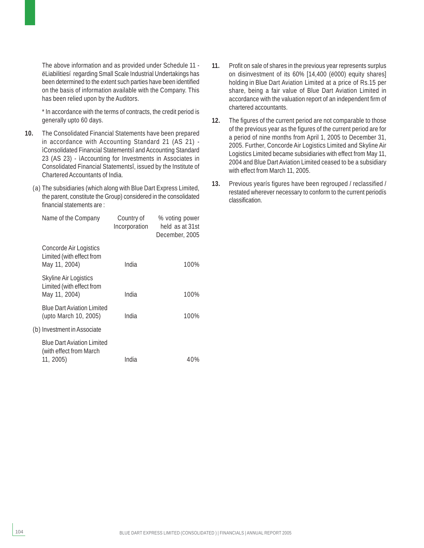The above information and as provided under Schedule 11 ëLiabilitiesí regarding Small Scale Industrial Undertakings has been determined to the extent such parties have been identified on the basis of information available with the Company. This has been relied upon by the Auditors.

\* In accordance with the terms of contracts, the credit period is generally upto 60 days.

- **10.** The Consolidated Financial Statements have been prepared in accordance with Accounting Standard 21 (AS 21) ìConsolidated Financial Statementsî and Accounting Standard 23 (AS 23) - ìAccounting for Investments in Associates in Consolidated Financial Statementsî, issued by the Institute of Chartered Accountants of India.
	- (a) The subsidiaries (which along with Blue Dart Express Limited, the parent, constitute the Group) considered in the consolidated financial statements are :

| Name of the Company                                                        | Country of<br>Incorporation | % voting power<br>held as at 31st<br>December, 2005 |
|----------------------------------------------------------------------------|-----------------------------|-----------------------------------------------------|
| Concorde Air Logistics<br>Limited (with effect from<br>May 11, 2004)       | India                       | 100%                                                |
| Skyline Air Logistics<br>Limited (with effect from<br>May 11, 2004)        | India                       | 100%                                                |
| <b>Blue Dart Aviation Limited</b><br>(upto March 10, 2005)                 | India                       | 100%                                                |
| (b) Investment in Associate                                                |                             |                                                     |
| <b>Blue Dart Aviation Limited</b><br>(with effect from March)<br>11, 2005) | India                       | 40%                                                 |

- **11.** Profit on sale of shares in the previous year represents surplus on disinvestment of its 60% [14,400 (ë000) equity shares] holding in Blue Dart Aviation Limited at a price of Rs.15 per share, being a fair value of Blue Dart Aviation Limited in accordance with the valuation report of an independent firm of chartered accountants.
- **12.** The figures of the current period are not comparable to those of the previous year as the figures of the current period are for a period of nine months from April 1, 2005 to December 31, 2005. Further, Concorde Air Logistics Limited and Skyline Air Logistics Limited became subsidiaries with effect from May 11, 2004 and Blue Dart Aviation Limited ceased to be a subsidiary with effect from March 11, 2005.
- **13.** Previous yearís figures have been regrouped / reclassified / restated wherever necessary to conform to the current periodís classification.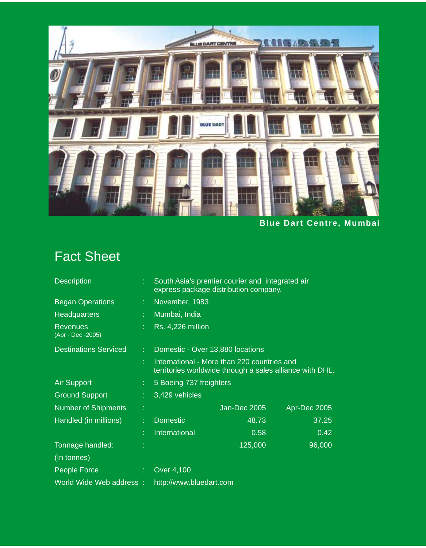

**Blue Dart Centre, Mumbai**

## Fact Sheet

| <b>Description</b>                   |    | South Asia's premier courier and integrated air<br>express package distribution company.                |              |              |  |
|--------------------------------------|----|---------------------------------------------------------------------------------------------------------|--------------|--------------|--|
| <b>Began Operations</b>              | ÷. | November, 1983                                                                                          |              |              |  |
| <b>Headquarters</b>                  | ÷. | Mumbai, India                                                                                           |              |              |  |
| <b>Revenues</b><br>(Apr - Dec -2005) |    | <b>Rs. 4,226 million</b>                                                                                |              |              |  |
| <b>Destinations Serviced</b>         | ÷  | Domestic - Over 13,880 locations                                                                        |              |              |  |
|                                      |    | International - More than 220 countries and<br>territories worldwide through a sales alliance with DHL. |              |              |  |
| <b>Air Support</b>                   | ÷. | 5 Boeing 737 freighters                                                                                 |              |              |  |
| <b>Ground Support</b>                |    | 3,429 vehicles                                                                                          |              |              |  |
| <b>Number of Shipments</b>           |    |                                                                                                         | Jan-Dec 2005 | Apr-Dec 2005 |  |
| Handled (in millions)                |    | <b>Domestic</b>                                                                                         | 48.73        | 37.25        |  |
|                                      | t  | <b>International</b>                                                                                    | 0.58         | 0.42         |  |
| Tonnage handled:                     |    |                                                                                                         | 125,000      | 96,000       |  |
| (In tonnes)                          |    |                                                                                                         |              |              |  |
| People Force                         | ÷. | Over 4,100                                                                                              |              |              |  |
| World Wide Web address:              |    | http://www.bluedart.com                                                                                 |              |              |  |